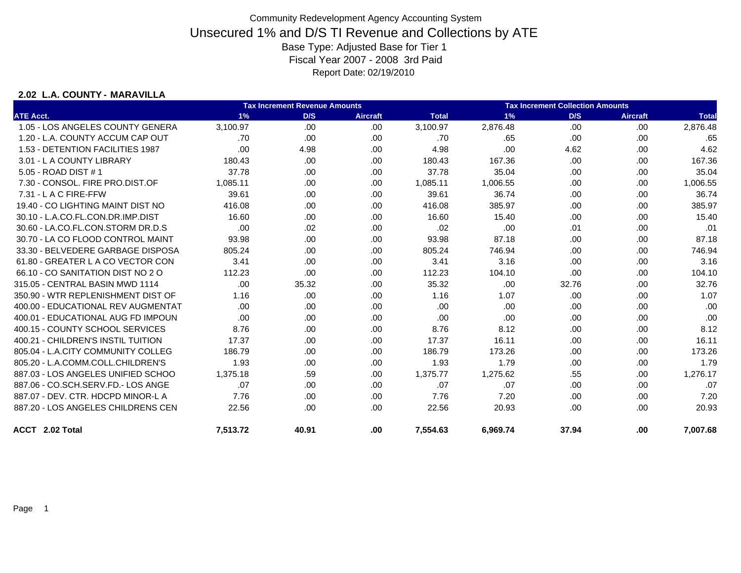### **2.02 L.A. COUNTY - MARAVILLA**

|                                    |          | <b>Tax Increment Revenue Amounts</b> |                 |              |          | <b>Tax Increment Collection Amounts</b> |                 |              |
|------------------------------------|----------|--------------------------------------|-----------------|--------------|----------|-----------------------------------------|-----------------|--------------|
| <b>ATE Acct.</b>                   | 1%       | D/S                                  | <b>Aircraft</b> | <b>Total</b> | 1%       | D/S                                     | <b>Aircraft</b> | <b>Total</b> |
| 1.05 - LOS ANGELES COUNTY GENERA   | 3,100.97 | .00                                  | .00.            | 3,100.97     | 2,876.48 | .00                                     | .00             | 2,876.48     |
| 1.20 - L.A. COUNTY ACCUM CAP OUT   | .70      | .00                                  | .00.            | .70          | .65      | .00                                     | .00             | .65          |
| 1.53 - DETENTION FACILITIES 1987   | .00      | 4.98                                 | .00             | 4.98         | .00      | 4.62                                    | .00             | 4.62         |
| 3.01 - L A COUNTY LIBRARY          | 180.43   | .00.                                 | .00             | 180.43       | 167.36   | .00                                     | .00             | 167.36       |
| 5.05 - ROAD DIST # 1               | 37.78    | .00                                  | .00.            | 37.78        | 35.04    | .00                                     | .00             | 35.04        |
| 7.30 - CONSOL, FIRE PRO.DIST.OF    | 1,085.11 | .00                                  | .00.            | 1,085.11     | 1,006.55 | .00                                     | .00             | 1,006.55     |
| 7.31 - L A C FIRE-FFW              | 39.61    | .00                                  | .00.            | 39.61        | 36.74    | .00                                     | .00             | 36.74        |
| 19.40 - CO LIGHTING MAINT DIST NO  | 416.08   | .00                                  | .00.            | 416.08       | 385.97   | .00                                     | .00             | 385.97       |
| 30.10 - L.A.CO.FL.CON.DR.IMP.DIST  | 16.60    | .00                                  | .00.            | 16.60        | 15.40    | .00                                     | .00             | 15.40        |
| 30.60 - LA.CO.FL.CON.STORM DR.D.S  | .00      | .02                                  | .00             | .02          | .00      | .01                                     | .00             | .01          |
| 30.70 - LA CO FLOOD CONTROL MAINT  | 93.98    | .00                                  | .00.            | 93.98        | 87.18    | .00                                     | .00             | 87.18        |
| 33.30 - BELVEDERE GARBAGE DISPOSA  | 805.24   | .00                                  | .00             | 805.24       | 746.94   | .00                                     | .00             | 746.94       |
| 61.80 - GREATER L A CO VECTOR CON  | 3.41     | .00.                                 | .00.            | 3.41         | 3.16     | .00                                     | .00             | 3.16         |
| 66.10 - CO SANITATION DIST NO 2 O  | 112.23   | .00                                  | .00.            | 112.23       | 104.10   | .00                                     | .00             | 104.10       |
| 315.05 - CENTRAL BASIN MWD 1114    | .00.     | 35.32                                | .00.            | 35.32        | .00      | 32.76                                   | .00             | 32.76        |
| 350.90 - WTR REPLENISHMENT DIST OF | 1.16     | .00.                                 | .00.            | 1.16         | 1.07     | .00                                     | .00             | 1.07         |
| 400.00 - EDUCATIONAL REV AUGMENTAT | .00      | .00.                                 | .00             | .00          | .00      | .00                                     | .00             | .00          |
| 400.01 - EDUCATIONAL AUG FD IMPOUN | .00      | .00                                  | .00             | .00          | .00      | .00                                     | .00             | .00          |
| 400.15 - COUNTY SCHOOL SERVICES    | 8.76     | .00.                                 | .00             | 8.76         | 8.12     | .00                                     | .00             | 8.12         |
| 400.21 - CHILDREN'S INSTIL TUITION | 17.37    | .00                                  | .00             | 17.37        | 16.11    | .00                                     | .00             | 16.11        |
| 805.04 - L.A.CITY COMMUNITY COLLEG | 186.79   | .00.                                 | .00.            | 186.79       | 173.26   | .00                                     | .00             | 173.26       |
| 805.20 - L.A.COMM.COLL.CHILDREN'S  | 1.93     | .00.                                 | .00.            | 1.93         | 1.79     | .00                                     | .00             | 1.79         |
| 887.03 - LOS ANGELES UNIFIED SCHOO | 1,375.18 | .59                                  | .00.            | 1,375.77     | 1,275.62 | .55                                     | .00             | 1,276.17     |
| 887.06 - CO.SCH.SERV.FD.- LOS ANGE | .07      | .00.                                 | .00.            | .07          | .07      | .00                                     | .00             | .07          |
| 887.07 - DEV. CTR. HDCPD MINOR-L A | 7.76     | .00.                                 | .00             | 7.76         | 7.20     | .00                                     | .00             | 7.20         |
| 887.20 - LOS ANGELES CHILDRENS CEN | 22.56    | .00.                                 | .00             | 22.56        | 20.93    | .00                                     | .00             | 20.93        |
| ACCT 2.02 Total                    | 7,513.72 | 40.91                                | .00             | 7,554.63     | 6,969.74 | 37.94                                   | .00             | 7,007.68     |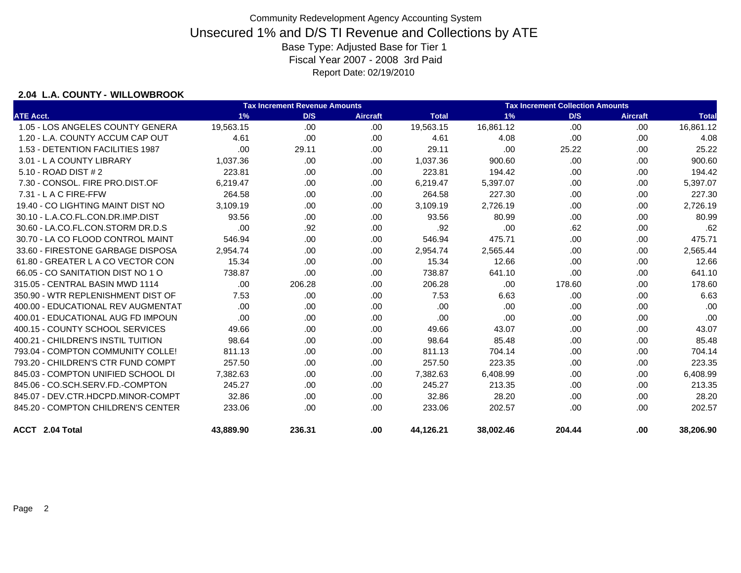### **2.04 L.A. COUNTY - WILLOWBROOK**

|                                    | <b>Tax Increment Collection Amounts</b><br><b>Tax Increment Revenue Amounts</b> |        |                 |              |           |        |                 |              |
|------------------------------------|---------------------------------------------------------------------------------|--------|-----------------|--------------|-----------|--------|-----------------|--------------|
| <b>ATE Acct.</b>                   | 1%                                                                              | D/S    | <b>Aircraft</b> | <b>Total</b> | 1%        | D/S    | <b>Aircraft</b> | <b>Total</b> |
| 1.05 - LOS ANGELES COUNTY GENERA   | 19,563.15                                                                       | .00.   | .00.            | 19,563.15    | 16,861.12 | .00    | .00             | 16,861.12    |
| 1.20 - L.A. COUNTY ACCUM CAP OUT   | 4.61                                                                            | .00    | .00             | 4.61         | 4.08      | .00    | .00             | 4.08         |
| 1.53 - DETENTION FACILITIES 1987   | .00                                                                             | 29.11  | .00.            | 29.11        | .00       | 25.22  | .00             | 25.22        |
| 3.01 - L A COUNTY LIBRARY          | 1.037.36                                                                        | .00    | .00             | 1,037.36     | 900.60    | .00.   | .00             | 900.60       |
| 5.10 - ROAD DIST # 2               | 223.81                                                                          | .00.   | .00             | 223.81       | 194.42    | .00    | .00             | 194.42       |
| 7.30 - CONSOL, FIRE PRO.DIST.OF    | 6,219.47                                                                        | .00.   | .00             | 6,219.47     | 5,397.07  | .00    | .00             | 5,397.07     |
| $7.31 - L$ A C FIRE-FFW            | 264.58                                                                          | .00.   | .00             | 264.58       | 227.30    | .00    | .00             | 227.30       |
| 19.40 - CO LIGHTING MAINT DIST NO  | 3,109.19                                                                        | .00    | .00             | 3,109.19     | 2,726.19  | .00    | .00             | 2,726.19     |
| 30.10 - L.A.CO.FL.CON.DR.IMP.DIST  | 93.56                                                                           | .00    | .00             | 93.56        | 80.99     | .00.   | .00             | 80.99        |
| 30.60 - LA.CO.FL.CON.STORM DR.D.S  | .00                                                                             | .92    | .00             | .92          | .00       | .62    | .00             | .62          |
| 30.70 - LA CO FLOOD CONTROL MAINT  | 546.94                                                                          | .00.   | .00             | 546.94       | 475.71    | .00.   | .00             | 475.71       |
| 33.60 - FIRESTONE GARBAGE DISPOSA  | 2,954.74                                                                        | .00.   | .00             | 2,954.74     | 2,565.44  | .00.   | .00             | 2,565.44     |
| 61.80 - GREATER L A CO VECTOR CON  | 15.34                                                                           | .00.   | .00             | 15.34        | 12.66     | .00    | .00             | 12.66        |
| 66.05 - CO SANITATION DIST NO 1 O  | 738.87                                                                          | .00    | .00             | 738.87       | 641.10    | .00    | .00             | 641.10       |
| 315.05 - CENTRAL BASIN MWD 1114    | .00                                                                             | 206.28 | .00             | 206.28       | .00       | 178.60 | .00             | 178.60       |
| 350.90 - WTR REPLENISHMENT DIST OF | 7.53                                                                            | .00    | .00             | 7.53         | 6.63      | .00    | .00             | 6.63         |
| 400.00 - EDUCATIONAL REV AUGMENTAT | .00                                                                             | .00.   | .00             | .00          | .00       | .00    | .00             | .00          |
| 400.01 - EDUCATIONAL AUG FD IMPOUN | .00                                                                             | .00.   | .00             | .00          | .00       | .00.   | .00             | .00          |
| 400.15 - COUNTY SCHOOL SERVICES    | 49.66                                                                           | .00.   | .00             | 49.66        | 43.07     | .00.   | .00             | 43.07        |
| 400.21 - CHILDREN'S INSTIL TUITION | 98.64                                                                           | .00    | .00             | 98.64        | 85.48     | .00    | .00             | 85.48        |
| 793.04 - COMPTON COMMUNITY COLLE!  | 811.13                                                                          | .00    | .00             | 811.13       | 704.14    | .00    | .00             | 704.14       |
| 793.20 - CHILDREN'S CTR FUND COMPT | 257.50                                                                          | .00    | .00             | 257.50       | 223.35    | .00    | .00             | 223.35       |
| 845.03 - COMPTON UNIFIED SCHOOL DI | 7,382.63                                                                        | .00    | .00             | 7,382.63     | 6,408.99  | .00    | .00             | 6,408.99     |
| 845.06 - CO.SCH.SERV.FD.-COMPTON   | 245.27                                                                          | .00    | .00             | 245.27       | 213.35    | .00    | .00             | 213.35       |
| 845.07 - DEV.CTR.HDCPD.MINOR-COMPT | 32.86                                                                           | .00    | .00             | 32.86        | 28.20     | .00.   | .00             | 28.20        |
| 845.20 - COMPTON CHILDREN'S CENTER | 233.06                                                                          | .00    | .00             | 233.06       | 202.57    | .00.   | .00             | 202.57       |
| <b>ACCT</b> 2.04 Total             | 43,889.90                                                                       | 236.31 | .00.            | 44,126.21    | 38,002.46 | 204.44 | .00             | 38,206.90    |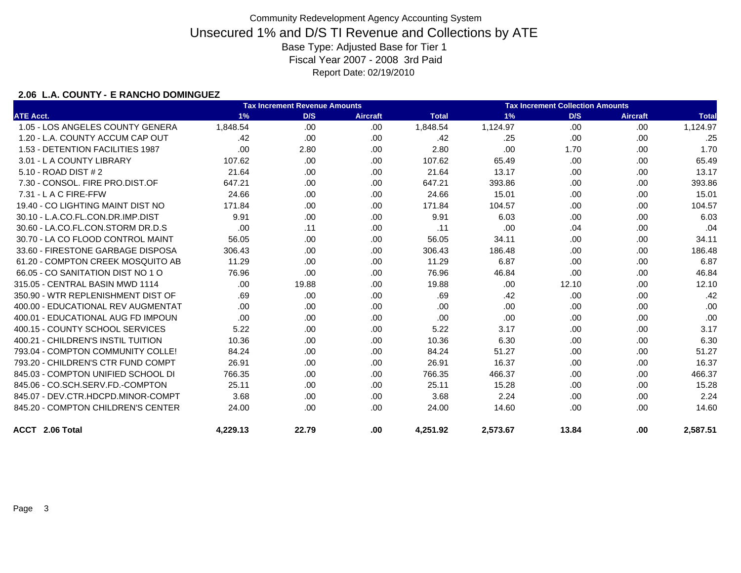### **2.06 L.A. COUNTY - E RANCHO DOMINGUEZ**

|                                    |          | <b>Tax Increment Revenue Amounts</b> |                 |              | <b>Tax Increment Collection Amounts</b> |       |                 |              |  |
|------------------------------------|----------|--------------------------------------|-----------------|--------------|-----------------------------------------|-------|-----------------|--------------|--|
| <b>ATE Acct.</b>                   | 1%       | D/S                                  | <b>Aircraft</b> | <b>Total</b> | 1%                                      | D/S   | <b>Aircraft</b> | <b>Total</b> |  |
| 1.05 - LOS ANGELES COUNTY GENERA   | 1,848.54 | .00                                  | .00             | 1,848.54     | 1,124.97                                | .00   | .00             | 1,124.97     |  |
| 1.20 - L.A. COUNTY ACCUM CAP OUT   | .42      | .00                                  | .00             | .42          | .25                                     | .00   | .00             | .25          |  |
| 1.53 - DETENTION FACILITIES 1987   | .00      | 2.80                                 | .00             | 2.80         | .00                                     | 1.70  | .00             | 1.70         |  |
| 3.01 - L A COUNTY LIBRARY          | 107.62   | .00                                  | .00             | 107.62       | 65.49                                   | .00   | .00             | 65.49        |  |
| 5.10 - ROAD DIST # 2               | 21.64    | .00                                  | .00             | 21.64        | 13.17                                   | .00   | .00             | 13.17        |  |
| 7.30 - CONSOL. FIRE PRO.DIST.OF    | 647.21   | .00                                  | .00             | 647.21       | 393.86                                  | .00   | .00             | 393.86       |  |
| $7.31 - L$ A C FIRE-FFW            | 24.66    | .00                                  | .00             | 24.66        | 15.01                                   | .00   | .00             | 15.01        |  |
| 19.40 - CO LIGHTING MAINT DIST NO  | 171.84   | .00                                  | .00.            | 171.84       | 104.57                                  | .00   | .00             | 104.57       |  |
| 30.10 - L.A.CO.FL.CON.DR.IMP.DIST  | 9.91     | .00                                  | .00             | 9.91         | 6.03                                    | .00   | .00             | 6.03         |  |
| 30.60 - LA.CO.FL.CON.STORM DR.D.S  | .00      | .11                                  | .00             | .11          | .00                                     | .04   | .00             | .04          |  |
| 30.70 - LA CO FLOOD CONTROL MAINT  | 56.05    | .00                                  | .00.            | 56.05        | 34.11                                   | .00   | .00             | 34.11        |  |
| 33.60 - FIRESTONE GARBAGE DISPOSA  | 306.43   | .00                                  | .00.            | 306.43       | 186.48                                  | .00   | .00             | 186.48       |  |
| 61.20 - COMPTON CREEK MOSQUITO AB  | 11.29    | .00                                  | .00             | 11.29        | 6.87                                    | .00   | .00             | 6.87         |  |
| 66.05 - CO SANITATION DIST NO 1 O  | 76.96    | .00                                  | .00             | 76.96        | 46.84                                   | .00   | .00             | 46.84        |  |
| 315.05 - CENTRAL BASIN MWD 1114    | .00.     | 19.88                                | .00             | 19.88        | .00                                     | 12.10 | .00             | 12.10        |  |
| 350.90 - WTR REPLENISHMENT DIST OF | .69      | .00                                  | .00             | .69          | .42                                     | .00   | .00             | .42          |  |
| 400.00 - EDUCATIONAL REV AUGMENTAT | .00.     | .00                                  | .00             | .00          | .00                                     | .00   | .00             | .00          |  |
| 400.01 - EDUCATIONAL AUG FD IMPOUN | .00      | .00                                  | .00             | .00          | .00                                     | .00   | .00             | .00          |  |
| 400.15 - COUNTY SCHOOL SERVICES    | 5.22     | .00                                  | .00             | 5.22         | 3.17                                    | .00   | .00             | 3.17         |  |
| 400.21 - CHILDREN'S INSTIL TUITION | 10.36    | .00                                  | .00.            | 10.36        | 6.30                                    | .00   | .00             | 6.30         |  |
| 793.04 - COMPTON COMMUNITY COLLE!  | 84.24    | .00                                  | .00             | 84.24        | 51.27                                   | .00   | .00             | 51.27        |  |
| 793.20 - CHILDREN'S CTR FUND COMPT | 26.91    | .00                                  | .00             | 26.91        | 16.37                                   | .00   | .00             | 16.37        |  |
| 845.03 - COMPTON UNIFIED SCHOOL DI | 766.35   | .00                                  | .00             | 766.35       | 466.37                                  | .00   | .00             | 466.37       |  |
| 845.06 - CO.SCH.SERV.FD.-COMPTON   | 25.11    | .00                                  | .00.            | 25.11        | 15.28                                   | .00   | .00             | 15.28        |  |
| 845.07 - DEV.CTR.HDCPD.MINOR-COMPT | 3.68     | .00.                                 | .00.            | 3.68         | 2.24                                    | .00   | .00             | 2.24         |  |
| 845.20 - COMPTON CHILDREN'S CENTER | 24.00    | .00                                  | .00             | 24.00        | 14.60                                   | .00   | .00             | 14.60        |  |
| ACCT 2.06 Total                    | 4,229.13 | 22.79                                | .00             | 4.251.92     | 2.573.67                                | 13.84 | .00             | 2,587.51     |  |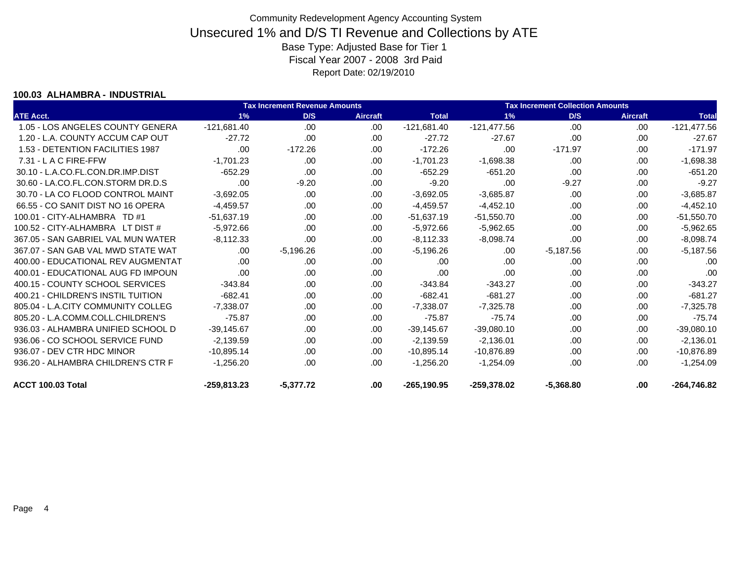#### **100.03 ALHAMBRA - INDUSTRIAL**

|                                    |               | <b>Tax Increment Revenue Amounts</b> |                 |                |               |             | <b>Tax Increment Collection Amounts</b><br>D/S<br><b>Aircraft</b><br>.00<br>.00.<br>.00<br>.00<br>$-171.97$<br>.00<br>.00.<br>.00<br>.00<br>.00.<br>$-9.27$<br>.00.<br>.00<br>.00<br>.00<br>.00<br>.00.<br>.00<br>.00<br>.00<br>.00<br>.00<br>.00<br>.00<br>.00.<br>.00<br>.00. |               |  |
|------------------------------------|---------------|--------------------------------------|-----------------|----------------|---------------|-------------|---------------------------------------------------------------------------------------------------------------------------------------------------------------------------------------------------------------------------------------------------------------------------------|---------------|--|
| <b>ATE Acct.</b>                   | 1%            | D/S                                  | <b>Aircraft</b> | <b>Total</b>   | 1%            |             |                                                                                                                                                                                                                                                                                 | <b>Total</b>  |  |
| 1.05 - LOS ANGELES COUNTY GENERA   | $-121,681.40$ | .00                                  | .00             | $-121,681.40$  | $-121,477.56$ |             |                                                                                                                                                                                                                                                                                 | $-121,477.56$ |  |
| 1.20 - L.A. COUNTY ACCUM CAP OUT   | $-27.72$      | .00                                  | .00.            | $-27.72$       | $-27.67$      |             |                                                                                                                                                                                                                                                                                 | $-27.67$      |  |
| 1.53 - DETENTION FACILITIES 1987   | .00           | $-172.26$                            | .00.            | $-172.26$      | .00           |             |                                                                                                                                                                                                                                                                                 | $-171.97$     |  |
| $7.31 - L$ A C FIRE-FFW            | $-1,701.23$   | .00                                  | .00             | $-1,701.23$    | $-1,698.38$   |             |                                                                                                                                                                                                                                                                                 | $-1,698.38$   |  |
| 30.10 - L.A.CO.FL.CON.DR.IMP.DIST  | $-652.29$     | .00                                  | .00             | $-652.29$      | $-651.20$     |             |                                                                                                                                                                                                                                                                                 | $-651.20$     |  |
| 30.60 - LA.CO.FL.CON.STORM DR.D.S  | .00           | $-9.20$                              | .00.            | $-9.20$        | .00           |             |                                                                                                                                                                                                                                                                                 | $-9.27$       |  |
| 30.70 - LA CO FLOOD CONTROL MAINT  | $-3,692.05$   | .00                                  | .00             | $-3,692.05$    | $-3,685.87$   |             |                                                                                                                                                                                                                                                                                 | $-3,685.87$   |  |
| 66.55 - CO SANIT DIST NO 16 OPERA  | $-4.459.57$   | .00                                  | .00             | $-4,459.57$    | $-4,452.10$   |             |                                                                                                                                                                                                                                                                                 | $-4,452.10$   |  |
| 100.01 - CITY-ALHAMBRA TD #1       | $-51,637.19$  | .00                                  | .00             | $-51,637.19$   | $-51,550.70$  |             |                                                                                                                                                                                                                                                                                 | $-51,550.70$  |  |
| 100.52 - CITY-ALHAMBRA LT DIST #   | $-5,972.66$   | .00                                  | .00             | $-5,972.66$    | $-5,962.65$   |             |                                                                                                                                                                                                                                                                                 | $-5,962.65$   |  |
| 367.05 - SAN GABRIEL VAL MUN WATER | $-8,112.33$   | .00                                  | .00             | $-8,112.33$    | $-8,098.74$   |             |                                                                                                                                                                                                                                                                                 | $-8,098.74$   |  |
| 367.07 - SAN GAB VAL MWD STATE WAT | .00           | $-5,196.26$                          | .00             | $-5,196.26$    | .00           | $-5,187.56$ |                                                                                                                                                                                                                                                                                 | $-5,187.56$   |  |
| 400.00 - EDUCATIONAL REV AUGMENTAT | .00           | .00                                  | .00             | .00            | .00           |             |                                                                                                                                                                                                                                                                                 | .00           |  |
| 400.01 - EDUCATIONAL AUG FD IMPOUN | .00.          | .00                                  | .00             | .00            | .00           |             |                                                                                                                                                                                                                                                                                 | .00           |  |
| 400.15 - COUNTY SCHOOL SERVICES    | $-343.84$     | .00                                  | .00.            | $-343.84$      | $-343.27$     | .00         | .00                                                                                                                                                                                                                                                                             | $-343.27$     |  |
| 400.21 - CHILDREN'S INSTIL TUITION | $-682.41$     | .00                                  | .00             | $-682.41$      | $-681.27$     | .00         | .00                                                                                                                                                                                                                                                                             | $-681.27$     |  |
| 805.04 - L.A.CITY COMMUNITY COLLEG | $-7.338.07$   | .00                                  | .00             | $-7,338.07$    | $-7,325.78$   | .00         | .00                                                                                                                                                                                                                                                                             | $-7,325.78$   |  |
| 805.20 - L.A.COMM.COLL.CHILDREN'S  | $-75.87$      | .00                                  | .00             | $-75.87$       | $-75.74$      | .00.        | .00                                                                                                                                                                                                                                                                             | $-75.74$      |  |
| 936.03 - ALHAMBRA UNIFIED SCHOOL D | $-39.145.67$  | .00                                  | .00             | $-39,145.67$   | $-39,080.10$  | .00         | .00                                                                                                                                                                                                                                                                             | $-39,080.10$  |  |
| 936.06 - CO SCHOOL SERVICE FUND    | $-2,139.59$   | .00                                  | .00             | $-2,139.59$    | $-2,136.01$   | .00.        | .00                                                                                                                                                                                                                                                                             | $-2,136.01$   |  |
| 936.07 - DEV CTR HDC MINOR         | $-10.895.14$  | .00                                  | .00             | $-10,895.14$   | $-10,876.89$  | .00.        | .00                                                                                                                                                                                                                                                                             | -10,876.89    |  |
| 936.20 - ALHAMBRA CHILDREN'S CTR F | $-1,256.20$   | .00                                  | .00             | $-1,256.20$    | $-1,254.09$   | .00         | .00                                                                                                                                                                                                                                                                             | $-1,254.09$   |  |
| ACCT 100.03 Total                  | $-259,813.23$ | $-5,377.72$                          | .00             | $-265, 190.95$ | -259,378.02   | $-5,368.80$ | .00                                                                                                                                                                                                                                                                             | -264,746.82   |  |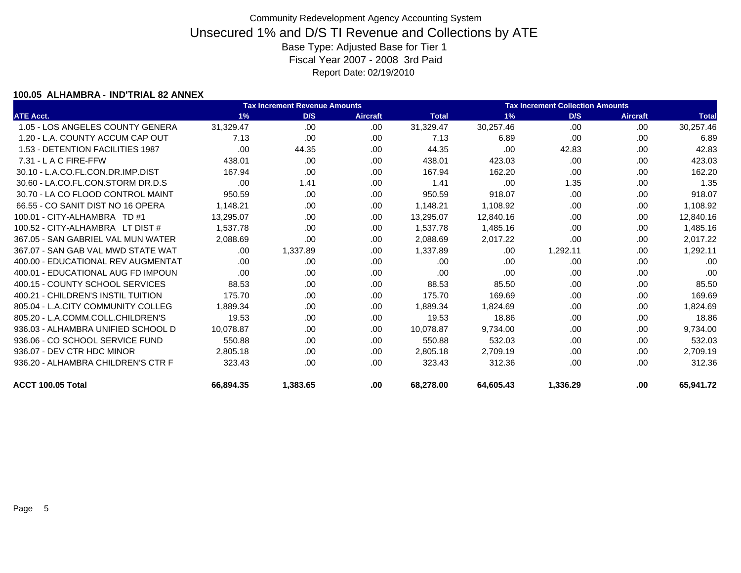### **100.05 ALHAMBRA - IND'TRIAL 82 ANNEX**

|                                    |           | <b>Tax Increment Revenue Amounts</b> |                 |              |           | <b>Tax Increment Collection Amounts</b> |                 |              |  |
|------------------------------------|-----------|--------------------------------------|-----------------|--------------|-----------|-----------------------------------------|-----------------|--------------|--|
| <b>ATE Acct.</b>                   | 1%        | D/S                                  | <b>Aircraft</b> | <b>Total</b> | 1%        | D/S                                     | <b>Aircraft</b> | <b>Total</b> |  |
| 1.05 - LOS ANGELES COUNTY GENERA   | 31,329.47 | .00                                  | .00.            | 31,329.47    | 30,257.46 | .00                                     | .00             | 30,257.46    |  |
| 1.20 - L.A. COUNTY ACCUM CAP OUT   | 7.13      | .00.                                 | .00             | 7.13         | 6.89      | .00                                     | .00             | 6.89         |  |
| 1.53 - DETENTION FACILITIES 1987   | .00       | 44.35                                | .00             | 44.35        | .00       | 42.83                                   | .00             | 42.83        |  |
| $7.31 - L$ A C FIRE-FFW            | 438.01    | .00.                                 | .00             | 438.01       | 423.03    | .00                                     | .00             | 423.03       |  |
| 30.10 - L.A.CO.FL.CON.DR.IMP.DIST  | 167.94    | .00                                  | .00             | 167.94       | 162.20    | .00                                     | .00             | 162.20       |  |
| 30.60 - LA.CO.FL.CON.STORM DR.D.S  | .00       | 1.41                                 | .00             | 1.41         | .00       | 1.35                                    | .00             | 1.35         |  |
| 30.70 - LA CO FLOOD CONTROL MAINT  | 950.59    | .00                                  | .00             | 950.59       | 918.07    | .00                                     | .00             | 918.07       |  |
| 66.55 - CO SANIT DIST NO 16 OPERA  | 1.148.21  | .00.                                 | .00             | 1.148.21     | 1,108.92  | .00                                     | .00             | 1,108.92     |  |
| 100.01 - CITY-ALHAMBRA TD #1       | 13.295.07 | .00.                                 | .00             | 13,295.07    | 12,840.16 | .00                                     | .00             | 12,840.16    |  |
| 100.52 - CITY-ALHAMBRA LT DIST #   | 1.537.78  | .00.                                 | .00             | 1,537.78     | 1,485.16  | .00                                     | .00             | 1,485.16     |  |
| 367.05 - SAN GABRIEL VAL MUN WATER | 2,088.69  | .00                                  | .00             | 2,088.69     | 2,017.22  | .00                                     | .00             | 2,017.22     |  |
| 367.07 - SAN GAB VAL MWD STATE WAT | .00.      | 1.337.89                             | .00             | 1.337.89     | .00       | 1,292.11                                | .00             | 1,292.11     |  |
| 400.00 - EDUCATIONAL REV AUGMENTAT | .00.      | .00.                                 | .00             | .00          | .00       | .00                                     | .00             | .00          |  |
| 400.01 - EDUCATIONAL AUG FD IMPOUN | .00       | .00                                  | .00             | .00          | .00       | .00                                     | .00             | .00          |  |
| 400.15 - COUNTY SCHOOL SERVICES    | 88.53     | .00.                                 | .00             | 88.53        | 85.50     | .00                                     | .00             | 85.50        |  |
| 400.21 - CHILDREN'S INSTIL TUITION | 175.70    | .00.                                 | .00             | 175.70       | 169.69    | .00                                     | .00             | 169.69       |  |
| 805.04 - L.A.CITY COMMUNITY COLLEG | 1.889.34  | .00.                                 | .00             | 1.889.34     | 1,824.69  | .00                                     | .00             | 1,824.69     |  |
| 805.20 - L.A.COMM.COLL.CHILDREN'S  | 19.53     | .00.                                 | .00             | 19.53        | 18.86     | .00                                     | .00             | 18.86        |  |
| 936.03 - ALHAMBRA UNIFIED SCHOOL D | 10.078.87 | .00.                                 | .00.            | 10.078.87    | 9.734.00  | .00                                     | .00             | 9,734.00     |  |
| 936.06 - CO SCHOOL SERVICE FUND    | 550.88    | .00.                                 | .00             | 550.88       | 532.03    | .00                                     | .00             | 532.03       |  |
| 936.07 - DEV CTR HDC MINOR         | 2.805.18  | .00.                                 | .00             | 2,805.18     | 2,709.19  | .00                                     | .00             | 2,709.19     |  |
| 936.20 - ALHAMBRA CHILDREN'S CTR F | 323.43    | .00                                  | .00             | 323.43       | 312.36    | .00                                     | .00             | 312.36       |  |
| ACCT 100.05 Total                  | 66.894.35 | 1.383.65                             | .00.            | 68.278.00    | 64.605.43 | 1.336.29                                | .00             | 65.941.72    |  |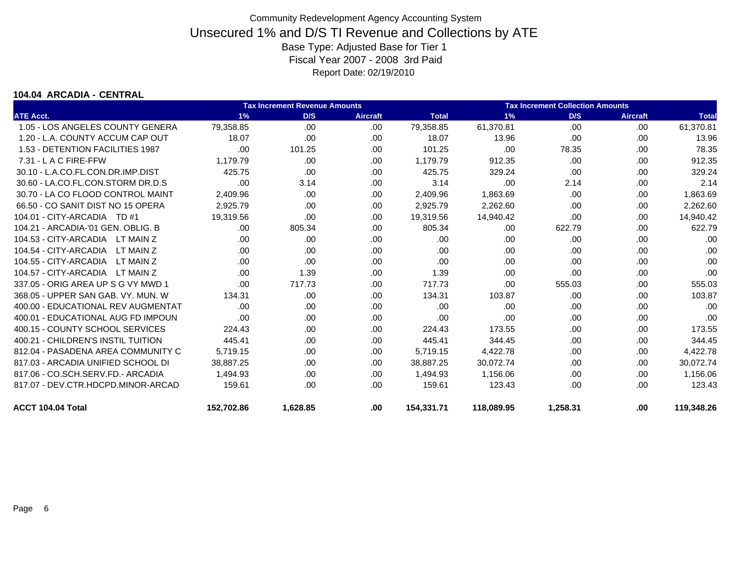### **104.04 ARCADIA - CENTRAL**

|                                    |            |          | <b>Tax Increment Collection Amounts</b><br><b>Tax Increment Revenue Amounts</b> |              |            |          |                 |              |
|------------------------------------|------------|----------|---------------------------------------------------------------------------------|--------------|------------|----------|-----------------|--------------|
| <b>ATE Acct.</b>                   | 1%         | D/S      | <b>Aircraft</b>                                                                 | <b>Total</b> | 1%         | D/S      | <b>Aircraft</b> | <b>Total</b> |
| 1.05 - LOS ANGELES COUNTY GENERA   | 79,358.85  | .00.     | .00                                                                             | 79,358.85    | 61,370.81  | .00      | .00             | 61,370.81    |
| 1.20 - L.A. COUNTY ACCUM CAP OUT   | 18.07      | .00      | .00                                                                             | 18.07        | 13.96      | .00      | .00             | 13.96        |
| 1.53 - DETENTION FACILITIES 1987   | .00        | 101.25   | .00.                                                                            | 101.25       | .00        | 78.35    | .00             | 78.35        |
| $7.31 - L$ A C FIRE-FFW            | 1.179.79   | .00      | .00.                                                                            | 1,179.79     | 912.35     | .00      | .00             | 912.35       |
| 30.10 - L.A.CO.FL.CON.DR.IMP.DIST  | 425.75     | .00      | .00.                                                                            | 425.75       | 329.24     | .00      | .00             | 329.24       |
| 30.60 - LA.CO.FL.CON.STORM DR.D.S  | .00        | 3.14     | .00.                                                                            | 3.14         | .00        | 2.14     | .00             | 2.14         |
| 30.70 - LA CO FLOOD CONTROL MAINT  | 2,409.96   | .00      | .00.                                                                            | 2,409.96     | 1,863.69   | .00      | .00             | 1,863.69     |
| 66.50 - CO SANIT DIST NO 15 OPERA  | 2,925.79   | .00      | .00.                                                                            | 2,925.79     | 2,262.60   | .00      | .00             | 2,262.60     |
| 104.01 - CITY-ARCADIA TD #1        | 19.319.56  | .00      | .00                                                                             | 19,319.56    | 14,940.42  | .00      | .00             | 14,940.42    |
| 104.21 - ARCADIA-'01 GEN, OBLIG, B | .00        | 805.34   | .00.                                                                            | 805.34       | .00        | 622.79   | .00             | 622.79       |
| 104.53 - CITY-ARCADIA<br>LT MAIN Z | .00        | .00      | .00.                                                                            | .00          | .00        | .00      | .00             | .00          |
| 104.54 - CITY-ARCADIA<br>LT MAIN Z | .00        | .00      | .00.                                                                            | .00          | .00        | .00      | .00             | .00          |
| 104.55 - CITY-ARCADIA<br>LT MAIN Z | .00        | .00      | .00                                                                             | .00          | .00        | .00      | .00             | .00          |
| 104.57 - CITY-ARCADIA<br>LT MAIN Z | .00        | 1.39     | .00                                                                             | 1.39         | .00        | .00      | .00             | .00          |
| 337.05 - ORIG AREA UP S G VY MWD 1 | .00        | 717.73   | .00                                                                             | 717.73       | .00        | 555.03   | .00             | 555.03       |
| 368.05 - UPPER SAN GAB. VY. MUN. W | 134.31     | .00      | .00.                                                                            | 134.31       | 103.87     | .00      | .00             | 103.87       |
| 400.00 - EDUCATIONAL REV AUGMENTAT | .00        | .00      | .00.                                                                            | .00          | .00        | .00      | .00.            | .00          |
| 400.01 - EDUCATIONAL AUG FD IMPOUN | .00        | .00      | .00.                                                                            | .00          | .00        | .00      | .00             | .00          |
| 400.15 - COUNTY SCHOOL SERVICES    | 224.43     | .00      | .00                                                                             | 224.43       | 173.55     | .00      | .00             | 173.55       |
| 400.21 - CHILDREN'S INSTIL TUITION | 445.41     | .00      | .00                                                                             | 445.41       | 344.45     | .00      | .00.            | 344.45       |
| 812.04 - PASADENA AREA COMMUNITY C | 5,719.15   | .00.     | .00.                                                                            | 5,719.15     | 4,422.78   | .00      | .00             | 4,422.78     |
| 817.03 - ARCADIA UNIFIED SCHOOL DI | 38,887.25  | .00      | .00.                                                                            | 38,887.25    | 30,072.74  | .00      | .00             | 30,072.74    |
| 817.06 - CO.SCH.SERV.FD.- ARCADIA  | 1,494.93   | .00      | .00                                                                             | 1,494.93     | 1,156.06   | .00      | .00             | 1,156.06     |
| 817.07 - DEV.CTR.HDCPD.MINOR-ARCAD | 159.61     | .00      | .00                                                                             | 159.61       | 123.43     | .00      | .00             | 123.43       |
| ACCT 104.04 Total                  | 152,702.86 | 1,628.85 | .00                                                                             | 154,331.71   | 118,089.95 | 1,258.31 | .00             | 119,348.26   |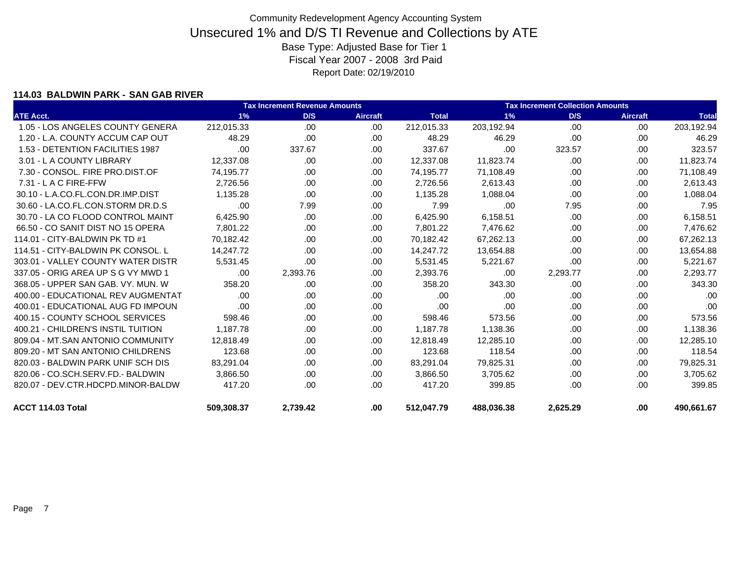### **114.03 BALDWIN PARK - SAN GAB RIVER**

|                                    |            | <b>Tax Increment Revenue Amounts</b> |                 |              |            | <b>Tax Increment Collection Amounts</b> |                 |              |  |  |
|------------------------------------|------------|--------------------------------------|-----------------|--------------|------------|-----------------------------------------|-----------------|--------------|--|--|
| <b>ATE Acct.</b>                   | 1%         | D/S                                  | <b>Aircraft</b> | <b>Total</b> | 1%         | D/S                                     | <b>Aircraft</b> | <b>Total</b> |  |  |
| 1.05 - LOS ANGELES COUNTY GENERA   | 212,015.33 | .00                                  | .00.            | 212,015.33   | 203,192.94 | .00                                     | .00             | 203,192.94   |  |  |
| 1.20 - L.A. COUNTY ACCUM CAP OUT   | 48.29      | .00                                  | .00             | 48.29        | 46.29      | .00                                     | .00             | 46.29        |  |  |
| 1.53 - DETENTION FACILITIES 1987   | .00        | 337.67                               | .00             | 337.67       | .00        | 323.57                                  | .00             | 323.57       |  |  |
| 3.01 - L A COUNTY LIBRARY          | 12.337.08  | .00.                                 | .00             | 12,337.08    | 11,823.74  | .00                                     | .00.            | 11,823.74    |  |  |
| 7.30 - CONSOL. FIRE PRO.DIST.OF    | 74,195.77  | .00                                  | .00             | 74,195.77    | 71,108.49  | .00                                     | .00             | 71,108.49    |  |  |
| $7.31 - L$ A C FIRE-FFW            | 2,726.56   | .00                                  | .00             | 2,726.56     | 2,613.43   | .00                                     | .00             | 2,613.43     |  |  |
| 30.10 - L.A.CO.FL.CON.DR.IMP.DIST  | 1.135.28   | .00.                                 | .00             | 1,135.28     | 1,088.04   | .00                                     | .00.            | 1,088.04     |  |  |
| 30.60 - LA.CO.FL.CON.STORM DR.D.S  | .00        | 7.99                                 | .00             | 7.99         | .00        | 7.95                                    | .00             | 7.95         |  |  |
| 30.70 - LA CO FLOOD CONTROL MAINT  | 6,425.90   | .00.                                 | .00             | 6,425.90     | 6,158.51   | .00                                     | .00             | 6,158.51     |  |  |
| 66.50 - CO SANIT DIST NO 15 OPERA  | 7,801.22   | .00.                                 | .00             | 7,801.22     | 7,476.62   | .00                                     | .00.            | 7,476.62     |  |  |
| 114.01 - CITY-BALDWIN PK TD #1     | 70.182.42  | .00.                                 | .00             | 70,182.42    | 67,262.13  | .00                                     | .00             | 67,262.13    |  |  |
| 114.51 - CITY-BALDWIN PK CONSOL. L | 14.247.72  | .00.                                 | .00             | 14,247.72    | 13,654.88  | .00                                     | .00             | 13,654.88    |  |  |
| 303.01 - VALLEY COUNTY WATER DISTR | 5.531.45   | .00                                  | .00             | 5.531.45     | 5,221.67   | .00                                     | .00.            | 5,221.67     |  |  |
| 337.05 - ORIG AREA UP S G VY MWD 1 | .00        | 2,393.76                             | .00             | 2,393.76     | .00        | 2,293.77                                | .00             | 2,293.77     |  |  |
| 368.05 - UPPER SAN GAB, VY, MUN, W | 358.20     | .00.                                 | .00             | 358.20       | 343.30     | .00                                     | .00             | 343.30       |  |  |
| 400.00 - EDUCATIONAL REV AUGMENTAT | .00        | .00.                                 | .00             | .00          | .00        | .00                                     | .00.            | .00          |  |  |
| 400.01 - EDUCATIONAL AUG FD IMPOUN | .00        | .00.                                 | .00.            | .00          | .00        | .00                                     | .00             | .00          |  |  |
| 400.15 - COUNTY SCHOOL SERVICES    | 598.46     | .00                                  | .00             | 598.46       | 573.56     | .00                                     | .00             | 573.56       |  |  |
| 400.21 - CHILDREN'S INSTIL TUITION | 1,187.78   | .00.                                 | .00             | 1,187.78     | 1,138.36   | .00.                                    | .00             | 1,138.36     |  |  |
| 809.04 - MT.SAN ANTONIO COMMUNITY  | 12.818.49  | .00.                                 | .00             | 12.818.49    | 12,285.10  | .00                                     | .00             | 12,285.10    |  |  |
| 809.20 - MT SAN ANTONIO CHILDRENS  | 123.68     | .00.                                 | .00             | 123.68       | 118.54     | .00                                     | .00             | 118.54       |  |  |
| 820.03 - BALDWIN PARK UNIF SCH DIS | 83,291.04  | .00.                                 | .00.            | 83,291.04    | 79,825.31  | .00                                     | .00             | 79,825.31    |  |  |
| 820.06 - CO.SCH.SERV.FD.- BALDWIN  | 3,866.50   | .00.                                 | .00             | 3,866.50     | 3,705.62   | .00                                     | .00             | 3,705.62     |  |  |
| 820.07 - DEV.CTR.HDCPD.MINOR-BALDW | 417.20     | .00.                                 | .00.            | 417.20       | 399.85     | .00                                     | .00             | 399.85       |  |  |
| ACCT 114.03 Total                  | 509,308.37 | 2,739.42                             | .00             | 512,047.79   | 488,036.38 | 2,625.29                                | .00             | 490,661.67   |  |  |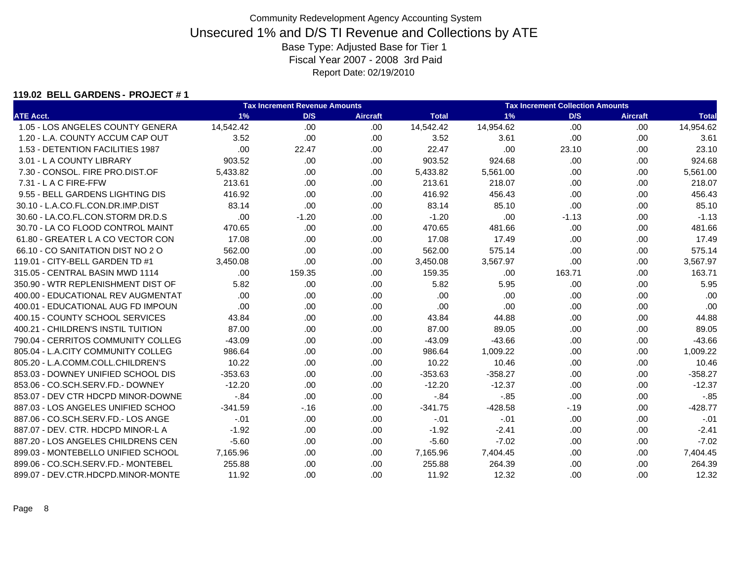### **119.02 BELL GARDENS - PROJECT # 1**

|                                    |           | <b>Tax Increment Revenue Amounts</b> |                 |              |           | <b>Tax Increment Collection Amounts</b> |                 |              |
|------------------------------------|-----------|--------------------------------------|-----------------|--------------|-----------|-----------------------------------------|-----------------|--------------|
| <b>ATE Acct.</b>                   | 1%        | D/S                                  | <b>Aircraft</b> | <b>Total</b> | 1%        | D/S                                     | <b>Aircraft</b> | <b>Total</b> |
| 1.05 - LOS ANGELES COUNTY GENERA   | 14,542.42 | .00                                  | .00             | 14,542.42    | 14,954.62 | .00                                     | .00.            | 14,954.62    |
| 1.20 - L.A. COUNTY ACCUM CAP OUT   | 3.52      | .00                                  | .00.            | 3.52         | 3.61      | .00                                     | .00             | 3.61         |
| 1.53 - DETENTION FACILITIES 1987   | .00       | 22.47                                | .00             | 22.47        | .00       | 23.10                                   | .00             | 23.10        |
| 3.01 - L A COUNTY LIBRARY          | 903.52    | .00                                  | .00             | 903.52       | 924.68    | .00                                     | .00             | 924.68       |
| 7.30 - CONSOL, FIRE PRO.DIST.OF    | 5,433.82  | .00.                                 | .00.            | 5,433.82     | 5,561.00  | .00.                                    | .00             | 5,561.00     |
| 7.31 - L A C FIRE-FFW              | 213.61    | .00                                  | .00             | 213.61       | 218.07    | .00                                     | .00             | 218.07       |
| 9.55 - BELL GARDENS LIGHTING DIS   | 416.92    | .00.                                 | .00             | 416.92       | 456.43    | .00                                     | .00             | 456.43       |
| 30.10 - L.A.CO.FL.CON.DR.IMP.DIST  | 83.14     | .00                                  | .00             | 83.14        | 85.10     | .00                                     | .00             | 85.10        |
| 30.60 - LA.CO.FL.CON.STORM DR.D.S  | .00       | $-1.20$                              | .00             | $-1.20$      | .00       | $-1.13$                                 | .00             | $-1.13$      |
| 30.70 - LA CO FLOOD CONTROL MAINT  | 470.65    | .00                                  | .00             | 470.65       | 481.66    | .00                                     | .00             | 481.66       |
| 61.80 - GREATER L A CO VECTOR CON  | 17.08     | .00.                                 | .00             | 17.08        | 17.49     | .00                                     | .00             | 17.49        |
| 66.10 - CO SANITATION DIST NO 2 O  | 562.00    | .00                                  | .00.            | 562.00       | 575.14    | .00                                     | .00             | 575.14       |
| 119.01 - CITY-BELL GARDEN TD #1    | 3,450.08  | .00                                  | .00             | 3,450.08     | 3,567.97  | .00                                     | .00             | 3,567.97     |
| 315.05 - CENTRAL BASIN MWD 1114    | .00.      | 159.35                               | .00             | 159.35       | .00       | 163.71                                  | .00             | 163.71       |
| 350.90 - WTR REPLENISHMENT DIST OF | 5.82      | .00                                  | .00             | 5.82         | 5.95      | .00                                     | .00             | 5.95         |
| 400.00 - EDUCATIONAL REV AUGMENTAT | .00.      | .00.                                 | .00             | .00          | .00       | .00                                     | .00             | .00          |
| 400.01 - EDUCATIONAL AUG FD IMPOUN | .00       | .00                                  | .00             | .00          | .00       | .00                                     | .00             | .00          |
| 400.15 - COUNTY SCHOOL SERVICES    | 43.84     | .00.                                 | .00             | 43.84        | 44.88     | .00                                     | .00             | 44.88        |
| 400.21 - CHILDREN'S INSTIL TUITION | 87.00     | .00                                  | .00             | 87.00        | 89.05     | .00                                     | .00             | 89.05        |
| 790.04 - CERRITOS COMMUNITY COLLEG | $-43.09$  | .00.                                 | .00             | $-43.09$     | $-43.66$  | .00                                     | .00             | $-43.66$     |
| 805.04 - L.A.CITY COMMUNITY COLLEG | 986.64    | .00                                  | .00.            | 986.64       | 1,009.22  | .00                                     | .00             | 1,009.22     |
| 805.20 - L.A.COMM.COLL.CHILDREN'S  | 10.22     | .00                                  | .00             | 10.22        | 10.46     | .00                                     | .00             | 10.46        |
| 853.03 - DOWNEY UNIFIED SCHOOL DIS | $-353.63$ | .00.                                 | .00             | $-353.63$    | $-358.27$ | .00.                                    | .00             | $-358.27$    |
| 853.06 - CO.SCH.SERV.FD.- DOWNEY   | $-12.20$  | .00                                  | .00             | $-12.20$     | $-12.37$  | .00                                     | .00             | $-12.37$     |
| 853.07 - DEV CTR HDCPD MINOR-DOWNE | $-.84$    | .00.                                 | .00.            | $-.84$       | $-0.85$   | .00                                     | .00             | $-0.85$      |
| 887.03 - LOS ANGELES UNIFIED SCHOO | $-341.59$ | $-16$                                | .00.            | $-341.75$    | $-428.58$ | $-19$                                   | .00             | $-428.77$    |
| 887.06 - CO.SCH.SERV.FD.- LOS ANGE | $-.01$    | .00.                                 | .00             | $-.01$       | $-.01$    | .00                                     | .00             | $-.01$       |
| 887.07 - DEV. CTR. HDCPD MINOR-L A | $-1.92$   | .00                                  | .00             | $-1.92$      | $-2.41$   | .00                                     | .00             | $-2.41$      |
| 887.20 - LOS ANGELES CHILDRENS CEN | $-5.60$   | .00.                                 | .00             | $-5.60$      | $-7.02$   | .00                                     | .00             | $-7.02$      |
| 899.03 - MONTEBELLO UNIFIED SCHOOL | 7,165.96  | .00                                  | .00.            | 7,165.96     | 7,404.45  | .00                                     | .00             | 7,404.45     |
| 899.06 - CO.SCH.SERV.FD.- MONTEBEL | 255.88    | .00                                  | .00             | 255.88       | 264.39    | .00                                     | .00             | 264.39       |
| 899.07 - DEV.CTR.HDCPD.MINOR-MONTE | 11.92     | .00.                                 | .00             | 11.92        | 12.32     | .00.                                    | .00             | 12.32        |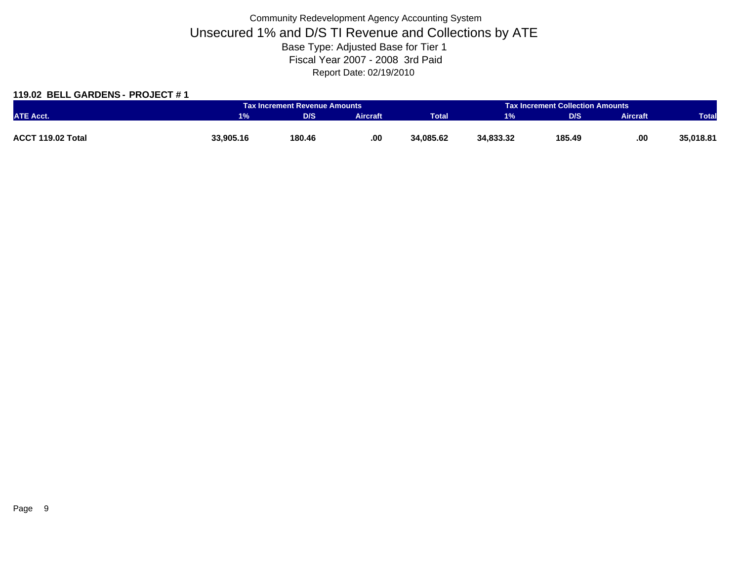### **119.02 BELL GARDENS - PROJECT # 1**

|                   |           | <b>Tax Increment Revenue Amounts</b> |          |              | <b>Tax Increment Collection Amounts</b> |        |                 |              |
|-------------------|-----------|--------------------------------------|----------|--------------|-----------------------------------------|--------|-----------------|--------------|
| <b>ATE Acct.</b>  |           | D/S                                  | Aircraft | <b>Total</b> | 1%                                      | D/S    | <b>Aircraft</b> | <b>Total</b> |
|                   |           |                                      |          |              |                                         |        |                 |              |
| ACCT 119.02 Total | 33,905.16 | 180.46                               | .00.     | 34,085.62    | 34,833.32                               | 185.49 | .00             | 35,018.81    |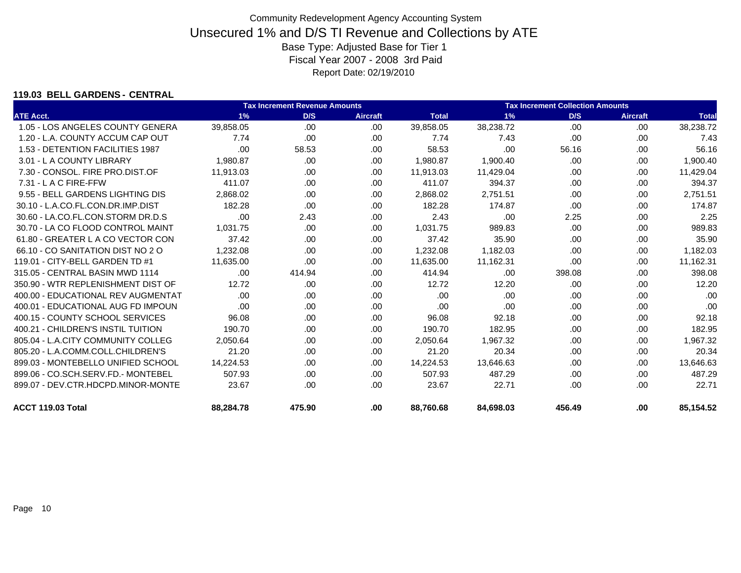### **119.03 BELL GARDENS - CENTRAL**

|                                    |           | <b>Tax Increment Revenue Amounts</b><br><b>Tax Increment Collection Amounts</b> |                 |              |           |        |                 |              |
|------------------------------------|-----------|---------------------------------------------------------------------------------|-----------------|--------------|-----------|--------|-----------------|--------------|
| <b>ATE Acct.</b>                   | 1%        | D/S                                                                             | <b>Aircraft</b> | <b>Total</b> | 1%        | D/S    | <b>Aircraft</b> | <b>Total</b> |
| 1.05 - LOS ANGELES COUNTY GENERA   | 39,858.05 | .00                                                                             | .00             | 39,858.05    | 38,238.72 | .00    | .00             | 38,238.72    |
| 1.20 - L.A. COUNTY ACCUM CAP OUT   | 7.74      | .00.                                                                            | .00             | 7.74         | 7.43      | .00    | .00             | 7.43         |
| 1.53 - DETENTION FACILITIES 1987   | .00       | 58.53                                                                           | .00             | 58.53        | .00       | 56.16  | .00             | 56.16        |
| 3.01 - L A COUNTY LIBRARY          | 1,980.87  | .00.                                                                            | .00             | 1,980.87     | 1,900.40  | .00    | .00             | 1,900.40     |
| 7.30 - CONSOL. FIRE PRO.DIST.OF    | 11,913.03 | .00.                                                                            | .00             | 11,913.03    | 11,429.04 | .00    | .00             | 11,429.04    |
| 7.31 - L A C FIRE-FFW              | 411.07    | .00.                                                                            | .00             | 411.07       | 394.37    | .00    | .00             | 394.37       |
| 9.55 - BELL GARDENS LIGHTING DIS   | 2,868.02  | .00.                                                                            | .00             | 2,868.02     | 2,751.51  | .00    | .00             | 2,751.51     |
| 30.10 - L.A.CO.FL.CON.DR.IMP.DIST  | 182.28    | .00                                                                             | .00             | 182.28       | 174.87    | .00    | .00             | 174.87       |
| 30.60 - LA.CO.FL.CON.STORM DR.D.S  | .00       | 2.43                                                                            | .00             | 2.43         | .00       | 2.25   | .00             | 2.25         |
| 30.70 - LA CO FLOOD CONTROL MAINT  | 1.031.75  | .00.                                                                            | .00             | 1.031.75     | 989.83    | .00    | .00             | 989.83       |
| 61.80 - GREATER L A CO VECTOR CON  | 37.42     | .00                                                                             | .00             | 37.42        | 35.90     | .00    | .00             | 35.90        |
| 66.10 - CO SANITATION DIST NO 2 O  | 1,232.08  | .00                                                                             | .00             | 1,232.08     | 1,182.03  | .00    | .00             | 1,182.03     |
| 119.01 - CITY-BELL GARDEN TD #1    | 11,635.00 | .00                                                                             | .00             | 11,635.00    | 11,162.31 | .00    | .00             | 11,162.31    |
| 315.05 - CENTRAL BASIN MWD 1114    | .00.      | 414.94                                                                          | .00             | 414.94       | .00       | 398.08 | .00             | 398.08       |
| 350.90 - WTR REPLENISHMENT DIST OF | 12.72     | .00.                                                                            | .00             | 12.72        | 12.20     | .00    | .00             | 12.20        |
| 400.00 - EDUCATIONAL REV AUGMENTAT | .00.      | .00.                                                                            | .00             | .00          | .00       | .00    | .00.            | .00          |
| 400.01 - EDUCATIONAL AUG FD IMPOUN | .00       | .00.                                                                            | .00             | .00          | .00       | .00    | .00             | .00          |
| 400.15 - COUNTY SCHOOL SERVICES    | 96.08     | .00.                                                                            | .00             | 96.08        | 92.18     | .00    | .00             | 92.18        |
| 400.21 - CHILDREN'S INSTIL TUITION | 190.70    | .00.                                                                            | .00             | 190.70       | 182.95    | .00.   | .00             | 182.95       |
| 805.04 - L.A.CITY COMMUNITY COLLEG | 2,050.64  | .00.                                                                            | .00             | 2,050.64     | 1,967.32  | .00    | .00             | 1,967.32     |
| 805.20 - L.A.COMM.COLL.CHILDREN'S  | 21.20     | .00.                                                                            | .00             | 21.20        | 20.34     | .00    | .00             | 20.34        |
| 899.03 - MONTEBELLO UNIFIED SCHOOL | 14,224.53 | .00.                                                                            | .00             | 14,224.53    | 13,646.63 | .00    | .00.            | 13,646.63    |
| 899.06 - CO.SCH.SERV.FD.- MONTEBEL | 507.93    | .00.                                                                            | .00             | 507.93       | 487.29    | .00    | .00             | 487.29       |
| 899.07 - DEV.CTR.HDCPD.MINOR-MONTE | 23.67     | .00.                                                                            | .00             | 23.67        | 22.71     | .00    | .00             | 22.71        |
| ACCT 119.03 Total                  | 88,284.78 | 475.90                                                                          | .00             | 88,760.68    | 84,698.03 | 456.49 | .00             | 85,154.52    |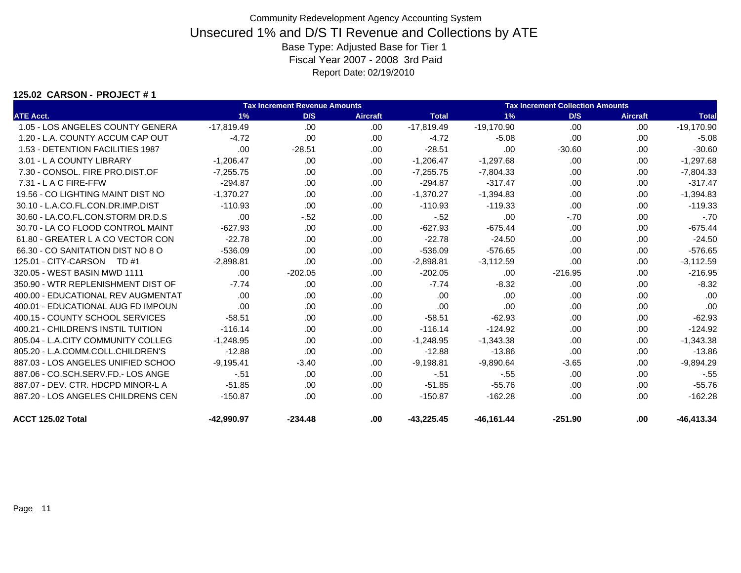### **125.02 CARSON - PROJECT # 1**

|                                    |              | <b>Tax Increment Revenue Amounts</b> |                 |              |              | <b>Tax Increment Collection Amounts</b> |                 |              |
|------------------------------------|--------------|--------------------------------------|-----------------|--------------|--------------|-----------------------------------------|-----------------|--------------|
| <b>ATE Acct.</b>                   | 1%           | D/S                                  | <b>Aircraft</b> | <b>Total</b> | 1%           | D/S                                     | <b>Aircraft</b> | <b>Total</b> |
| 1.05 - LOS ANGELES COUNTY GENERA   | $-17,819.49$ | .00                                  | .00             | $-17,819.49$ | $-19,170.90$ | .00                                     | .00             | $-19,170.90$ |
| 1.20 - L.A. COUNTY ACCUM CAP OUT   | $-4.72$      | .00                                  | .00             | $-4.72$      | $-5.08$      | .00                                     | .00             | $-5.08$      |
| 1.53 - DETENTION FACILITIES 1987   | .00          | $-28.51$                             | .00.            | $-28.51$     | .00          | $-30.60$                                | .00.            | $-30.60$     |
| 3.01 - L A COUNTY LIBRARY          | $-1,206.47$  | .00.                                 | .00             | $-1,206.47$  | $-1,297.68$  | .00                                     | .00             | $-1,297.68$  |
| 7.30 - CONSOL, FIRE PRO.DIST.OF    | $-7,255.75$  | .00                                  | .00             | $-7,255.75$  | $-7,804.33$  | .00                                     | .00             | $-7,804.33$  |
| $7.31 - L$ A C FIRE-FFW            | $-294.87$    | .00.                                 | .00             | $-294.87$    | $-317.47$    | .00                                     | .00.            | $-317.47$    |
| 19.56 - CO LIGHTING MAINT DIST NO  | $-1,370.27$  | .00                                  | .00             | $-1,370.27$  | $-1,394.83$  | .00.                                    | .00             | $-1,394.83$  |
| 30.10 - L.A.CO.FL.CON.DR.IMP.DIST  | $-110.93$    | .00                                  | .00.            | $-110.93$    | $-119.33$    | .00.                                    | .00             | $-119.33$    |
| 30.60 - LA.CO.FL.CON.STORM DR.D.S  | .00          | $-52$                                | .00             | $-.52$       | .00          | $-.70$                                  | .00.            | $-.70$       |
| 30.70 - LA CO FLOOD CONTROL MAINT  | $-627.93$    | .00.                                 | .00.            | $-627.93$    | $-675.44$    | .00                                     | .00             | $-675.44$    |
| 61.80 - GREATER L A CO VECTOR CON  | $-22.78$     | .00                                  | .00             | $-22.78$     | $-24.50$     | .00                                     | .00.            | $-24.50$     |
| 66.30 - CO SANITATION DIST NO 8 O  | $-536.09$    | .00.                                 | .00             | $-536.09$    | $-576.65$    | .00                                     | .00.            | $-576.65$    |
| 125.01 - CITY-CARSON<br>TD #1      | $-2,898.81$  | .00                                  | .00             | $-2,898.81$  | $-3,112.59$  | .00                                     | .00.            | $-3,112.59$  |
| 320.05 - WEST BASIN MWD 1111       | .00          | $-202.05$                            | .00             | $-202.05$    | .00          | $-216.95$                               | .00             | $-216.95$    |
| 350.90 - WTR REPLENISHMENT DIST OF | $-7.74$      | .00                                  | .00             | $-7.74$      | $-8.32$      | .00                                     | .00.            | $-8.32$      |
| 400.00 - EDUCATIONAL REV AUGMENTAT | .00          | .00                                  | .00             | .00          | .00          | .00                                     | .00             | .00          |
| 400.01 - EDUCATIONAL AUG FD IMPOUN | .00          | .00.                                 | .00             | .00          | .00          | .00.                                    | .00             | .00          |
| 400.15 - COUNTY SCHOOL SERVICES    | $-58.51$     | .00.                                 | .00             | $-58.51$     | $-62.93$     | .00                                     | .00             | $-62.93$     |
| 400.21 - CHILDREN'S INSTIL TUITION | $-116.14$    | .00.                                 | .00.            | $-116.14$    | $-124.92$    | .00                                     | .00             | $-124.92$    |
| 805.04 - L.A.CITY COMMUNITY COLLEG | $-1,248.95$  | .00.                                 | .00             | $-1,248.95$  | $-1,343.38$  | .00                                     | .00.            | $-1,343.38$  |
| 805.20 - L.A.COMM.COLL.CHILDREN'S  | $-12.88$     | .00                                  | .00             | $-12.88$     | $-13.86$     | .00                                     | .00             | $-13.86$     |
| 887.03 - LOS ANGELES UNIFIED SCHOO | $-9,195.41$  | $-3.40$                              | .00             | $-9,198.81$  | $-9,890.64$  | $-3.65$                                 | .00             | $-9,894.29$  |
| 887.06 - CO.SCH.SERV.FD.- LOS ANGE | $-.51$       | .00.                                 | .00             | $-51$        | $-55$        | .00.                                    | .00.            | $-55$        |
| 887.07 - DEV. CTR. HDCPD MINOR-L A | $-51.85$     | .00                                  | .00             | $-51.85$     | $-55.76$     | .00.                                    | .00             | $-55.76$     |
| 887.20 - LOS ANGELES CHILDRENS CEN | $-150.87$    | .00.                                 | .00.            | $-150.87$    | $-162.28$    | .00                                     | .00             | $-162.28$    |
| ACCT 125.02 Total                  | -42.990.97   | $-234.48$                            | .00             | $-43.225.45$ | $-46,161.44$ | $-251.90$                               | .00             | $-46.413.34$ |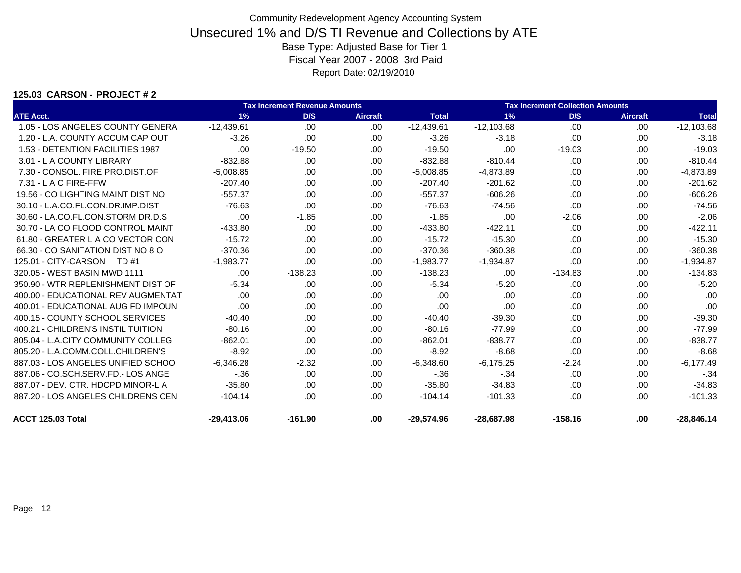### **125.03 CARSON - PROJECT # 2**

|                                    |              | <b>Tax Increment Revenue Amounts</b> |                 |              |              | <b>Tax Increment Collection Amounts</b> |                 |              |  |  |  |  |
|------------------------------------|--------------|--------------------------------------|-----------------|--------------|--------------|-----------------------------------------|-----------------|--------------|--|--|--|--|
| <b>ATE Acct.</b>                   | 1%           | D/S                                  | <b>Aircraft</b> | <b>Total</b> | 1%           | D/S                                     | <b>Aircraft</b> | <b>Total</b> |  |  |  |  |
| 1.05 - LOS ANGELES COUNTY GENERA   | $-12,439.61$ | .00                                  | .00             | $-12,439.61$ | $-12,103.68$ | .00                                     | .00             | $-12,103.68$ |  |  |  |  |
| 1.20 - L.A. COUNTY ACCUM CAP OUT   | $-3.26$      | .00                                  | .00             | $-3.26$      | $-3.18$      | .00                                     | .00             | $-3.18$      |  |  |  |  |
| 1.53 - DETENTION FACILITIES 1987   | .00          | $-19.50$                             | .00.            | $-19.50$     | .00          | $-19.03$                                | .00             | $-19.03$     |  |  |  |  |
| 3.01 - L A COUNTY LIBRARY          | $-832.88$    | .00.                                 | .00             | $-832.88$    | $-810.44$    | .00                                     | .00             | $-810.44$    |  |  |  |  |
| 7.30 - CONSOL, FIRE PRO.DIST.OF    | $-5,008.85$  | .00                                  | .00.            | $-5,008.85$  | $-4,873.89$  | .00                                     | .00             | $-4,873.89$  |  |  |  |  |
| $7.31 - L$ A C FIRE-FFW            | $-207.40$    | .00                                  | .00             | $-207.40$    | $-201.62$    | .00                                     | .00             | $-201.62$    |  |  |  |  |
| 19.56 - CO LIGHTING MAINT DIST NO  | $-557.37$    | .00                                  | .00.            | $-557.37$    | $-606.26$    | .00                                     | .00             | $-606.26$    |  |  |  |  |
| 30.10 - L.A.CO.FL.CON.DR.IMP.DIST  | $-76.63$     | .00                                  | .00.            | $-76.63$     | $-74.56$     | .00                                     | .00             | $-74.56$     |  |  |  |  |
| 30.60 - LA.CO.FL.CON.STORM DR.D.S  | .00          | $-1.85$                              | .00             | $-1.85$      | .00          | $-2.06$                                 | .00             | $-2.06$      |  |  |  |  |
| 30.70 - LA CO FLOOD CONTROL MAINT  | $-433.80$    | .00                                  | .00             | $-433.80$    | $-422.11$    | .00                                     | .00.            | $-422.11$    |  |  |  |  |
| 61.80 - GREATER L A CO VECTOR CON  | $-15.72$     | .00                                  | .00.            | $-15.72$     | $-15.30$     | .00                                     | .00             | $-15.30$     |  |  |  |  |
| 66.30 - CO SANITATION DIST NO 8 O  | $-370.36$    | .00                                  | .00.            | $-370.36$    | $-360.38$    | .00                                     | .00             | $-360.38$    |  |  |  |  |
| 125.01 - CITY-CARSON<br>TD #1      | $-1.983.77$  | .00                                  | .00             | $-1,983.77$  | $-1,934.87$  | .00                                     | .00             | $-1,934.87$  |  |  |  |  |
| 320.05 - WEST BASIN MWD 1111       | .00          | $-138.23$                            | .00.            | $-138.23$    | .00.         | $-134.83$                               | .00             | $-134.83$    |  |  |  |  |
| 350.90 - WTR REPLENISHMENT DIST OF | $-5.34$      | .00                                  | .00             | $-5.34$      | $-5.20$      | .00                                     | .00.            | $-5.20$      |  |  |  |  |
| 400.00 - EDUCATIONAL REV AUGMENTAT | .00          | .00                                  | .00.            | .00          | .00          | .00                                     | .00             | .00          |  |  |  |  |
| 400.01 - EDUCATIONAL AUG FD IMPOUN | .00          | .00                                  | .00.            | .00          | .00          | .00                                     | .00             | .00          |  |  |  |  |
| 400.15 - COUNTY SCHOOL SERVICES    | $-40.40$     | .00                                  | .00             | $-40.40$     | $-39.30$     | .00                                     | .00             | $-39.30$     |  |  |  |  |
| 400.21 - CHILDREN'S INSTIL TUITION | $-80.16$     | .00                                  | .00             | $-80.16$     | $-77.99$     | .00                                     | .00             | $-77.99$     |  |  |  |  |
| 805.04 - L.A.CITY COMMUNITY COLLEG | $-862.01$    | .00                                  | .00             | $-862.01$    | $-838.77$    | .00                                     | .00             | $-838.77$    |  |  |  |  |
| 805.20 - L.A.COMM.COLL.CHILDREN'S  | $-8.92$      | .00                                  | .00.            | $-8.92$      | $-8.68$      | .00                                     | .00             | $-8.68$      |  |  |  |  |
| 887.03 - LOS ANGELES UNIFIED SCHOO | $-6,346.28$  | $-2.32$                              | .00.            | $-6.348.60$  | $-6,175.25$  | $-2.24$                                 | .00.            | $-6,177.49$  |  |  |  |  |
| 887.06 - CO.SCH.SERV.FD.- LOS ANGE | $-.36$       | .00                                  | .00             | $-36$        | $-34$        | .00                                     | .00             | $-.34$       |  |  |  |  |
| 887.07 - DEV. CTR. HDCPD MINOR-L A | $-35.80$     | .00                                  | .00.            | $-35.80$     | $-34.83$     | .00                                     | .00             | $-34.83$     |  |  |  |  |
| 887.20 - LOS ANGELES CHILDRENS CEN | $-104.14$    | .00                                  | .00             | $-104.14$    | $-101.33$    | .00                                     | .00.            | $-101.33$    |  |  |  |  |
| ACCT 125.03 Total                  | $-29.413.06$ | $-161.90$                            | .00             | $-29.574.96$ | $-28.687.98$ | $-158.16$                               | .00             | $-28.846.14$ |  |  |  |  |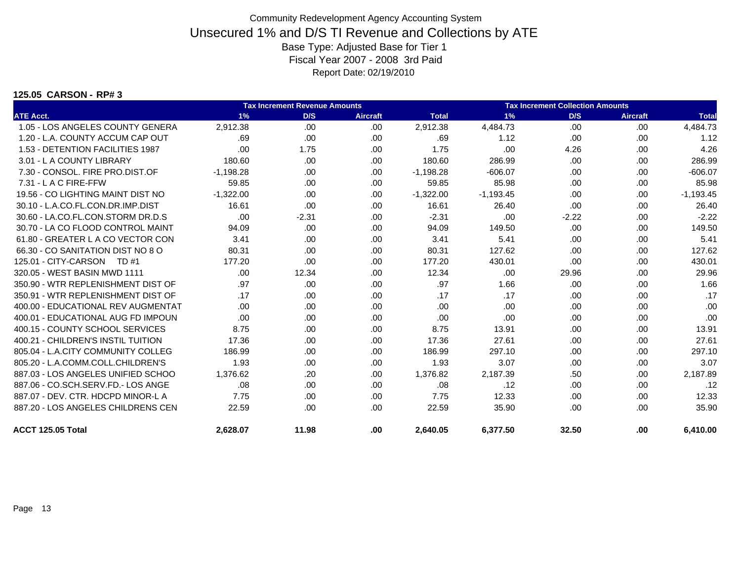#### **125.05 CARSON - RP# 3**

|                                    |             | <b>Tax Increment Revenue Amounts</b> |                 |              |             | <b>Tax Increment Collection Amounts</b> |                 |              |
|------------------------------------|-------------|--------------------------------------|-----------------|--------------|-------------|-----------------------------------------|-----------------|--------------|
| <b>ATE Acct.</b>                   | 1%          | D/S                                  | <b>Aircraft</b> | <b>Total</b> | 1%          | D/S                                     | <b>Aircraft</b> | <b>Total</b> |
| 1.05 - LOS ANGELES COUNTY GENERA   | 2,912.38    | .00                                  | .00.            | 2,912.38     | 4,484.73    | .00                                     | .00             | 4,484.73     |
| 1.20 - L.A. COUNTY ACCUM CAP OUT   | .69         | .00.                                 | .00.            | .69          | 1.12        | .00                                     | .00             | 1.12         |
| 1.53 - DETENTION FACILITIES 1987   | .00         | 1.75                                 | .00             | 1.75         | .00         | 4.26                                    | .00             | 4.26         |
| 3.01 - L A COUNTY LIBRARY          | 180.60      | .00                                  | .00.            | 180.60       | 286.99      | .00                                     | .00             | 286.99       |
| 7.30 - CONSOL. FIRE PRO.DIST.OF    | $-1,198.28$ | .00.                                 | .00.            | $-1,198.28$  | $-606.07$   | .00                                     | .00             | $-606.07$    |
| $7.31 - L$ A C FIRE-FFW            | 59.85       | .00                                  | .00.            | 59.85        | 85.98       | .00                                     | .00             | 85.98        |
| 19.56 - CO LIGHTING MAINT DIST NO  | $-1,322.00$ | .00.                                 | .00.            | $-1,322.00$  | $-1,193.45$ | .00                                     | .00             | $-1,193.45$  |
| 30.10 - L.A.CO.FL.CON.DR.IMP.DIST  | 16.61       | .00.                                 | .00             | 16.61        | 26.40       | .00                                     | .00             | 26.40        |
| 30.60 - LA.CO.FL.CON.STORM DR.D.S  | .00         | $-2.31$                              | .00.            | $-2.31$      | .00         | $-2.22$                                 | .00             | $-2.22$      |
| 30.70 - LA CO FLOOD CONTROL MAINT  | 94.09       | .00                                  | .00.            | 94.09        | 149.50      | .00                                     | .00             | 149.50       |
| 61.80 - GREATER L A CO VECTOR CON  | 3.41        | .00.                                 | .00.            | 3.41         | 5.41        | .00                                     | .00             | 5.41         |
| 66.30 - CO SANITATION DIST NO 8 O  | 80.31       | .00.                                 | .00.            | 80.31        | 127.62      | .00                                     | .00             | 127.62       |
| 125.01 - CITY-CARSON TD #1         | 177.20      | .00                                  | .00.            | 177.20       | 430.01      | .00                                     | .00             | 430.01       |
| 320.05 - WEST BASIN MWD 1111       | .00.        | 12.34                                | .00             | 12.34        | .00         | 29.96                                   | .00             | 29.96        |
| 350.90 - WTR REPLENISHMENT DIST OF | .97         | .00.                                 | .00             | .97          | 1.66        | .00                                     | .00             | 1.66         |
| 350.91 - WTR REPLENISHMENT DIST OF | .17         | .00.                                 | .00.            | .17          | .17         | .00                                     | .00             | .17          |
| 400.00 - EDUCATIONAL REV AUGMENTAT | .00.        | .00.                                 | .00             | .00          | .00         | .00                                     | .00             | .00          |
| 400.01 - EDUCATIONAL AUG FD IMPOUN | .00         | .00                                  | .00             | .00          | .00         | .00                                     | .00             | .00          |
| 400.15 - COUNTY SCHOOL SERVICES    | 8.75        | .00.                                 | .00.            | 8.75         | 13.91       | .00                                     | .00             | 13.91        |
| 400.21 - CHILDREN'S INSTIL TUITION | 17.36       | .00                                  | .00             | 17.36        | 27.61       | .00                                     | .00             | 27.61        |
| 805.04 - L.A.CITY COMMUNITY COLLEG | 186.99      | .00                                  | .00             | 186.99       | 297.10      | .00                                     | .00             | 297.10       |
| 805.20 - L.A.COMM.COLL.CHILDREN'S  | 1.93        | .00                                  | .00             | 1.93         | 3.07        | .00                                     | .00             | 3.07         |
| 887.03 - LOS ANGELES UNIFIED SCHOO | 1,376.62    | .20                                  | .00             | 1,376.82     | 2,187.39    | .50                                     | .00             | 2,187.89     |
| 887.06 - CO.SCH.SERV.FD.- LOS ANGE | .08         | .00                                  | .00.            | .08          | .12         | .00                                     | .00             | .12          |
| 887.07 - DEV. CTR. HDCPD MINOR-L A | 7.75        | .00                                  | .00             | 7.75         | 12.33       | .00                                     | .00             | 12.33        |
| 887.20 - LOS ANGELES CHILDRENS CEN | 22.59       | .00                                  | .00             | 22.59        | 35.90       | .00                                     | .00             | 35.90        |
| ACCT 125.05 Total                  | 2,628.07    | 11.98                                | .00.            | 2,640.05     | 6,377.50    | 32.50                                   | .00             | 6,410.00     |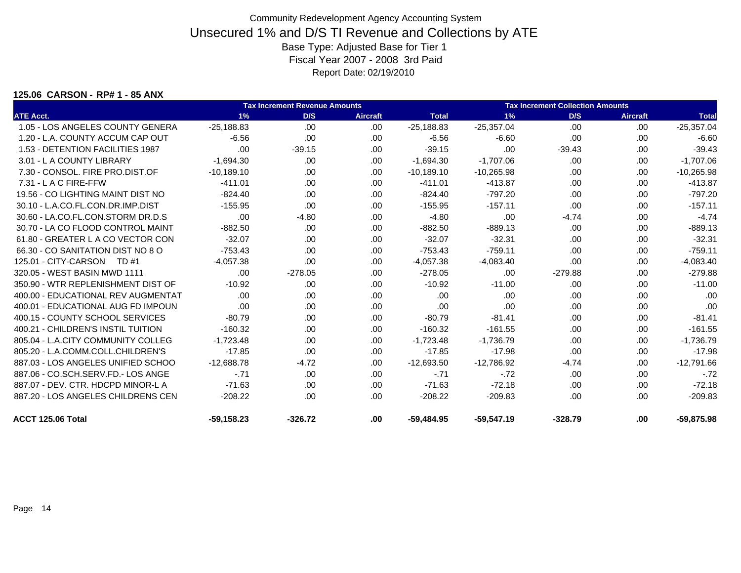#### **125.06 CARSON - RP# 1 - 85 ANX**

|                                    |              | <b>Tax Increment Revenue Amounts</b> |                 |              | <b>Tax Increment Collection Amounts</b> |           |                 |              |  |
|------------------------------------|--------------|--------------------------------------|-----------------|--------------|-----------------------------------------|-----------|-----------------|--------------|--|
| <b>ATE Acct.</b>                   | 1%           | D/S                                  | <b>Aircraft</b> | <b>Total</b> | 1%                                      | D/S       | <b>Aircraft</b> | <b>Total</b> |  |
| 1.05 - LOS ANGELES COUNTY GENERA   | $-25,188.83$ | .00                                  | .00.            | $-25,188.83$ | $-25,357.04$                            | .00       | .00.            | $-25,357.04$ |  |
| 1.20 - L.A. COUNTY ACCUM CAP OUT   | $-6.56$      | .00                                  | .00             | $-6.56$      | $-6.60$                                 | .00       | .00.            | $-6.60$      |  |
| 1.53 - DETENTION FACILITIES 1987   | .00          | $-39.15$                             | .00.            | $-39.15$     | .00                                     | $-39.43$  | .00.            | $-39.43$     |  |
| 3.01 - L A COUNTY LIBRARY          | $-1.694.30$  | .00                                  | .00             | $-1,694.30$  | $-1.707.06$                             | .00.      | .00             | $-1,707.06$  |  |
| 7.30 - CONSOL, FIRE PRO.DIST.OF    | $-10,189.10$ | .00.                                 | .00.            | $-10,189.10$ | $-10,265.98$                            | .00       | .00.            | $-10,265.98$ |  |
| $7.31 - L$ A C FIRE-FFW            | $-411.01$    | .00.                                 | .00.            | $-411.01$    | $-413.87$                               | .00       | .00             | $-413.87$    |  |
| 19.56 - CO LIGHTING MAINT DIST NO  | $-824.40$    | .00                                  | .00             | $-824.40$    | $-797.20$                               | .00       | .00.            | $-797.20$    |  |
| 30.10 - L.A.CO.FL.CON.DR.IMP.DIST  | $-155.95$    | .00.                                 | .00             | $-155.95$    | $-157.11$                               | .00.      | .00.            | $-157.11$    |  |
| 30.60 - LA.CO.FL.CON.STORM DR.D.S  | .00          | $-4.80$                              | .00             | $-4.80$      | .00                                     | $-4.74$   | .00.            | $-4.74$      |  |
| 30.70 - LA CO FLOOD CONTROL MAINT  | $-882.50$    | .00.                                 | .00             | $-882.50$    | $-889.13$                               | .00       | .00.            | $-889.13$    |  |
| 61.80 - GREATER L A CO VECTOR CON  | $-32.07$     | .00.                                 | .00             | $-32.07$     | $-32.31$                                | .00       | .00             | $-32.31$     |  |
| 66.30 - CO SANITATION DIST NO 8 O  | $-753.43$    | .00                                  | .00             | $-753.43$    | $-759.11$                               | .00       | .00.            | $-759.11$    |  |
| 125.01 - CITY-CARSON<br>TD #1      | $-4.057.38$  | .00                                  | .00             | $-4,057.38$  | $-4,083.40$                             | .00       | .00             | $-4,083.40$  |  |
| 320.05 - WEST BASIN MWD 1111       | .00          | $-278.05$                            | .00             | $-278.05$    | .00                                     | $-279.88$ | .00.            | $-279.88$    |  |
| 350.90 - WTR REPLENISHMENT DIST OF | $-10.92$     | .00.                                 | .00             | $-10.92$     | $-11.00$                                | .00       | .00             | $-11.00$     |  |
| 400.00 - EDUCATIONAL REV AUGMENTAT | .00          | .00                                  | .00             | .00          | .00                                     | .00       | .00             | .00          |  |
| 400.01 - EDUCATIONAL AUG FD IMPOUN | .00          | .00.                                 | .00             | .00          | .00                                     | .00       | .00             | .00          |  |
| 400.15 - COUNTY SCHOOL SERVICES    | $-80.79$     | .00                                  | .00             | $-80.79$     | $-81.41$                                | .00       | .00             | $-81.41$     |  |
| 400.21 - CHILDREN'S INSTIL TUITION | $-160.32$    | .00.                                 | .00             | $-160.32$    | $-161.55$                               | .00       | .00.            | $-161.55$    |  |
| 805.04 - L.A.CITY COMMUNITY COLLEG | $-1.723.48$  | .00.                                 | .00             | $-1,723.48$  | $-1.736.79$                             | .00       | .00             | $-1,736.79$  |  |
| 805.20 - L.A.COMM.COLL.CHILDREN'S  | $-17.85$     | .00                                  | .00             | $-17.85$     | $-17.98$                                | .00       | .00.            | $-17.98$     |  |
| 887.03 - LOS ANGELES UNIFIED SCHOO | $-12.688.78$ | $-4.72$                              | .00             | $-12.693.50$ | $-12,786.92$                            | $-4.74$   | .00             | $-12,791.66$ |  |
| 887.06 - CO.SCH.SERV.FD.- LOS ANGE | $-.71$       | .00.                                 | .00             | $-.71$       | $-.72$                                  | .00       | .00.            | $-.72$       |  |
| 887.07 - DEV. CTR. HDCPD MINOR-L A | $-71.63$     | .00                                  | .00             | $-71.63$     | $-72.18$                                | .00.      | .00             | $-72.18$     |  |
| 887.20 - LOS ANGELES CHILDRENS CEN | $-208.22$    | .00.                                 | .00             | $-208.22$    | $-209.83$                               | .00       | .00             | $-209.83$    |  |
| ACCT 125.06 Total                  | $-59.158.23$ | $-326.72$                            | .00             | $-59.484.95$ | $-59,547.19$                            | $-328.79$ | .00             | $-59,875.98$ |  |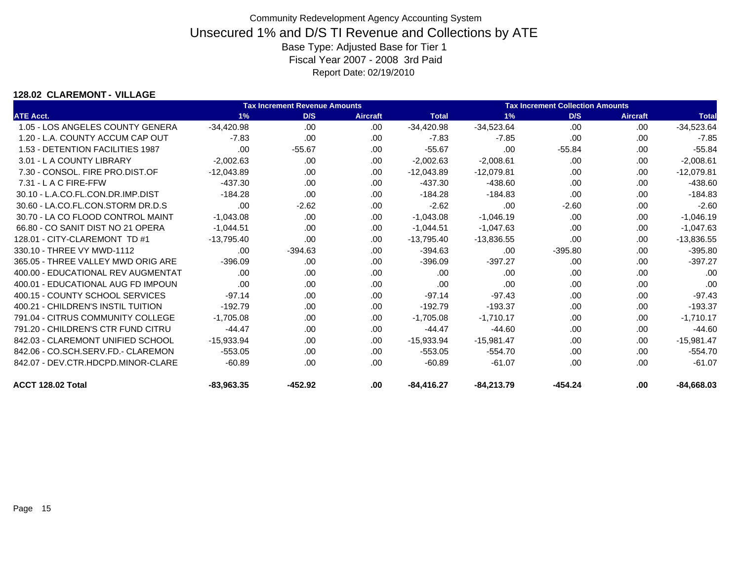### **128.02 CLAREMONT - VILLAGE**

|                                    |              | <b>Tax Increment Revenue Amounts</b> |                 | <b>Tax Increment Collection Amounts</b> |              |           |          |              |
|------------------------------------|--------------|--------------------------------------|-----------------|-----------------------------------------|--------------|-----------|----------|--------------|
| <b>ATE Acct.</b>                   | 1%           | D/S                                  | <b>Aircraft</b> | <b>Total</b>                            | $1\%$        | D/S       | Aircraft | <b>Total</b> |
| 1.05 - LOS ANGELES COUNTY GENERA   | $-34,420.98$ | .00.                                 | .00.            | $-34,420.98$                            | $-34,523.64$ | .00       | .00      | $-34,523.64$ |
| 1.20 - L.A. COUNTY ACCUM CAP OUT   | $-7.83$      | .00.                                 | .00             | $-7.83$                                 | $-7.85$      | .00       | .00.     | $-7.85$      |
| 1.53 - DETENTION FACILITIES 1987   | .00          | $-55.67$                             | .00.            | $-55.67$                                | .00          | $-55.84$  | .00      | $-55.84$     |
| 3.01 - L A COUNTY LIBRARY          | $-2.002.63$  | .00.                                 | .00.            | $-2,002.63$                             | $-2.008.61$  | .00.      | .00.     | $-2.008.61$  |
| 7.30 - CONSOL, FIRE PRO.DIST.OF    | $-12.043.89$ | .00                                  | .00.            | $-12,043.89$                            | $-12.079.81$ | .00       | .00.     | $-12,079.81$ |
| $7.31 - L$ A C FIRE-FFW            | $-437.30$    | .00.                                 | .00.            | $-437.30$                               | $-438.60$    | .00.      | .00      | $-438.60$    |
| 30.10 - L.A.CO.FL.CON.DR.IMP.DIST  | $-184.28$    | .00.                                 | .00.            | $-184.28$                               | $-184.83$    | .00.      | .00      | $-184.83$    |
| 30.60 - LA.CO.FL.CON.STORM DR.D.S  | .00          | $-2.62$                              | .00.            | $-2.62$                                 | .00          | $-2.60$   | .00.     | $-2.60$      |
| 30.70 - LA CO FLOOD CONTROL MAINT  | $-1.043.08$  | .00.                                 | .00.            | $-1,043.08$                             | $-1,046.19$  | .00       | .00.     | $-1,046.19$  |
| 66.80 - CO SANIT DIST NO 21 OPERA  | $-1.044.51$  | .00                                  | .00             | $-1,044.51$                             | $-1,047.63$  | .00.      | .00      | $-1,047.63$  |
| 128.01 - CITY-CLAREMONT TD #1      | $-13.795.40$ | .00                                  | .00.            | $-13,795.40$                            | $-13,836.55$ | .00.      | .00      | $-13,836.55$ |
| 330.10 - THREE VY MWD-1112         | .00          | $-394.63$                            | .00.            | $-394.63$                               | .00          | $-395.80$ | .00.     | $-395.80$    |
| 365.05 - THREE VALLEY MWD ORIG ARE | $-396.09$    | .00                                  | .00             | $-396.09$                               | $-397.27$    | .00       | .00.     | $-397.27$    |
| 400.00 - EDUCATIONAL REV AUGMENTAT | .00          | .00.                                 | .00             | .00                                     | .00          | .00       | .00.     | .00          |
| 400.01 - EDUCATIONAL AUG FD IMPOUN | .00          | .00.                                 | .00             | .00                                     | .00          | .00       | .00      | .00          |
| 400.15 - COUNTY SCHOOL SERVICES    | $-97.14$     | .00.                                 | .00.            | $-97.14$                                | $-97.43$     | .00       | .00      | $-97.43$     |
| 400.21 - CHILDREN'S INSTIL TUITION | $-192.79$    | .00.                                 | .00.            | $-192.79$                               | $-193.37$    | .00.      | .00.     | $-193.37$    |
| 791.04 - CITRUS COMMUNITY COLLEGE  | $-1.705.08$  | .00                                  | .00             | $-1,705.08$                             | $-1,710.17$  | .00.      | .00.     | $-1,710.17$  |
| 791.20 - CHILDREN'S CTR FUND CITRU | $-44.47$     | .00.                                 | .00             | $-44.47$                                | $-44.60$     | .00.      | .00.     | $-44.60$     |
| 842.03 - CLAREMONT UNIFIED SCHOOL  | $-15,933.94$ | .00.                                 | .00.            | $-15,933.94$                            | $-15,981.47$ | .00.      | .00      | $-15,981.47$ |
| 842.06 - CO.SCH.SERV.FD.- CLAREMON | $-553.05$    | .00.                                 | .00             | $-553.05$                               | $-554.70$    | .00.      | .00      | $-554.70$    |
| 842.07 - DEV.CTR.HDCPD.MINOR-CLARE | $-60.89$     | .00.                                 | .00             | $-60.89$                                | $-61.07$     | .00       | .00      | $-61.07$     |
| ACCT 128.02 Total                  | $-83,963.35$ | $-452.92$                            | .00             | $-84,416.27$                            | $-84,213.79$ | $-454.24$ | .00      | $-84,668.03$ |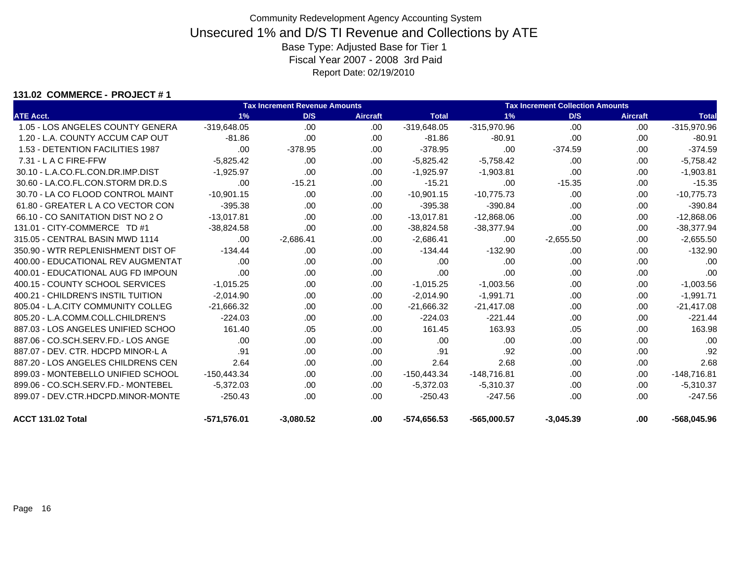#### **131.02 COMMERCE - PROJECT # 1**

|                                    |               | <b>Tax Increment Revenue Amounts</b> |                 |               |               | <b>Tax Increment Collection Amounts</b> |          |               |  |  |  |
|------------------------------------|---------------|--------------------------------------|-----------------|---------------|---------------|-----------------------------------------|----------|---------------|--|--|--|
| <b>ATE Acct.</b>                   | 1%            | D/S                                  | <b>Aircraft</b> | <b>Total</b>  | 1%            | D/S                                     | Aircraft | <b>Total</b>  |  |  |  |
| 1.05 - LOS ANGELES COUNTY GENERA   | $-319,648.05$ | .00                                  | .00.            | $-319,648.05$ | -315,970.96   | .00                                     | .00.     | $-315,970.96$ |  |  |  |
| 1.20 - L.A. COUNTY ACCUM CAP OUT   | $-81.86$      | .00                                  | .00.            | $-81.86$      | $-80.91$      | .00                                     | .00.     | $-80.91$      |  |  |  |
| 1.53 - DETENTION FACILITIES 1987   | .00.          | $-378.95$                            | .00             | $-378.95$     | .00           | $-374.59$                               | .00.     | $-374.59$     |  |  |  |
| 7.31 - L A C FIRE-FFW              | $-5,825.42$   | .00                                  | .00             | $-5,825.42$   | $-5,758.42$   | .00                                     | .00      | $-5,758.42$   |  |  |  |
| 30.10 - L.A.CO.FL.CON.DR.IMP.DIST  | $-1,925.97$   | .00                                  | .00             | $-1,925.97$   | $-1,903.81$   | .00                                     | .00.     | $-1,903.81$   |  |  |  |
| 30.60 - LA.CO.FL.CON.STORM DR.D.S  | .00           | $-15.21$                             | .00.            | $-15.21$      | .00           | $-15.35$                                | .00.     | $-15.35$      |  |  |  |
| 30.70 - LA CO FLOOD CONTROL MAINT  | $-10,901.15$  | .00                                  | .00.            | $-10,901.15$  | $-10,775.73$  | .00                                     | .00.     | $-10,775.73$  |  |  |  |
| 61.80 - GREATER L A CO VECTOR CON  | $-395.38$     | .00                                  | .00.            | $-395.38$     | $-390.84$     | .00                                     | .00.     | $-390.84$     |  |  |  |
| 66.10 - CO SANITATION DIST NO 2 O  | $-13,017.81$  | .00                                  | .00.            | $-13,017.81$  | $-12,868.06$  | .00                                     | .00      | $-12,868.06$  |  |  |  |
| 131.01 - CITY-COMMERCE TD #1       | $-38.824.58$  | .00                                  | .00.            | $-38,824.58$  | $-38,377.94$  | .00                                     | .00.     | $-38,377.94$  |  |  |  |
| 315.05 - CENTRAL BASIN MWD 1114    | .00           | $-2,686.41$                          | .00.            | $-2,686.41$   | .00           | $-2,655.50$                             | .00      | $-2,655.50$   |  |  |  |
| 350.90 - WTR REPLENISHMENT DIST OF | $-134.44$     | .00.                                 | .00.            | $-134.44$     | $-132.90$     | .00                                     | .00.     | $-132.90$     |  |  |  |
| 400.00 - EDUCATIONAL REV AUGMENTAT | .00.          | .00                                  | .00             | .00           | .00           | .00.                                    | .00.     | .00           |  |  |  |
| 400.01 - EDUCATIONAL AUG FD IMPOUN | .00           | .00                                  | .00.            | .00           | .00           | .00.                                    | .00.     | .00           |  |  |  |
| 400.15 - COUNTY SCHOOL SERVICES    | $-1,015.25$   | .00.                                 | .00.            | $-1,015.25$   | $-1,003.56$   | .00.                                    | .00      | $-1,003.56$   |  |  |  |
| 400.21 - CHILDREN'S INSTIL TUITION | $-2,014.90$   | .00                                  | .00             | $-2,014.90$   | $-1,991.71$   | .00                                     | .00      | $-1,991.71$   |  |  |  |
| 805.04 - L.A.CITY COMMUNITY COLLEG | $-21,666.32$  | .00                                  | .00.            | $-21,666.32$  | $-21,417.08$  | .00                                     | .00.     | $-21,417.08$  |  |  |  |
| 805.20 - L.A.COMM.COLL.CHILDREN'S  | $-224.03$     | .00                                  | .00             | $-224.03$     | $-221.44$     | .00                                     | .00      | $-221.44$     |  |  |  |
| 887.03 - LOS ANGELES UNIFIED SCHOO | 161.40        | .05                                  | .00.            | 161.45        | 163.93        | .05                                     | .00.     | 163.98        |  |  |  |
| 887.06 - CO.SCH.SERV.FD.- LOS ANGE | .00.          | .00.                                 | .00.            | .00           | .00           | .00.                                    | .00.     | .00           |  |  |  |
| 887.07 - DEV. CTR. HDCPD MINOR-L A | .91           | .00                                  | .00             | .91           | .92           | .00                                     | .00.     | .92           |  |  |  |
| 887.20 - LOS ANGELES CHILDRENS CEN | 2.64          | .00.                                 | .00             | 2.64          | 2.68          | .00                                     | .00.     | 2.68          |  |  |  |
| 899.03 - MONTEBELLO UNIFIED SCHOOL | $-150,443.34$ | .00.                                 | .00.            | $-150,443.34$ | $-148,716.81$ | .00.                                    | .00.     | $-148,716.81$ |  |  |  |
| 899.06 - CO.SCH.SERV.FD.- MONTEBEL | $-5,372.03$   | .00                                  | .00             | $-5,372.03$   | $-5,310.37$   | .00.                                    | .00      | $-5,310.37$   |  |  |  |
| 899.07 - DEV.CTR.HDCPD.MINOR-MONTE | $-250.43$     | .00                                  | .00.            | $-250.43$     | $-247.56$     | .00.                                    | .00      | $-247.56$     |  |  |  |
| ACCT 131.02 Total                  | $-571,576.01$ | $-3.080.52$                          | .00.            | -574.656.53   | -565.000.57   | $-3,045.39$                             | .00.     | $-568.045.96$ |  |  |  |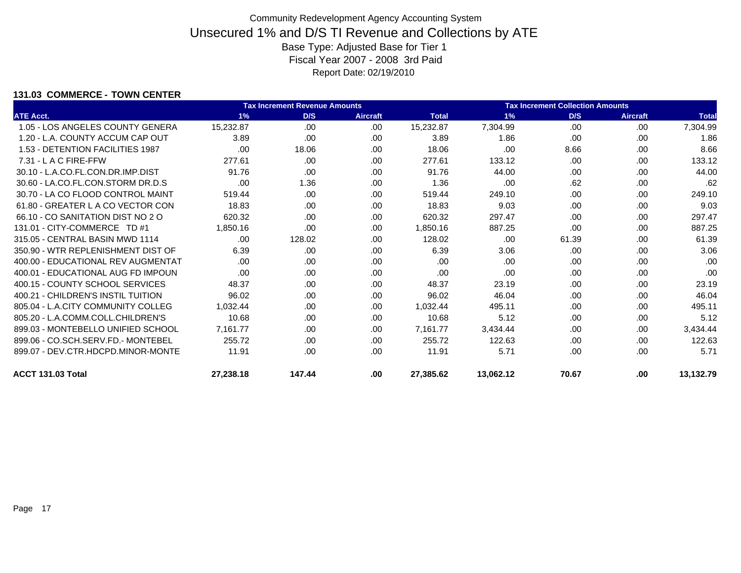### **131.03 COMMERCE - TOWN CENTER**

|                                    |           | <b>Tax Increment Revenue Amounts</b> |                 | <b>Tax Increment Collection Amounts</b> |           |       |                 |              |
|------------------------------------|-----------|--------------------------------------|-----------------|-----------------------------------------|-----------|-------|-----------------|--------------|
| <b>ATE Acct.</b>                   | 1%        | D/S                                  | <b>Aircraft</b> | <b>Total</b>                            | 1%        | D/S   | <b>Aircraft</b> | <b>Total</b> |
| 1.05 - LOS ANGELES COUNTY GENERA   | 15,232.87 | .00                                  | .00.            | 15,232.87                               | 7,304.99  | .00   | .00             | 7,304.99     |
| 1.20 - L.A. COUNTY ACCUM CAP OUT   | 3.89      | .00                                  | .00             | 3.89                                    | 1.86      | .00   | .00             | 1.86         |
| 1.53 - DETENTION FACILITIES 1987   | .00       | 18.06                                | .00             | 18.06                                   | .00       | 8.66  | .00             | 8.66         |
| $7.31 - L$ A C FIRE-FFW            | 277.61    | .00                                  | .00.            | 277.61                                  | 133.12    | .00   | .00             | 133.12       |
| 30.10 - L.A.CO.FL.CON.DR.IMP.DIST  | 91.76     | .00                                  | .00.            | 91.76                                   | 44.00     | .00   | .00             | 44.00        |
| 30.60 - LA.CO.FL.CON.STORM DR.D.S  | .00       | 1.36                                 | .00             | 1.36                                    | .00       | .62   | .00             | .62          |
| 30.70 - LA CO FLOOD CONTROL MAINT  | 519.44    | .00                                  | .00             | 519.44                                  | 249.10    | .00   | .00             | 249.10       |
| 61.80 - GREATER L A CO VECTOR CON  | 18.83     | .00                                  | .00.            | 18.83                                   | 9.03      | .00   | .00             | 9.03         |
| 66.10 - CO SANITATION DIST NO 2 O  | 620.32    | .00                                  | .00             | 620.32                                  | 297.47    | .00   | .00             | 297.47       |
| 131.01 - CITY-COMMERCE TD #1       | 1,850.16  | .00                                  | .00             | 1,850.16                                | 887.25    | .00   | .00             | 887.25       |
| 315.05 - CENTRAL BASIN MWD 1114    | .00       | 128.02                               | .00             | 128.02                                  | .00       | 61.39 | .00             | 61.39        |
| 350.90 - WTR REPLENISHMENT DIST OF | 6.39      | .00                                  | .00             | 6.39                                    | 3.06      | .00   | .00             | 3.06         |
| 400.00 - EDUCATIONAL REV AUGMENTAT | .00       | .00                                  | .00             | .00                                     | .00       | .00   | .00             | .00          |
| 400.01 - EDUCATIONAL AUG FD IMPOUN | .00       | .00                                  | .00             | .00                                     | .00       | .00   | .00.            | .00          |
| 400.15 - COUNTY SCHOOL SERVICES    | 48.37     | .00                                  | .00             | 48.37                                   | 23.19     | .00   | .00             | 23.19        |
| 400.21 - CHILDREN'S INSTIL TUITION | 96.02     | .00                                  | .00             | 96.02                                   | 46.04     | .00   | .00.            | 46.04        |
| 805.04 - L.A.CITY COMMUNITY COLLEG | 1.032.44  | .00                                  | .00             | 1,032.44                                | 495.11    | .00   | .00             | 495.11       |
| 805.20 - L.A.COMM.COLL.CHILDREN'S  | 10.68     | .00                                  | .00.            | 10.68                                   | 5.12      | .00   | .00.            | 5.12         |
| 899.03 - MONTEBELLO UNIFIED SCHOOL | 7.161.77  | .00                                  | .00             | 7,161.77                                | 3,434.44  | .00   | .00             | 3,434.44     |
| 899.06 - CO.SCH.SERV.FD.- MONTEBEL | 255.72    | .00                                  | .00             | 255.72                                  | 122.63    | .00   | .00             | 122.63       |
| 899.07 - DEV.CTR.HDCPD.MINOR-MONTE | 11.91     | .00.                                 | .00.            | 11.91                                   | 5.71      | .00   | .00             | 5.71         |
| ACCT 131.03 Total                  | 27,238.18 | 147.44                               | .00.            | 27,385.62                               | 13,062.12 | 70.67 | .00             | 13,132.79    |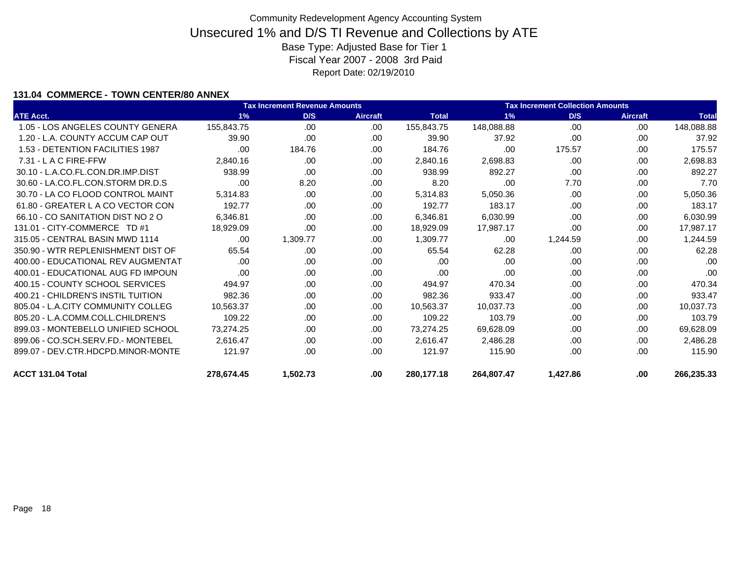### **131.04 COMMERCE - TOWN CENTER/80 ANNEX**

|                                    | <b>Tax Increment Revenue Amounts</b> |          |                 |              |            | <b>Tax Increment Collection Amounts</b><br>D/S<br>1%<br><b>Aircraft</b><br>.00<br>.00<br>37.92<br>.00<br>.00<br>175.57<br>.00<br>.00<br>.00<br>.00<br>892.27<br>.00<br>.00<br>.00<br>7.70<br>.00<br>.00<br>.00<br>183.17<br>.00<br>.00<br>.00<br>.00<br>.00<br>.00<br>1,244.59<br>.00<br>.00<br>62.28<br>.00<br>.00<br>.00<br>.00<br>.00<br>.00<br>.00<br>.00<br>470.34<br>.00<br>.00 |      |              |  |
|------------------------------------|--------------------------------------|----------|-----------------|--------------|------------|---------------------------------------------------------------------------------------------------------------------------------------------------------------------------------------------------------------------------------------------------------------------------------------------------------------------------------------------------------------------------------------|------|--------------|--|
| <b>ATE Acct.</b>                   | 1%                                   | D/S      | <b>Aircraft</b> | <b>Total</b> |            |                                                                                                                                                                                                                                                                                                                                                                                       |      | <b>Total</b> |  |
| 1.05 - LOS ANGELES COUNTY GENERA   | 155.843.75                           | .00      | .00             | 155,843.75   | 148,088.88 |                                                                                                                                                                                                                                                                                                                                                                                       |      | 148,088.88   |  |
| 1.20 - L.A. COUNTY ACCUM CAP OUT   | 39.90                                | .00      | .00             | 39.90        |            |                                                                                                                                                                                                                                                                                                                                                                                       |      | 37.92        |  |
| 1.53 - DETENTION FACILITIES 1987   | .00                                  | 184.76   | .00             | 184.76       |            |                                                                                                                                                                                                                                                                                                                                                                                       |      | 175.57       |  |
| $7.31 - L$ A C FIRE-FFW            | 2.840.16                             | .00      | .00.            | 2,840.16     | 2,698.83   |                                                                                                                                                                                                                                                                                                                                                                                       |      | 2,698.83     |  |
| 30.10 - L.A.CO.FL.CON.DR.IMP.DIST  | 938.99                               | .00      | .00             | 938.99       |            |                                                                                                                                                                                                                                                                                                                                                                                       |      | 892.27       |  |
| 30.60 - LA.CO.FL.CON.STORM DR.D.S  | .00                                  | 8.20     | .00.            | 8.20         |            |                                                                                                                                                                                                                                                                                                                                                                                       |      | 7.70         |  |
| 30.70 - LA CO FLOOD CONTROL MAINT  | 5,314.83                             | .00      | .00.            | 5,314.83     | 5,050.36   |                                                                                                                                                                                                                                                                                                                                                                                       |      | 5,050.36     |  |
| 61.80 - GREATER L A CO VECTOR CON  | 192.77                               | .00      | .00.            | 192.77       |            |                                                                                                                                                                                                                                                                                                                                                                                       |      | 183.17       |  |
| 66.10 - CO SANITATION DIST NO 2 O  | 6.346.81                             | .00      | .00.            | 6,346.81     | 6,030.99   |                                                                                                                                                                                                                                                                                                                                                                                       |      | 6,030.99     |  |
| 131.01 - CITY-COMMERCE TD #1       | 18,929.09                            | .00      | .00.            | 18,929.09    | 17,987.17  |                                                                                                                                                                                                                                                                                                                                                                                       |      | 17,987.17    |  |
| 315.05 - CENTRAL BASIN MWD 1114    | .00                                  | 1,309.77 | .00.            | 1,309.77     |            |                                                                                                                                                                                                                                                                                                                                                                                       |      | 1,244.59     |  |
| 350.90 - WTR REPLENISHMENT DIST OF | 65.54                                | .00      | .00.            | 65.54        |            |                                                                                                                                                                                                                                                                                                                                                                                       |      | 62.28        |  |
| 400.00 - EDUCATIONAL REV AUGMENTAT | .00                                  | .00      | .00             | .00          |            |                                                                                                                                                                                                                                                                                                                                                                                       |      | .00          |  |
| 400.01 - EDUCATIONAL AUG FD IMPOUN | .00                                  | .00      | .00.            | .00          |            |                                                                                                                                                                                                                                                                                                                                                                                       |      | .00          |  |
| 400.15 - COUNTY SCHOOL SERVICES    | 494.97                               | .00      | .00.            | 494.97       |            |                                                                                                                                                                                                                                                                                                                                                                                       |      | 470.34       |  |
| 400.21 - CHILDREN'S INSTIL TUITION | 982.36                               | .00      | .00             | 982.36       | 933.47     | .00                                                                                                                                                                                                                                                                                                                                                                                   | .00. | 933.47       |  |
| 805.04 - L.A.CITY COMMUNITY COLLEG | 10,563.37                            | .00      | .00             | 10,563.37    | 10,037.73  | .00                                                                                                                                                                                                                                                                                                                                                                                   | .00  | 10,037.73    |  |
| 805.20 - L.A.COMM.COLL.CHILDREN'S  | 109.22                               | .00      | .00             | 109.22       | 103.79     | .00                                                                                                                                                                                                                                                                                                                                                                                   | .00  | 103.79       |  |
| 899.03 - MONTEBELLO UNIFIED SCHOOL | 73,274.25                            | .00      | .00             | 73,274.25    | 69,628.09  | .00                                                                                                                                                                                                                                                                                                                                                                                   | .00  | 69,628.09    |  |
| 899.06 - CO.SCH.SERV.FD.- MONTEBEL | 2,616.47                             | .00      | .00             | 2,616.47     | 2,486.28   | .00                                                                                                                                                                                                                                                                                                                                                                                   | .00  | 2,486.28     |  |
| 899.07 - DEV.CTR.HDCPD.MINOR-MONTE | 121.97                               | .00      | .00             | 121.97       | 115.90     | .00                                                                                                                                                                                                                                                                                                                                                                                   | .00  | 115.90       |  |
| ACCT 131.04 Total                  | 278,674.45                           | 1,502.73 | .00             | 280,177.18   | 264,807.47 | 1,427.86                                                                                                                                                                                                                                                                                                                                                                              | .00  | 266,235.33   |  |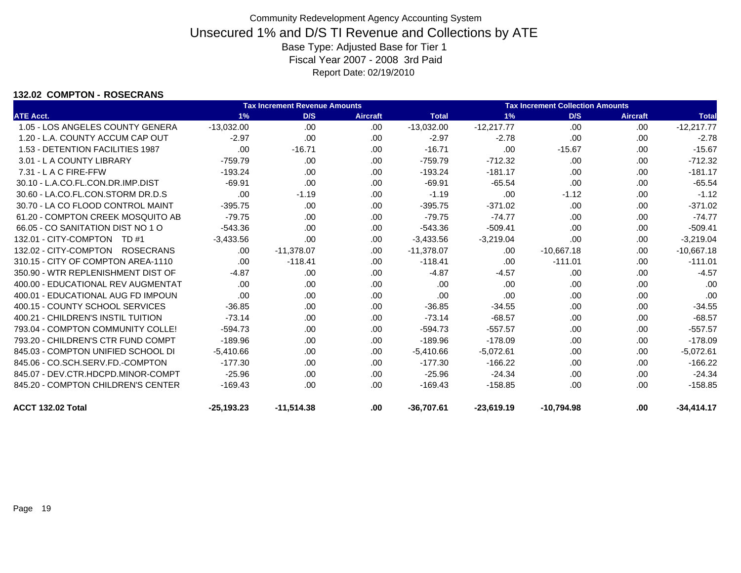#### **132.02 COMPTON - ROSECRANS**

|                                    |              | <b>Tax Increment Revenue Amounts</b> |                 |              |              | <b>Tax Increment Collection Amounts</b> |                 |              |  |  |
|------------------------------------|--------------|--------------------------------------|-----------------|--------------|--------------|-----------------------------------------|-----------------|--------------|--|--|
| <b>ATE Acct.</b>                   | 1%           | D/S                                  | <b>Aircraft</b> | <b>Total</b> | 1%           | D/S                                     | <b>Aircraft</b> | <b>Total</b> |  |  |
| 1.05 - LOS ANGELES COUNTY GENERA   | $-13,032.00$ | .00                                  | .00             | $-13,032.00$ | $-12,217.77$ | .00                                     | .00.            | $-12,217.77$ |  |  |
| 1.20 - L.A. COUNTY ACCUM CAP OUT   | $-2.97$      | .00                                  | .00             | $-2.97$      | $-2.78$      | .00                                     | .00.            | $-2.78$      |  |  |
| 1.53 - DETENTION FACILITIES 1987   | .00          | $-16.71$                             | .00             | $-16.71$     | .00          | $-15.67$                                | .00             | $-15.67$     |  |  |
| 3.01 - L A COUNTY LIBRARY          | $-759.79$    | .00.                                 | .00             | $-759.79$    | $-712.32$    | .00.                                    | .00.            | $-712.32$    |  |  |
| $7.31 - L$ A C FIRE-FFW            | $-193.24$    | .00                                  | .00.            | $-193.24$    | $-181.17$    | .00.                                    | .00.            | $-181.17$    |  |  |
| 30.10 - L.A.CO.FL.CON.DR.IMP.DIST  | $-69.91$     | .00                                  | .00             | $-69.91$     | $-65.54$     | .00                                     | .00             | $-65.54$     |  |  |
| 30.60 - LA.CO.FL.CON.STORM DR.D.S  | .00          | $-1.19$                              | .00             | $-1.19$      | .00          | $-1.12$                                 | .00.            | $-1.12$      |  |  |
| 30.70 - LA CO FLOOD CONTROL MAINT  | $-395.75$    | .00                                  | .00             | $-395.75$    | $-371.02$    | .00                                     | .00             | $-371.02$    |  |  |
| 61.20 - COMPTON CREEK MOSQUITO AB  | $-79.75$     | .00                                  | .00             | $-79.75$     | $-74.77$     | .00                                     | .00.            | $-74.77$     |  |  |
| 66.05 - CO SANITATION DIST NO 1 O  | $-543.36$    | .00                                  | .00             | $-543.36$    | $-509.41$    | .00                                     | .00             | $-509.41$    |  |  |
| 132.01 - CITY-COMPTON TD #1        | $-3,433.56$  | .00                                  | .00             | $-3,433.56$  | $-3,219.04$  | .00                                     | .00.            | $-3,219.04$  |  |  |
| 132.02 - CITY-COMPTON ROSECRANS    | .00.         | $-11,378.07$                         | .00.            | $-11,378.07$ | .00          | $-10,667.18$                            | .00             | $-10,667.18$ |  |  |
| 310.15 - CITY OF COMPTON AREA-1110 | .00.         | $-118.41$                            | .00.            | $-118.41$    | .00          | $-111.01$                               | .00             | $-111.01$    |  |  |
| 350.90 - WTR REPLENISHMENT DIST OF | $-4.87$      | .00                                  | .00             | $-4.87$      | $-4.57$      | .00.                                    | .00.            | $-4.57$      |  |  |
| 400.00 - EDUCATIONAL REV AUGMENTAT | .00          | .00.                                 | .00             | .00          | .00          | .00                                     | .00.            | .00          |  |  |
| 400.01 - EDUCATIONAL AUG FD IMPOUN | .00          | .00.                                 | .00             | .00          | .00          | .00.                                    | .00.            | .00          |  |  |
| 400.15 - COUNTY SCHOOL SERVICES    | $-36.85$     | .00                                  | .00             | $-36.85$     | $-34.55$     | .00.                                    | .00             | $-34.55$     |  |  |
| 400.21 - CHILDREN'S INSTIL TUITION | $-73.14$     | .00                                  | .00             | $-73.14$     | $-68.57$     | .00                                     | .00             | $-68.57$     |  |  |
| 793.04 - COMPTON COMMUNITY COLLE!  | $-594.73$    | .00                                  | .00             | $-594.73$    | $-557.57$    | .00.                                    | .00             | $-557.57$    |  |  |
| 793.20 - CHILDREN'S CTR FUND COMPT | $-189.96$    | .00                                  | .00             | $-189.96$    | $-178.09$    | .00                                     | .00             | $-178.09$    |  |  |
| 845.03 - COMPTON UNIFIED SCHOOL DI | $-5.410.66$  | .00.                                 | .00.            | $-5,410.66$  | $-5,072.61$  | .00.                                    | .00             | $-5,072.61$  |  |  |
| 845.06 - CO.SCH.SERV.FD.-COMPTON   | $-177.30$    | .00                                  | .00             | $-177.30$    | $-166.22$    | .00.                                    | .00.            | $-166.22$    |  |  |
| 845.07 - DEV.CTR.HDCPD.MINOR-COMPT | $-25.96$     | .00                                  | .00             | $-25.96$     | $-24.34$     | .00                                     | .00.            | $-24.34$     |  |  |
| 845.20 - COMPTON CHILDREN'S CENTER | $-169.43$    | .00.                                 | .00.            | $-169.43$    | $-158.85$    | .00                                     | .00             | $-158.85$    |  |  |
| ACCT 132.02 Total                  | $-25,193.23$ | $-11,514.38$                         | .00             | $-36,707.61$ | $-23,619.19$ | $-10,794.98$                            | .00             | $-34,414.17$ |  |  |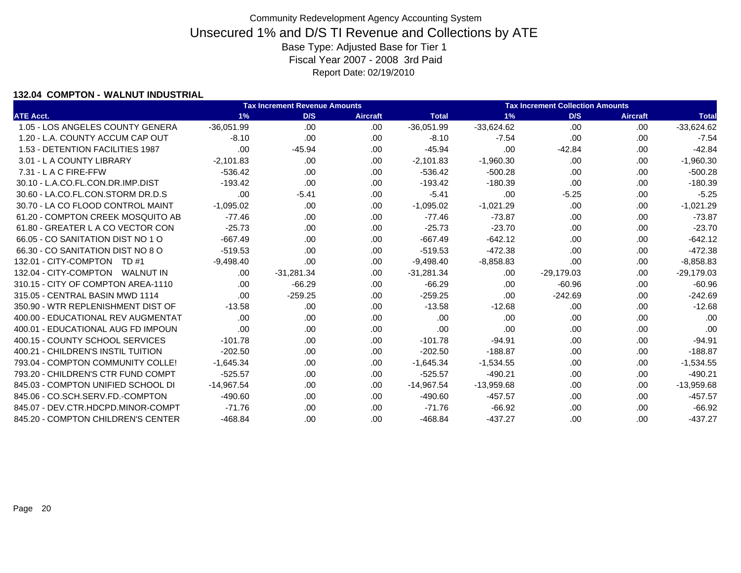### **132.04 COMPTON - WALNUT INDUSTRIAL**

|                                    |              | <b>Tax Increment Collection Amounts</b><br><b>Tax Increment Revenue Amounts</b> |                 |              |              |              |                 |              |
|------------------------------------|--------------|---------------------------------------------------------------------------------|-----------------|--------------|--------------|--------------|-----------------|--------------|
| <b>ATE Acct.</b>                   | 1%           | D/S                                                                             | <b>Aircraft</b> | <b>Total</b> | 1%           | D/S          | <b>Aircraft</b> | <b>Total</b> |
| 1.05 - LOS ANGELES COUNTY GENERA   | $-36,051.99$ | .00                                                                             | .00             | $-36,051.99$ | $-33,624.62$ | .00          | .00             | $-33,624.62$ |
| 1.20 - L.A. COUNTY ACCUM CAP OUT   | $-8.10$      | .00                                                                             | .00.            | $-8.10$      | $-7.54$      | .00          | .00             | $-7.54$      |
| 1.53 - DETENTION FACILITIES 1987   | .00          | $-45.94$                                                                        | .00             | $-45.94$     | .00          | $-42.84$     | .00             | $-42.84$     |
| 3.01 - L A COUNTY LIBRARY          | $-2,101.83$  | .00                                                                             | .00.            | $-2,101.83$  | $-1,960.30$  | .00          | .00             | $-1,960.30$  |
| 7.31 - L A C FIRE-FFW              | $-536.42$    | .00                                                                             | .00             | $-536.42$    | $-500.28$    | .00          | .00.            | $-500.28$    |
| 30.10 - L.A.CO.FL.CON.DR.IMP.DIST  | $-193.42$    | .00                                                                             | .00.            | $-193.42$    | $-180.39$    | .00          | .00             | $-180.39$    |
| 30.60 - LA.CO.FL.CON.STORM DR.D.S  | .00          | $-5.41$                                                                         | .00.            | $-5.41$      | .00          | $-5.25$      | .00             | $-5.25$      |
| 30.70 - LA CO FLOOD CONTROL MAINT  | $-1,095.02$  | .00                                                                             | .00             | $-1,095.02$  | $-1,021.29$  | .00          | .00             | $-1,021.29$  |
| 61.20 - COMPTON CREEK MOSQUITO AB  | $-77.46$     | .00                                                                             | .00             | $-77.46$     | $-73.87$     | .00          | .00             | $-73.87$     |
| 61.80 - GREATER L A CO VECTOR CON  | $-25.73$     | .00                                                                             | .00             | $-25.73$     | $-23.70$     | .00          | .00.            | $-23.70$     |
| 66.05 - CO SANITATION DIST NO 1 O  | $-667.49$    | .00                                                                             | .00.            | $-667.49$    | $-642.12$    | .00          | .00.            | $-642.12$    |
| 66.30 - CO SANITATION DIST NO 8 O  | $-519.53$    | .00                                                                             | .00.            | $-519.53$    | $-472.38$    | .00          | .00             | $-472.38$    |
| 132.01 - CITY-COMPTON TD #1        | $-9.498.40$  | .00                                                                             | .00.            | $-9,498.40$  | $-8,858.83$  | .00          | .00.            | $-8,858.83$  |
| 132.04 - CITY-COMPTON WALNUT IN    | .00.         | $-31,281.34$                                                                    | .00             | $-31,281.34$ | .00          | $-29,179.03$ | .00             | $-29,179.03$ |
| 310.15 - CITY OF COMPTON AREA-1110 | .00          | $-66.29$                                                                        | .00.            | $-66.29$     | .00          | $-60.96$     | .00.            | $-60.96$     |
| 315.05 - CENTRAL BASIN MWD 1114    | .00          | $-259.25$                                                                       | .00             | $-259.25$    | .00          | $-242.69$    | .00.            | $-242.69$    |
| 350.90 - WTR REPLENISHMENT DIST OF | $-13.58$     | .00                                                                             | .00             | $-13.58$     | $-12.68$     | .00          | .00             | $-12.68$     |
| 400.00 - EDUCATIONAL REV AUGMENTAT | .00          | .00                                                                             | .00             | .00          | .00          | .00          | .00             | .00          |
| 400.01 - EDUCATIONAL AUG FD IMPOUN | .00          | .00                                                                             | .00             | .00          | .00          | .00          | .00             | .00          |
| 400.15 - COUNTY SCHOOL SERVICES    | $-101.78$    | .00                                                                             | .00.            | $-101.78$    | $-94.91$     | .00          | .00.            | $-94.91$     |
| 400.21 - CHILDREN'S INSTIL TUITION | $-202.50$    | .00                                                                             | .00             | $-202.50$    | $-188.87$    | .00          | .00.            | $-188.87$    |
| 793.04 - COMPTON COMMUNITY COLLE!  | $-1,645.34$  | .00                                                                             | .00.            | $-1,645.34$  | $-1,534.55$  | .00          | .00             | $-1,534.55$  |
| 793.20 - CHILDREN'S CTR FUND COMPT | $-525.57$    | .00                                                                             | .00             | $-525.57$    | $-490.21$    | .00          | .00.            | $-490.21$    |
| 845.03 - COMPTON UNIFIED SCHOOL DI | $-14,967.54$ | .00                                                                             | .00.            | $-14,967.54$ | $-13,959.68$ | .00          | .00             | $-13,959.68$ |
| 845.06 - CO.SCH.SERV.FD.-COMPTON   | $-490.60$    | .00                                                                             | .00             | $-490.60$    | $-457.57$    | .00          | .00             | $-457.57$    |
| 845.07 - DEV.CTR.HDCPD.MINOR-COMPT | $-71.76$     | .00                                                                             | .00.            | $-71.76$     | $-66.92$     | .00          | .00             | $-66.92$     |
| 845.20 - COMPTON CHILDREN'S CENTER | $-468.84$    | .00                                                                             | .00             | $-468.84$    | $-437.27$    | .00          | .00             | $-437.27$    |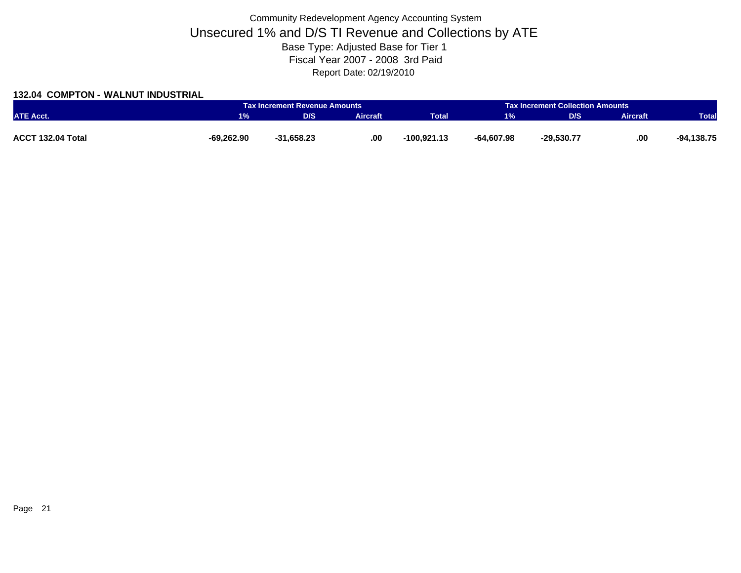### **132.04 COMPTON - WALNUT INDUSTRIAL**

|                   |              | <b>Tax Increment Revenue Amounts</b> |          | <b>Tax Increment Collection Amounts</b> |              |              |                 |              |
|-------------------|--------------|--------------------------------------|----------|-----------------------------------------|--------------|--------------|-----------------|--------------|
| <b>ATE Acct.</b>  | 1%           | D/S                                  | Aircraft | <b>Total</b>                            | 1%           | D/S          | <b>Aircraft</b> | <b>Total</b> |
|                   |              |                                      |          |                                         |              |              |                 |              |
| ACCT 132.04 Total | $-69,262.90$ | $-31,658.23$                         | .00.     | $-100.921.13$                           | $-64.607.98$ | $-29,530.77$ | .00             | $-94,138.75$ |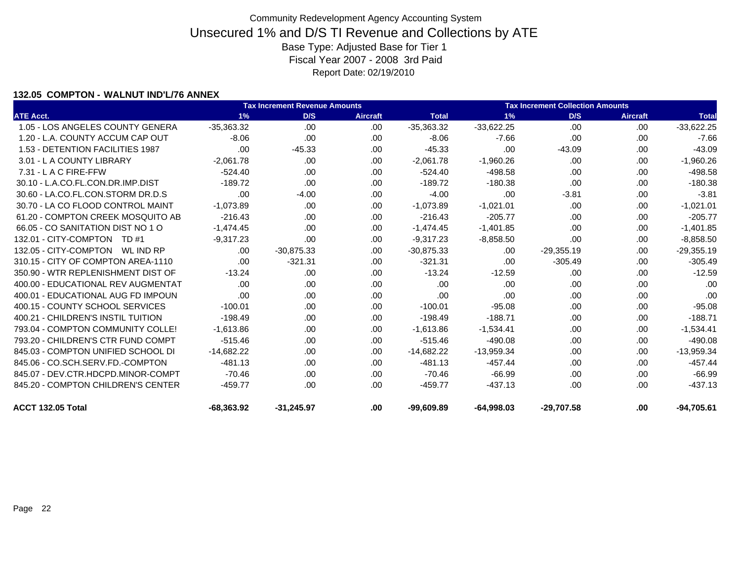### **132.05 COMPTON - WALNUT IND'L/76 ANNEX**

|                                    |              | <b>Tax Increment Revenue Amounts</b> |                 |              |              | <b>Tax Increment Collection Amounts</b> |                 |              |  |  |
|------------------------------------|--------------|--------------------------------------|-----------------|--------------|--------------|-----------------------------------------|-----------------|--------------|--|--|
| <b>ATE Acct.</b>                   | 1%           | D/S                                  | <b>Aircraft</b> | <b>Total</b> | 1%           | D/S                                     | <b>Aircraft</b> | <b>Total</b> |  |  |
| 1.05 - LOS ANGELES COUNTY GENERA   | $-35.363.32$ | .00                                  | .00.            | $-35,363.32$ | $-33,622.25$ | .00                                     | .00.            | $-33,622.25$ |  |  |
| 1.20 - L.A. COUNTY ACCUM CAP OUT   | $-8.06$      | .00                                  | .00             | $-8.06$      | $-7.66$      | .00                                     | .00             | $-7.66$      |  |  |
| 1.53 - DETENTION FACILITIES 1987   | .00          | $-45.33$                             | .00.            | $-45.33$     | .00          | $-43.09$                                | .00             | $-43.09$     |  |  |
| 3.01 - L A COUNTY LIBRARY          | $-2.061.78$  | .00.                                 | .00             | $-2,061.78$  | $-1,960.26$  | .00                                     | .00.            | $-1,960.26$  |  |  |
| 7.31 - L A C FIRE-FFW              | $-524.40$    | .00                                  | .00             | $-524.40$    | $-498.58$    | .00                                     | .00             | $-498.58$    |  |  |
| 30.10 - L.A.CO.FL.CON.DR.IMP.DIST  | $-189.72$    | .00                                  | .00.            | $-189.72$    | $-180.38$    | .00                                     | .00             | $-180.38$    |  |  |
| 30.60 - LA.CO.FL.CON.STORM DR.D.S  | .00          | $-4.00$                              | .00             | $-4.00$      | .00          | $-3.81$                                 | .00.            | $-3.81$      |  |  |
| 30.70 - LA CO FLOOD CONTROL MAINT  | $-1.073.89$  | .00                                  | .00.            | $-1,073.89$  | $-1,021.01$  | .00                                     | .00             | $-1,021.01$  |  |  |
| 61.20 - COMPTON CREEK MOSQUITO AB  | $-216.43$    | .00                                  | .00             | $-216.43$    | $-205.77$    | .00                                     | .00             | $-205.77$    |  |  |
| 66.05 - CO SANITATION DIST NO 1 O  | $-1,474.45$  | .00.                                 | .00.            | $-1,474.45$  | $-1,401.85$  | .00.                                    | .00.            | $-1,401.85$  |  |  |
| 132.01 - CITY-COMPTON TD #1        | $-9.317.23$  | .00                                  | .00.            | $-9,317.23$  | $-8,858.50$  | .00                                     | .00             | $-8,858.50$  |  |  |
| 132.05 - CITY-COMPTON  WL IND RP   | .00.         | $-30,875.33$                         | .00.            | $-30,875.33$ | .00          | $-29,355.19$                            | .00             | $-29,355.19$ |  |  |
| 310.15 - CITY OF COMPTON AREA-1110 | .00          | $-321.31$                            | .00.            | $-321.31$    | .00          | $-305.49$                               | .00.            | $-305.49$    |  |  |
| 350.90 - WTR REPLENISHMENT DIST OF | $-13.24$     | .00.                                 | .00.            | $-13.24$     | $-12.59$     | .00                                     | .00.            | $-12.59$     |  |  |
| 400.00 - EDUCATIONAL REV AUGMENTAT | .00.         | .00.                                 | .00.            | .00          | .00          | .00                                     | .00             | .00          |  |  |
| 400.01 - EDUCATIONAL AUG FD IMPOUN | .00          | .00.                                 | .00             | .00          | .00          | .00.                                    | .00.            | .00          |  |  |
| 400.15 - COUNTY SCHOOL SERVICES    | $-100.01$    | .00.                                 | .00             | $-100.01$    | $-95.08$     | .00                                     | .00             | $-95.08$     |  |  |
| 400.21 - CHILDREN'S INSTIL TUITION | $-198.49$    | .00.                                 | .00.            | $-198.49$    | $-188.71$    | .00                                     | .00             | $-188.71$    |  |  |
| 793.04 - COMPTON COMMUNITY COLLE!  | $-1,613.86$  | .00                                  | .00             | $-1,613.86$  | $-1,534.41$  | .00.                                    | .00             | $-1,534.41$  |  |  |
| 793.20 - CHILDREN'S CTR FUND COMPT | $-515.46$    | .00.                                 | .00             | $-515.46$    | $-490.08$    | .00                                     | .00             | $-490.08$    |  |  |
| 845.03 - COMPTON UNIFIED SCHOOL DI | $-14,682.22$ | .00.                                 | .00.            | $-14,682.22$ | $-13,959.34$ | .00                                     | .00             | $-13,959.34$ |  |  |
| 845.06 - CO.SCH.SERV.FD.-COMPTON   | $-481.13$    | .00.                                 | .00.            | $-481.13$    | $-457.44$    | .00                                     | .00             | $-457.44$    |  |  |
| 845.07 - DEV.CTR.HDCPD.MINOR-COMPT | $-70.46$     | .00.                                 | .00             | $-70.46$     | $-66.99$     | .00                                     | .00             | $-66.99$     |  |  |
| 845.20 - COMPTON CHILDREN'S CENTER | $-459.77$    | .00.                                 | .00.            | $-459.77$    | $-437.13$    | .00                                     | .00             | $-437.13$    |  |  |
| ACCT 132.05 Total                  | $-68,363.92$ | $-31,245.97$                         | .00.            | $-99,609.89$ | $-64,998.03$ | $-29,707.58$                            | .00             | $-94,705.61$ |  |  |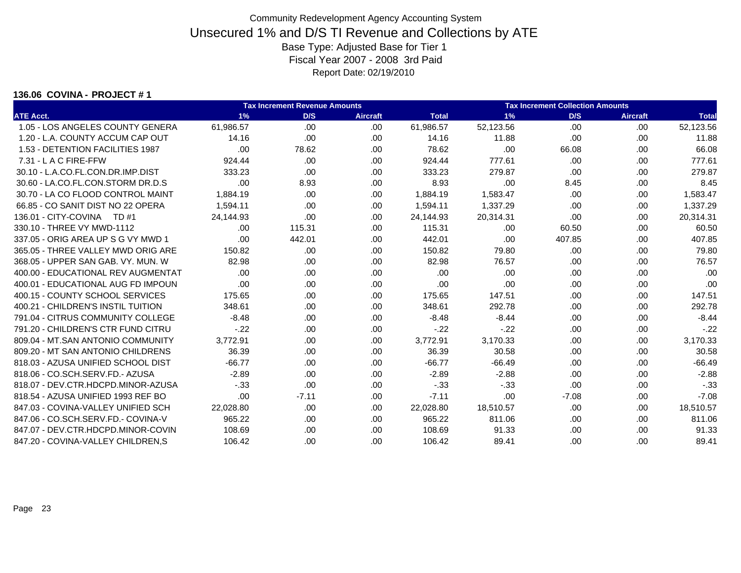#### **136.06 COVINA - PROJECT # 1**

|                                    |           | Tax Increment Revenue Amounts |                 | Tax Increment Collection Amounts |           |         |                 |              |
|------------------------------------|-----------|-------------------------------|-----------------|----------------------------------|-----------|---------|-----------------|--------------|
| <b>ATE Acct.</b>                   | 1%        | D/S                           | <b>Aircraft</b> | <b>Total</b>                     | 1%        | D/S     | <b>Aircraft</b> | <b>Total</b> |
| 1.05 - LOS ANGELES COUNTY GENERA   | 61,986.57 | .00.                          | .00.            | 61,986.57                        | 52,123.56 | .00     | .00             | 52,123.56    |
| 1.20 - L.A. COUNTY ACCUM CAP OUT   | 14.16     | .00.                          | .00.            | 14.16                            | 11.88     | .00     | .00             | 11.88        |
| 1.53 - DETENTION FACILITIES 1987   | .00       | 78.62                         | .00.            | 78.62                            | .00       | 66.08   | .00             | 66.08        |
| $7.31 - L$ A C FIRE-FFW            | 924.44    | .00                           | .00             | 924.44                           | 777.61    | .00     | .00.            | 777.61       |
| 30.10 - L.A.CO.FL.CON.DR.IMP.DIST  | 333.23    | .00.                          | .00             | 333.23                           | 279.87    | .00     | .00.            | 279.87       |
| 30.60 - LA.CO.FL.CON.STORM DR.D.S  | .00       | 8.93                          | .00             | 8.93                             | .00       | 8.45    | .00             | 8.45         |
| 30.70 - LA CO FLOOD CONTROL MAINT  | 1,884.19  | .00.                          | .00             | 1,884.19                         | 1,583.47  | .00     | .00             | 1,583.47     |
| 66.85 - CO SANIT DIST NO 22 OPERA  | 1.594.11  | .00.                          | .00             | 1,594.11                         | 1,337.29  | .00     | .00             | 1,337.29     |
| 136.01 - CITY-COVINA<br>TD #1      | 24.144.93 | .00                           | .00             | 24,144.93                        | 20,314.31 | .00     | .00.            | 20,314.31    |
| 330.10 - THREE VY MWD-1112         | .00.      | 115.31                        | .00.            | 115.31                           | .00.      | 60.50   | .00             | 60.50        |
| 337.05 - ORIG AREA UP S G VY MWD 1 | .00       | 442.01                        | .00.            | 442.01                           | .00.      | 407.85  | .00             | 407.85       |
| 365.05 - THREE VALLEY MWD ORIG ARE | 150.82    | .00                           | .00.            | 150.82                           | 79.80     | .00     | .00             | 79.80        |
| 368.05 - UPPER SAN GAB, VY, MUN, W | 82.98     | .00                           | .00             | 82.98                            | 76.57     | .00     | .00.            | 76.57        |
| 400.00 - EDUCATIONAL REV AUGMENTAT | .00       | .00.                          | .00             | .00                              | .00       | .00     | .00             | .00          |
| 400.01 - EDUCATIONAL AUG FD IMPOUN | .00       | .00.                          | .00             | .00                              | .00       | .00.    | .00             | .00          |
| 400.15 - COUNTY SCHOOL SERVICES    | 175.65    | .00.                          | .00             | 175.65                           | 147.51    | .00     | .00             | 147.51       |
| 400.21 - CHILDREN'S INSTIL TUITION | 348.61    | .00.                          | .00             | 348.61                           | 292.78    | .00     | .00             | 292.78       |
| 791.04 - CITRUS COMMUNITY COLLEGE  | $-8.48$   | .00                           | .00             | $-8.48$                          | $-8.44$   | .00.    | .00             | $-8.44$      |
| 791.20 - CHILDREN'S CTR FUND CITRU | $-.22$    | .00.                          | .00.            | $-.22$                           | $-22$     | .00.    | .00             | $-.22$       |
| 809.04 - MT.SAN ANTONIO COMMUNITY  | 3,772.91  | .00.                          | .00.            | 3,772.91                         | 3,170.33  | .00.    | .00             | 3,170.33     |
| 809.20 - MT SAN ANTONIO CHILDRENS  | 36.39     | .00.                          | .00.            | 36.39                            | 30.58     | .00.    | .00             | 30.58        |
| 818.03 - AZUSA UNIFIED SCHOOL DIST | $-66.77$  | .00.                          | .00             | $-66.77$                         | $-66.49$  | .00.    | .00.            | $-66.49$     |
| 818.06 - CO.SCH.SERV.FD.- AZUSA    | $-2.89$   | .00.                          | .00             | $-2.89$                          | $-2.88$   | .00     | .00             | $-2.88$      |
| 818.07 - DEV.CTR.HDCPD.MINOR-AZUSA | $-.33$    | .00                           | .00             | $-0.33$                          | $-33$     | .00     | .00             | $-0.33$      |
| 818.54 - AZUSA UNIFIED 1993 REF BO | .00       | $-7.11$                       | .00             | $-7.11$                          | .00       | $-7.08$ | .00.            | $-7.08$      |
| 847.03 - COVINA-VALLEY UNIFIED SCH | 22,028.80 | .00.                          | .00.            | 22,028.80                        | 18,510.57 | .00     | .00             | 18,510.57    |
| 847.06 - CO.SCH.SERV.FD.- COVINA-V | 965.22    | .00                           | .00             | 965.22                           | 811.06    | .00.    | .00             | 811.06       |
| 847.07 - DEV.CTR.HDCPD.MINOR-COVIN | 108.69    | .00.                          | .00             | 108.69                           | 91.33     | .00.    | .00             | 91.33        |
| 847.20 - COVINA-VALLEY CHILDREN,S  | 106.42    | .00                           | .00             | 106.42                           | 89.41     | .00     | .00.            | 89.41        |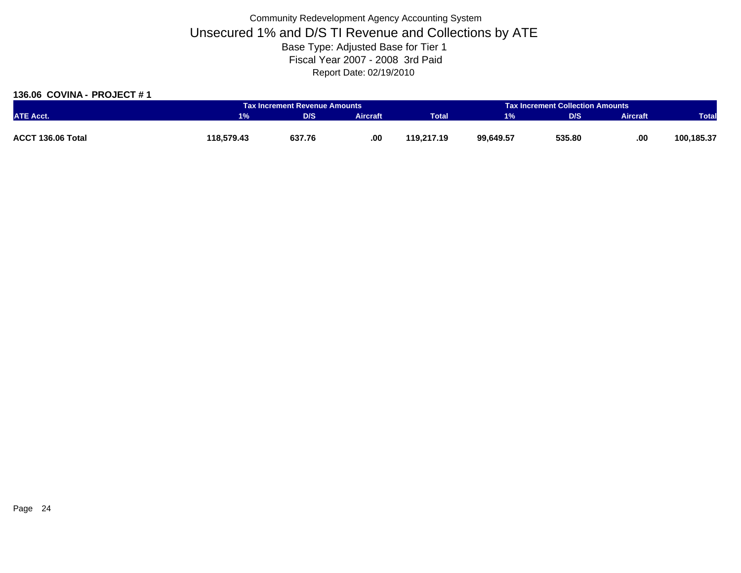### **136.06 COVINA - PROJECT # 1**

|                   |            | Tax Increment Revenue Amounts |          |              | <b>Tax Increment Collection Amounts</b> |        |                 |              |
|-------------------|------------|-------------------------------|----------|--------------|-----------------------------------------|--------|-----------------|--------------|
| <b>ATE Acct.</b>  | $1\%$      | D/S                           | Aircraft | <b>Total</b> | 1%                                      | D/S    | <b>Aircraft</b> | <b>Total</b> |
|                   |            |                               |          |              |                                         |        |                 |              |
| ACCT 136.06 Total | 118.579.43 | 637.76                        | .00.     | 119.217.19   | 99,649.57                               | 535.80 | .00             | 100,185.37   |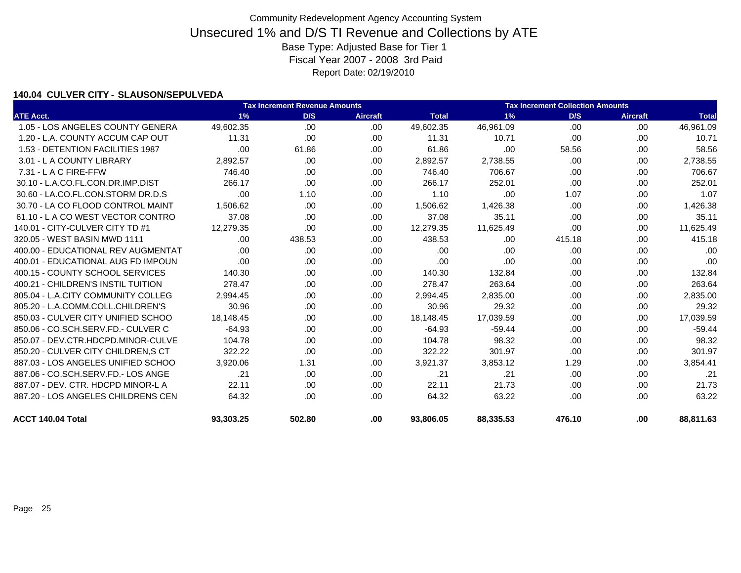### **140.04 CULVER CITY - SLAUSON/SEPULVEDA**

|                                    |           | <b>Tax Increment Revenue Amounts</b> | <b>Tax Increment Collection Amounts</b> |              |           |        |                 |              |
|------------------------------------|-----------|--------------------------------------|-----------------------------------------|--------------|-----------|--------|-----------------|--------------|
| <b>ATE Acct.</b>                   | 1%        | D/S                                  | <b>Aircraft</b>                         | <b>Total</b> | 1%        | D/S    | <b>Aircraft</b> | <b>Total</b> |
| 1.05 - LOS ANGELES COUNTY GENERA   | 49,602.35 | .00                                  | .00                                     | 49,602.35    | 46,961.09 | .00    | .00             | 46,961.09    |
| 1.20 - L.A. COUNTY ACCUM CAP OUT   | 11.31     | .00.                                 | .00                                     | 11.31        | 10.71     | .00    | .00             | 10.71        |
| 1.53 - DETENTION FACILITIES 1987   | .00       | 61.86                                | .00                                     | 61.86        | .00       | 58.56  | .00             | 58.56        |
| 3.01 - L A COUNTY LIBRARY          | 2.892.57  | .00.                                 | .00                                     | 2,892.57     | 2,738.55  | .00    | .00             | 2,738.55     |
| $7.31 - L$ A C FIRE-FFW            | 746.40    | .00.                                 | .00                                     | 746.40       | 706.67    | .00    | .00             | 706.67       |
| 30.10 - L.A.CO.FL.CON.DR.IMP.DIST  | 266.17    | .00.                                 | .00                                     | 266.17       | 252.01    | .00    | .00             | 252.01       |
| 30.60 - LA.CO.FL.CON.STORM DR.D.S  | .00       | 1.10                                 | .00                                     | 1.10         | .00       | 1.07   | .00             | 1.07         |
| 30.70 - LA CO FLOOD CONTROL MAINT  | 1,506.62  | .00                                  | .00                                     | 1,506.62     | 1,426.38  | .00    | .00.            | 1,426.38     |
| 61.10 - L A CO WEST VECTOR CONTRO  | 37.08     | .00                                  | .00                                     | 37.08        | 35.11     | .00    | .00             | 35.11        |
| 140.01 - CITY-CULVER CITY TD #1    | 12.279.35 | .00                                  | .00                                     | 12,279.35    | 11,625.49 | .00    | .00             | 11,625.49    |
| 320.05 - WEST BASIN MWD 1111       | .00       | 438.53                               | .00                                     | 438.53       | .00       | 415.18 | .00             | 415.18       |
| 400.00 - EDUCATIONAL REV AUGMENTAT | .00       | .00.                                 | .00                                     | .00          | .00       | .00    | .00             | .00          |
| 400.01 - EDUCATIONAL AUG FD IMPOUN | .00.      | .00.                                 | .00                                     | .00          | .00       | .00    | .00.            | .00          |
| 400.15 - COUNTY SCHOOL SERVICES    | 140.30    | .00                                  | .00                                     | 140.30       | 132.84    | .00    | .00             | 132.84       |
| 400.21 - CHILDREN'S INSTIL TUITION | 278.47    | .00.                                 | .00                                     | 278.47       | 263.64    | .00    | .00             | 263.64       |
| 805.04 - L.A.CITY COMMUNITY COLLEG | 2,994.45  | .00.                                 | .00                                     | 2,994.45     | 2,835.00  | .00    | .00             | 2,835.00     |
| 805.20 - L.A.COMM.COLL.CHILDREN'S  | 30.96     | .00.                                 | .00                                     | 30.96        | 29.32     | .00    | .00             | 29.32        |
| 850.03 - CULVER CITY UNIFIED SCHOO | 18,148.45 | .00                                  | .00                                     | 18,148.45    | 17,039.59 | .00    | .00             | 17,039.59    |
| 850.06 - CO.SCH.SERV.FD.- CULVER C | $-64.93$  | .00.                                 | .00                                     | $-64.93$     | $-59.44$  | .00    | .00             | $-59.44$     |
| 850.07 - DEV.CTR.HDCPD.MINOR-CULVE | 104.78    | .00.                                 | .00                                     | 104.78       | 98.32     | .00    | .00             | 98.32        |
| 850.20 - CULVER CITY CHILDREN, SCT | 322.22    | .00                                  | .00                                     | 322.22       | 301.97    | .00    | .00             | 301.97       |
| 887.03 - LOS ANGELES UNIFIED SCHOO | 3,920.06  | 1.31                                 | .00                                     | 3,921.37     | 3,853.12  | 1.29   | .00             | 3,854.41     |
| 887.06 - CO.SCH.SERV.FD.- LOS ANGE | .21       | .00.                                 | .00                                     | .21          | .21       | .00    | .00             | .21          |
| 887.07 - DEV. CTR. HDCPD MINOR-L A | 22.11     | .00.                                 | .00                                     | 22.11        | 21.73     | .00    | .00.            | 21.73        |
| 887.20 - LOS ANGELES CHILDRENS CEN | 64.32     | .00.                                 | .00                                     | 64.32        | 63.22     | .00    | .00             | 63.22        |
| ACCT 140.04 Total                  | 93.303.25 | 502.80                               | .00.                                    | 93.806.05    | 88,335.53 | 476.10 | .00             | 88.811.63    |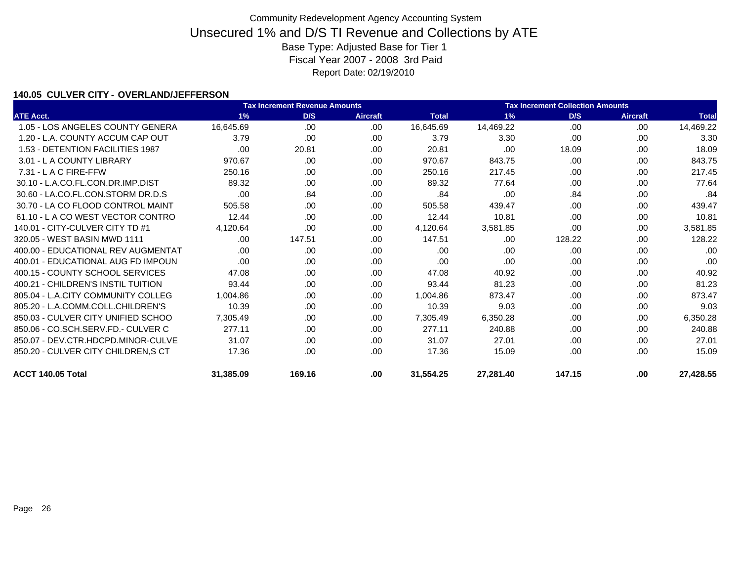### **140.05 CULVER CITY - OVERLAND/JEFFERSON**

|                                     |           | <b>Tax Increment Revenue Amounts</b> |                 |              | <b>Tax Increment Collection Amounts</b> |        |                 |              |
|-------------------------------------|-----------|--------------------------------------|-----------------|--------------|-----------------------------------------|--------|-----------------|--------------|
| <b>ATE Acct.</b>                    | 1%        | D/S                                  | <b>Aircraft</b> | <b>Total</b> | 1%                                      | D/S    | <b>Aircraft</b> | <b>Total</b> |
| 1.05 - LOS ANGELES COUNTY GENERA    | 16.645.69 | .00.                                 | .00             | 16,645.69    | 14,469.22                               | .00    | .00             | 14,469.22    |
| 1.20 - L.A. COUNTY ACCUM CAP OUT    | 3.79      | .00.                                 | .00             | 3.79         | 3.30                                    | .00    | .00             | 3.30         |
| 1.53 - DETENTION FACILITIES 1987    | .00.      | 20.81                                | .00             | 20.81        | .00                                     | 18.09  | .00             | 18.09        |
| 3.01 - L A COUNTY LIBRARY           | 970.67    | .00.                                 | .00             | 970.67       | 843.75                                  | .00    | .00             | 843.75       |
| 7.31 - L A C FIRE-FFW               | 250.16    | .00.                                 | .00             | 250.16       | 217.45                                  | .00    | .00             | 217.45       |
| 30.10 - L.A.CO.FL.CON.DR.IMP.DIST   | 89.32     | .00.                                 | .00             | 89.32        | 77.64                                   | .00.   | .00             | 77.64        |
| 30.60 - LA.CO.FL.CON.STORM DR.D.S   | .00       | .84                                  | .00             | .84          | .00                                     | .84    | .00             | .84          |
| 30.70 - LA CO FLOOD CONTROL MAINT   | 505.58    | .00.                                 | .00             | 505.58       | 439.47                                  | .00    | .00             | 439.47       |
| 61.10 - L A CO WEST VECTOR CONTRO   | 12.44     | .00.                                 | .00             | 12.44        | 10.81                                   | .00    | .00             | 10.81        |
| 140.01 - CITY-CULVER CITY TD #1     | 4,120.64  | .00.                                 | .00.            | 4,120.64     | 3,581.85                                | .00    | .00             | 3,581.85     |
| 320.05 - WEST BASIN MWD 1111        | .00.      | 147.51                               | .00             | 147.51       | .00                                     | 128.22 | .00             | 128.22       |
| 400.00 - EDUCATIONAL REV AUGMENTAT  | .00       | .00.                                 | .00.            | .00          | .00                                     | .00    | .00             | .00          |
| 400.01 - EDUCATIONAL AUG FD IMPOUN  | .00.      | .00.                                 | .00             | .00          | .00                                     | .00    | .00             | .00          |
| 400.15 - COUNTY SCHOOL SERVICES     | 47.08     | .00.                                 | .00.            | 47.08        | 40.92                                   | .00.   | .00             | 40.92        |
| 400.21 - CHILDREN'S INSTIL TUITION  | 93.44     | .00.                                 | .00.            | 93.44        | 81.23                                   | .00    | .00             | 81.23        |
| 805.04 - L.A.CITY COMMUNITY COLLEG  | 1,004.86  | .00.                                 | .00             | 1,004.86     | 873.47                                  | .00.   | .00             | 873.47       |
| 805.20 - L.A.COMM.COLL.CHILDREN'S   | 10.39     | .00.                                 | .00             | 10.39        | 9.03                                    | .00    | .00             | 9.03         |
| 850.03 - CULVER CITY UNIFIED SCHOO  | 7,305.49  | .00.                                 | .00             | 7,305.49     | 6,350.28                                | .00.   | .00             | 6,350.28     |
| 850.06 - CO.SCH.SERV.FD.- CULVER C  | 277.11    | .00.                                 | .00             | 277.11       | 240.88                                  | .00    | .00             | 240.88       |
| 850.07 - DEV.CTR.HDCPD.MINOR-CULVE  | 31.07     | .00                                  | .00             | 31.07        | 27.01                                   | .00.   | .00             | 27.01        |
| 850.20 - CULVER CITY CHILDREN, S CT | 17.36     | .00.                                 | .00             | 17.36        | 15.09                                   | .00    | .00             | 15.09        |
| ACCT 140.05 Total                   | 31,385.09 | 169.16                               | .00             | 31,554.25    | 27,281.40                               | 147.15 | .00             | 27,428.55    |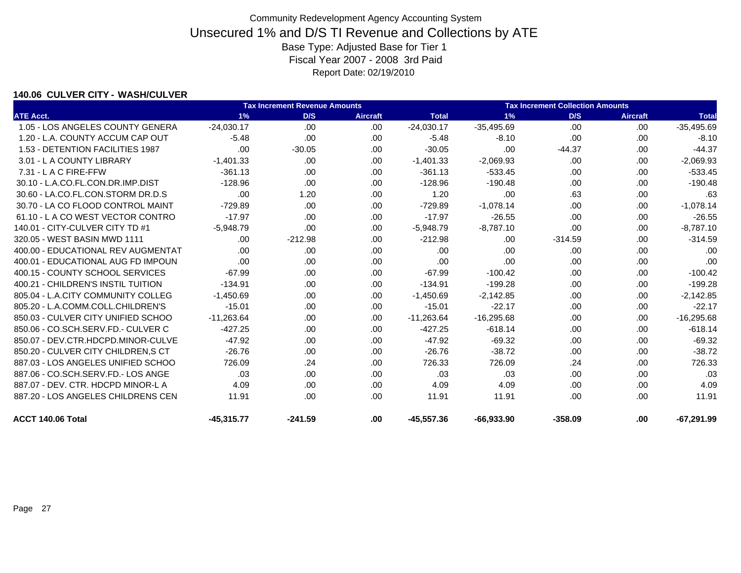### **140.06 CULVER CITY - WASH/CULVER**

|                                    | <b>Tax Increment Collection Amounts</b> |           |                 |              |              |           |                 |              |
|------------------------------------|-----------------------------------------|-----------|-----------------|--------------|--------------|-----------|-----------------|--------------|
| <b>ATE Acct.</b>                   | 1%                                      | D/S       | <b>Aircraft</b> | <b>Total</b> | 1%           | D/S       | <b>Aircraft</b> | <b>Total</b> |
| 1.05 - LOS ANGELES COUNTY GENERA   | $-24,030.17$                            | .00       | .00             | $-24,030.17$ | $-35,495.69$ | .00       | .00.            | $-35,495.69$ |
| 1.20 - L.A. COUNTY ACCUM CAP OUT   | $-5.48$                                 | .00       | .00             | $-5.48$      | $-8.10$      | .00       | .00             | $-8.10$      |
| 1.53 - DETENTION FACILITIES 1987   | .00                                     | $-30.05$  | .00             | $-30.05$     | .00          | $-44.37$  | .00             | $-44.37$     |
| 3.01 - L A COUNTY LIBRARY          | $-1.401.33$                             | .00       | .00.            | $-1,401.33$  | $-2,069.93$  | .00       | .00             | $-2,069.93$  |
| $7.31 - L$ A C FIRE-FFW            | $-361.13$                               | .00.      | .00             | $-361.13$    | $-533.45$    | .00       | .00.            | $-533.45$    |
| 30.10 - L.A.CO.FL.CON.DR.IMP.DIST  | $-128.96$                               | .00       | .00.            | $-128.96$    | $-190.48$    | .00       | .00             | $-190.48$    |
| 30.60 - LA.CO.FL.CON.STORM DR.D.S  | .00                                     | 1.20      | .00             | 1.20         | .00          | .63       | .00             | .63          |
| 30.70 - LA CO FLOOD CONTROL MAINT  | $-729.89$                               | .00       | .00             | $-729.89$    | $-1,078.14$  | .00       | .00             | $-1,078.14$  |
| 61.10 - L A CO WEST VECTOR CONTRO  | $-17.97$                                | .00       | .00             | $-17.97$     | $-26.55$     | .00       | .00             | $-26.55$     |
| 140.01 - CITY-CULVER CITY TD #1    | $-5.948.79$                             | .00       | .00             | $-5,948.79$  | $-8,787.10$  | .00       | .00.            | $-8,787.10$  |
| 320.05 - WEST BASIN MWD 1111       | .00.                                    | $-212.98$ | .00.            | $-212.98$    | .00          | $-314.59$ | .00             | $-314.59$    |
| 400.00 - EDUCATIONAL REV AUGMENTAT | .00.                                    | .00.      | .00             | .00          | .00          | .00       | .00             | .00          |
| 400.01 - EDUCATIONAL AUG FD IMPOUN | .00                                     | .00.      | .00             | .00          | .00          | .00       | .00             | .00          |
| 400.15 - COUNTY SCHOOL SERVICES    | $-67.99$                                | .00.      | .00             | $-67.99$     | $-100.42$    | .00       | .00.            | $-100.42$    |
| 400.21 - CHILDREN'S INSTIL TUITION | $-134.91$                               | .00.      | .00             | $-134.91$    | $-199.28$    | .00       | .00.            | $-199.28$    |
| 805.04 - L.A.CITY COMMUNITY COLLEG | $-1,450.69$                             | .00.      | .00             | $-1,450.69$  | $-2,142.85$  | .00       | .00             | $-2,142.85$  |
| 805.20 - L.A.COMM.COLL.CHILDREN'S  | $-15.01$                                | .00.      | .00             | $-15.01$     | $-22.17$     | .00       | .00.            | $-22.17$     |
| 850.03 - CULVER CITY UNIFIED SCHOO | $-11,263.64$                            | .00       | .00             | $-11,263.64$ | $-16,295.68$ | .00       | .00.            | $-16,295.68$ |
| 850.06 - CO.SCH.SERV.FD.- CULVER C | $-427.25$                               | .00.      | .00.            | $-427.25$    | $-618.14$    | .00       | .00             | $-618.14$    |
| 850.07 - DEV.CTR.HDCPD.MINOR-CULVE | $-47.92$                                | .00.      | .00.            | $-47.92$     | $-69.32$     | .00       | .00.            | $-69.32$     |
| 850.20 - CULVER CITY CHILDREN, SCT | $-26.76$                                | .00       | .00             | $-26.76$     | $-38.72$     | .00       | .00             | $-38.72$     |
| 887.03 - LOS ANGELES UNIFIED SCHOO | 726.09                                  | .24       | .00             | 726.33       | 726.09       | .24       | .00             | 726.33       |
| 887.06 - CO.SCH.SERV.FD.- LOS ANGE | .03                                     | .00.      | .00             | .03          | .03          | .00       | .00             | .03          |
| 887.07 - DEV. CTR. HDCPD MINOR-L A | 4.09                                    | .00.      | .00             | 4.09         | 4.09         | .00       | .00             | 4.09         |
| 887.20 - LOS ANGELES CHILDRENS CEN | 11.91                                   | .00.      | .00             | 11.91        | 11.91        | .00       | .00             | 11.91        |
| ACCT 140.06 Total                  | -45.315.77                              | $-241.59$ | .00             | $-45.557.36$ | $-66,933.90$ | $-358.09$ | .00             | $-67.291.99$ |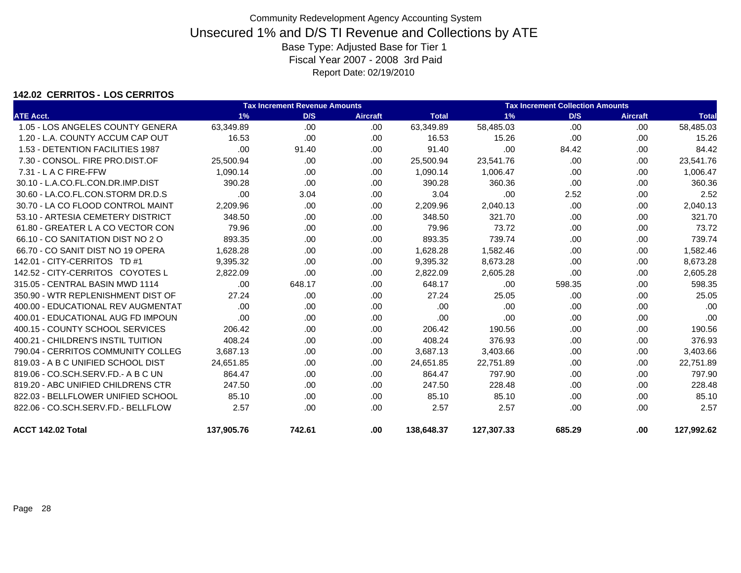### **142.02 CERRITOS - LOS CERRITOS**

|                                     |            | <b>Tax Increment Revenue Amounts</b> |                 | <b>Tax Increment Collection Amounts</b> |            |        |                 |              |
|-------------------------------------|------------|--------------------------------------|-----------------|-----------------------------------------|------------|--------|-----------------|--------------|
| <b>ATE Acct.</b>                    | 1%         | D/S                                  | <b>Aircraft</b> | <b>Total</b>                            | 1%         | D/S    | <b>Aircraft</b> | <b>Total</b> |
| 1.05 - LOS ANGELES COUNTY GENERA    | 63,349.89  | .00                                  | .00             | 63,349.89                               | 58,485.03  | .00    | .00             | 58,485.03    |
| 1.20 - L.A. COUNTY ACCUM CAP OUT    | 16.53      | .00                                  | .00             | 16.53                                   | 15.26      | .00    | .00             | 15.26        |
| 1.53 - DETENTION FACILITIES 1987    | .00        | 91.40                                | .00             | 91.40                                   | .00        | 84.42  | .00             | 84.42        |
| 7.30 - CONSOL, FIRE PRO.DIST.OF     | 25,500.94  | .00.                                 | .00.            | 25,500.94                               | 23,541.76  | .00    | .00             | 23.541.76    |
| 7.31 - L A C FIRE-FFW               | 1,090.14   | .00                                  | .00             | 1,090.14                                | 1,006.47   | .00    | .00             | 1,006.47     |
| 30.10 - L.A.CO.FL.CON.DR.IMP.DIST   | 390.28     | .00                                  | .00             | 390.28                                  | 360.36     | .00    | .00             | 360.36       |
| 30.60 - LA.CO.FL.CON.STORM DR.D.S   | .00        | 3.04                                 | .00             | 3.04                                    | .00        | 2.52   | .00             | 2.52         |
| 30.70 - LA CO FLOOD CONTROL MAINT   | 2,209.96   | .00                                  | .00             | 2,209.96                                | 2,040.13   | .00    | .00             | 2,040.13     |
| 53.10 - ARTESIA CEMETERY DISTRICT   | 348.50     | .00                                  | .00             | 348.50                                  | 321.70     | .00    | .00             | 321.70       |
| 61.80 - GREATER L A CO VECTOR CON   | 79.96      | .00.                                 | .00.            | 79.96                                   | 73.72      | .00.   | .00             | 73.72        |
| 66.10 - CO SANITATION DIST NO 2 O   | 893.35     | .00                                  | .00.            | 893.35                                  | 739.74     | .00    | .00             | 739.74       |
| 66.70 - CO SANIT DIST NO 19 OPERA   | 1.628.28   | .00                                  | .00             | 1,628.28                                | 1,582.46   | .00.   | .00             | 1,582.46     |
| 142.01 - CITY-CERRITOS TD #1        | 9,395.32   | .00                                  | .00.            | 9,395.32                                | 8,673.28   | .00.   | .00             | 8,673.28     |
| 142.52 - CITY-CERRITOS COYOTES L    | 2,822.09   | .00                                  | .00.            | 2,822.09                                | 2,605.28   | .00    | .00             | 2,605.28     |
| 315.05 - CENTRAL BASIN MWD 1114     | .00        | 648.17                               | .00.            | 648.17                                  | .00        | 598.35 | .00             | 598.35       |
| 350.90 - WTR REPLENISHMENT DIST OF  | 27.24      | .00                                  | .00             | 27.24                                   | 25.05      | .00    | .00             | 25.05        |
| 400.00 - EDUCATIONAL REV AUGMENTAT  | .00        | .00                                  | .00.            | .00                                     | .00        | .00    | .00             | .00          |
| 400.01 - EDUCATIONAL AUG FD IMPOUN  | .00        | .00                                  | .00.            | .00                                     | .00        | .00.   | .00             | .00          |
| 400.15 - COUNTY SCHOOL SERVICES     | 206.42     | .00                                  | .00.            | 206.42                                  | 190.56     | .00    | .00             | 190.56       |
| 400.21 - CHILDREN'S INSTIL TUITION  | 408.24     | .00                                  | .00.            | 408.24                                  | 376.93     | .00    | .00             | 376.93       |
| 790.04 - CERRITOS COMMUNITY COLLEG  | 3,687.13   | .00                                  | .00.            | 3,687.13                                | 3,403.66   | .00    | .00             | 3,403.66     |
| 819.03 - A B C UNIFIED SCHOOL DIST  | 24.651.85  | .00                                  | .00.            | 24,651.85                               | 22,751.89  | .00.   | .00             | 22,751.89    |
| 819.06 - CO.SCH.SERV.FD. - A B C UN | 864.47     | .00.                                 | .00             | 864.47                                  | 797.90     | .00    | .00             | 797.90       |
| 819.20 - ABC UNIFIED CHILDRENS CTR  | 247.50     | .00.                                 | .00.            | 247.50                                  | 228.48     | .00    | .00             | 228.48       |
| 822.03 - BELLFLOWER UNIFIED SCHOOL  | 85.10      | .00.                                 | .00.            | 85.10                                   | 85.10      | .00.   | .00             | 85.10        |
| 822.06 - CO.SCH.SERV.FD.- BELLFLOW  | 2.57       | .00                                  | .00             | 2.57                                    | 2.57       | .00.   | .00             | 2.57         |
| ACCT 142.02 Total                   | 137,905.76 | 742.61                               | .00.            | 138,648.37                              | 127,307.33 | 685.29 | .00             | 127,992.62   |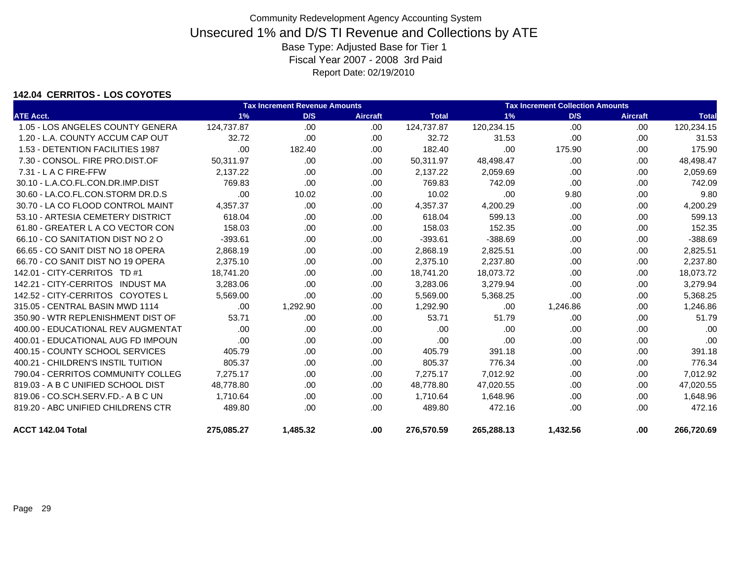### **142.04 CERRITOS - LOS COYOTES**

|                                    | <b>Tax Increment Revenue Amounts</b> | <b>Tax Increment Collection Amounts</b> |                 |              |            |          |                 |              |
|------------------------------------|--------------------------------------|-----------------------------------------|-----------------|--------------|------------|----------|-----------------|--------------|
| <b>ATE Acct.</b>                   | 1%                                   | D/S                                     | <b>Aircraft</b> | <b>Total</b> | 1%         | D/S      | <b>Aircraft</b> | <b>Total</b> |
| 1.05 - LOS ANGELES COUNTY GENERA   | 124,737.87                           | .00                                     | .00.            | 124,737.87   | 120,234.15 | .00      | .00.            | 120,234.15   |
| 1.20 - L.A. COUNTY ACCUM CAP OUT   | 32.72                                | .00                                     | .00             | 32.72        | 31.53      | .00      | .00.            | 31.53        |
| 1.53 - DETENTION FACILITIES 1987   | .00                                  | 182.40                                  | .00             | 182.40       | .00        | 175.90   | .00             | 175.90       |
| 7.30 - CONSOL, FIRE PRO.DIST.OF    | 50,311.97                            | .00.                                    | .00.            | 50,311.97    | 48,498.47  | .00.     | .00             | 48,498.47    |
| 7.31 - L A C FIRE-FFW              | 2,137.22                             | .00                                     | .00.            | 2,137.22     | 2,059.69   | .00      | .00             | 2,059.69     |
| 30.10 - L.A.CO.FL.CON.DR.IMP.DIST  | 769.83                               | .00                                     | .00.            | 769.83       | 742.09     | .00      | .00.            | 742.09       |
| 30.60 - LA.CO.FL.CON.STORM DR.D.S  | .00                                  | 10.02                                   | .00             | 10.02        | .00        | 9.80     | .00             | 9.80         |
| 30.70 - LA CO FLOOD CONTROL MAINT  | 4,357.37                             | .00.                                    | .00             | 4,357.37     | 4,200.29   | .00      | .00.            | 4,200.29     |
| 53.10 - ARTESIA CEMETERY DISTRICT  | 618.04                               | .00                                     | .00             | 618.04       | 599.13     | .00      | .00             | 599.13       |
| 61.80 - GREATER L A CO VECTOR CON  | 158.03                               | .00                                     | .00             | 158.03       | 152.35     | .00      | .00             | 152.35       |
| 66.10 - CO SANITATION DIST NO 2 O  | $-393.61$                            | .00.                                    | .00             | $-393.61$    | $-388.69$  | .00      | .00             | $-388.69$    |
| 66.65 - CO SANIT DIST NO 18 OPERA  | 2,868.19                             | .00.                                    | .00             | 2,868.19     | 2,825.51   | .00      | .00             | 2,825.51     |
| 66.70 - CO SANIT DIST NO 19 OPERA  | 2,375.10                             | .00                                     | .00             | 2,375.10     | 2,237.80   | .00      | .00             | 2,237.80     |
| 142.01 - CITY-CERRITOS TD #1       | 18,741.20                            | .00                                     | .00             | 18,741.20    | 18,073.72  | .00      | .00             | 18,073.72    |
| 142.21 - CITY-CERRITOS INDUST MA   | 3,283.06                             | .00                                     | .00             | 3,283.06     | 3,279.94   | .00      | .00             | 3,279.94     |
| 142.52 - CITY-CERRITOS COYOTES L   | 5.569.00                             | .00.                                    | .00             | 5,569.00     | 5,368.25   | .00      | .00.            | 5,368.25     |
| 315.05 - CENTRAL BASIN MWD 1114    | .00                                  | 1,292.90                                | .00             | 1,292.90     | .00        | 1,246.86 | .00.            | 1,246.86     |
| 350.90 - WTR REPLENISHMENT DIST OF | 53.71                                | .00                                     | .00             | 53.71        | 51.79      | .00      | .00             | 51.79        |
| 400.00 - EDUCATIONAL REV AUGMENTAT | .00                                  | .00                                     | .00             | .00          | .00        | .00      | .00.            | .00          |
| 400.01 - EDUCATIONAL AUG FD IMPOUN | .00                                  | .00.                                    | .00             | .00          | .00        | .00      | .00             | .00          |
| 400.15 - COUNTY SCHOOL SERVICES    | 405.79                               | .00.                                    | .00             | 405.79       | 391.18     | .00      | .00             | 391.18       |
| 400.21 - CHILDREN'S INSTIL TUITION | 805.37                               | .00                                     | .00             | 805.37       | 776.34     | .00      | .00             | 776.34       |
| 790.04 - CERRITOS COMMUNITY COLLEG | 7,275.17                             | .00                                     | .00             | 7,275.17     | 7,012.92   | .00      | .00             | 7,012.92     |
| 819.03 - A B C UNIFIED SCHOOL DIST | 48,778.80                            | .00                                     | .00.            | 48,778.80    | 47,020.55  | .00      | .00             | 47,020.55    |
| 819.06 - CO.SCH.SERV.FD.- A B C UN | 1.710.64                             | .00.                                    | .00             | 1.710.64     | 1,648.96   | .00      | .00.            | 1,648.96     |
| 819.20 - ABC UNIFIED CHILDRENS CTR | 489.80                               | .00.                                    | .00             | 489.80       | 472.16     | .00      | .00             | 472.16       |
| ACCT 142.04 Total                  | 275,085.27                           | 1,485.32                                | .00.            | 276,570.59   | 265,288.13 | 1,432.56 | .00             | 266,720.69   |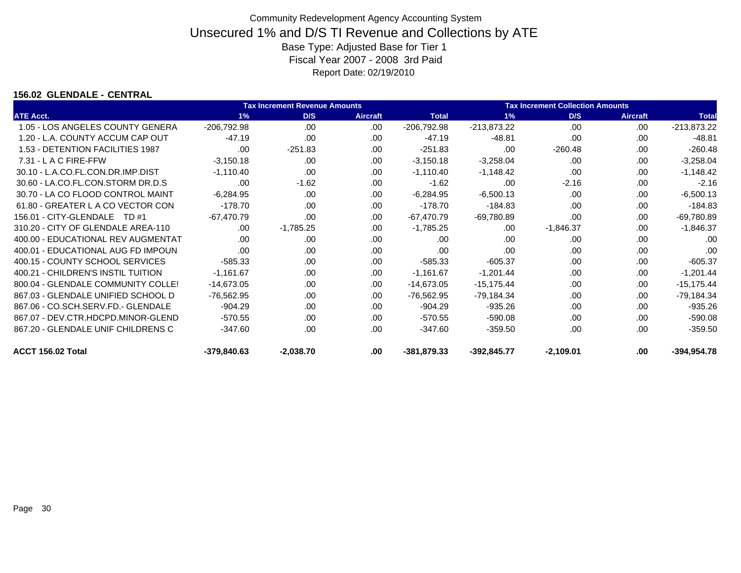### **156.02 GLENDALE - CENTRAL**

| <b>Tax Increment Revenue Amounts</b> |               |             |                 |               | <b>Tax Increment Collection Amounts</b> |             |                 |               |  |  |
|--------------------------------------|---------------|-------------|-----------------|---------------|-----------------------------------------|-------------|-----------------|---------------|--|--|
| <b>ATE Acct.</b>                     | 1%            | D/S         | <b>Aircraft</b> | <b>Total</b>  | 1%                                      | D/S         | <b>Aircraft</b> | <b>Total</b>  |  |  |
| 1.05 - LOS ANGELES COUNTY GENERA     | $-206,792.98$ | .00         | .00             | $-206,792.98$ | $-213,873.22$                           | .00         | .00             | $-213,873.22$ |  |  |
| 1.20 - L.A. COUNTY ACCUM CAP OUT     | $-47.19$      | .00         | .00             | $-47.19$      | $-48.81$                                | .00         | .00             | $-48.81$      |  |  |
| 1.53 - DETENTION FACILITIES 1987     | .00           | $-251.83$   | .00             | $-251.83$     | .00                                     | $-260.48$   | .00             | $-260.48$     |  |  |
| $7.31 - L$ A C FIRE-FFW              | $-3,150.18$   | .00         | .00             | $-3,150.18$   | $-3,258.04$                             | .00         | .00             | $-3,258.04$   |  |  |
| 30.10 - L.A.CO.FL.CON.DR.IMP.DIST    | $-1,110.40$   | .00         | .00             | $-1,110.40$   | $-1,148.42$                             | .00         | .00             | $-1,148.42$   |  |  |
| 30.60 - LA.CO.FL.CON.STORM DR.D.S    | .00           | $-1.62$     | .00             | $-1.62$       | .00                                     | $-2.16$     | .00.            | $-2.16$       |  |  |
| 30.70 - LA CO FLOOD CONTROL MAINT    | $-6.284.95$   | .00         | .00             | $-6,284.95$   | $-6,500.13$                             | .00.        | .00             | $-6,500.13$   |  |  |
| 61.80 - GREATER L A CO VECTOR CON    | $-178.70$     | .00         | .00             | $-178.70$     | $-184.83$                               | .00.        | .00.            | $-184.83$     |  |  |
| 156.01 - CITY-GLENDALE TD #1         | $-67,470.79$  | .00         | .00.            | $-67,470.79$  | $-69,780.89$                            | .00         | .00             | -69,780.89    |  |  |
| 310.20 - CITY OF GLENDALE AREA-110   | .00           | $-1,785.25$ | .00             | $-1,785.25$   | .00                                     | $-1,846.37$ | .00             | $-1,846.37$   |  |  |
| 400.00 - EDUCATIONAL REV AUGMENTAT   | .00           | .00         | .00             | .00           | .00.                                    | .00         | .00.            | .00           |  |  |
| 400.01 - EDUCATIONAL AUG FD IMPOUN   | .00           | .00         | .00             | .00           | .00.                                    | .00         | .00             | .00           |  |  |
| 400.15 - COUNTY SCHOOL SERVICES      | $-585.33$     | .00         | .00             | $-585.33$     | $-605.37$                               | .00         | .00.            | $-605.37$     |  |  |
| 400.21 - CHILDREN'S INSTIL TUITION   | $-1.161.67$   | .00         | .00             | $-1,161.67$   | $-1,201.44$                             | .00.        | .00             | $-1,201.44$   |  |  |
| 800.04 - GLENDALE COMMUNITY COLLE!   | $-14,673.05$  | .00         | .00             | $-14,673.05$  | $-15,175.44$                            | .00         | .00.            | $-15,175.44$  |  |  |
| 867.03 - GLENDALE UNIFIED SCHOOL D   | $-76,562.95$  | .00         | .00             | -76,562.95    | -79,184.34                              | .00         | .00             | -79,184.34    |  |  |
| 867.06 - CO.SCH.SERV.FD.- GLENDALE   | $-904.29$     | .00         | .00             | $-904.29$     | -935.26                                 | .00.        | .00             | $-935.26$     |  |  |
| 867.07 - DEV.CTR.HDCPD.MINOR-GLEND   | $-570.55$     | .00         | .00             | $-570.55$     | $-590.08$                               | .00         | .00.            | $-590.08$     |  |  |
| 867.20 - GLENDALE UNIF CHILDRENS C   | $-347.60$     | .00         | .00             | $-347.60$     | $-359.50$                               | .00         | .00.            | $-359.50$     |  |  |
| ACCT 156.02 Total                    | -379,840.63   | $-2,038.70$ | .00             | $-381,879.33$ | $-392,845.77$                           | $-2,109.01$ | .00.            | $-394.954.78$ |  |  |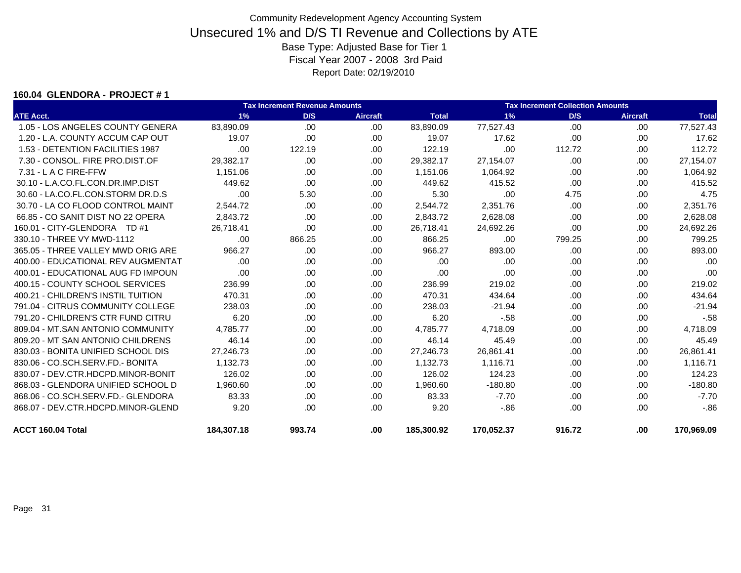#### **160.04 GLENDORA - PROJECT # 1**

|                                    |            | <b>Tax Increment Revenue Amounts</b> |                 |              | <b>Tax Increment Collection Amounts</b> |        |                 |              |
|------------------------------------|------------|--------------------------------------|-----------------|--------------|-----------------------------------------|--------|-----------------|--------------|
| <b>ATE Acct.</b>                   | 1%         | D/S                                  | <b>Aircraft</b> | <b>Total</b> | 1%                                      | D/S    | <b>Aircraft</b> | <b>Total</b> |
| 1.05 - LOS ANGELES COUNTY GENERA   | 83,890.09  | .00                                  | .00             | 83,890.09    | 77,527.43                               | .00    | .00             | 77,527.43    |
| 1.20 - L.A. COUNTY ACCUM CAP OUT   | 19.07      | .00.                                 | .00.            | 19.07        | 17.62                                   | .00    | .00             | 17.62        |
| 1.53 - DETENTION FACILITIES 1987   | .00        | 122.19                               | .00             | 122.19       | .00                                     | 112.72 | .00             | 112.72       |
| 7.30 - CONSOL, FIRE PRO.DIST.OF    | 29,382.17  | .00.                                 | .00             | 29,382.17    | 27,154.07                               | .00    | .00             | 27,154.07    |
| 7.31 - L A C FIRE-FFW              | 1.151.06   | .00.                                 | .00.            | 1,151.06     | 1,064.92                                | .00    | .00             | 1,064.92     |
| 30.10 - L.A.CO.FL.CON.DR.IMP.DIST  | 449.62     | .00                                  | .00.            | 449.62       | 415.52                                  | .00    | .00             | 415.52       |
| 30.60 - LA.CO.FL.CON.STORM DR.D.S  | .00        | 5.30                                 | .00.            | 5.30         | .00                                     | 4.75   | .00             | 4.75         |
| 30.70 - LA CO FLOOD CONTROL MAINT  | 2,544.72   | .00.                                 | .00.            | 2,544.72     | 2,351.76                                | .00    | .00             | 2,351.76     |
| 66.85 - CO SANIT DIST NO 22 OPERA  | 2.843.72   | .00                                  | .00.            | 2,843.72     | 2,628.08                                | .00    | .00             | 2,628.08     |
| 160.01 - CITY-GLENDORA TD #1       | 26.718.41  | .00                                  | .00             | 26.718.41    | 24,692.26                               | .00    | .00             | 24,692.26    |
| 330.10 - THREE VY MWD-1112         | .00        | 866.25                               | .00             | 866.25       | .00                                     | 799.25 | .00             | 799.25       |
| 365.05 - THREE VALLEY MWD ORIG ARE | 966.27     | .00                                  | .00.            | 966.27       | 893.00                                  | .00    | .00.            | 893.00       |
| 400.00 - EDUCATIONAL REV AUGMENTAT | .00        | .00                                  | .00.            | .00          | .00                                     | .00    | .00.            | .00          |
| 400.01 - EDUCATIONAL AUG FD IMPOUN | .00        | .00.                                 | .00.            | .00          | .00                                     | .00    | .00             | .00          |
| 400.15 - COUNTY SCHOOL SERVICES    | 236.99     | .00                                  | .00             | 236.99       | 219.02                                  | .00    | .00             | 219.02       |
| 400.21 - CHILDREN'S INSTIL TUITION | 470.31     | .00                                  | .00             | 470.31       | 434.64                                  | .00    | .00             | 434.64       |
| 791.04 - CITRUS COMMUNITY COLLEGE  | 238.03     | .00                                  | .00.            | 238.03       | $-21.94$                                | .00.   | .00             | $-21.94$     |
| 791.20 - CHILDREN'S CTR FUND CITRU | 6.20       | .00                                  | .00.            | 6.20         | $-58$                                   | .00.   | .00             | $-58$        |
| 809.04 - MT.SAN ANTONIO COMMUNITY  | 4,785.77   | .00                                  | .00.            | 4,785.77     | 4,718.09                                | .00    | .00             | 4,718.09     |
| 809.20 - MT SAN ANTONIO CHILDRENS  | 46.14      | .00                                  | .00             | 46.14        | 45.49                                   | .00    | .00             | 45.49        |
| 830.03 - BONITA UNIFIED SCHOOL DIS | 27.246.73  | .00                                  | .00.            | 27,246.73    | 26,861.41                               | .00.   | .00             | 26,861.41    |
| 830.06 - CO.SCH.SERV.FD.- BONITA   | 1.132.73   | .00                                  | .00             | 1,132.73     | 1,116.71                                | .00.   | .00             | 1,116.71     |
| 830.07 - DEV.CTR.HDCPD.MINOR-BONIT | 126.02     | .00                                  | .00.            | 126.02       | 124.23                                  | .00.   | .00             | 124.23       |
| 868.03 - GLENDORA UNIFIED SCHOOL D | 1.960.60   | .00                                  | .00.            | 1,960.60     | $-180.80$                               | .00    | .00.            | $-180.80$    |
| 868.06 - CO.SCH.SERV.FD.- GLENDORA | 83.33      | .00                                  | .00.            | 83.33        | $-7.70$                                 | .00.   | .00             | $-7.70$      |
| 868.07 - DEV.CTR.HDCPD.MINOR-GLEND | 9.20       | .00                                  | .00.            | 9.20         | $-86$                                   | .00.   | .00.            | $-0.86$      |
| ACCT 160.04 Total                  | 184.307.18 | 993.74                               | .00             | 185.300.92   | 170,052.37                              | 916.72 | .00             | 170,969.09   |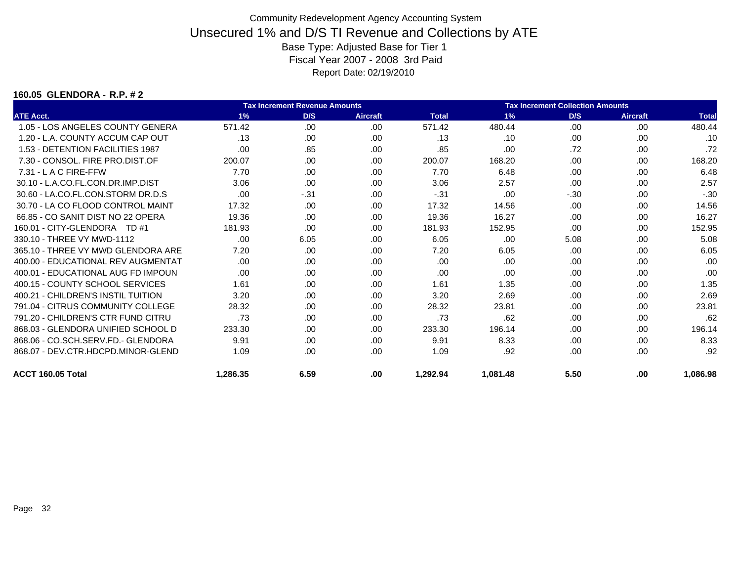#### **160.05 GLENDORA - R.P. # 2**

| <b>Tax Increment Revenue Amounts</b> |          |       |                 |              | <b>Tax Increment Collection Amounts</b> |        |                 |              |  |
|--------------------------------------|----------|-------|-----------------|--------------|-----------------------------------------|--------|-----------------|--------------|--|
| <b>ATE Acct.</b>                     | 1%       | D/S   | <b>Aircraft</b> | <b>Total</b> | 1%                                      | D/S    | <b>Aircraft</b> | <b>Total</b> |  |
| 1.05 - LOS ANGELES COUNTY GENERA     | 571.42   | .00   | .00             | 571.42       | 480.44                                  | .00    | .00             | 480.44       |  |
| 1.20 - L.A. COUNTY ACCUM CAP OUT     | .13      | .00   | .00             | .13          | .10                                     | .00    | .00             | .10          |  |
| 1.53 - DETENTION FACILITIES 1987     | .00      | .85   | .00             | .85          | .00                                     | .72    | .00             | .72          |  |
| 7.30 - CONSOL, FIRE PRO.DIST.OF      | 200.07   | .00   | .00             | 200.07       | 168.20                                  | .00    | .00             | 168.20       |  |
| $7.31 - L$ A C FIRE-FFW              | 7.70     | .00   | .00             | 7.70         | 6.48                                    | .00    | .00             | 6.48         |  |
| 30.10 - L.A.CO.FL.CON.DR.IMP.DIST    | 3.06     | .00   | .00             | 3.06         | 2.57                                    | .00    | .00             | 2.57         |  |
| 30.60 - LA.CO.FL.CON.STORM DR.D.S    | .00      | $-31$ | .00             | $-31$        | .00                                     | $-.30$ | .00             | $-.30$       |  |
| 30.70 - LA CO FLOOD CONTROL MAINT    | 17.32    | .00   | .00             | 17.32        | 14.56                                   | .00    | .00             | 14.56        |  |
| 66.85 - CO SANIT DIST NO 22 OPERA    | 19.36    | .00   | .00             | 19.36        | 16.27                                   | .00    | .00             | 16.27        |  |
| 160.01 - CITY-GLENDORA TD #1         | 181.93   | .00   | .00             | 181.93       | 152.95                                  | .00    | .00             | 152.95       |  |
| 330.10 - THREE VY MWD-1112           | .00      | 6.05  | .00             | 6.05         | .00                                     | 5.08   | .00             | 5.08         |  |
| 365.10 - THREE VY MWD GLENDORA ARE   | 7.20     | .00   | .00             | 7.20         | 6.05                                    | .00    | .00             | 6.05         |  |
| 400.00 - EDUCATIONAL REV AUGMENTAT   | .00      | .00   | .00             | .00          | .00                                     | .00    | .00             | .00          |  |
| 400.01 - EDUCATIONAL AUG FD IMPOUN   | .00      | .00   | .00             | .00          | .00                                     | .00    | .00             | .00          |  |
| 400.15 - COUNTY SCHOOL SERVICES      | 1.61     | .00   | .00             | 1.61         | 1.35                                    | .00    | .00             | 1.35         |  |
| 400.21 - CHILDREN'S INSTIL TUITION   | 3.20     | .00   | .00             | 3.20         | 2.69                                    | .00    | .00             | 2.69         |  |
| 791.04 - CITRUS COMMUNITY COLLEGE    | 28.32    | .00   | .00             | 28.32        | 23.81                                   | .00    | .00             | 23.81        |  |
| 791.20 - CHILDREN'S CTR FUND CITRU   | .73      | .00   | .00             | .73          | .62                                     | .00    | .00             | .62          |  |
| 868.03 - GLENDORA UNIFIED SCHOOL D   | 233.30   | .00   | .00             | 233.30       | 196.14                                  | .00    | .00             | 196.14       |  |
| 868.06 - CO.SCH.SERV.FD.- GLENDORA   | 9.91     | .00   | .00             | 9.91         | 8.33                                    | .00    | .00             | 8.33         |  |
| 868.07 - DEV.CTR.HDCPD.MINOR-GLEND   | 1.09     | .00   | .00             | 1.09         | .92                                     | .00    | .00             | .92          |  |
| ACCT 160.05 Total                    | 1,286.35 | 6.59  | .00             | 1,292.94     | 1,081.48                                | 5.50   | .00             | 1,086.98     |  |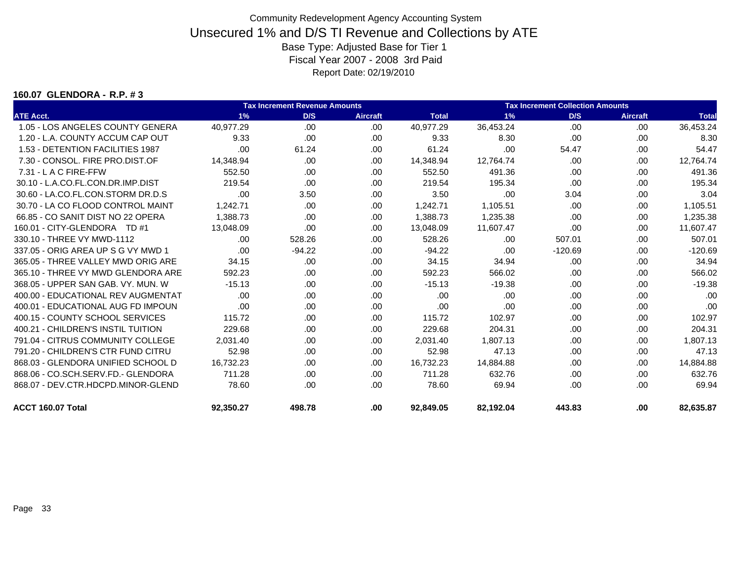#### **160.07 GLENDORA - R.P. # 3**

|                                    |           | <b>Tax Increment Revenue Amounts</b> |                 | <b>Tax Increment Collection Amounts</b> |           |           |                 |              |  |
|------------------------------------|-----------|--------------------------------------|-----------------|-----------------------------------------|-----------|-----------|-----------------|--------------|--|
| <b>ATE Acct.</b>                   | 1%        | D/S                                  | <b>Aircraft</b> | <b>Total</b>                            | 1%        | D/S       | <b>Aircraft</b> | <b>Total</b> |  |
| 1.05 - LOS ANGELES COUNTY GENERA   | 40,977.29 | .00                                  | .00             | 40,977.29                               | 36,453.24 | .00       | .00.            | 36,453.24    |  |
| 1.20 - L.A. COUNTY ACCUM CAP OUT   | 9.33      | .00.                                 | .00             | 9.33                                    | 8.30      | .00       | .00             | 8.30         |  |
| 1.53 - DETENTION FACILITIES 1987   | .00       | 61.24                                | .00             | 61.24                                   | .00       | 54.47     | .00.            | 54.47        |  |
| 7.30 - CONSOL, FIRE PRO.DIST.OF    | 14.348.94 | .00.                                 | .00             | 14,348.94                               | 12.764.74 | .00       | .00             | 12,764.74    |  |
| 7.31 - L A C FIRE-FFW              | 552.50    | .00                                  | .00             | 552.50                                  | 491.36    | .00       | .00             | 491.36       |  |
| 30.10 - L.A.CO.FL.CON.DR.IMP.DIST  | 219.54    | .00                                  | .00             | 219.54                                  | 195.34    | .00       | .00.            | 195.34       |  |
| 30.60 - LA.CO.FL.CON.STORM DR.D.S  | .00       | 3.50                                 | .00             | 3.50                                    | .00       | 3.04      | .00.            | 3.04         |  |
| 30.70 - LA CO FLOOD CONTROL MAINT  | 1,242.71  | .00.                                 | .00             | 1,242.71                                | 1,105.51  | .00       | .00             | 1,105.51     |  |
| 66.85 - CO SANIT DIST NO 22 OPERA  | 1.388.73  | .00.                                 | .00             | 1,388.73                                | 1,235.38  | .00       | .00             | 1,235.38     |  |
| 160.01 - CITY-GLENDORA TD #1       | 13,048.09 | .00.                                 | .00             | 13,048.09                               | 11,607.47 | .00       | .00             | 11,607.47    |  |
| 330.10 - THREE VY MWD-1112         | .00.      | 528.26                               | .00             | 528.26                                  | .00       | 507.01    | .00             | 507.01       |  |
| 337.05 - ORIG AREA UP S G VY MWD 1 | .00.      | $-94.22$                             | .00.            | $-94.22$                                | .00       | $-120.69$ | .00.            | $-120.69$    |  |
| 365.05 - THREE VALLEY MWD ORIG ARE | 34.15     | .00.                                 | .00.            | 34.15                                   | 34.94     | .00       | .00.            | 34.94        |  |
| 365.10 - THREE VY MWD GLENDORA ARE | 592.23    | .00.                                 | .00             | 592.23                                  | 566.02    | .00       | .00             | 566.02       |  |
| 368.05 - UPPER SAN GAB, VY, MUN, W | $-15.13$  | .00.                                 | .00             | $-15.13$                                | $-19.38$  | .00       | .00             | $-19.38$     |  |
| 400.00 - EDUCATIONAL REV AUGMENTAT | .00.      | .00.                                 | .00             | .00                                     | .00       | .00       | .00             | .00          |  |
| 400.01 - EDUCATIONAL AUG FD IMPOUN | .00       | .00.                                 | .00             | .00                                     | .00       | .00       | .00             | .00          |  |
| 400.15 - COUNTY SCHOOL SERVICES    | 115.72    | .00.                                 | .00.            | 115.72                                  | 102.97    | .00       | .00             | 102.97       |  |
| 400.21 - CHILDREN'S INSTIL TUITION | 229.68    | .00.                                 | .00             | 229.68                                  | 204.31    | .00       | .00.            | 204.31       |  |
| 791.04 - CITRUS COMMUNITY COLLEGE  | 2.031.40  | .00.                                 | .00.            | 2.031.40                                | 1.807.13  | .00       | .00             | 1.807.13     |  |
| 791.20 - CHILDREN'S CTR FUND CITRU | 52.98     | .00.                                 | .00.            | 52.98                                   | 47.13     | .00       | .00             | 47.13        |  |
| 868.03 - GLENDORA UNIFIED SCHOOL D | 16,732.23 | .00.                                 | .00             | 16,732.23                               | 14,884.88 | .00       | .00.            | 14,884.88    |  |
| 868.06 - CO.SCH.SERV.FD.- GLENDORA | 711.28    | .00.                                 | .00             | 711.28                                  | 632.76    | .00       | .00             | 632.76       |  |
| 868.07 - DEV.CTR.HDCPD.MINOR-GLEND | 78.60     | .00.                                 | .00.            | 78.60                                   | 69.94     | .00.      | .00.            | 69.94        |  |
| ACCT 160.07 Total                  | 92,350.27 | 498.78                               | .00             | 92,849.05                               | 82,192.04 | 443.83    | .00             | 82,635.87    |  |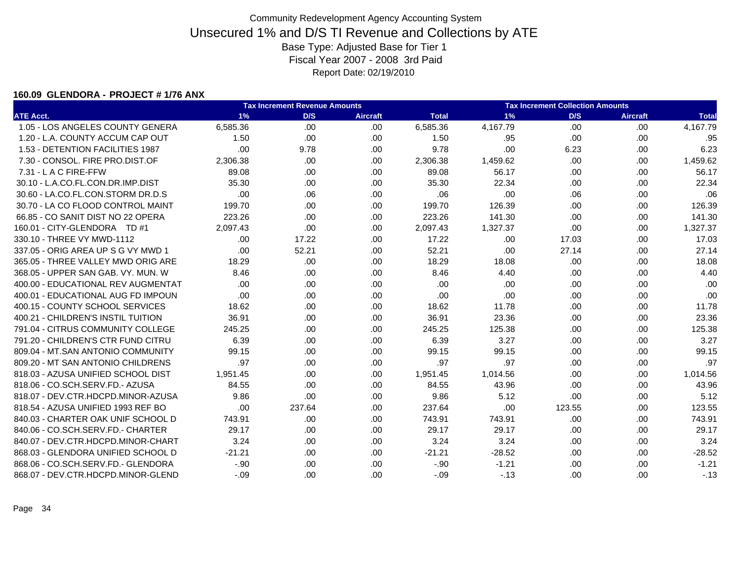#### **160.09 GLENDORA - PROJECT # 1/76 ANX**

|                                    |          | <b>Tax Increment Revenue Amounts</b> |                 |              |          | <b>Tax Increment Collection Amounts</b> |                 |              |  |  |  |  |
|------------------------------------|----------|--------------------------------------|-----------------|--------------|----------|-----------------------------------------|-----------------|--------------|--|--|--|--|
| <b>ATE Acct.</b>                   | 1%       | D/S                                  | <b>Aircraft</b> | <b>Total</b> | 1%       | D/S                                     | <b>Aircraft</b> | <b>Total</b> |  |  |  |  |
| 1.05 - LOS ANGELES COUNTY GENERA   | 6,585.36 | .00                                  | .00.            | 6,585.36     | 4,167.79 | .00                                     | .00             | 4,167.79     |  |  |  |  |
| 1.20 - L.A. COUNTY ACCUM CAP OUT   | 1.50     | .00.                                 | .00             | 1.50         | .95      | .00.                                    | .00             | .95          |  |  |  |  |
| 1.53 - DETENTION FACILITIES 1987   | .00      | 9.78                                 | .00             | 9.78         | .00      | 6.23                                    | .00             | 6.23         |  |  |  |  |
| 7.30 - CONSOL. FIRE PRO.DIST.OF    | 2,306.38 | .00.                                 | .00             | 2,306.38     | 1,459.62 | .00                                     | .00             | 1,459.62     |  |  |  |  |
| 7.31 - L A C FIRE-FFW              | 89.08    | .00                                  | .00             | 89.08        | 56.17    | .00                                     | .00             | 56.17        |  |  |  |  |
| 30.10 - L.A.CO.FL.CON.DR.IMP.DIST  | 35.30    | .00.                                 | .00             | 35.30        | 22.34    | .00                                     | .00             | 22.34        |  |  |  |  |
| 30.60 - LA.CO.FL.CON.STORM DR.D.S  | .00      | .06                                  | .00             | .06          | .00      | .06                                     | .00             | .06          |  |  |  |  |
| 30.70 - LA CO FLOOD CONTROL MAINT  | 199.70   | .00.                                 | .00             | 199.70       | 126.39   | .00                                     | .00             | 126.39       |  |  |  |  |
| 66.85 - CO SANIT DIST NO 22 OPERA  | 223.26   | .00.                                 | .00             | 223.26       | 141.30   | .00                                     | .00.            | 141.30       |  |  |  |  |
| 160.01 - CITY-GLENDORA TD #1       | 2,097.43 | .00.                                 | .00             | 2,097.43     | 1,327.37 | .00                                     | .00             | 1,327.37     |  |  |  |  |
| 330.10 - THREE VY MWD-1112         | .00      | 17.22                                | .00             | 17.22        | .00      | 17.03                                   | .00             | 17.03        |  |  |  |  |
| 337.05 - ORIG AREA UP S G VY MWD 1 | .00      | 52.21                                | .00             | 52.21        | .00      | 27.14                                   | .00             | 27.14        |  |  |  |  |
| 365.05 - THREE VALLEY MWD ORIG ARE | 18.29    | .00                                  | .00             | 18.29        | 18.08    | .00                                     | .00             | 18.08        |  |  |  |  |
| 368.05 - UPPER SAN GAB. VY. MUN. W | 8.46     | .00                                  | .00             | 8.46         | 4.40     | .00                                     | .00             | 4.40         |  |  |  |  |
| 400.00 - EDUCATIONAL REV AUGMENTAT | .00      | .00                                  | .00.            | .00          | .00      | .00                                     | .00             | .00          |  |  |  |  |
| 400.01 - EDUCATIONAL AUG FD IMPOUN | .00      | .00                                  | .00             | .00          | .00      | .00                                     | .00             | .00          |  |  |  |  |
| 400.15 - COUNTY SCHOOL SERVICES    | 18.62    | .00                                  | .00             | 18.62        | 11.78    | .00                                     | .00             | 11.78        |  |  |  |  |
| 400.21 - CHILDREN'S INSTIL TUITION | 36.91    | .00.                                 | .00             | 36.91        | 23.36    | .00                                     | .00             | 23.36        |  |  |  |  |
| 791.04 - CITRUS COMMUNITY COLLEGE  | 245.25   | .00                                  | .00             | 245.25       | 125.38   | .00                                     | .00             | 125.38       |  |  |  |  |
| 791.20 - CHILDREN'S CTR FUND CITRU | 6.39     | .00.                                 | .00             | 6.39         | 3.27     | .00                                     | .00             | 3.27         |  |  |  |  |
| 809.04 - MT.SAN ANTONIO COMMUNITY  | 99.15    | .00.                                 | .00             | 99.15        | 99.15    | .00                                     | .00             | 99.15        |  |  |  |  |
| 809.20 - MT SAN ANTONIO CHILDRENS  | .97      | .00.                                 | .00             | .97          | .97      | .00                                     | .00             | .97          |  |  |  |  |
| 818.03 - AZUSA UNIFIED SCHOOL DIST | 1,951.45 | .00                                  | .00             | 1,951.45     | 1,014.56 | .00                                     | .00             | 1,014.56     |  |  |  |  |
| 818.06 - CO.SCH.SERV.FD.- AZUSA    | 84.55    | .00.                                 | .00.            | 84.55        | 43.96    | .00                                     | .00             | 43.96        |  |  |  |  |
| 818.07 - DEV.CTR.HDCPD.MINOR-AZUSA | 9.86     | .00                                  | .00             | 9.86         | 5.12     | .00                                     | .00             | 5.12         |  |  |  |  |
| 818.54 - AZUSA UNIFIED 1993 REF BO | .00      | 237.64                               | .00             | 237.64       | .00      | 123.55                                  | .00             | 123.55       |  |  |  |  |
| 840.03 - CHARTER OAK UNIF SCHOOL D | 743.91   | .00                                  | .00             | 743.91       | 743.91   | .00                                     | .00             | 743.91       |  |  |  |  |
| 840.06 - CO.SCH.SERV.FD.- CHARTER  | 29.17    | .00.                                 | .00.            | 29.17        | 29.17    | .00                                     | .00             | 29.17        |  |  |  |  |
| 840.07 - DEV.CTR.HDCPD.MINOR-CHART | 3.24     | .00.                                 | .00.            | 3.24         | 3.24     | .00                                     | .00             | 3.24         |  |  |  |  |
| 868.03 - GLENDORA UNIFIED SCHOOL D | $-21.21$ | .00.                                 | .00             | $-21.21$     | $-28.52$ | .00                                     | .00             | $-28.52$     |  |  |  |  |
| 868.06 - CO.SCH.SERV.FD.- GLENDORA | $-.90$   | .00.                                 | .00             | $-.90$       | $-1.21$  | .00.                                    | .00             | $-1.21$      |  |  |  |  |
| 868.07 - DEV.CTR.HDCPD.MINOR-GLEND | $-.09$   | .00                                  | .00             | $-.09$       | $-13$    | .00                                     | .00.            | $-.13$       |  |  |  |  |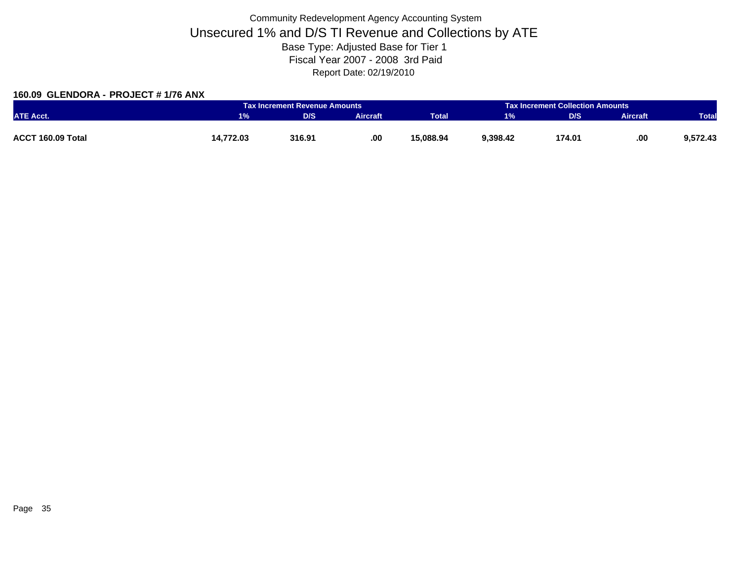### **160.09 GLENDORA - PROJECT # 1/76 ANX**

|                   |           | <b>Tax Increment Revenue Amounts</b> |                 |              |          | <b>Tax Increment Collection Amounts</b> |                 |              |  |
|-------------------|-----------|--------------------------------------|-----------------|--------------|----------|-----------------------------------------|-----------------|--------------|--|
| <b>ATE Acct.</b>  | 1%        | D/S                                  | <b>Aircraft</b> | <b>Total</b> | 1%       | D/S                                     | <b>Aircraft</b> | <b>Total</b> |  |
|                   |           |                                      |                 |              |          |                                         |                 |              |  |
| ACCT 160.09 Total | 14,772.03 | 316.91                               | .00             | 15,088.94    | 9,398.42 | 174.01                                  | .00             | 9,572.43     |  |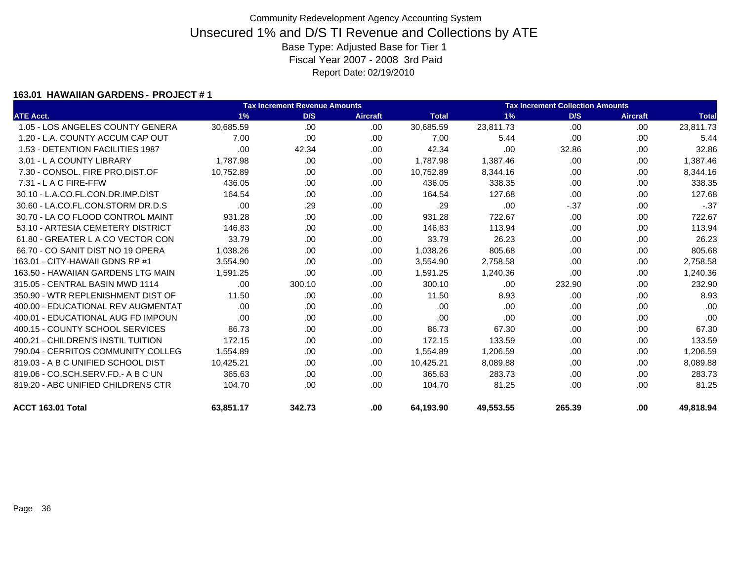### **163.01 HAWAIIAN GARDENS - PROJECT # 1**

|                                    | <b>Tax Increment Revenue Amounts</b> |        |                 |              | <b>Tax Increment Collection Amounts</b> |        |                 |              |  |
|------------------------------------|--------------------------------------|--------|-----------------|--------------|-----------------------------------------|--------|-----------------|--------------|--|
| <b>ATE Acct.</b>                   | 1%                                   | D/S    | <b>Aircraft</b> | <b>Total</b> | 1%                                      | D/S    | <b>Aircraft</b> | <b>Total</b> |  |
| 1.05 - LOS ANGELES COUNTY GENERA   | 30,685.59                            | .00    | .00             | 30,685.59    | 23,811.73                               | .00    | .00.            | 23,811.73    |  |
| 1.20 - L.A. COUNTY ACCUM CAP OUT   | 7.00                                 | .00    | .00             | 7.00         | 5.44                                    | .00    | .00             | 5.44         |  |
| 1.53 - DETENTION FACILITIES 1987   | .00                                  | 42.34  | .00             | 42.34        | .00                                     | 32.86  | .00             | 32.86        |  |
| 3.01 - L A COUNTY LIBRARY          | 1.787.98                             | .00.   | .00             | 1,787.98     | 1,387.46                                | .00    | .00             | 1,387.46     |  |
| 7.30 - CONSOL, FIRE PRO.DIST.OF    | 10,752.89                            | .00    | .00             | 10,752.89    | 8,344.16                                | .00    | .00             | 8,344.16     |  |
| $7.31 - L$ A C FIRE-FFW            | 436.05                               | .00    | .00             | 436.05       | 338.35                                  | .00    | .00             | 338.35       |  |
| 30.10 - L.A.CO.FL.CON.DR.IMP.DIST  | 164.54                               | .00.   | .00             | 164.54       | 127.68                                  | .00    | .00             | 127.68       |  |
| 30.60 - LA.CO.FL.CON.STORM DR.D.S  | .00                                  | .29    | .00             | .29          | .00                                     | $-37$  | .00             | $-.37$       |  |
| 30.70 - LA CO FLOOD CONTROL MAINT  | 931.28                               | .00.   | .00             | 931.28       | 722.67                                  | .00    | .00             | 722.67       |  |
| 53.10 - ARTESIA CEMETERY DISTRICT  | 146.83                               | .00.   | .00             | 146.83       | 113.94                                  | .00    | .00.            | 113.94       |  |
| 61.80 - GREATER L A CO VECTOR CON  | 33.79                                | .00.   | .00             | 33.79        | 26.23                                   | .00    | .00             | 26.23        |  |
| 66.70 - CO SANIT DIST NO 19 OPERA  | 1,038.26                             | .00.   | .00             | 1,038.26     | 805.68                                  | .00    | .00             | 805.68       |  |
| 163.01 - CITY-HAWAII GDNS RP #1    | 3.554.90                             | .00.   | .00             | 3.554.90     | 2,758.58                                | .00    | .00             | 2,758.58     |  |
| 163.50 - HAWAIIAN GARDENS LTG MAIN | 1,591.25                             | .00    | .00             | 1,591.25     | 1,240.36                                | .00    | .00             | 1,240.36     |  |
| 315.05 - CENTRAL BASIN MWD 1114    | .00                                  | 300.10 | .00             | 300.10       | .00                                     | 232.90 | .00             | 232.90       |  |
| 350.90 - WTR REPLENISHMENT DIST OF | 11.50                                | .00.   | .00             | 11.50        | 8.93                                    | .00    | .00.            | 8.93         |  |
| 400.00 - EDUCATIONAL REV AUGMENTAT | .00                                  | .00.   | .00.            | .00          | .00                                     | .00    | .00             | .00          |  |
| 400.01 - EDUCATIONAL AUG FD IMPOUN | .00.                                 | .00    | .00             | .00          | .00                                     | .00    | .00             | .00          |  |
| 400.15 - COUNTY SCHOOL SERVICES    | 86.73                                | .00.   | .00             | 86.73        | 67.30                                   | .00.   | .00.            | 67.30        |  |
| 400.21 - CHILDREN'S INSTIL TUITION | 172.15                               | .00.   | .00             | 172.15       | 133.59                                  | .00    | .00             | 133.59       |  |
| 790.04 - CERRITOS COMMUNITY COLLEG | 1.554.89                             | .00.   | .00             | 1,554.89     | 1,206.59                                | .00    | .00             | 1,206.59     |  |
| 819.03 - A B C UNIFIED SCHOOL DIST | 10,425.21                            | .00.   | .00             | 10,425.21    | 8,089.88                                | .00.   | .00             | 8,089.88     |  |
| 819.06 - CO.SCH.SERV.FD.- A B C UN | 365.63                               | .00.   | .00             | 365.63       | 283.73                                  | .00    | .00             | 283.73       |  |
| 819.20 - ABC UNIFIED CHILDRENS CTR | 104.70                               | .00.   | .00             | 104.70       | 81.25                                   | .00    | .00.            | 81.25        |  |
| <b>ACCT 163.01 Total</b>           | 63,851.17                            | 342.73 | .00             | 64,193.90    | 49,553.55                               | 265.39 | .00             | 49,818.94    |  |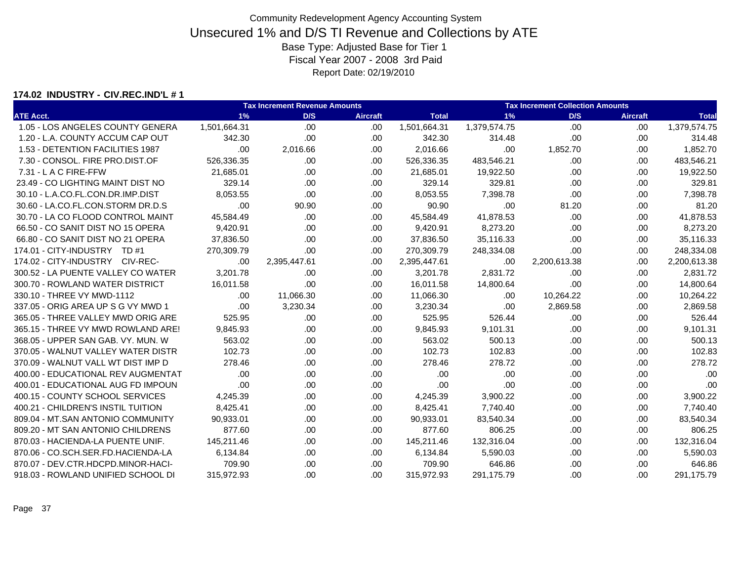#### **174.02 INDUSTRY - CIV.REC.IND'L # 1**

|                                    |              | <b>Tax Increment Revenue Amounts</b> |                 |              |              | <b>Tax Increment Collection Amounts</b> |                 |              |  |  |
|------------------------------------|--------------|--------------------------------------|-----------------|--------------|--------------|-----------------------------------------|-----------------|--------------|--|--|
| <b>ATE Acct.</b>                   | 1%           | D/S                                  | <b>Aircraft</b> | <b>Total</b> | 1%           | D/S                                     | <b>Aircraft</b> | <b>Total</b> |  |  |
| 1.05 - LOS ANGELES COUNTY GENERA   | 1,501,664.31 | .00                                  | .00.            | 1,501,664.31 | 1,379,574.75 | .00                                     | .00             | 1,379,574.75 |  |  |
| 1.20 - L.A. COUNTY ACCUM CAP OUT   | 342.30       | .00                                  | .00             | 342.30       | 314.48       | .00                                     | .00             | 314.48       |  |  |
| 1.53 - DETENTION FACILITIES 1987   | .00          | 2,016.66                             | .00.            | 2,016.66     | .00          | 1,852.70                                | .00             | 1,852.70     |  |  |
| 7.30 - CONSOL. FIRE PRO.DIST.OF    | 526,336.35   | .00                                  | .00.            | 526,336.35   | 483,546.21   | .00                                     | .00             | 483,546.21   |  |  |
| $7.31 - L$ A C FIRE-FFW            | 21.685.01    | .00                                  | .00             | 21,685.01    | 19,922.50    | .00                                     | .00             | 19,922.50    |  |  |
| 23.49 - CO LIGHTING MAINT DIST NO  | 329.14       | .00                                  | .00             | 329.14       | 329.81       | .00                                     | .00             | 329.81       |  |  |
| 30.10 - L.A.CO.FL.CON.DR.IMP.DIST  | 8.053.55     | .00                                  | .00.            | 8,053.55     | 7,398.78     | .00                                     | .00             | 7,398.78     |  |  |
| 30.60 - LA.CO.FL.CON.STORM DR.D.S  | .00          | 90.90                                | .00.            | 90.90        | .00          | 81.20                                   | .00.            | 81.20        |  |  |
| 30.70 - LA CO FLOOD CONTROL MAINT  | 45,584.49    | .00                                  | .00             | 45,584.49    | 41,878.53    | .00                                     | .00             | 41,878.53    |  |  |
| 66.50 - CO SANIT DIST NO 15 OPERA  | 9,420.91     | .00                                  | .00.            | 9,420.91     | 8,273.20     | .00                                     | .00             | 8,273.20     |  |  |
| 66.80 - CO SANIT DIST NO 21 OPERA  | 37,836.50    | .00                                  | .00             | 37,836.50    | 35,116.33    | .00                                     | .00             | 35,116.33    |  |  |
| 174.01 - CITY-INDUSTRY TD #1       | 270,309.79   | .00                                  | .00.            | 270,309.79   | 248,334.08   | .00                                     | .00             | 248,334.08   |  |  |
| 174.02 - CITY-INDUSTRY CIV-REC-    | .00.         | 2,395,447.61                         | .00             | 2,395,447.61 | .00          | 2,200,613.38                            | .00             | 2,200,613.38 |  |  |
| 300.52 - LA PUENTE VALLEY CO WATER | 3,201.78     | .00                                  | .00.            | 3,201.78     | 2,831.72     | .00                                     | .00             | 2,831.72     |  |  |
| 300.70 - ROWLAND WATER DISTRICT    | 16,011.58    | .00                                  | .00             | 16,011.58    | 14,800.64    | .00                                     | .00             | 14,800.64    |  |  |
| 330.10 - THREE VY MWD-1112         | .00          | 11,066.30                            | .00.            | 11,066.30    | .00          | 10,264.22                               | .00             | 10,264.22    |  |  |
| 337.05 - ORIG AREA UP S G VY MWD 1 | .00          | 3.230.34                             | .00             | 3,230.34     | .00          | 2.869.58                                | .00             | 2,869.58     |  |  |
| 365.05 - THREE VALLEY MWD ORIG ARE | 525.95       | .00.                                 | .00             | 525.95       | 526.44       | .00                                     | .00             | 526.44       |  |  |
| 365.15 - THREE VY MWD ROWLAND ARE! | 9,845.93     | .00                                  | .00             | 9,845.93     | 9,101.31     | .00                                     | .00.            | 9,101.31     |  |  |
| 368.05 - UPPER SAN GAB, VY, MUN, W | 563.02       | .00                                  | .00             | 563.02       | 500.13       | .00                                     | .00             | 500.13       |  |  |
| 370.05 - WALNUT VALLEY WATER DISTR | 102.73       | .00                                  | .00             | 102.73       | 102.83       | .00                                     | .00             | 102.83       |  |  |
| 370.09 - WALNUT VALL WT DIST IMP D | 278.46       | .00.                                 | .00.            | 278.46       | 278.72       | .00                                     | .00             | 278.72       |  |  |
| 400.00 - EDUCATIONAL REV AUGMENTAT | .00          | .00                                  | .00             | .00          | .00          | .00                                     | .00.            | .00          |  |  |
| 400.01 - EDUCATIONAL AUG FD IMPOUN | .00          | .00                                  | .00.            | .00          | .00          | .00                                     | .00             | .00          |  |  |
| 400.15 - COUNTY SCHOOL SERVICES    | 4,245.39     | .00                                  | .00             | 4,245.39     | 3,900.22     | .00                                     | .00             | 3,900.22     |  |  |
| 400.21 - CHILDREN'S INSTIL TUITION | 8,425.41     | .00.                                 | .00             | 8,425.41     | 7,740.40     | .00                                     | .00             | 7,740.40     |  |  |
| 809.04 - MT.SAN ANTONIO COMMUNITY  | 90,933.01    | .00.                                 | .00.            | 90,933.01    | 83,540.34    | .00                                     | .00             | 83,540.34    |  |  |
| 809.20 - MT SAN ANTONIO CHILDRENS  | 877.60       | .00                                  | .00.            | 877.60       | 806.25       | .00                                     | .00.            | 806.25       |  |  |
| 870.03 - HACIENDA-LA PUENTE UNIF.  | 145,211.46   | .00                                  | .00.            | 145,211.46   | 132,316.04   | .00                                     | .00             | 132,316.04   |  |  |
| 870.06 - CO.SCH.SER.FD.HACIENDA-LA | 6,134.84     | .00                                  | .00             | 6,134.84     | 5,590.03     | .00                                     | .00             | 5,590.03     |  |  |
| 870.07 - DEV.CTR.HDCPD.MINOR-HACI- | 709.90       | .00.                                 | .00.            | 709.90       | 646.86       | .00                                     | .00             | 646.86       |  |  |
| 918.03 - ROWLAND UNIFIED SCHOOL DI | 315.972.93   | .00                                  | .00.            | 315,972.93   | 291.175.79   | .00                                     | .00.            | 291,175.79   |  |  |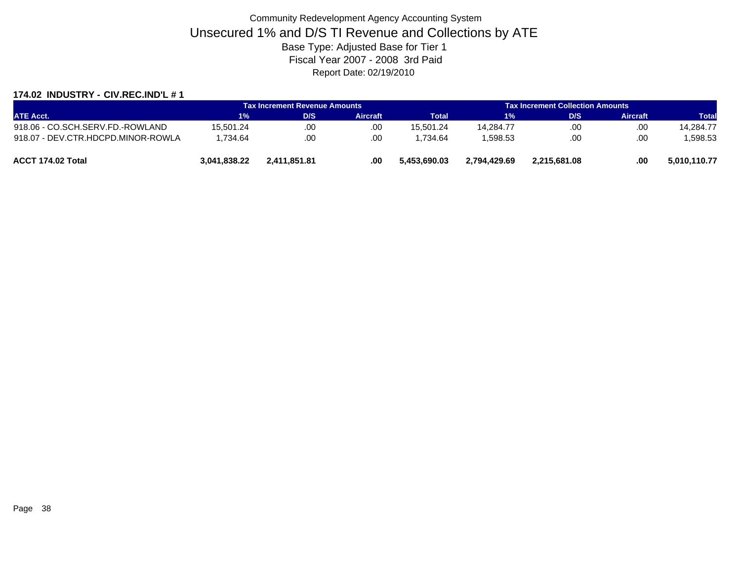### **174.02 INDUSTRY - CIV.REC.IND'L # 1**

|                                    |              | <b>Tax Increment Revenue Amounts</b> |                 |              | <b>Tax Increment Collection Amounts</b> |              |                 |              |
|------------------------------------|--------------|--------------------------------------|-----------------|--------------|-----------------------------------------|--------------|-----------------|--------------|
| <b>ATE Acct.</b>                   | 1%           | D/S                                  | <b>Aircraft</b> | Total        | 1%                                      | D/S          | <b>Aircraft</b> | Total        |
| 918.06 - CO.SCH.SERV.FD.-ROWLAND   | 15.501.24    | .00                                  | .00             | 15.501.24    | 14.284.77                               | .00          | .00             | 14.284.77    |
| 918.07 - DEV.CTR.HDCPD.MINOR-ROWLA | 1.734.64     | .00                                  | .00             | 1.734.64     | .598.53                                 | .00          | .00             | 1.598.53     |
| ACCT 174.02 Total                  | 3.041.838.22 | 2.411.851.81                         | .00             | 5.453.690.03 | 2.794.429.69                            | 2.215.681.08 | .00             | 5,010,110.77 |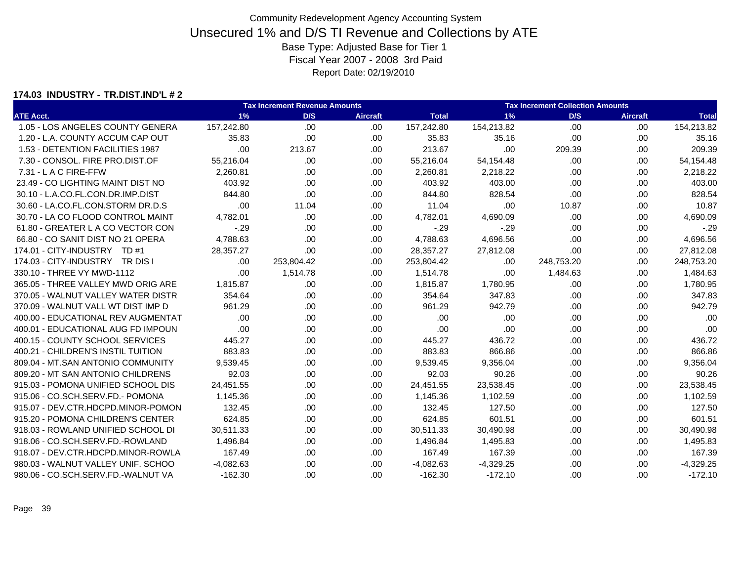#### **174.03 INDUSTRY - TR.DIST.IND'L # 2**

|                                    |             | <b>Tax Increment Revenue Amounts</b> |                 |              |             | <b>Tax Increment Collection Amounts</b> |                 |              |  |  |  |
|------------------------------------|-------------|--------------------------------------|-----------------|--------------|-------------|-----------------------------------------|-----------------|--------------|--|--|--|
| <b>ATE Acct.</b>                   | 1%          | D/S                                  | <b>Aircraft</b> | <b>Total</b> | 1%          | D/S                                     | <b>Aircraft</b> | <b>Total</b> |  |  |  |
| 1.05 - LOS ANGELES COUNTY GENERA   | 157,242.80  | .00                                  | .00             | 157,242.80   | 154,213.82  | .00                                     | .00             | 154,213.82   |  |  |  |
| 1.20 - L.A. COUNTY ACCUM CAP OUT   | 35.83       | .00                                  | .00             | 35.83        | 35.16       | .00                                     | .00             | 35.16        |  |  |  |
| 1.53 - DETENTION FACILITIES 1987   | .00         | 213.67                               | .00.            | 213.67       | .00         | 209.39                                  | .00             | 209.39       |  |  |  |
| 7.30 - CONSOL. FIRE PRO.DIST.OF    | 55,216.04   | .00                                  | .00.            | 55,216.04    | 54,154.48   | .00                                     | .00             | 54,154.48    |  |  |  |
| $7.31 - L$ A C FIRE-FFW            | 2.260.81    | .00                                  | .00             | 2.260.81     | 2,218.22    | .00                                     | .00             | 2,218.22     |  |  |  |
| 23.49 - CO LIGHTING MAINT DIST NO  | 403.92      | .00                                  | .00             | 403.92       | 403.00      | .00                                     | .00             | 403.00       |  |  |  |
| 30.10 - L.A.CO.FL.CON.DR.IMP.DIST  | 844.80      | .00                                  | .00.            | 844.80       | 828.54      | .00                                     | .00             | 828.54       |  |  |  |
| 30.60 - LA.CO.FL.CON.STORM DR.D.S  | .00         | 11.04                                | .00.            | 11.04        | .00         | 10.87                                   | .00.            | 10.87        |  |  |  |
| 30.70 - LA CO FLOOD CONTROL MAINT  | 4,782.01    | .00                                  | .00             | 4,782.01     | 4,690.09    | .00                                     | .00             | 4,690.09     |  |  |  |
| 61.80 - GREATER L A CO VECTOR CON  | $-29$       | .00                                  | .00             | $-.29$       | $-29$       | .00                                     | .00             | $-.29$       |  |  |  |
| 66.80 - CO SANIT DIST NO 21 OPERA  | 4,788.63    | .00                                  | .00             | 4,788.63     | 4,696.56    | .00                                     | .00             | 4,696.56     |  |  |  |
| 174.01 - CITY-INDUSTRY TD #1       | 28,357.27   | .00                                  | .00.            | 28,357.27    | 27,812.08   | .00                                     | .00             | 27,812.08    |  |  |  |
| 174.03 - CITY-INDUSTRY TR DIS I    | .00.        | 253,804.42                           | .00             | 253,804.42   | .00         | 248,753.20                              | .00             | 248,753.20   |  |  |  |
| 330.10 - THREE VY MWD-1112         | .00         | 1,514.78                             | .00.            | 1,514.78     | .00         | 1,484.63                                | .00             | 1,484.63     |  |  |  |
| 365.05 - THREE VALLEY MWD ORIG ARE | 1,815.87    | .00                                  | .00             | 1,815.87     | 1,780.95    | .00                                     | .00             | 1,780.95     |  |  |  |
| 370.05 - WALNUT VALLEY WATER DISTR | 354.64      | .00                                  | .00             | 354.64       | 347.83      | .00                                     | .00             | 347.83       |  |  |  |
| 370.09 - WALNUT VALL WT DIST IMP D | 961.29      | .00                                  | .00             | 961.29       | 942.79      | .00                                     | .00             | 942.79       |  |  |  |
| 400.00 - EDUCATIONAL REV AUGMENTAT | .00         | .00                                  | .00.            | .00          | .00         | .00                                     | .00             | .00          |  |  |  |
| 400.01 - EDUCATIONAL AUG FD IMPOUN | .00         | .00                                  | .00             | .00          | .00         | .00                                     | .00.            | .00          |  |  |  |
| 400.15 - COUNTY SCHOOL SERVICES    | 445.27      | .00                                  | .00             | 445.27       | 436.72      | .00                                     | .00             | 436.72       |  |  |  |
| 400.21 - CHILDREN'S INSTIL TUITION | 883.83      | .00                                  | .00             | 883.83       | 866.86      | .00                                     | .00             | 866.86       |  |  |  |
| 809.04 - MT.SAN ANTONIO COMMUNITY  | 9,539.45    | .00.                                 | .00.            | 9,539.45     | 9,356.04    | .00                                     | .00             | 9,356.04     |  |  |  |
| 809.20 - MT SAN ANTONIO CHILDRENS  | 92.03       | .00                                  | .00             | 92.03        | 90.26       | .00                                     | .00             | 90.26        |  |  |  |
| 915.03 - POMONA UNIFIED SCHOOL DIS | 24,451.55   | .00                                  | .00.            | 24,451.55    | 23,538.45   | .00                                     | .00             | 23,538.45    |  |  |  |
| 915.06 - CO.SCH.SERV.FD.- POMONA   | 1,145.36    | .00                                  | .00             | 1,145.36     | 1,102.59    | .00                                     | .00             | 1,102.59     |  |  |  |
| 915.07 - DEV.CTR.HDCPD.MINOR-POMON | 132.45      | .00                                  | .00             | 132.45       | 127.50      | .00                                     | .00             | 127.50       |  |  |  |
| 915.20 - POMONA CHILDREN'S CENTER  | 624.85      | .00                                  | .00.            | 624.85       | 601.51      | .00                                     | .00             | 601.51       |  |  |  |
| 918.03 - ROWLAND UNIFIED SCHOOL DI | 30,511.33   | .00                                  | .00             | 30,511.33    | 30,490.98   | .00                                     | .00             | 30,490.98    |  |  |  |
| 918.06 - CO.SCH.SERV.FD.-ROWLAND   | 1,496.84    | .00                                  | .00             | 1,496.84     | 1,495.83    | .00                                     | .00             | 1,495.83     |  |  |  |
| 918.07 - DEV.CTR.HDCPD.MINOR-ROWLA | 167.49      | .00                                  | .00.            | 167.49       | 167.39      | .00                                     | .00             | 167.39       |  |  |  |
| 980.03 - WALNUT VALLEY UNIF, SCHOO | $-4,082.63$ | .00.                                 | .00.            | $-4,082.63$  | $-4,329.25$ | .00                                     | .00             | $-4,329.25$  |  |  |  |
| 980.06 - CO.SCH.SERV.FD.-WALNUT VA | $-162.30$   | .00                                  | .00             | $-162.30$    | $-172.10$   | .00                                     | .00             | $-172.10$    |  |  |  |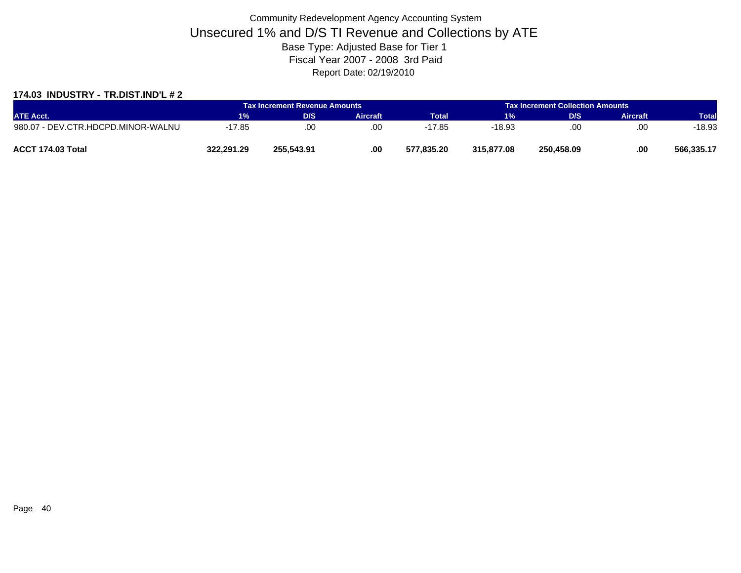### **174.03 INDUSTRY - TR.DIST.IND'L # 2**

|                                    |            | Tax Increment Revenue Amounts |          | <b>Tax Increment Collection Amounts /</b> |            |            |                 |              |
|------------------------------------|------------|-------------------------------|----------|-------------------------------------------|------------|------------|-----------------|--------------|
| <b>ATE Acct.</b>                   | 1%         | D/S                           | Aircraft | <b>Total</b>                              | 1%         | D/S        | <b>Aircraft</b> | <b>Total</b> |
| 980.07 - DEV.CTR.HDCPD.MINOR-WALNU | 17.85      | .00                           | .00      | 17.85                                     | -18.93     | .00.       | .00             | $-18.93$     |
| ACCT 174.03 Total                  | 322.291.29 | 255.543.91                    | .00      | 577.835.20                                | 315,877,08 | 250.458.09 | .00             | 566.335.17   |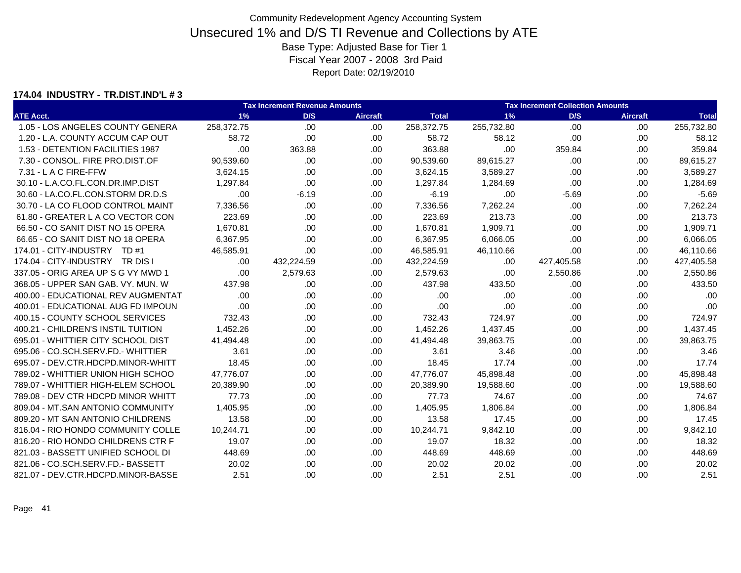#### **174.04 INDUSTRY - TR.DIST.IND'L # 3**

|                                    |            | <b>Tax Increment Revenue Amounts</b> |                 |              |            | <b>Tax Increment Collection Amounts</b> |                 |              |
|------------------------------------|------------|--------------------------------------|-----------------|--------------|------------|-----------------------------------------|-----------------|--------------|
| <b>ATE Acct.</b>                   | 1%         | D/S                                  | <b>Aircraft</b> | <b>Total</b> | 1%         | D/S                                     | <b>Aircraft</b> | <b>Total</b> |
| 1.05 - LOS ANGELES COUNTY GENERA   | 258,372.75 | .00                                  | .00             | 258,372.75   | 255,732.80 | .00                                     | .00             | 255,732.80   |
| 1.20 - L.A. COUNTY ACCUM CAP OUT   | 58.72      | .00                                  | .00             | 58.72        | 58.12      | .00                                     | .00             | 58.12        |
| 1.53 - DETENTION FACILITIES 1987   | .00        | 363.88                               | .00.            | 363.88       | .00        | 359.84                                  | .00             | 359.84       |
| 7.30 - CONSOL. FIRE PRO.DIST.OF    | 90,539.60  | .00                                  | .00.            | 90,539.60    | 89,615.27  | .00                                     | .00             | 89,615.27    |
| $7.31 - L$ A C FIRE-FFW            | 3,624.15   | .00                                  | .00             | 3.624.15     | 3,589.27   | .00                                     | .00             | 3,589.27     |
| 30.10 - L.A.CO.FL.CON.DR.IMP.DIST  | 1.297.84   | .00                                  | .00             | 1,297.84     | 1,284.69   | .00                                     | .00             | 1,284.69     |
| 30.60 - LA.CO.FL.CON.STORM DR.D.S  | .00        | $-6.19$                              | .00.            | $-6.19$      | .00        | $-5.69$                                 | .00             | $-5.69$      |
| 30.70 - LA CO FLOOD CONTROL MAINT  | 7,336.56   | .00                                  | .00.            | 7,336.56     | 7,262.24   | .00                                     | .00.            | 7,262.24     |
| 61.80 - GREATER L A CO VECTOR CON  | 223.69     | .00                                  | .00             | 223.69       | 213.73     | .00                                     | .00             | 213.73       |
| 66.50 - CO SANIT DIST NO 15 OPERA  | 1,670.81   | .00                                  | .00.            | 1,670.81     | 1,909.71   | .00                                     | .00             | 1,909.71     |
| 66.65 - CO SANIT DIST NO 18 OPERA  | 6,367.95   | .00                                  | .00             | 6,367.95     | 6,066.05   | .00                                     | .00             | 6,066.05     |
| 174.01 - CITY-INDUSTRY TD #1       | 46.585.91  | .00                                  | .00.            | 46,585.91    | 46,110.66  | .00                                     | .00             | 46,110.66    |
| 174.04 - CITY-INDUSTRY TR DIS I    | .00.       | 432,224.59                           | .00             | 432,224.59   | .00        | 427,405.58                              | .00             | 427,405.58   |
| 337.05 - ORIG AREA UP S G VY MWD 1 | .00        | 2,579.63                             | .00.            | 2,579.63     | .00        | 2,550.86                                | .00             | 2,550.86     |
| 368.05 - UPPER SAN GAB, VY, MUN, W | 437.98     | .00                                  | .00             | 437.98       | 433.50     | .00                                     | .00.            | 433.50       |
| 400.00 - EDUCATIONAL REV AUGMENTAT | .00        | .00                                  | .00             | .00          | .00        | .00                                     | .00             | .00          |
| 400.01 - EDUCATIONAL AUG FD IMPOUN | .00        | .00                                  | .00             | .00          | .00        | .00                                     | .00.            | .00          |
| 400.15 - COUNTY SCHOOL SERVICES    | 732.43     | .00                                  | .00.            | 732.43       | 724.97     | .00                                     | .00             | 724.97       |
| 400.21 - CHILDREN'S INSTIL TUITION | 1,452.26   | .00                                  | .00             | 1,452.26     | 1,437.45   | .00                                     | .00             | 1,437.45     |
| 695.01 - WHITTIER CITY SCHOOL DIST | 41,494.48  | .00                                  | .00.            | 41,494.48    | 39,863.75  | .00                                     | .00             | 39,863.75    |
| 695.06 - CO.SCH.SERV.FD.- WHITTIER | 3.61       | .00                                  | .00             | 3.61         | 3.46       | .00                                     | .00             | 3.46         |
| 695.07 - DEV.CTR.HDCPD.MINOR-WHITT | 18.45      | .00.                                 | .00.            | 18.45        | 17.74      | .00                                     | .00             | 17.74        |
| 789.02 - WHITTIER UNION HIGH SCHOO | 47,776.07  | .00                                  | .00.            | 47,776.07    | 45,898.48  | .00                                     | .00             | 45,898.48    |
| 789.07 - WHITTIER HIGH-ELEM SCHOOL | 20,389.90  | .00                                  | .00.            | 20,389.90    | 19,588.60  | .00                                     | .00             | 19,588.60    |
| 789.08 - DEV CTR HDCPD MINOR WHITT | 77.73      | .00                                  | .00             | 77.73        | 74.67      | .00                                     | .00             | 74.67        |
| 809.04 - MT.SAN ANTONIO COMMUNITY  | 1,405.95   | .00.                                 | .00.            | 1,405.95     | 1,806.84   | .00                                     | .00             | 1,806.84     |
| 809.20 - MT SAN ANTONIO CHILDRENS  | 13.58      | .00.                                 | .00.            | 13.58        | 17.45      | .00                                     | .00             | 17.45        |
| 816.04 - RIO HONDO COMMUNITY COLLE | 10,244.71  | .00                                  | .00             | 10,244.71    | 9,842.10   | .00                                     | .00.            | 9,842.10     |
| 816.20 - RIO HONDO CHILDRENS CTR F | 19.07      | .00                                  | .00             | 19.07        | 18.32      | .00                                     | .00             | 18.32        |
| 821.03 - BASSETT UNIFIED SCHOOL DI | 448.69     | .00                                  | .00             | 448.69       | 448.69     | .00                                     | .00             | 448.69       |
| 821.06 - CO.SCH.SERV.FD.- BASSETT  | 20.02      | .00.                                 | .00.            | 20.02        | 20.02      | .00                                     | .00             | 20.02        |
| 821.07 - DEV.CTR.HDCPD.MINOR-BASSE | 2.51       | .00                                  | .00             | 2.51         | 2.51       | .00                                     | .00             | 2.51         |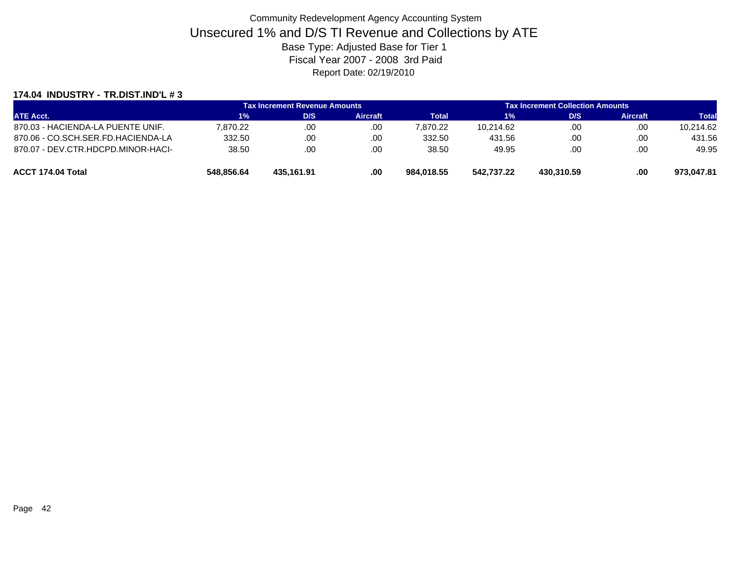#### **174.04 INDUSTRY - TR.DIST.IND'L # 3**

|                                    |            | <b>Tax Increment Revenue Amounts</b> |                 |              |            | <b>Tax Increment Collection Amounts</b> |                 |              |
|------------------------------------|------------|--------------------------------------|-----------------|--------------|------------|-----------------------------------------|-----------------|--------------|
| <b>ATE Acct.</b>                   | 1%         | D/S                                  | <b>Aircraft</b> | <b>Total</b> | $1\%$      | D/S                                     | <b>Aircraft</b> | <b>Total</b> |
| 870.03 - HACIENDA-LA PUENTE UNIF.  | 7.870.22   | .00                                  | .00             | 7.870.22     | 10.214.62  | .00                                     | .00             | 10,214.62    |
| 870.06 - CO.SCH.SER.FD.HACIENDA-LA | 332.50     | .00                                  | .00             | 332.50       | 431.56     | .00.                                    | .00             | 431.56       |
| 870.07 - DEV.CTR.HDCPD.MINOR-HACI- | 38.50      | .00                                  | .00             | 38.50        | 49.95      | .00                                     | .00             | 49.95        |
| ACCT 174.04 Total                  | 548.856.64 | 435.161.91                           | .00             | 984.018.55   | 542.737.22 | 430.310.59                              | .00             | 973.047.81   |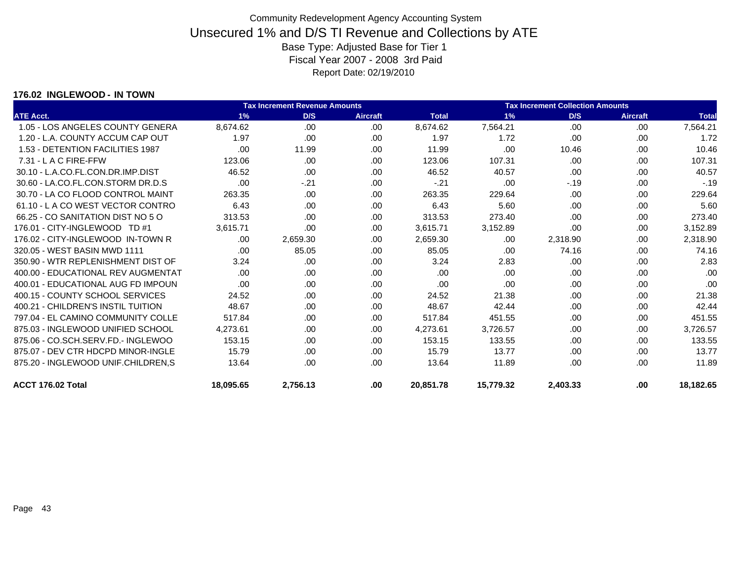### **176.02 INGLEWOOD - IN TOWN**

| <b>Tax Increment Revenue Amounts</b> |           |          |                 |              | <b>Tax Increment Collection Amounts</b> |          |                 |              |  |
|--------------------------------------|-----------|----------|-----------------|--------------|-----------------------------------------|----------|-----------------|--------------|--|
| <b>ATE Acct.</b>                     | 1%        | D/S      | <b>Aircraft</b> | <b>Total</b> | 1%                                      | D/S      | <b>Aircraft</b> | <b>Total</b> |  |
| 1.05 - LOS ANGELES COUNTY GENERA     | 8,674.62  | .00      | .00             | 8,674.62     | 7,564.21                                | .00      | .00.            | 7,564.21     |  |
| 1.20 - L.A. COUNTY ACCUM CAP OUT     | 1.97      | .00      | .00             | 1.97         | 1.72                                    | .00      | .00.            | 1.72         |  |
| 1.53 - DETENTION FACILITIES 1987     | .00       | 11.99    | .00             | 11.99        | .00                                     | 10.46    | .00             | 10.46        |  |
| $7.31 - L$ A C FIRE-FFW              | 123.06    | .00.     | .00             | 123.06       | 107.31                                  | .00.     | .00.            | 107.31       |  |
| 30.10 - L.A.CO.FL.CON.DR.IMP.DIST    | 46.52     | .00      | .00             | 46.52        | 40.57                                   | .00      | .00.            | 40.57        |  |
| 30.60 - LA.CO.FL.CON.STORM DR.D.S    | .00       | $-.21$   | .00             | $-.21$       | .00                                     | $-.19$   | .00.            | $-.19$       |  |
| 30.70 - LA CO FLOOD CONTROL MAINT    | 263.35    | .00.     | .00             | 263.35       | 229.64                                  | .00.     | .00.            | 229.64       |  |
| 61.10 - LA CO WEST VECTOR CONTRO     | 6.43      | .00.     | .00.            | 6.43         | 5.60                                    | .00.     | .00.            | 5.60         |  |
| 66.25 - CO SANITATION DIST NO 5 O    | 313.53    | .00.     | .00             | 313.53       | 273.40                                  | .00.     | .00.            | 273.40       |  |
| 176.01 - CITY-INGLEWOOD TD #1        | 3,615.71  | .00      | .00             | 3,615.71     | 3,152.89                                | .00      | .00             | 3,152.89     |  |
| 176.02 - CITY-INGLEWOOD IN-TOWN R    | .00.      | 2,659.30 | .00             | 2,659.30     | .00                                     | 2,318.90 | .00.            | 2,318.90     |  |
| 320.05 - WEST BASIN MWD 1111         | .00.      | 85.05    | .00             | 85.05        | .00                                     | 74.16    | .00             | 74.16        |  |
| 350.90 - WTR REPLENISHMENT DIST OF   | 3.24      | .00      | .00             | 3.24         | 2.83                                    | .00      | .00             | 2.83         |  |
| 400.00 - EDUCATIONAL REV AUGMENTAT   | .00.      | .00      | .00             | .00          | .00                                     | .00      | .00             | .00          |  |
| 400.01 - EDUCATIONAL AUG FD IMPOUN   | .00       | .00.     | .00             | .00          | .00                                     | .00      | .00.            | .00          |  |
| 400.15 - COUNTY SCHOOL SERVICES      | 24.52     | .00      | .00             | 24.52        | 21.38                                   | .00      | .00             | 21.38        |  |
| 400.21 - CHILDREN'S INSTIL TUITION   | 48.67     | .00      | .00.            | 48.67        | 42.44                                   | .00.     | .00             | 42.44        |  |
| 797.04 - EL CAMINO COMMUNITY COLLE   | 517.84    | .00.     | .00             | 517.84       | 451.55                                  | .00      | .00.            | 451.55       |  |
| 875.03 - INGLEWOOD UNIFIED SCHOOL    | 4.273.61  | .00.     | .00             | 4,273.61     | 3,726.57                                | .00.     | .00             | 3,726.57     |  |
| 875.06 - CO.SCH.SERV.FD.- INGLEWOO   | 153.15    | .00.     | .00.            | 153.15       | 133.55                                  | .00.     | .00.            | 133.55       |  |
| 875.07 - DEV CTR HDCPD MINOR-INGLE   | 15.79     | .00.     | .00.            | 15.79        | 13.77                                   | .00.     | .00.            | 13.77        |  |
| 875.20 - INGLEWOOD UNIF.CHILDREN,S   | 13.64     | .00      | .00             | 13.64        | 11.89                                   | .00      | .00             | 11.89        |  |
| ACCT 176.02 Total                    | 18.095.65 | 2.756.13 | .00             | 20.851.78    | 15,779.32                               | 2.403.33 | .00             | 18,182.65    |  |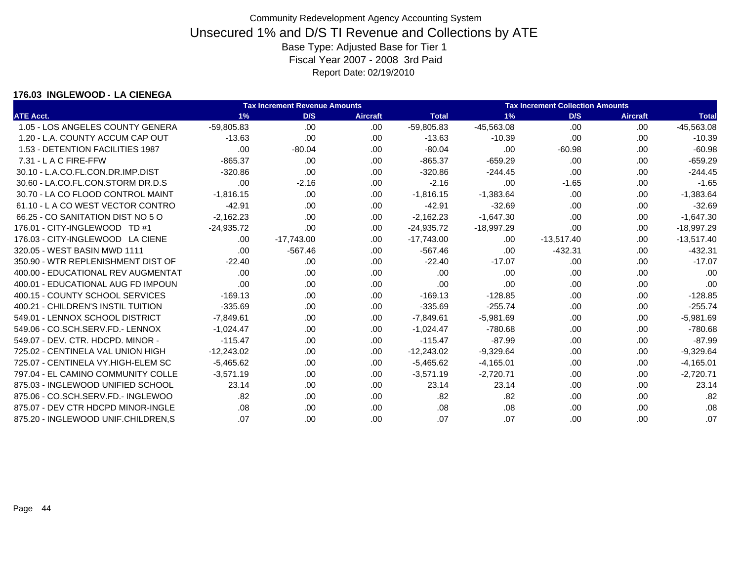#### **176.03 INGLEWOOD - LA CIENEGA**

|                                    | <b>Tax Increment Revenue Amounts</b> |              |                 | <b>Tax Increment Collection Amounts</b> |              |              |                 |              |
|------------------------------------|--------------------------------------|--------------|-----------------|-----------------------------------------|--------------|--------------|-----------------|--------------|
| <b>ATE Acct.</b>                   | 1%                                   | D/S          | <b>Aircraft</b> | <b>Total</b>                            | 1%           | D/S          | <b>Aircraft</b> | <b>Total</b> |
| 1.05 - LOS ANGELES COUNTY GENERA   | $-59,805.83$                         | .00          | .00             | $-59,805.83$                            | -45,563.08   | .00          | .00.            | $-45,563.08$ |
| 1.20 - L.A. COUNTY ACCUM CAP OUT   | $-13.63$                             | .00          | .00             | $-13.63$                                | $-10.39$     | .00          | .00             | $-10.39$     |
| 1.53 - DETENTION FACILITIES 1987   | .00                                  | $-80.04$     | .00             | $-80.04$                                | .00          | $-60.98$     | .00             | $-60.98$     |
| 7.31 - L A C FIRE-FFW              | $-865.37$                            | .00          | .00.            | $-865.37$                               | $-659.29$    | .00          | .00             | $-659.29$    |
| 30.10 - L.A.CO.FL.CON.DR.IMP.DIST  | $-320.86$                            | .00.         | .00             | $-320.86$                               | $-244.45$    | .00          | .00.            | $-244.45$    |
| 30.60 - LA.CO.FL.CON.STORM DR.D.S  | .00                                  | $-2.16$      | .00.            | $-2.16$                                 | .00          | $-1.65$      | .00             | $-1.65$      |
| 30.70 - LA CO FLOOD CONTROL MAINT  | $-1,816.15$                          | .00          | .00             | $-1,816.15$                             | $-1,383.64$  | .00          | .00             | $-1,383.64$  |
| 61.10 - L A CO WEST VECTOR CONTRO  | $-42.91$                             | .00          | .00             | $-42.91$                                | $-32.69$     | .00          | .00             | $-32.69$     |
| 66.25 - CO SANITATION DIST NO 5 O  | $-2,162.23$                          | .00          | .00.            | $-2,162.23$                             | $-1,647.30$  | .00          | .00             | $-1,647.30$  |
| 176.01 - CITY-INGLEWOOD TD #1      | $-24,935.72$                         | .00.         | .00.            | $-24,935.72$                            | $-18,997.29$ | .00          | .00.            | $-18,997.29$ |
| 176.03 - CITY-INGLEWOOD LA CIENE   | .00.                                 | $-17,743.00$ | .00.            | $-17,743.00$                            | .00          | $-13,517.40$ | .00             | $-13,517.40$ |
| 320.05 - WEST BASIN MWD 1111       | .00.                                 | $-567.46$    | .00             | $-567.46$                               | .00          | $-432.31$    | .00.            | $-432.31$    |
| 350.90 - WTR REPLENISHMENT DIST OF | $-22.40$                             | .00          | .00             | $-22.40$                                | $-17.07$     | .00          | .00.            | $-17.07$     |
| 400.00 - EDUCATIONAL REV AUGMENTAT | .00                                  | .00          | .00             | .00                                     | .00          | .00          | .00.            | .00          |
| 400.01 - EDUCATIONAL AUG FD IMPOUN | .00                                  | .00.         | .00             | .00                                     | .00          | .00          | .00.            | .00          |
| 400.15 - COUNTY SCHOOL SERVICES    | $-169.13$                            | .00          | .00             | $-169.13$                               | $-128.85$    | .00          | .00             | $-128.85$    |
| 400.21 - CHILDREN'S INSTIL TUITION | $-335.69$                            | .00.         | .00             | $-335.69$                               | $-255.74$    | .00          | .00             | $-255.74$    |
| 549.01 - LENNOX SCHOOL DISTRICT    | $-7,849.61$                          | .00          | .00             | $-7,849.61$                             | $-5,981.69$  | .00          | .00             | $-5,981.69$  |
| 549.06 - CO.SCH.SERV.FD.- LENNOX   | $-1,024.47$                          | .00.         | .00.            | $-1,024.47$                             | $-780.68$    | .00          | .00             | $-780.68$    |
| 549.07 - DEV. CTR. HDCPD. MINOR -  | $-115.47$                            | .00.         | .00             | $-115.47$                               | $-87.99$     | .00          | .00.            | $-87.99$     |
| 725.02 - CENTINELA VAL UNION HIGH  | $-12,243.02$                         | .00          | .00             | $-12,243.02$                            | $-9,329.64$  | .00          | .00             | $-9,329.64$  |
| 725.07 - CENTINELA VY.HIGH-ELEM SC | $-5,465.62$                          | .00.         | .00             | $-5,465.62$                             | $-4,165.01$  | .00          | .00             | $-4,165.01$  |
| 797.04 - EL CAMINO COMMUNITY COLLE | $-3,571.19$                          | .00          | .00             | $-3,571.19$                             | $-2,720.71$  | .00          | .00             | $-2,720.71$  |
| 875.03 - INGLEWOOD UNIFIED SCHOOL  | 23.14                                | .00.         | .00             | 23.14                                   | 23.14        | .00          | .00             | 23.14        |
| 875.06 - CO.SCH.SERV.FD.- INGLEWOO | .82                                  | .00          | .00             | .82                                     | .82          | .00          | .00.            | .82          |
| 875.07 - DEV CTR HDCPD MINOR-INGLE | .08                                  | .00.         | .00             | .08                                     | .08          | .00          | .00             | .08          |
| 875.20 - INGLEWOOD UNIF.CHILDREN,S | .07                                  | .00.         | .00             | .07                                     | .07          | .00          | .00             | .07          |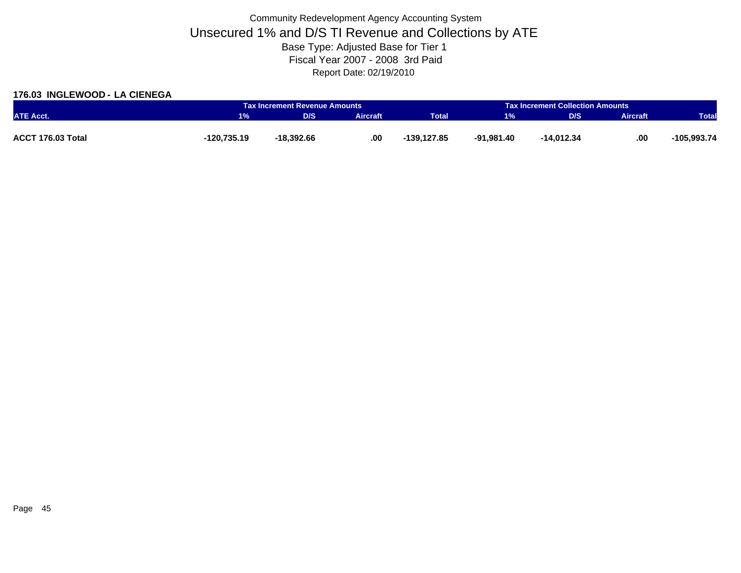### **176.03 INGLEWOOD - LA CIENEGA**

|                          |             | Tax Increment Revenue Amounts |                 |              | <b>Tax Increment Collection Amounts</b> |            |                 |               |
|--------------------------|-------------|-------------------------------|-----------------|--------------|-----------------------------------------|------------|-----------------|---------------|
| <b>ATE Acct.</b>         | 1%          | D/S                           | <b>Aircraft</b> | <b>Total</b> | 1%                                      | D/S        | <b>Aircraft</b> | <b>Total</b>  |
|                          |             |                               |                 |              |                                         |            |                 |               |
| <b>ACCT 176.03 Total</b> | -120,735.19 | -18.392.66                    | .00             | -139,127.85  | -91,981.40                              | -14,012.34 | .00             | $-105,993.74$ |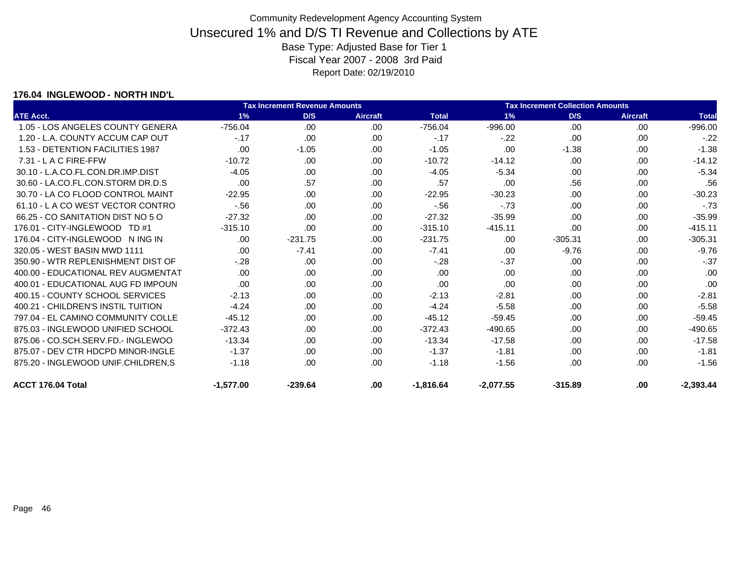### **176.04 INGLEWOOD - NORTH IND'L**

|                                    |             | Tax Increment Revenue Amounts |                 |              | <b>Tax Increment Collection Amounts</b> |           |                 |              |
|------------------------------------|-------------|-------------------------------|-----------------|--------------|-----------------------------------------|-----------|-----------------|--------------|
| <b>ATE Acct.</b>                   | 1%          | D/S                           | <b>Aircraft</b> | <b>Total</b> | 1%                                      | D/S       | <b>Aircraft</b> | <b>Total</b> |
| 1.05 - LOS ANGELES COUNTY GENERA   | $-756.04$   | .00.                          | .00             | $-756.04$    | $-996.00$                               | .00       | .00             | $-996.00$    |
| 1.20 - L.A. COUNTY ACCUM CAP OUT   | $-.17$      | .00                           | .00             | $-.17$       | $-.22$                                  | .00       | .00             | $-.22$       |
| 1.53 - DETENTION FACILITIES 1987   | .00         | $-1.05$                       | .00.            | $-1.05$      | .00                                     | $-1.38$   | .00             | $-1.38$      |
| $7.31 - L$ A C FIRE-FFW            | $-10.72$    | .00                           | .00             | $-10.72$     | $-14.12$                                | .00       | .00             | $-14.12$     |
| 30.10 - L.A.CO.FL.CON.DR.IMP.DIST  | $-4.05$     | .00.                          | .00             | $-4.05$      | $-5.34$                                 | .00       | .00             | $-5.34$      |
| 30.60 - LA.CO.FL.CON.STORM DR.D.S  | .00         | .57                           | .00             | .57          | .00                                     | .56       | .00             | .56          |
| 30.70 - LA CO FLOOD CONTROL MAINT  | $-22.95$    | .00.                          | .00.            | $-22.95$     | $-30.23$                                | .00       | .00             | $-30.23$     |
| 61.10 - L A CO WEST VECTOR CONTRO  | $-56$       | .00.                          | .00             | $-56$        | $-73$                                   | .00       | .00             | $-.73$       |
| 66.25 - CO SANITATION DIST NO 5 O  | $-27.32$    | .00.                          | .00             | $-27.32$     | $-35.99$                                | .00       | .00             | $-35.99$     |
| 176.01 - CITY-INGLEWOOD TD #1      | $-315.10$   | .00                           | .00             | $-315.10$    | $-415.11$                               | .00       | .00             | $-415.11$    |
| 176.04 - CITY-INGLEWOOD N ING IN   | .00         | $-231.75$                     | .00.            | $-231.75$    | .00                                     | $-305.31$ | .00             | $-305.31$    |
| 320.05 - WEST BASIN MWD 1111       | .00.        | $-7.41$                       | .00             | $-7.41$      | .00                                     | $-9.76$   | .00             | $-9.76$      |
| 350.90 - WTR REPLENISHMENT DIST OF | $-.28$      | .00                           | .00             | $-.28$       | $-37$                                   | .00       | .00             | $-.37$       |
| 400.00 - EDUCATIONAL REV AUGMENTAT | .00         | .00                           | .00             | .00          | .00                                     | .00       | .00             | .00          |
| 400.01 - EDUCATIONAL AUG FD IMPOUN | .00         | .00.                          | .00             | .00          | .00                                     | .00       | .00             | .00          |
| 400.15 - COUNTY SCHOOL SERVICES    | $-2.13$     | .00.                          | .00             | $-2.13$      | $-2.81$                                 | .00       | .00             | $-2.81$      |
| 400.21 - CHILDREN'S INSTIL TUITION | $-4.24$     | .00                           | .00             | $-4.24$      | $-5.58$                                 | .00       | .00             | $-5.58$      |
| 797.04 - EL CAMINO COMMUNITY COLLE | $-45.12$    | .00.                          | .00             | $-45.12$     | $-59.45$                                | .00       | .00             | $-59.45$     |
| 875.03 - INGLEWOOD UNIFIED SCHOOL  | $-372.43$   | .00                           | .00             | $-372.43$    | $-490.65$                               | .00       | .00             | -490.65      |
| 875.06 - CO.SCH.SERV.FD.- INGLEWOO | $-13.34$    | .00.                          | .00.            | $-13.34$     | $-17.58$                                | .00       | .00             | $-17.58$     |
| 875.07 - DEV CTR HDCPD MINOR-INGLE | $-1.37$     | .00.                          | .00             | $-1.37$      | $-1.81$                                 | .00       | .00.            | $-1.81$      |
| 875.20 - INGLEWOOD UNIF.CHILDREN,S | $-1.18$     | .00                           | .00             | $-1.18$      | $-1.56$                                 | .00       | .00             | $-1.56$      |
| ACCT 176.04 Total                  | $-1,577.00$ | $-239.64$                     | .00             | $-1,816.64$  | $-2,077.55$                             | $-315.89$ | .00             | $-2,393.44$  |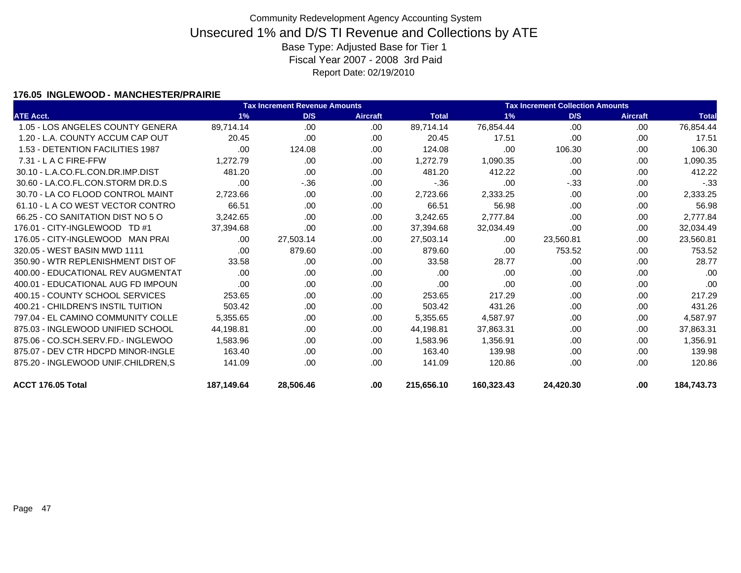### **176.05 INGLEWOOD - MANCHESTER/PRAIRIE**

|                                    | <b>Tax Increment Revenue Amounts</b> |           |                 |              |            | <b>Tax Increment Collection Amounts</b> |                 |              |  |  |  |
|------------------------------------|--------------------------------------|-----------|-----------------|--------------|------------|-----------------------------------------|-----------------|--------------|--|--|--|
| <b>ATE Acct.</b>                   | 1%                                   | D/S       | <b>Aircraft</b> | <b>Total</b> | 1%         | D/S                                     | <b>Aircraft</b> | <b>Total</b> |  |  |  |
| 1.05 - LOS ANGELES COUNTY GENERA   | 89,714.14                            | .00       | .00             | 89,714.14    | 76,854.44  | .00                                     | .00             | 76,854.44    |  |  |  |
| 1.20 - L.A. COUNTY ACCUM CAP OUT   | 20.45                                | .00       | .00             | 20.45        | 17.51      | .00                                     | .00             | 17.51        |  |  |  |
| 1.53 - DETENTION FACILITIES 1987   | .00                                  | 124.08    | .00             | 124.08       | .00        | 106.30                                  | .00             | 106.30       |  |  |  |
| $7.31 - L$ A C FIRE-FFW            | 1,272.79                             | .00       | .00             | 1,272.79     | 1,090.35   | .00                                     | .00             | 1,090.35     |  |  |  |
| 30.10 - L.A.CO.FL.CON.DR.IMP.DIST  | 481.20                               | .00       | .00             | 481.20       | 412.22     | .00                                     | .00             | 412.22       |  |  |  |
| 30.60 - LA.CO.FL.CON.STORM DR.D.S  | .00                                  | $-36$     | .00             | $-.36$       | .00        | $-33$                                   | .00             | $-.33$       |  |  |  |
| 30.70 - LA CO FLOOD CONTROL MAINT  | 2,723.66                             | .00.      | .00             | 2,723.66     | 2,333.25   | .00                                     | .00             | 2,333.25     |  |  |  |
| 61.10 - LA CO WEST VECTOR CONTRO   | 66.51                                | .00.      | .00             | 66.51        | 56.98      | .00                                     | .00             | 56.98        |  |  |  |
| 66.25 - CO SANITATION DIST NO 5 O  | 3,242.65                             | .00.      | .00             | 3,242.65     | 2,777.84   | .00                                     | .00.            | 2,777.84     |  |  |  |
| 176.01 - CITY-INGLEWOOD TD #1      | 37,394.68                            | .00       | .00             | 37,394.68    | 32,034.49  | .00                                     | .00             | 32,034.49    |  |  |  |
| 176.05 - CITY-INGLEWOOD MAN PRAI   | .00.                                 | 27,503.14 | .00             | 27,503.14    | .00        | 23,560.81                               | .00             | 23,560.81    |  |  |  |
| 320.05 - WEST BASIN MWD 1111       | .00                                  | 879.60    | .00             | 879.60       | .00        | 753.52                                  | .00             | 753.52       |  |  |  |
| 350.90 - WTR REPLENISHMENT DIST OF | 33.58                                | .00.      | .00             | 33.58        | 28.77      | .00                                     | .00.            | 28.77        |  |  |  |
| 400.00 - EDUCATIONAL REV AUGMENTAT | .00.                                 | .00       | .00             | .00          | .00        | .00                                     | .00             | .00          |  |  |  |
| 400.01 - EDUCATIONAL AUG FD IMPOUN | .00                                  | .00       | .00             | .00          | .00        | .00                                     | .00             | .00          |  |  |  |
| 400.15 - COUNTY SCHOOL SERVICES    | 253.65                               | .00.      | .00             | 253.65       | 217.29     | .00                                     | .00             | 217.29       |  |  |  |
| 400.21 - CHILDREN'S INSTIL TUITION | 503.42                               | .00.      | .00             | 503.42       | 431.26     | .00                                     | .00             | 431.26       |  |  |  |
| 797.04 - EL CAMINO COMMUNITY COLLE | 5,355.65                             | .00.      | .00             | 5,355.65     | 4,587.97   | .00                                     | .00             | 4,587.97     |  |  |  |
| 875.03 - INGLEWOOD UNIFIED SCHOOL  | 44,198.81                            | .00.      | .00             | 44,198.81    | 37,863.31  | .00                                     | .00             | 37,863.31    |  |  |  |
| 875.06 - CO.SCH.SERV.FD.- INGLEWOO | 1,583.96                             | .00       | .00             | 1,583.96     | 1,356.91   | .00                                     | .00             | 1,356.91     |  |  |  |
| 875.07 - DEV CTR HDCPD MINOR-INGLE | 163.40                               | .00.      | .00             | 163.40       | 139.98     | .00                                     | .00.            | 139.98       |  |  |  |
| 875.20 - INGLEWOOD UNIF.CHILDREN,S | 141.09                               | .00       | .00             | 141.09       | 120.86     | .00                                     | .00             | 120.86       |  |  |  |
| ACCT 176.05 Total                  | 187,149.64                           | 28,506.46 | .00             | 215,656.10   | 160,323.43 | 24,420.30                               | .00             | 184,743.73   |  |  |  |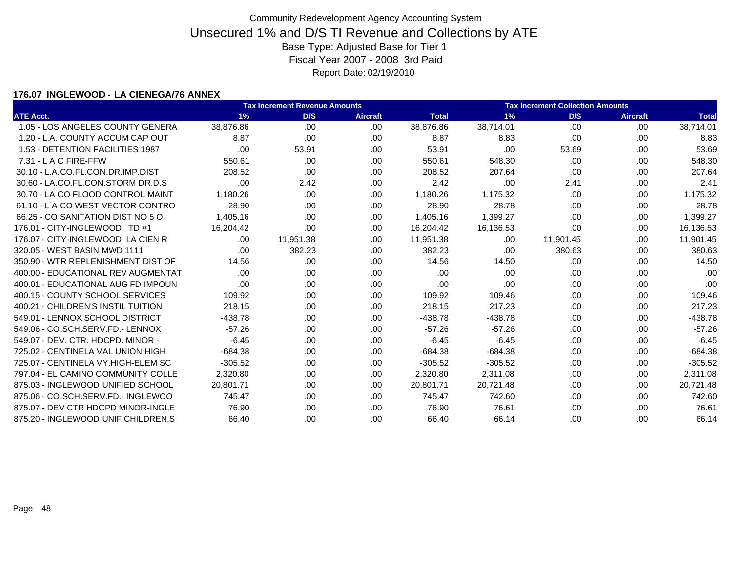### **176.07 INGLEWOOD - LA CIENEGA/76 ANNEX**

|                                    |           | <b>Tax Increment Revenue Amounts</b> |                 | <b>Tax Increment Collection Amounts</b> |           |           |                 |              |
|------------------------------------|-----------|--------------------------------------|-----------------|-----------------------------------------|-----------|-----------|-----------------|--------------|
| <b>ATE Acct.</b>                   | 1%        | D/S                                  | <b>Aircraft</b> | <b>Total</b>                            | 1%        | D/S       | <b>Aircraft</b> | <b>Total</b> |
| 1.05 - LOS ANGELES COUNTY GENERA   | 38,876.86 | .00                                  | .00             | 38,876.86                               | 38,714.01 | .00       | .00             | 38,714.01    |
| 1.20 - L.A. COUNTY ACCUM CAP OUT   | 8.87      | .00                                  | .00             | 8.87                                    | 8.83      | .00       | .00             | 8.83         |
| 1.53 - DETENTION FACILITIES 1987   | .00       | 53.91                                | .00             | 53.91                                   | .00       | 53.69     | .00             | 53.69        |
| 7.31 - L A C FIRE-FFW              | 550.61    | .00.                                 | .00             | 550.61                                  | 548.30    | .00       | .00             | 548.30       |
| 30.10 - L.A.CO.FL.CON.DR.IMP.DIST  | 208.52    | .00                                  | .00.            | 208.52                                  | 207.64    | .00       | .00             | 207.64       |
| 30.60 - LA.CO.FL.CON.STORM DR.D.S  | .00       | 2.42                                 | .00             | 2.42                                    | .00       | 2.41      | .00             | 2.41         |
| 30.70 - LA CO FLOOD CONTROL MAINT  | 1,180.26  | .00                                  | .00             | 1,180.26                                | 1,175.32  | .00       | .00             | 1,175.32     |
| 61.10 - LA CO WEST VECTOR CONTRO   | 28.90     | .00.                                 | .00             | 28.90                                   | 28.78     | .00       | .00             | 28.78        |
| 66.25 - CO SANITATION DIST NO 5 O  | 1,405.16  | .00                                  | .00             | 1,405.16                                | 1,399.27  | .00       | .00             | 1,399.27     |
| 176.01 - CITY-INGLEWOOD TD #1      | 16,204.42 | .00                                  | .00             | 16,204.42                               | 16,136.53 | .00       | .00             | 16,136.53    |
| 176.07 - CITY-INGLEWOOD LA CIEN R  | .00.      | 11,951.38                            | .00             | 11,951.38                               | .00       | 11,901.45 | .00             | 11,901.45    |
| 320.05 - WEST BASIN MWD 1111       | .00       | 382.23                               | .00             | 382.23                                  | .00       | 380.63    | .00             | 380.63       |
| 350.90 - WTR REPLENISHMENT DIST OF | 14.56     | .00.                                 | .00             | 14.56                                   | 14.50     | .00       | .00.            | 14.50        |
| 400.00 - EDUCATIONAL REV AUGMENTAT | .00.      | .00                                  | .00             | .00                                     | .00       | .00       | .00             | .00          |
| 400.01 - EDUCATIONAL AUG FD IMPOUN | .00       | .00.                                 | .00             | .00                                     | .00       | .00       | .00             | .00          |
| 400.15 - COUNTY SCHOOL SERVICES    | 109.92    | .00                                  | .00             | 109.92                                  | 109.46    | .00       | .00             | 109.46       |
| 400.21 - CHILDREN'S INSTIL TUITION | 218.15    | .00.                                 | .00             | 218.15                                  | 217.23    | .00       | .00             | 217.23       |
| 549.01 - LENNOX SCHOOL DISTRICT    | $-438.78$ | .00.                                 | .00             | $-438.78$                               | $-438.78$ | .00       | .00             | $-438.78$    |
| 549.06 - CO.SCH.SERV.FD.- LENNOX   | $-57.26$  | .00.                                 | .00.            | $-57.26$                                | $-57.26$  | .00       | .00             | $-57.26$     |
| 549.07 - DEV. CTR. HDCPD. MINOR -  | $-6.45$   | .00                                  | .00             | $-6.45$                                 | $-6.45$   | .00       | .00             | $-6.45$      |
| 725.02 - CENTINELA VAL UNION HIGH  | $-684.38$ | .00                                  | .00             | $-684.38$                               | $-684.38$ | .00       | .00             | $-684.38$    |
| 725.07 - CENTINELA VY.HIGH-ELEM SC | $-305.52$ | .00                                  | .00             | $-305.52$                               | $-305.52$ | .00       | .00             | $-305.52$    |
| 797.04 - EL CAMINO COMMUNITY COLLE | 2,320.80  | .00.                                 | .00             | 2,320.80                                | 2,311.08  | .00       | .00             | 2,311.08     |
| 875.03 - INGLEWOOD UNIFIED SCHOOL  | 20,801.71 | .00                                  | .00.            | 20,801.71                               | 20,721.48 | .00       | .00             | 20,721.48    |
| 875.06 - CO.SCH.SERV.FD.- INGLEWOO | 745.47    | .00.                                 | .00             | 745.47                                  | 742.60    | .00       | .00             | 742.60       |
| 875.07 - DEV CTR HDCPD MINOR-INGLE | 76.90     | .00                                  | .00             | 76.90                                   | 76.61     | .00       | .00             | 76.61        |
| 875.20 - INGLEWOOD UNIF.CHILDREN.S | 66.40     | .00.                                 | .00             | 66.40                                   | 66.14     | .00       | .00             | 66.14        |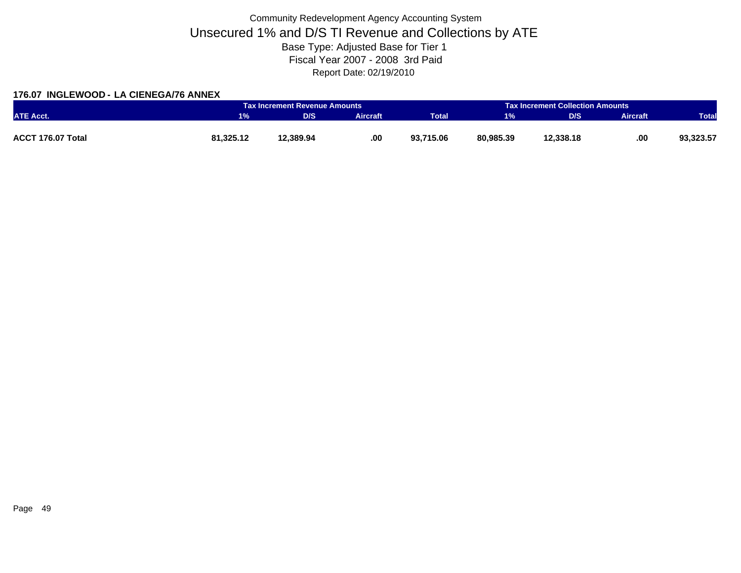### **176.07 INGLEWOOD - LA CIENEGA/76 ANNEX**

|                   |           | Tax Increment Revenue Amounts |          |              | <b>Tax Increment Collection Amounts</b> |           |                 |              |
|-------------------|-----------|-------------------------------|----------|--------------|-----------------------------------------|-----------|-----------------|--------------|
| <b>ATE Acct.</b>  | 1%        | D/S                           | Aircraft | <b>Total</b> | 1%                                      | D/S       | <b>Aircraft</b> | <b>Total</b> |
|                   |           |                               |          |              |                                         |           |                 |              |
| ACCT 176.07 Total | 81,325.12 | 12,389.94                     | .00.     | 93,715.06    | 80,985.39                               | 12,338.18 | .00             | 93,323.57    |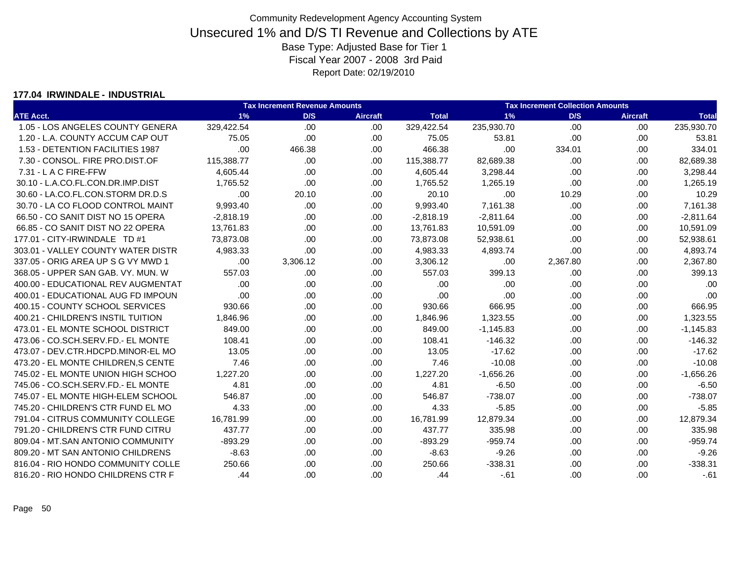#### **177.04 IRWINDALE - INDUSTRIAL**

|                                    |             | <b>Tax Increment Revenue Amounts</b> |                 |              |             | <b>Tax Increment Collection Amounts</b> |                 |              |
|------------------------------------|-------------|--------------------------------------|-----------------|--------------|-------------|-----------------------------------------|-----------------|--------------|
| <b>ATE Acct.</b>                   | 1%          | D/S                                  | <b>Aircraft</b> | <b>Total</b> | 1%          | D/S                                     | <b>Aircraft</b> | <b>Total</b> |
| 1.05 - LOS ANGELES COUNTY GENERA   | 329,422.54  | .00                                  | .00             | 329,422.54   | 235,930.70  | .00                                     | .00             | 235,930.70   |
| 1.20 - L.A. COUNTY ACCUM CAP OUT   | 75.05       | .00                                  | .00             | 75.05        | 53.81       | .00                                     | .00             | 53.81        |
| 1.53 - DETENTION FACILITIES 1987   | .00         | 466.38                               | .00             | 466.38       | .00         | 334.01                                  | .00             | 334.01       |
| 7.30 - CONSOL. FIRE PRO.DIST.OF    | 115,388.77  | .00                                  | .00.            | 115,388.77   | 82,689.38   | .00                                     | .00             | 82,689.38    |
| $7.31 - L$ A C FIRE-FFW            | 4,605.44    | .00                                  | .00             | 4,605.44     | 3,298.44    | .00                                     | .00             | 3,298.44     |
| 30.10 - L.A.CO.FL.CON.DR.IMP.DIST  | 1,765.52    | .00                                  | .00             | 1,765.52     | 1,265.19    | .00                                     | .00             | 1,265.19     |
| 30.60 - LA.CO.FL.CON.STORM DR.D.S  | .00         | 20.10                                | .00             | 20.10        | .00         | 10.29                                   | .00             | 10.29        |
| 30.70 - LA CO FLOOD CONTROL MAINT  | 9,993.40    | .00                                  | .00             | 9,993.40     | 7,161.38    | .00                                     | .00.            | 7,161.38     |
| 66.50 - CO SANIT DIST NO 15 OPERA  | $-2,818.19$ | .00                                  | .00.            | $-2,818.19$  | $-2,811.64$ | .00                                     | .00             | $-2,811.64$  |
| 66.85 - CO SANIT DIST NO 22 OPERA  | 13,761.83   | .00                                  | .00             | 13,761.83    | 10,591.09   | .00                                     | .00             | 10,591.09    |
| 177.01 - CITY-IRWINDALE TD #1      | 73,873.08   | .00                                  | .00.            | 73,873.08    | 52,938.61   | .00                                     | .00             | 52,938.61    |
| 303.01 - VALLEY COUNTY WATER DISTR | 4,983.33    | .00                                  | .00             | 4,983.33     | 4,893.74    | .00                                     | .00             | 4,893.74     |
| 337.05 - ORIG AREA UP S G VY MWD 1 | .00         | 3,306.12                             | .00.            | 3,306.12     | .00         | 2,367.80                                | .00             | 2,367.80     |
| 368.05 - UPPER SAN GAB. VY. MUN. W | 557.03      | .00                                  | .00             | 557.03       | 399.13      | .00                                     | .00             | 399.13       |
| 400.00 - EDUCATIONAL REV AUGMENTAT | .00         | .00                                  | .00             | .00          | .00         | .00                                     | .00.            | .00          |
| 400.01 - EDUCATIONAL AUG FD IMPOUN | .00         | .00                                  | .00             | .00          | .00         | .00                                     | .00             | .00          |
| 400.15 - COUNTY SCHOOL SERVICES    | 930.66      | .00                                  | .00.            | 930.66       | 666.95      | .00                                     | .00             | 666.95       |
| 400.21 - CHILDREN'S INSTIL TUITION | 1.846.96    | .00                                  | .00.            | 1,846.96     | 1,323.55    | .00                                     | .00             | 1,323.55     |
| 473.01 - EL MONTE SCHOOL DISTRICT  | 849.00      | .00                                  | .00             | 849.00       | $-1,145.83$ | .00                                     | .00             | $-1,145.83$  |
| 473.06 - CO.SCH.SERV.FD.- EL MONTE | 108.41      | .00                                  | .00             | 108.41       | $-146.32$   | .00                                     | .00.            | $-146.32$    |
| 473.07 - DEV.CTR.HDCPD.MINOR-EL MO | 13.05       | .00                                  | .00             | 13.05        | $-17.62$    | .00                                     | .00             | $-17.62$     |
| 473.20 - EL MONTE CHILDREN.S CENTE | 7.46        | .00                                  | .00             | 7.46         | $-10.08$    | .00                                     | .00             | $-10.08$     |
| 745.02 - EL MONTE UNION HIGH SCHOO | 1,227.20    | .00                                  | .00.            | 1,227.20     | $-1,656.26$ | .00                                     | .00             | $-1,656.26$  |
| 745.06 - CO.SCH.SERV.FD.- EL MONTE | 4.81        | .00                                  | .00             | 4.81         | $-6.50$     | .00                                     | .00.            | $-6.50$      |
| 745.07 - EL MONTE HIGH-ELEM SCHOOL | 546.87      | .00                                  | .00.            | 546.87       | $-738.07$   | .00                                     | .00             | $-738.07$    |
| 745.20 - CHILDREN'S CTR FUND EL MO | 4.33        | .00                                  | .00             | 4.33         | $-5.85$     | .00                                     | .00             | $-5.85$      |
| 791.04 - CITRUS COMMUNITY COLLEGE  | 16,781.99   | .00.                                 | .00.            | 16,781.99    | 12,879.34   | .00                                     | .00             | 12,879.34    |
| 791.20 - CHILDREN'S CTR FUND CITRU | 437.77      | .00                                  | .00             | 437.77       | 335.98      | .00                                     | .00             | 335.98       |
| 809.04 - MT.SAN ANTONIO COMMUNITY  | $-893.29$   | .00                                  | .00             | $-893.29$    | $-959.74$   | .00                                     | .00             | $-959.74$    |
| 809.20 - MT SAN ANTONIO CHILDRENS  | $-8.63$     | .00                                  | .00.            | $-8.63$      | $-9.26$     | .00                                     | .00.            | $-9.26$      |
| 816.04 - RIO HONDO COMMUNITY COLLE | 250.66      | .00                                  | .00.            | 250.66       | $-338.31$   | .00                                     | .00             | $-338.31$    |
| 816.20 - RIO HONDO CHILDRENS CTR F | .44         | .00                                  | .00             | .44          | $-61$       | .00                                     | .00             | $-.61$       |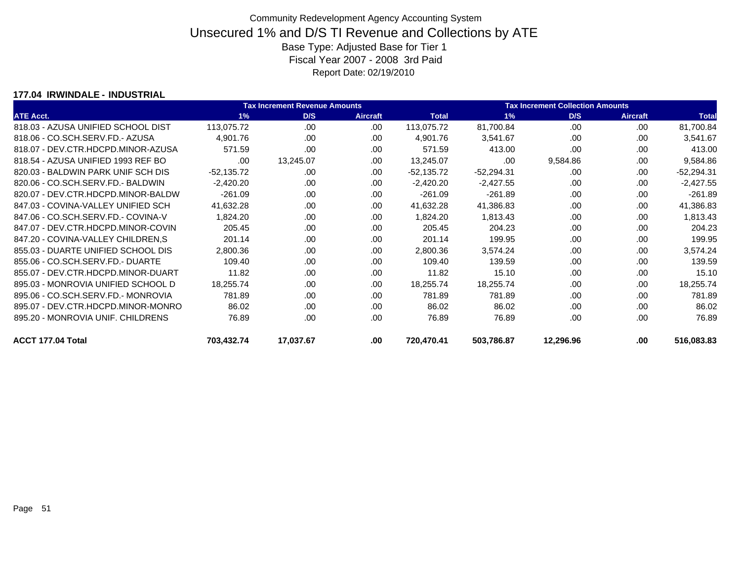### **177.04 IRWINDALE - INDUSTRIAL**

|                                    | Tax Increment Revenue Amounts |           |                 |              | <b>Tax Increment Collection Amounts</b> |           |                 |              |  |
|------------------------------------|-------------------------------|-----------|-----------------|--------------|-----------------------------------------|-----------|-----------------|--------------|--|
| <b>ATE Acct.</b>                   | 1%                            | D/S       | <b>Aircraft</b> | <b>Total</b> | $1\%$                                   | D/S       | <b>Aircraft</b> | <b>Total</b> |  |
| 818.03 - AZUSA UNIFIED SCHOOL DIST | 113,075.72                    | .00       | .00             | 113,075.72   | 81,700.84                               | .00       | .00             | 81,700.84    |  |
| 818.06 - CO.SCH.SERV.FD.- AZUSA    | 4,901.76                      | .00.      | .00             | 4,901.76     | 3,541.67                                | .00       | .00             | 3,541.67     |  |
| 818.07 - DEV.CTR.HDCPD.MINOR-AZUSA | 571.59                        | .00       | .00             | 571.59       | 413.00                                  | .00       | .00             | 413.00       |  |
| 818.54 - AZUSA UNIFIED 1993 REF BO | .00                           | 13,245.07 | .00             | 13,245.07    | .00                                     | 9,584.86  | .00             | 9,584.86     |  |
| 820.03 - BALDWIN PARK UNIF SCH DIS | $-52,135.72$                  | .00       | .00             | $-52,135.72$ | $-52,294.31$                            | .00       | .00             | $-52,294.31$ |  |
| 820.06 - CO.SCH.SERV.FD.- BALDWIN  | $-2,420.20$                   | .00.      | .00             | $-2,420.20$  | $-2,427.55$                             | .00       | .00             | $-2,427.55$  |  |
| 820.07 - DEV.CTR.HDCPD.MINOR-BALDW | $-261.09$                     | .00       | .00             | $-261.09$    | $-261.89$                               | .00       | .00             | $-261.89$    |  |
| 847.03 - COVINA-VALLEY UNIFIED SCH | 41,632.28                     | .00.      | .00             | 41,632.28    | 41,386.83                               | .00       | .00             | 41,386.83    |  |
| 847.06 - CO.SCH.SERV.FD.- COVINA-V | 1,824.20                      | .00.      | .00             | 1,824.20     | 1,813.43                                | .00       | .00             | 1,813.43     |  |
| 847.07 - DEV.CTR.HDCPD.MINOR-COVIN | 205.45                        | .00.      | .00             | 205.45       | 204.23                                  | .00       | .00             | 204.23       |  |
| 847.20 - COVINA-VALLEY CHILDREN,S  | 201.14                        | .00.      | .00             | 201.14       | 199.95                                  | .00       | .00             | 199.95       |  |
| 855.03 - DUARTE UNIFIED SCHOOL DIS | 2,800.36                      | .00.      | .00             | 2,800.36     | 3,574.24                                | .00       | .00             | 3,574.24     |  |
| 855.06 - CO.SCH.SERV.FD.- DUARTE   | 109.40                        | .00       | .00             | 109.40       | 139.59                                  | .00       | .00             | 139.59       |  |
| 855.07 - DEV.CTR.HDCPD.MINOR-DUART | 11.82                         | .00.      | .00             | 11.82        | 15.10                                   | .00       | .00             | 15.10        |  |
| 895.03 - MONROVIA UNIFIED SCHOOL D | 18,255.74                     | .00       | .00             | 18,255.74    | 18,255.74                               | .00       | .00             | 18,255.74    |  |
| 895.06 - CO.SCH.SERV.FD.- MONROVIA | 781.89                        | .00       | .00             | 781.89       | 781.89                                  | .00       | .00             | 781.89       |  |
| 895.07 - DEV.CTR.HDCPD.MINOR-MONRO | 86.02                         | .00.      | .00             | 86.02        | 86.02                                   | .00       | .00             | 86.02        |  |
| 895.20 - MONROVIA UNIF, CHILDRENS  | 76.89                         | .00       | .00             | 76.89        | 76.89                                   | .00       | .00             | 76.89        |  |
| ACCT 177.04 Total                  | 703,432.74                    | 17,037.67 | .00             | 720,470.41   | 503,786.87                              | 12,296.96 | .00             | 516,083.83   |  |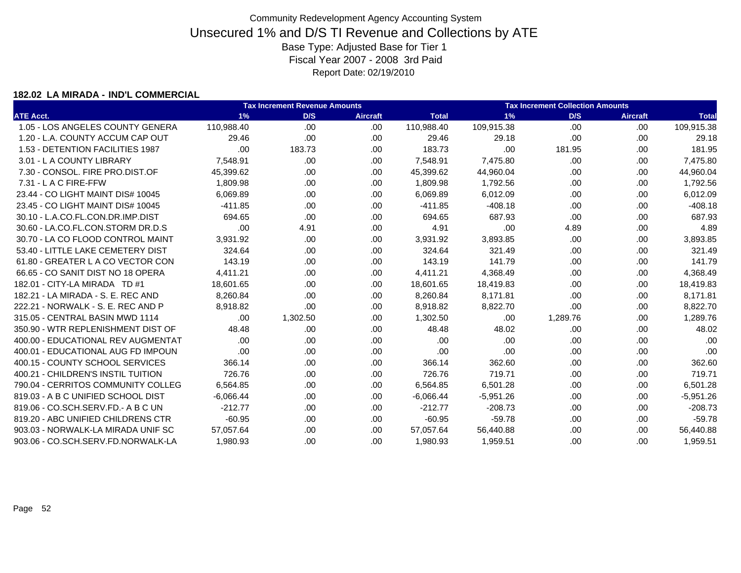#### **182.02 LA MIRADA - IND'L COMMERCIAL**

|                                    |             | <b>Tax Increment Revenue Amounts</b> |                 |              |             | <b>Tax Increment Collection Amounts</b> |                 |              |
|------------------------------------|-------------|--------------------------------------|-----------------|--------------|-------------|-----------------------------------------|-----------------|--------------|
| <b>ATE Acct.</b>                   | 1%          | D/S                                  | <b>Aircraft</b> | <b>Total</b> | 1%          | D/S                                     | <b>Aircraft</b> | <b>Total</b> |
| 1.05 - LOS ANGELES COUNTY GENERA   | 110,988.40  | .00                                  | .00             | 110,988.40   | 109,915.38  | .00                                     | .00             | 109,915.38   |
| 1.20 - L.A. COUNTY ACCUM CAP OUT   | 29.46       | .00                                  | .00             | 29.46        | 29.18       | .00                                     | .00             | 29.18        |
| 1.53 - DETENTION FACILITIES 1987   | .00         | 183.73                               | .00.            | 183.73       | .00         | 181.95                                  | .00             | 181.95       |
| 3.01 - L A COUNTY LIBRARY          | 7,548.91    | .00.                                 | .00.            | 7,548.91     | 7,475.80    | .00                                     | .00             | 7,475.80     |
| 7.30 - CONSOL, FIRE PRO.DIST.OF    | 45,399.62   | .00.                                 | .00.            | 45,399.62    | 44,960.04   | .00                                     | .00             | 44,960.04    |
| 7.31 - L A C FIRE-FFW              | 1.809.98    | .00.                                 | .00             | 1,809.98     | 1,792.56    | .00                                     | .00             | 1,792.56     |
| 23.44 - CO LIGHT MAINT DIS# 10045  | 6,069.89    | .00.                                 | .00             | 6,069.89     | 6,012.09    | .00                                     | .00             | 6,012.09     |
| 23.45 - CO LIGHT MAINT DIS# 10045  | $-411.85$   | .00.                                 | .00.            | $-411.85$    | $-408.18$   | .00                                     | .00             | $-408.18$    |
| 30.10 - L.A.CO.FL.CON.DR.IMP.DIST  | 694.65      | .00                                  | .00.            | 694.65       | 687.93      | .00                                     | .00             | 687.93       |
| 30.60 - LA.CO.FL.CON.STORM DR.D.S  | .00         | 4.91                                 | .00.            | 4.91         | .00         | 4.89                                    | .00             | 4.89         |
| 30.70 - LA CO FLOOD CONTROL MAINT  | 3,931.92    | .00                                  | .00.            | 3,931.92     | 3,893.85    | .00                                     | .00             | 3,893.85     |
| 53.40 - LITTLE LAKE CEMETERY DIST  | 324.64      | .00                                  | .00.            | 324.64       | 321.49      | .00                                     | .00             | 321.49       |
| 61.80 - GREATER L A CO VECTOR CON  | 143.19      | .00                                  | .00.            | 143.19       | 141.79      | .00                                     | .00             | 141.79       |
| 66.65 - CO SANIT DIST NO 18 OPERA  | 4,411.21    | .00.                                 | .00             | 4,411.21     | 4,368.49    | .00                                     | .00             | 4,368.49     |
| 182.01 - CITY-LA MIRADA TD #1      | 18.601.65   | .00                                  | .00.            | 18,601.65    | 18,419.83   | .00                                     | .00             | 18,419.83    |
| 182.21 - LA MIRADA - S. E. REC AND | 8.260.84    | .00                                  | .00             | 8,260.84     | 8,171.81    | .00                                     | .00             | 8,171.81     |
| 222.21 - NORWALK - S. E. REC AND P | 8.918.82    | .00                                  | .00             | 8.918.82     | 8,822.70    | .00                                     | .00             | 8,822.70     |
| 315.05 - CENTRAL BASIN MWD 1114    | .00.        | 1,302.50                             | .00             | 1,302.50     | .00         | 1,289.76                                | .00             | 1,289.76     |
| 350.90 - WTR REPLENISHMENT DIST OF | 48.48       | .00                                  | .00.            | 48.48        | 48.02       | .00                                     | .00             | 48.02        |
| 400.00 - EDUCATIONAL REV AUGMENTAT | .00         | .00                                  | .00.            | .00          | .00         | .00                                     | .00             | .00          |
| 400.01 - EDUCATIONAL AUG FD IMPOUN | .00         | .00                                  | .00.            | .00          | .00         | .00                                     | .00             | .00          |
| 400.15 - COUNTY SCHOOL SERVICES    | 366.14      | .00                                  | .00.            | 366.14       | 362.60      | .00                                     | .00             | 362.60       |
| 400.21 - CHILDREN'S INSTIL TUITION | 726.76      | .00                                  | .00             | 726.76       | 719.71      | .00                                     | .00             | 719.71       |
| 790.04 - CERRITOS COMMUNITY COLLEG | 6,564.85    | .00                                  | .00.            | 6,564.85     | 6,501.28    | .00                                     | .00             | 6,501.28     |
| 819.03 - A B C UNIFIED SCHOOL DIST | $-6,066.44$ | .00                                  | .00.            | $-6,066.44$  | $-5,951.26$ | .00                                     | .00             | $-5,951.26$  |
| 819.06 - CO.SCH.SERV.FD.- A B C UN | $-212.77$   | .00                                  | .00.            | $-212.77$    | $-208.73$   | .00                                     | .00             | $-208.73$    |
| 819.20 - ABC UNIFIED CHILDRENS CTR | $-60.95$    | .00.                                 | .00.            | $-60.95$     | $-59.78$    | .00                                     | .00             | $-59.78$     |
| 903.03 - NORWALK-LA MIRADA UNIF SC | 57,057.64   | .00.                                 | .00             | 57,057.64    | 56,440.88   | .00.                                    | .00             | 56,440.88    |
| 903.06 - CO.SCH.SERV.FD.NORWALK-LA | 1,980.93    | .00                                  | .00             | 1,980.93     | 1,959.51    | .00                                     | .00             | 1,959.51     |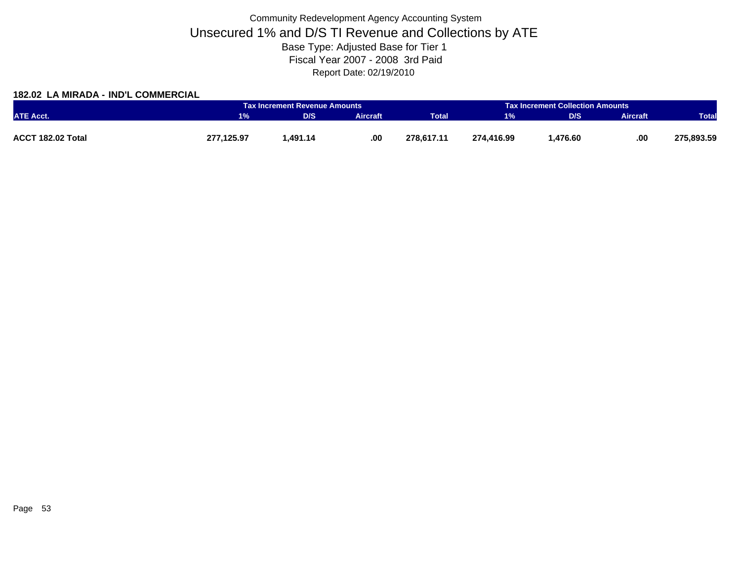### **182.02 LA MIRADA - IND'L COMMERCIAL**

|                   |            | Tax Increment Revenue Amounts |                 |              |            | <b>Tax Increment Collection Amounts</b> |                 |              |
|-------------------|------------|-------------------------------|-----------------|--------------|------------|-----------------------------------------|-----------------|--------------|
| <b>ATE Acct.</b>  |            | D/S                           | <b>Aircraft</b> | <b>Total</b> | 1%         | D/S                                     | <b>Aircraft</b> | <b>Total</b> |
|                   |            |                               |                 |              |            |                                         |                 |              |
| ACCT 182.02 Total | 277,125.97 | 1.491.14                      | .00.            | 278.617.11   | 274.416.99 | .476.60.                                | .00             | 275,893.59   |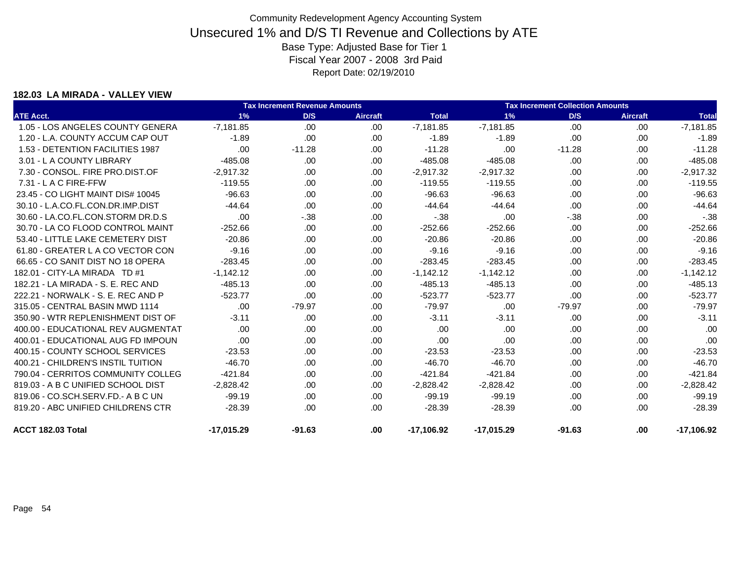#### **182.03 LA MIRADA - VALLEY VIEW**

|                                    |              | <b>Tax Increment Revenue Amounts</b> |                 | <b>Tax Increment Collection Amounts</b> |              |          |                 |              |
|------------------------------------|--------------|--------------------------------------|-----------------|-----------------------------------------|--------------|----------|-----------------|--------------|
| <b>ATE Acct.</b>                   | 1%           | D/S                                  | <b>Aircraft</b> | <b>Total</b>                            | 1%           | D/S      | <b>Aircraft</b> | <b>Total</b> |
| 1.05 - LOS ANGELES COUNTY GENERA   | $-7,181.85$  | .00                                  | .00.            | $-7,181.85$                             | $-7,181.85$  | .00      | .00             | $-7,181.85$  |
| 1.20 - L.A. COUNTY ACCUM CAP OUT   | $-1.89$      | .00.                                 | .00.            | $-1.89$                                 | $-1.89$      | .00      | .00             | $-1.89$      |
| 1.53 - DETENTION FACILITIES 1987   | .00          | $-11.28$                             | .00             | $-11.28$                                | .00          | $-11.28$ | .00             | $-11.28$     |
| 3.01 - L A COUNTY LIBRARY          | $-485.08$    | .00.                                 | .00             | $-485.08$                               | $-485.08$    | .00      | .00             | $-485.08$    |
| 7.30 - CONSOL. FIRE PRO.DIST.OF    | $-2,917.32$  | .00.                                 | .00.            | $-2,917.32$                             | $-2,917.32$  | .00      | .00             | $-2,917.32$  |
| 7.31 - L A C FIRE-FFW              | $-119.55$    | .00.                                 | .00.            | $-119.55$                               | $-119.55$    | .00      | .00             | $-119.55$    |
| 23.45 - CO LIGHT MAINT DIS# 10045  | $-96.63$     | .00.                                 | .00.            | $-96.63$                                | $-96.63$     | .00      | .00             | $-96.63$     |
| 30.10 - L.A.CO.FL.CON.DR.IMP.DIST  | $-44.64$     | .00.                                 | .00             | $-44.64$                                | $-44.64$     | .00      | .00             | $-44.64$     |
| 30.60 - LA.CO.FL.CON.STORM DR.D.S  | .00          | $-.38$                               | .00.            | $-.38$                                  | .00.         | $-.38$   | .00             | $-.38$       |
| 30.70 - LA CO FLOOD CONTROL MAINT  | $-252.66$    | .00                                  | .00.            | $-252.66$                               | $-252.66$    | .00      | .00             | $-252.66$    |
| 53.40 - LITTLE LAKE CEMETERY DIST  | $-20.86$     | .00.                                 | .00.            | $-20.86$                                | $-20.86$     | .00      | .00             | $-20.86$     |
| 61.80 - GREATER L A CO VECTOR CON  | $-9.16$      | .00.                                 | .00.            | $-9.16$                                 | $-9.16$      | .00      | .00             | $-9.16$      |
| 66.65 - CO SANIT DIST NO 18 OPERA  | $-283.45$    | .00.                                 | .00.            | $-283.45$                               | $-283.45$    | .00      | .00             | $-283.45$    |
| 182.01 - CITY-LA MIRADA TD #1      | $-1,142.12$  | .00.                                 | .00             | $-1,142.12$                             | $-1,142.12$  | .00      | .00             | $-1,142.12$  |
| 182.21 - LA MIRADA - S. E. REC AND | $-485.13$    | .00.                                 | .00.            | $-485.13$                               | $-485.13$    | .00      | .00             | $-485.13$    |
| 222.21 - NORWALK - S. E. REC AND P | $-523.77$    | .00.                                 | .00.            | $-523.77$                               | $-523.77$    | .00      | .00             | $-523.77$    |
| 315.05 - CENTRAL BASIN MWD 1114    | .00.         | $-79.97$                             | .00.            | $-79.97$                                | .00          | $-79.97$ | .00             | $-79.97$     |
| 350.90 - WTR REPLENISHMENT DIST OF | $-3.11$      | .00                                  | .00.            | $-3.11$                                 | $-3.11$      | .00      | .00             | $-3.11$      |
| 400.00 - EDUCATIONAL REV AUGMENTAT | .00          | .00                                  | .00.            | .00                                     | .00          | .00      | .00             | .00          |
| 400.01 - EDUCATIONAL AUG FD IMPOUN | .00          | .00.                                 | .00             | .00                                     | .00          | .00      | .00             | .00          |
| 400.15 - COUNTY SCHOOL SERVICES    | $-23.53$     | .00                                  | .00             | $-23.53$                                | $-23.53$     | .00      | .00             | $-23.53$     |
| 400.21 - CHILDREN'S INSTIL TUITION | $-46.70$     | .00                                  | .00.            | $-46.70$                                | $-46.70$     | .00      | .00             | $-46.70$     |
| 790.04 - CERRITOS COMMUNITY COLLEG | $-421.84$    | .00                                  | .00.            | $-421.84$                               | $-421.84$    | .00      | .00             | $-421.84$    |
| 819.03 - A B C UNIFIED SCHOOL DIST | $-2,828.42$  | .00                                  | .00.            | $-2,828.42$                             | $-2,828.42$  | .00      | .00             | $-2,828.42$  |
| 819.06 - CO.SCH.SERV.FD.- A B C UN | $-99.19$     | .00                                  | .00             | $-99.19$                                | $-99.19$     | .00      | .00             | $-99.19$     |
| 819.20 - ABC UNIFIED CHILDRENS CTR | $-28.39$     | .00                                  | .00             | $-28.39$                                | $-28.39$     | .00      | .00.            | $-28.39$     |
| ACCT 182.03 Total                  | $-17,015.29$ | $-91.63$                             | .00.            | $-17,106.92$                            | $-17,015.29$ | $-91.63$ | .00             | $-17,106.92$ |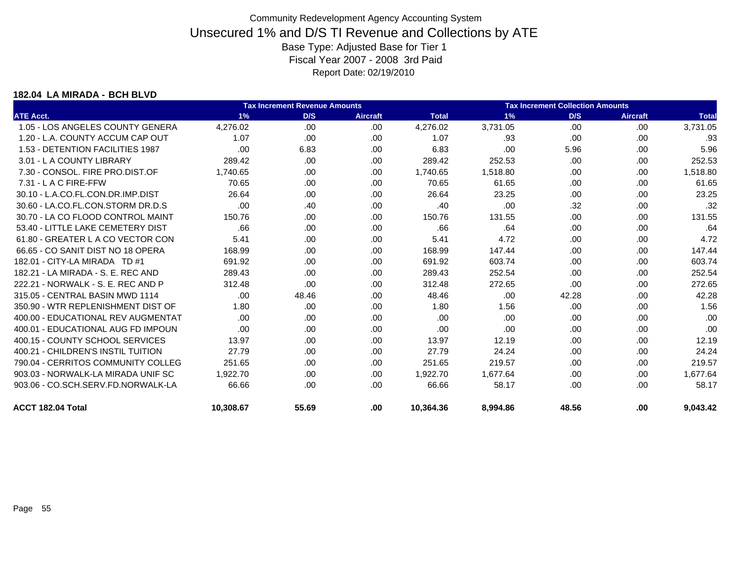#### **182.04 LA MIRADA - BCH BLVD**

|                                    |           | <b>Tax Increment Revenue Amounts</b> |                 | <b>Tax Increment Collection Amounts</b> |          |       |                 |              |
|------------------------------------|-----------|--------------------------------------|-----------------|-----------------------------------------|----------|-------|-----------------|--------------|
| <b>ATE Acct.</b>                   | 1%        | D/S                                  | <b>Aircraft</b> | <b>Total</b>                            | 1%       | D/S   | <b>Aircraft</b> | <b>Total</b> |
| 1.05 - LOS ANGELES COUNTY GENERA   | 4,276.02  | .00.                                 | .00             | 4,276.02                                | 3,731.05 | .00   | .00             | 3,731.05     |
| 1.20 - L.A. COUNTY ACCUM CAP OUT   | 1.07      | .00                                  | .00             | 1.07                                    | .93      | .00   | .00             | .93          |
| 1.53 - DETENTION FACILITIES 1987   | .00       | 6.83                                 | .00             | 6.83                                    | .00      | 5.96  | .00             | 5.96         |
| 3.01 - L A COUNTY LIBRARY          | 289.42    | .00                                  | .00             | 289.42                                  | 252.53   | .00   | .00             | 252.53       |
| 7.30 - CONSOL, FIRE PRO.DIST.OF    | 1.740.65  | .00                                  | .00.            | 1.740.65                                | 1,518.80 | .00   | .00             | 1,518.80     |
| 7.31 - L A C FIRE-FFW              | 70.65     | .00                                  | .00             | 70.65                                   | 61.65    | .00   | .00             | 61.65        |
| 30.10 - L.A.CO.FL.CON.DR.IMP.DIST  | 26.64     | .00                                  | .00             | 26.64                                   | 23.25    | .00   | .00             | 23.25        |
| 30.60 - LA.CO.FL.CON.STORM DR.D.S  | .00       | .40                                  | .00             | .40                                     | .00      | .32   | .00             | .32          |
| 30.70 - LA CO FLOOD CONTROL MAINT  | 150.76    | .00                                  | .00             | 150.76                                  | 131.55   | .00   | .00             | 131.55       |
| 53.40 - LITTLE LAKE CEMETERY DIST  | .66       | .00                                  | .00             | .66                                     | .64      | .00   | .00             | .64          |
| 61.80 - GREATER L A CO VECTOR CON  | 5.41      | .00                                  | .00.            | 5.41                                    | 4.72     | .00   | .00             | 4.72         |
| 66.65 - CO SANIT DIST NO 18 OPERA  | 168.99    | .00                                  | .00             | 168.99                                  | 147.44   | .00   | .00             | 147.44       |
| 182.01 - CITY-LA MIRADA TD #1      | 691.92    | .00                                  | .00             | 691.92                                  | 603.74   | .00   | .00             | 603.74       |
| 182.21 - LA MIRADA - S. E. REC AND | 289.43    | .00                                  | .00             | 289.43                                  | 252.54   | .00   | .00             | 252.54       |
| 222.21 - NORWALK - S. E. REC AND P | 312.48    | .00                                  | .00             | 312.48                                  | 272.65   | .00   | .00             | 272.65       |
| 315.05 - CENTRAL BASIN MWD 1114    | .00       | 48.46                                | .00             | 48.46                                   | .00      | 42.28 | .00             | 42.28        |
| 350.90 - WTR REPLENISHMENT DIST OF | 1.80      | .00                                  | .00             | 1.80                                    | 1.56     | .00   | .00             | 1.56         |
| 400.00 - EDUCATIONAL REV AUGMENTAT | .00       | .00                                  | .00             | .00                                     | .00      | .00   | .00             | .00          |
| 400.01 - EDUCATIONAL AUG FD IMPOUN | .00       | .00                                  | .00             | .00                                     | .00      | .00   | .00             | .00          |
| 400.15 - COUNTY SCHOOL SERVICES    | 13.97     | .00                                  | .00.            | 13.97                                   | 12.19    | .00   | .00             | 12.19        |
| 400.21 - CHILDREN'S INSTIL TUITION | 27.79     | .00                                  | .00             | 27.79                                   | 24.24    | .00   | .00             | 24.24        |
| 790.04 - CERRITOS COMMUNITY COLLEG | 251.65    | .00                                  | .00             | 251.65                                  | 219.57   | .00   | .00             | 219.57       |
| 903.03 - NORWALK-LA MIRADA UNIF SC | 1,922.70  | .00                                  | .00.            | 1,922.70                                | 1,677.64 | .00   | .00             | 1,677.64     |
| 903.06 - CO.SCH.SERV.FD.NORWALK-LA | 66.66     | .00                                  | .00             | 66.66                                   | 58.17    | .00   | .00             | 58.17        |
| ACCT 182.04 Total                  | 10.308.67 | 55.69                                | .00             | 10,364.36                               | 8,994.86 | 48.56 | .00             | 9,043.42     |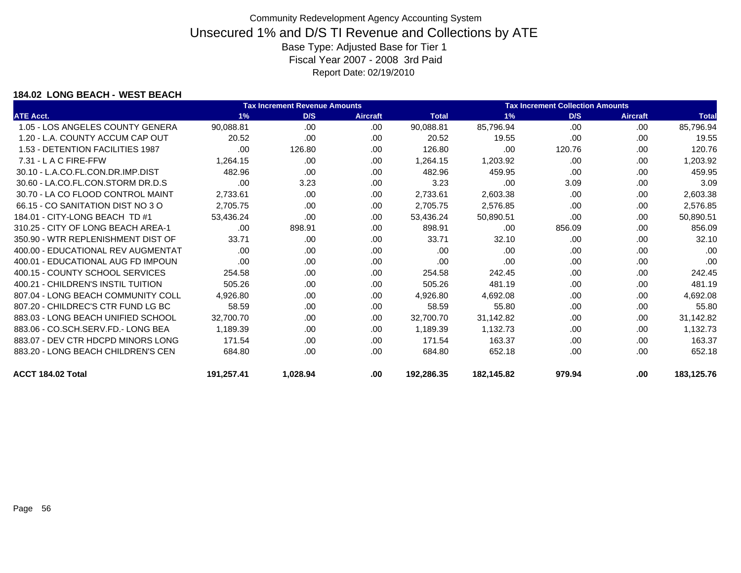### **184.02 LONG BEACH - WEST BEACH**

|                                    |            | Tax Increment Revenue Amounts |                 | <b>Tax Increment Collection Amounts</b> |            |        |                 |              |
|------------------------------------|------------|-------------------------------|-----------------|-----------------------------------------|------------|--------|-----------------|--------------|
| <b>ATE Acct.</b>                   | 1%         | D/S                           | <b>Aircraft</b> | <b>Total</b>                            | $1\%$      | D/S    | <b>Aircraft</b> | <b>Total</b> |
| 1.05 - LOS ANGELES COUNTY GENERA   | 90,088.81  | .00                           | .00             | 90,088.81                               | 85,796.94  | .00    | .00             | 85,796.94    |
| 1.20 - L.A. COUNTY ACCUM CAP OUT   | 20.52      | .00.                          | .00.            | 20.52                                   | 19.55      | .00    | .00             | 19.55        |
| 1.53 - DETENTION FACILITIES 1987   | .00        | 126.80                        | .00             | 126.80                                  | .00        | 120.76 | .00             | 120.76       |
| 7.31 - L A C FIRE-FFW              | 1,264.15   | .00                           | .00             | 1,264.15                                | 1,203.92   | .00    | .00             | 1,203.92     |
| 30.10 - L.A.CO.FL.CON.DR.IMP.DIST  | 482.96     | .00.                          | .00.            | 482.96                                  | 459.95     | .00    | .00             | 459.95       |
| 30.60 - LA.CO.FL.CON.STORM DR.D.S  | .00        | 3.23                          | .00             | 3.23                                    | .00        | 3.09   | .00             | 3.09         |
| 30.70 - LA CO FLOOD CONTROL MAINT  | 2,733.61   | .00                           | .00             | 2,733.61                                | 2,603.38   | .00    | .00             | 2,603.38     |
| 66.15 - CO SANITATION DIST NO 3 O  | 2,705.75   | .00.                          | .00             | 2,705.75                                | 2,576.85   | .00    | .00             | 2,576.85     |
| 184.01 - CITY-LONG BEACH TD #1     | 53,436.24  | .00                           | .00             | 53,436.24                               | 50,890.51  | .00    | .00             | 50,890.51    |
| 310.25 - CITY OF LONG BEACH AREA-1 | .00.       | 898.91                        | .00             | 898.91                                  | .00        | 856.09 | .00             | 856.09       |
| 350.90 - WTR REPLENISHMENT DIST OF | 33.71      | .00                           | .00             | 33.71                                   | 32.10      | .00    | .00             | 32.10        |
| 400.00 - EDUCATIONAL REV AUGMENTAT | .00        | .00.                          | .00             | .00                                     | .00        | .00    | .00             | .00          |
| 400.01 - EDUCATIONAL AUG FD IMPOUN | .00        | .00.                          | .00.            | .00                                     | .00        | .00    | .00             | .00          |
| 400.15 - COUNTY SCHOOL SERVICES    | 254.58     | .00.                          | .00             | 254.58                                  | 242.45     | .00    | .00             | 242.45       |
| 400.21 - CHILDREN'S INSTIL TUITION | 505.26     | .00.                          | .00             | 505.26                                  | 481.19     | .00    | .00             | 481.19       |
| 807.04 - LONG BEACH COMMUNITY COLL | 4,926.80   | .00.                          | .00.            | 4,926.80                                | 4,692.08   | .00    | .00             | 4,692.08     |
| 807.20 - CHILDREC'S CTR FUND LG BC | 58.59      | .00.                          | .00             | 58.59                                   | 55.80      | .00    | .00             | 55.80        |
| 883.03 - LONG BEACH UNIFIED SCHOOL | 32,700.70  | .00.                          | .00.            | 32,700.70                               | 31,142.82  | .00    | .00             | 31,142.82    |
| 883.06 - CO.SCH.SERV.FD.- LONG BEA | 1,189.39   | .00.                          | .00             | 1,189.39                                | 1,132.73   | .00    | .00             | 1,132.73     |
| 883.07 - DEV CTR HDCPD MINORS LONG | 171.54     | .00.                          | .00.            | 171.54                                  | 163.37     | .00    | .00             | 163.37       |
| 883.20 - LONG BEACH CHILDREN'S CEN | 684.80     | .00.                          | .00.            | 684.80                                  | 652.18     | .00    | .00             | 652.18       |
| ACCT 184.02 Total                  | 191,257.41 | 1,028.94                      | .00.            | 192,286.35                              | 182,145.82 | 979.94 | .00             | 183,125.76   |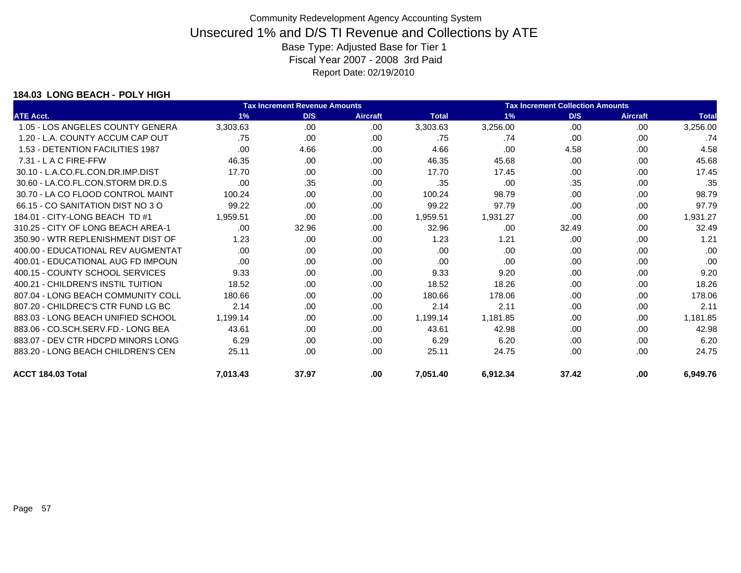### **184.03 LONG BEACH - POLY HIGH**

|                                    | <b>Tax Increment Revenue Amounts</b><br><b>Tax Increment Collection Amounts</b> |       |                 |              |          |       |                 |              |
|------------------------------------|---------------------------------------------------------------------------------|-------|-----------------|--------------|----------|-------|-----------------|--------------|
| <b>ATE Acct.</b>                   | 1%                                                                              | D/S   | <b>Aircraft</b> | <b>Total</b> | 1%       | D/S   | <b>Aircraft</b> | <b>Total</b> |
| 1.05 - LOS ANGELES COUNTY GENERA   | 3,303.63                                                                        | .00.  | .00             | 3,303.63     | 3,256.00 | .00   | .00             | 3,256.00     |
| 1.20 - L.A. COUNTY ACCUM CAP OUT   | .75                                                                             | .00.  | .00             | .75          | .74      | .00   | .00             | .74          |
| 1.53 - DETENTION FACILITIES 1987   | .00                                                                             | 4.66  | .00             | 4.66         | .00      | 4.58  | .00             | 4.58         |
| 7.31 - L A C FIRE-FFW              | 46.35                                                                           | .00   | .00             | 46.35        | 45.68    | .00   | .00             | 45.68        |
| 30.10 - L.A.CO.FL.CON.DR.IMP.DIST  | 17.70                                                                           | .00   | .00             | 17.70        | 17.45    | .00   | .00             | 17.45        |
| 30.60 - LA.CO.FL.CON.STORM DR.D.S  | .00                                                                             | .35   | .00             | .35          | .00      | .35   | .00             | .35          |
| 30.70 - LA CO FLOOD CONTROL MAINT  | 100.24                                                                          | .00   | .00             | 100.24       | 98.79    | .00   | .00             | 98.79        |
| 66.15 - CO SANITATION DIST NO 3 O  | 99.22                                                                           | .00   | .00             | 99.22        | 97.79    | .00   | .00             | 97.79        |
| 184.01 - CITY-LONG BEACH TD #1     | 1.959.51                                                                        | .00   | .00             | 1,959.51     | 1,931.27 | .00   | .00             | 1,931.27     |
| 310.25 - CITY OF LONG BEACH AREA-1 | .00                                                                             | 32.96 | .00             | 32.96        | .00      | 32.49 | .00             | 32.49        |
| 350.90 - WTR REPLENISHMENT DIST OF | 1.23                                                                            | .00   | .00             | 1.23         | 1.21     | .00   | .00             | 1.21         |
| 400.00 - EDUCATIONAL REV AUGMENTAT | .00                                                                             | .00.  | .00             | .00          | .00      | .00   | .00             | .00          |
| 400.01 - EDUCATIONAL AUG FD IMPOUN | .00                                                                             | .00.  | .00             | .00          | .00      | .00   | .00             | .00          |
| 400.15 - COUNTY SCHOOL SERVICES    | 9.33                                                                            | .00.  | .00.            | 9.33         | 9.20     | .00   | .00             | 9.20         |
| 400.21 - CHILDREN'S INSTIL TUITION | 18.52                                                                           | .00.  | .00             | 18.52        | 18.26    | .00   | .00             | 18.26        |
| 807.04 - LONG BEACH COMMUNITY COLL | 180.66                                                                          | .00.  | .00.            | 180.66       | 178.06   | .00   | .00             | 178.06       |
| 807.20 - CHILDREC'S CTR FUND LG BC | 2.14                                                                            | .00.  | .00             | 2.14         | 2.11     | .00   | .00             | 2.11         |
| 883.03 - LONG BEACH UNIFIED SCHOOL | 1,199.14                                                                        | .00.  | .00.            | 1,199.14     | 1,181.85 | .00   | .00             | 1,181.85     |
| 883.06 - CO.SCH.SERV.FD.- LONG BEA | 43.61                                                                           | .00.  | .00             | 43.61        | 42.98    | .00   | .00             | 42.98        |
| 883.07 - DEV CTR HDCPD MINORS LONG | 6.29                                                                            | .00.  | .00             | 6.29         | 6.20     | .00   | .00             | 6.20         |
| 883.20 - LONG BEACH CHILDREN'S CEN | 25.11                                                                           | .00.  | .00.            | 25.11        | 24.75    | .00   | .00             | 24.75        |
| ACCT 184.03 Total                  | 7,013.43                                                                        | 37.97 | .00             | 7,051.40     | 6,912.34 | 37.42 | .00             | 6,949.76     |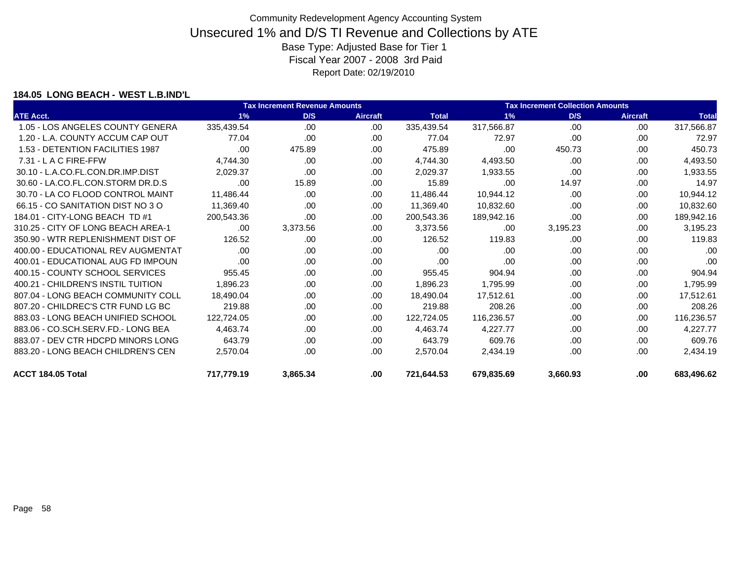### **184.05 LONG BEACH - WEST L.B.IND'L**

|                                    |            | <b>Tax Increment Revenue Amounts</b> |                 | <b>Tax Increment Collection Amounts</b> |            |          |                 |              |  |
|------------------------------------|------------|--------------------------------------|-----------------|-----------------------------------------|------------|----------|-----------------|--------------|--|
| <b>ATE Acct.</b>                   | 1%         | D/S                                  | <b>Aircraft</b> | <b>Total</b>                            | 1%         | D/S      | <b>Aircraft</b> | <b>Total</b> |  |
| 1.05 - LOS ANGELES COUNTY GENERA   | 335,439.54 | .00.                                 | .00.            | 335,439.54                              | 317,566.87 | .00      | .00             | 317,566.87   |  |
| 1.20 - L.A. COUNTY ACCUM CAP OUT   | 77.04      | .00.                                 | .00.            | 77.04                                   | 72.97      | .00      | .00             | 72.97        |  |
| 1.53 - DETENTION FACILITIES 1987   | .00        | 475.89                               | .00             | 475.89                                  | .00        | 450.73   | .00             | 450.73       |  |
| 7.31 - L A C FIRE-FFW              | 4,744.30   | .00.                                 | .00             | 4,744.30                                | 4,493.50   | .00      | .00             | 4,493.50     |  |
| 30.10 - L.A.CO.FL.CON.DR.IMP.DIST  | 2,029.37   | .00                                  | .00             | 2,029.37                                | 1,933.55   | .00      | .00             | 1,933.55     |  |
| 30.60 - LA.CO.FL.CON.STORM DR.D.S  | .00.       | 15.89                                | .00             | 15.89                                   | .00        | 14.97    | .00             | 14.97        |  |
| 30.70 - LA CO FLOOD CONTROL MAINT  | 11,486.44  | .00                                  | .00             | 11,486.44                               | 10,944.12  | .00      | .00             | 10,944.12    |  |
| 66.15 - CO SANITATION DIST NO 3 O  | 11,369.40  | .00.                                 | .00             | 11,369.40                               | 10,832.60  | .00      | .00             | 10,832.60    |  |
| 184.01 - CITY-LONG BEACH TD #1     | 200,543.36 | .00                                  | .00             | 200,543.36                              | 189,942.16 | .00      | .00             | 189,942.16   |  |
| 310.25 - CITY OF LONG BEACH AREA-1 | .00        | 3,373.56                             | .00             | 3,373.56                                | .00        | 3,195.23 | .00             | 3,195.23     |  |
| 350.90 - WTR REPLENISHMENT DIST OF | 126.52     | .00                                  | .00             | 126.52                                  | 119.83     | .00      | .00             | 119.83       |  |
| 400.00 - EDUCATIONAL REV AUGMENTAT | .00        | .00.                                 | .00             | .00                                     | .00        | .00      | .00             | .00          |  |
| 400.01 - EDUCATIONAL AUG FD IMPOUN | .00        | .00                                  | .00             | .00                                     | .00        | .00      | .00             | .00          |  |
| 400.15 - COUNTY SCHOOL SERVICES    | 955.45     | .00.                                 | .00             | 955.45                                  | 904.94     | .00      | .00             | 904.94       |  |
| 400.21 - CHILDREN'S INSTIL TUITION | 1.896.23   | .00.                                 | .00             | 1,896.23                                | 1,795.99   | .00      | .00             | 1,795.99     |  |
| 807.04 - LONG BEACH COMMUNITY COLL | 18,490.04  | .00.                                 | .00             | 18,490.04                               | 17,512.61  | .00      | .00             | 17,512.61    |  |
| 807.20 - CHILDREC'S CTR FUND LG BC | 219.88     | .00.                                 | .00             | 219.88                                  | 208.26     | .00      | .00             | 208.26       |  |
| 883.03 - LONG BEACH UNIFIED SCHOOL | 122,724.05 | .00.                                 | .00.            | 122,724.05                              | 116,236.57 | .00      | .00             | 116,236.57   |  |
| 883.06 - CO.SCH.SERV.FD.- LONG BEA | 4,463.74   | .00.                                 | .00             | 4,463.74                                | 4,227.77   | .00      | .00             | 4,227.77     |  |
| 883.07 - DEV CTR HDCPD MINORS LONG | 643.79     | .00.                                 | .00             | 643.79                                  | 609.76     | .00      | .00             | 609.76       |  |
| 883.20 - LONG BEACH CHILDREN'S CEN | 2,570.04   | .00.                                 | .00             | 2,570.04                                | 2,434.19   | .00      | .00             | 2,434.19     |  |
| ACCT 184.05 Total                  | 717,779.19 | 3,865.34                             | .00             | 721,644.53                              | 679,835.69 | 3,660.93 | .00             | 683,496.62   |  |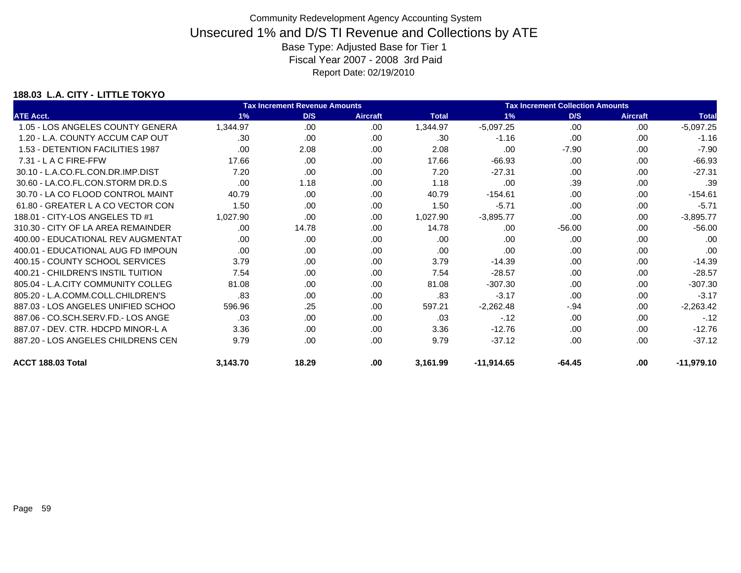### **188.03 L.A. CITY - LITTLE TOKYO**

|                                    | <b>Tax Increment Revenue Amounts</b> |       |                 |              |              | <b>Tax Increment Collection Amounts</b> |                 |              |  |  |
|------------------------------------|--------------------------------------|-------|-----------------|--------------|--------------|-----------------------------------------|-----------------|--------------|--|--|
| <b>ATE Acct.</b>                   | 1%                                   | D/S   | <b>Aircraft</b> | <b>Total</b> | 1%           | D/S                                     | <b>Aircraft</b> | <b>Total</b> |  |  |
| 1.05 - LOS ANGELES COUNTY GENERA   | 1,344.97                             | .00   | .00             | 1,344.97     | $-5,097.25$  | .00                                     | .00             | $-5,097.25$  |  |  |
| 1.20 - L.A. COUNTY ACCUM CAP OUT   | .30                                  | .00   | .00             | .30          | $-1.16$      | .00                                     | .00             | $-1.16$      |  |  |
| 1.53 - DETENTION FACILITIES 1987   | .00                                  | 2.08  | .00.            | 2.08         | .00          | $-7.90$                                 | .00             | $-7.90$      |  |  |
| $7.31 - L$ A C FIRE-FFW            | 17.66                                | .00   | .00             | 17.66        | $-66.93$     | .00.                                    | .00             | $-66.93$     |  |  |
| 30.10 - L.A.CO.FL.CON.DR.IMP.DIST  | 7.20                                 | .00   | .00             | 7.20         | $-27.31$     | .00.                                    | .00             | $-27.31$     |  |  |
| 30.60 - LA.CO.FL.CON.STORM DR.D.S  | .00                                  | 1.18  | .00             | 1.18         | .00          | .39                                     | .00             | .39          |  |  |
| 30.70 - LA CO FLOOD CONTROL MAINT  | 40.79                                | .00   | .00             | 40.79        | $-154.61$    | .00.                                    | .00             | $-154.61$    |  |  |
| 61.80 - GREATER L A CO VECTOR CON  | 1.50                                 | .00   | .00             | 1.50         | $-5.71$      | .00                                     | .00             | $-5.71$      |  |  |
| 188.01 - CITY-LOS ANGELES TD #1    | 1,027.90                             | .00   | .00             | 1,027.90     | $-3,895.77$  | .00                                     | .00             | $-3,895.77$  |  |  |
| 310.30 - CITY OF LA AREA REMAINDER | .00                                  | 14.78 | .00             | 14.78        | .00          | $-56.00$                                | .00             | $-56.00$     |  |  |
| 400.00 - EDUCATIONAL REV AUGMENTAT | .00                                  | .00   | .00             | .00.         | .00          | .00                                     | .00             | .00          |  |  |
| 400.01 - EDUCATIONAL AUG FD IMPOUN | .00                                  | .00   | .00             | .00.         | .00          | .00                                     | .00             | .00          |  |  |
| 400.15 - COUNTY SCHOOL SERVICES    | 3.79                                 | .00   | .00             | 3.79         | $-14.39$     | .00.                                    | .00             | $-14.39$     |  |  |
| 400.21 - CHILDREN'S INSTIL TUITION | 7.54                                 | .00.  | .00             | 7.54         | $-28.57$     | .00.                                    | .00             | $-28.57$     |  |  |
| 805.04 - L.A.CITY COMMUNITY COLLEG | 81.08                                | .00   | .00             | 81.08        | $-307.30$    | .00                                     | .00             | $-307.30$    |  |  |
| 805.20 - L.A.COMM.COLL.CHILDREN'S  | .83                                  | .00   | .00             | .83          | $-3.17$      | .00                                     | .00             | $-3.17$      |  |  |
| 887.03 - LOS ANGELES UNIFIED SCHOO | 596.96                               | .25   | .00             | 597.21       | $-2,262.48$  | $-.94$                                  | .00             | $-2,263.42$  |  |  |
| 887.06 - CO.SCH.SERV.FD.- LOS ANGE | .03                                  | .00   | .00             | .03          | $-12$        | .00                                     | .00             | $-12$        |  |  |
| 887.07 - DEV. CTR. HDCPD MINOR-L A | 3.36                                 | .00.  | .00             | 3.36         | $-12.76$     | .00.                                    | .00             | $-12.76$     |  |  |
| 887.20 - LOS ANGELES CHILDRENS CEN | 9.79                                 | .00   | .00             | 9.79         | $-37.12$     | .00.                                    | .00             | $-37.12$     |  |  |
| ACCT 188.03 Total                  | 3,143.70                             | 18.29 | .00             | 3,161.99     | $-11,914.65$ | $-64.45$                                | .00             | $-11,979.10$ |  |  |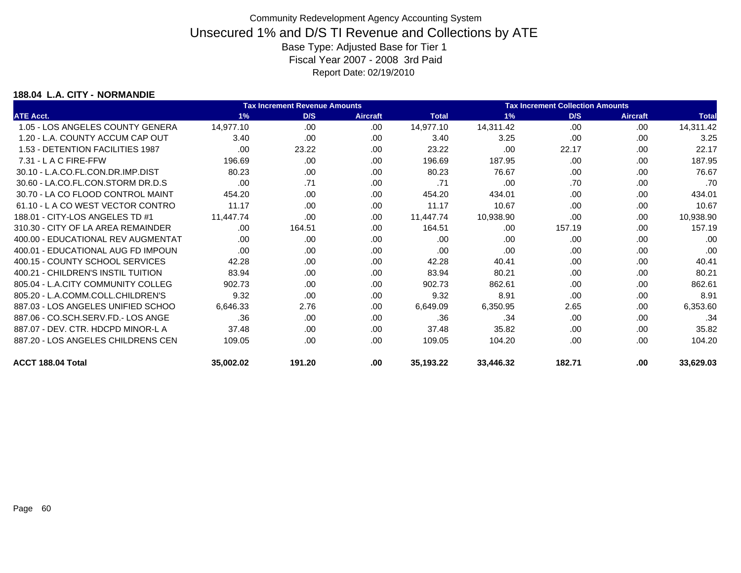### **188.04 L.A. CITY - NORMANDIE**

|                                    | <b>Tax Increment Revenue Amounts</b> |        |                 |              |           | <b>Tax Increment Collection Amounts</b> |                 |              |  |  |
|------------------------------------|--------------------------------------|--------|-----------------|--------------|-----------|-----------------------------------------|-----------------|--------------|--|--|
| <b>ATE Acct.</b>                   | 1%                                   | D/S    | <b>Aircraft</b> | <b>Total</b> | 1%        | D/S                                     | <b>Aircraft</b> | <b>Total</b> |  |  |
| 1.05 - LOS ANGELES COUNTY GENERA   | 14,977.10                            | .00    | .00.            | 14,977.10    | 14,311.42 | .00                                     | .00             | 14,311.42    |  |  |
| 1.20 - L.A. COUNTY ACCUM CAP OUT   | 3.40                                 | .00    | .00.            | 3.40         | 3.25      | .00                                     | .00.            | 3.25         |  |  |
| 1.53 - DETENTION FACILITIES 1987   | .00                                  | 23.22  | .00.            | 23.22        | .00       | 22.17                                   | .00             | 22.17        |  |  |
| $7.31 - L$ A C FIRE-FFW            | 196.69                               | .00    | .00             | 196.69       | 187.95    | .00                                     | .00             | 187.95       |  |  |
| 30.10 - L.A.CO.FL.CON.DR.IMP.DIST  | 80.23                                | .00    | .00             | 80.23        | 76.67     | .00                                     | .00             | 76.67        |  |  |
| 30.60 - LA.CO.FL.CON.STORM DR.D.S  | .00                                  | .71    | .00             | .71          | .00       | .70                                     | .00             | .70          |  |  |
| 30.70 - LA CO FLOOD CONTROL MAINT  | 454.20                               | .00    | .00             | 454.20       | 434.01    | .00                                     | .00             | 434.01       |  |  |
| 61.10 - L A CO WEST VECTOR CONTRO  | 11.17                                | .00    | .00             | 11.17        | 10.67     | .00                                     | .00             | 10.67        |  |  |
| 188.01 - CITY-LOS ANGELES TD #1    | 11,447.74                            | .00    | .00.            | 11,447.74    | 10,938.90 | .00                                     | .00             | 10,938.90    |  |  |
| 310.30 - CITY OF LA AREA REMAINDER | .00                                  | 164.51 | .00.            | 164.51       | .00       | 157.19                                  | .00.            | 157.19       |  |  |
| 400.00 - EDUCATIONAL REV AUGMENTAT | .00                                  | .00    | .00.            | .00          | .00       | .00                                     | .00             | .00          |  |  |
| 400.01 - EDUCATIONAL AUG FD IMPOUN | .00                                  | .00    | .00.            | .00          | .00       | .00                                     | .00             | .00          |  |  |
| 400.15 - COUNTY SCHOOL SERVICES    | 42.28                                | .00    | .00             | 42.28        | 40.41     | .00                                     | .00             | 40.41        |  |  |
| 400.21 - CHILDREN'S INSTIL TUITION | 83.94                                | .00    | .00.            | 83.94        | 80.21     | .00                                     | .00.            | 80.21        |  |  |
| 805.04 - L.A.CITY COMMUNITY COLLEG | 902.73                               | .00    | .00             | 902.73       | 862.61    | .00                                     | .00             | 862.61       |  |  |
| 805.20 - L.A.COMM.COLL.CHILDREN'S  | 9.32                                 | .00    | .00             | 9.32         | 8.91      | .00                                     | .00             | 8.91         |  |  |
| 887.03 - LOS ANGELES UNIFIED SCHOO | 6,646.33                             | 2.76   | .00             | 6,649.09     | 6,350.95  | 2.65                                    | .00             | 6,353.60     |  |  |
| 887.06 - CO.SCH.SERV.FD.- LOS ANGE | .36                                  | .00    | .00.            | .36          | .34       | .00                                     | .00.            | .34          |  |  |
| 887.07 - DEV. CTR. HDCPD MINOR-L A | 37.48                                | .00    | .00.            | 37.48        | 35.82     | .00                                     | .00             | 35.82        |  |  |
| 887.20 - LOS ANGELES CHILDRENS CEN | 109.05                               | .00    | .00             | 109.05       | 104.20    | .00                                     | .00             | 104.20       |  |  |
| ACCT 188.04 Total                  | 35,002.02                            | 191.20 | .00             | 35,193.22    | 33,446.32 | 182.71                                  | .00             | 33,629.03    |  |  |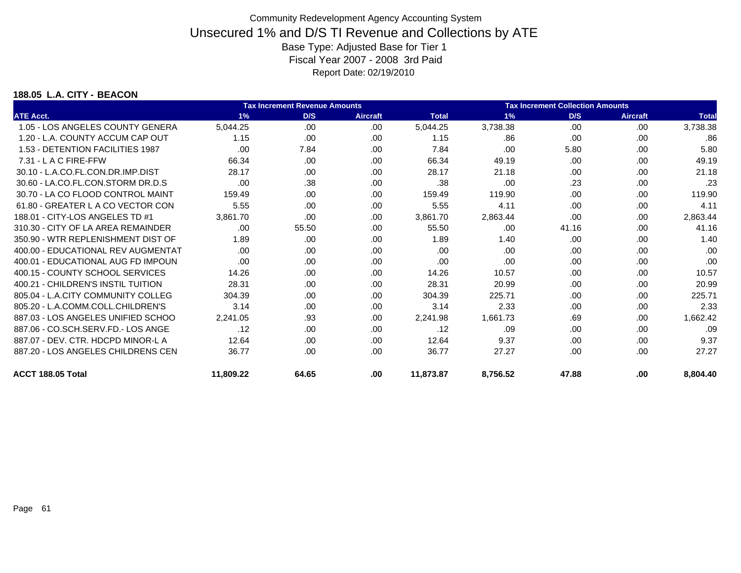#### **188.05 L.A. CITY - BEACON**

|                                    |           | <b>Tax Increment Revenue Amounts</b> |                 | <b>Tax Increment Collection Amounts</b> |          |       |                 |              |
|------------------------------------|-----------|--------------------------------------|-----------------|-----------------------------------------|----------|-------|-----------------|--------------|
| <b>ATE Acct.</b>                   | 1%        | D/S                                  | <b>Aircraft</b> | <b>Total</b>                            | 1%       | D/S   | <b>Aircraft</b> | <b>Total</b> |
| 1.05 - LOS ANGELES COUNTY GENERA   | 5,044.25  | .00                                  | .00.            | 5,044.25                                | 3,738.38 | .00   | .00             | 3,738.38     |
| 1.20 - L.A. COUNTY ACCUM CAP OUT   | 1.15      | .00                                  | .00.            | 1.15                                    | .86      | .00   | .00             | .86          |
| 1.53 - DETENTION FACILITIES 1987   | .00       | 7.84                                 | .00             | 7.84                                    | .00      | 5.80  | .00             | 5.80         |
| $7.31 - L$ A C FIRE-FFW            | 66.34     | .00                                  | .00             | 66.34                                   | 49.19    | .00   | .00             | 49.19        |
| 30.10 - L.A.CO.FL.CON.DR.IMP.DIST  | 28.17     | .00                                  | .00             | 28.17                                   | 21.18    | .00   | .00             | 21.18        |
| 30.60 - LA.CO.FL.CON.STORM DR.D.S  | .00       | .38                                  | .00.            | .38                                     | .00      | .23   | .00             | .23          |
| 30.70 - LA CO FLOOD CONTROL MAINT  | 159.49    | .00                                  | .00             | 159.49                                  | 119.90   | .00   | .00             | 119.90       |
| 61.80 - GREATER L A CO VECTOR CON  | 5.55      | .00                                  | .00.            | 5.55                                    | 4.11     | .00   | .00             | 4.11         |
| 188.01 - CITY-LOS ANGELES TD #1    | 3.861.70  | .00                                  | .00             | 3,861.70                                | 2,863.44 | .00   | .00             | 2,863.44     |
| 310.30 - CITY OF LA AREA REMAINDER | .00       | 55.50                                | .00             | 55.50                                   | .00      | 41.16 | .00             | 41.16        |
| 350.90 - WTR REPLENISHMENT DIST OF | 1.89      | .00                                  | .00             | 1.89                                    | 1.40     | .00   | .00             | 1.40         |
| 400.00 - EDUCATIONAL REV AUGMENTAT | .00       | .00                                  | .00             | .00                                     | .00      | .00   | .00             | .00          |
| 400.01 - EDUCATIONAL AUG FD IMPOUN | .00       | .00                                  | .00             | .00                                     | .00      | .00   | .00             | .00          |
| 400.15 - COUNTY SCHOOL SERVICES    | 14.26     | .00                                  | .00.            | 14.26                                   | 10.57    | .00   | .00             | 10.57        |
| 400.21 - CHILDREN'S INSTIL TUITION | 28.31     | .00                                  | .00.            | 28.31                                   | 20.99    | .00   | .00             | 20.99        |
| 805.04 - L.A.CITY COMMUNITY COLLEG | 304.39    | .00                                  | .00             | 304.39                                  | 225.71   | .00   | .00             | 225.71       |
| 805.20 - L.A.COMM.COLL.CHILDREN'S  | 3.14      | .00                                  | .00             | 3.14                                    | 2.33     | .00   | .00             | 2.33         |
| 887.03 - LOS ANGELES UNIFIED SCHOO | 2,241.05  | .93                                  | .00             | 2,241.98                                | 1,661.73 | .69   | .00             | 1,662.42     |
| 887.06 - CO.SCH.SERV.FD.- LOS ANGE | .12       | .00                                  | .00             | .12                                     | .09      | .00   | .00             | .09          |
| 887.07 - DEV. CTR. HDCPD MINOR-L A | 12.64     | .00                                  | .00             | 12.64                                   | 9.37     | .00   | .00             | 9.37         |
| 887.20 - LOS ANGELES CHILDRENS CEN | 36.77     | .00                                  | .00             | 36.77                                   | 27.27    | .00   | .00             | 27.27        |
| ACCT 188.05 Total                  | 11,809.22 | 64.65                                | .00             | 11,873.87                               | 8,756.52 | 47.88 | .00             | 8.804.40     |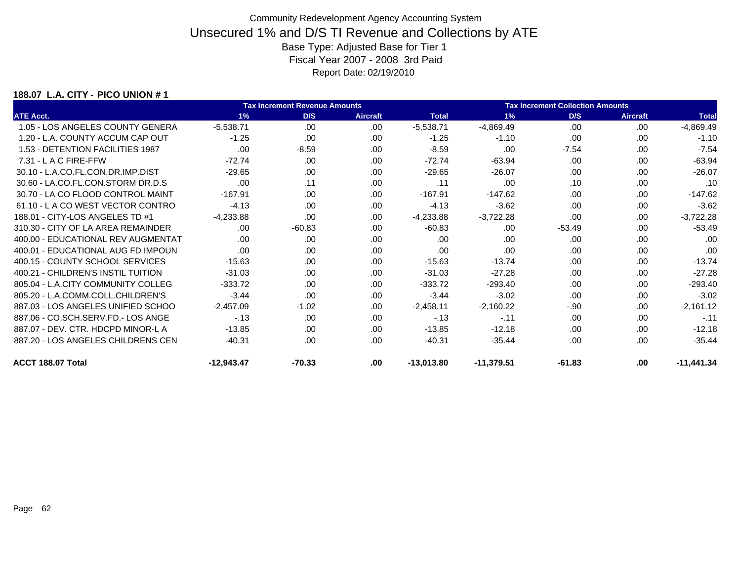### **188.07 L.A. CITY - PICO UNION # 1**

|                                    | <b>Tax Increment Revenue Amounts</b> |          |                 |              | <b>Tax Increment Collection Amounts</b> |          |                 |              |  |
|------------------------------------|--------------------------------------|----------|-----------------|--------------|-----------------------------------------|----------|-----------------|--------------|--|
| <b>ATE Acct.</b>                   | 1%                                   | D/S      | <b>Aircraft</b> | <b>Total</b> | 1%                                      | D/S      | <b>Aircraft</b> | <b>Total</b> |  |
| 1.05 - LOS ANGELES COUNTY GENERA   | $-5,538.71$                          | .00      | .00             | $-5,538.71$  | -4,869.49                               | .00      | .00             | $-4,869.49$  |  |
| 1.20 - L.A. COUNTY ACCUM CAP OUT   | $-1.25$                              | .00      | .00             | $-1.25$      | $-1.10$                                 | .00      | .00             | $-1.10$      |  |
| 1.53 - DETENTION FACILITIES 1987   | .00                                  | $-8.59$  | .00.            | $-8.59$      | .00                                     | $-7.54$  | .00             | $-7.54$      |  |
| $7.31 - L$ A C FIRE-FFW            | $-72.74$                             | .00      | .00             | $-72.74$     | $-63.94$                                | .00.     | .00             | $-63.94$     |  |
| 30.10 - L.A.CO.FL.CON.DR.IMP.DIST  | $-29.65$                             | .00.     | .00             | $-29.65$     | $-26.07$                                | .00.     | .00             | $-26.07$     |  |
| 30.60 - LA.CO.FL.CON.STORM DR.D.S  | .00                                  | .11      | .00             | .11          | .00                                     | .10      | .00             | .10          |  |
| 30.70 - LA CO FLOOD CONTROL MAINT  | $-167.91$                            | .00      | .00             | $-167.91$    | $-147.62$                               | .00.     | .00             | $-147.62$    |  |
| 61.10 - L A CO WEST VECTOR CONTRO  | $-4.13$                              | .00      | .00             | $-4.13$      | $-3.62$                                 | .00      | .00             | $-3.62$      |  |
| 188.01 - CITY-LOS ANGELES TD #1    | $-4,233.88$                          | .00      | .00             | $-4,233.88$  | $-3,722.28$                             | .00      | .00             | $-3,722.28$  |  |
| 310.30 - CITY OF LA AREA REMAINDER | .00.                                 | $-60.83$ | .00             | $-60.83$     | .00                                     | $-53.49$ | .00             | $-53.49$     |  |
| 400.00 - EDUCATIONAL REV AUGMENTAT | .00                                  | .00      | .00             | .00.         | .00                                     | .00      | .00             | .00          |  |
| 400.01 - EDUCATIONAL AUG FD IMPOUN | .00                                  | .00      | .00             | .00.         | .00                                     | .00      | .00             | .00          |  |
| 400.15 - COUNTY SCHOOL SERVICES    | $-15.63$                             | .00      | .00             | $-15.63$     | $-13.74$                                | .00.     | .00             | $-13.74$     |  |
| 400.21 - CHILDREN'S INSTIL TUITION | $-31.03$                             | .00.     | .00             | $-31.03$     | $-27.28$                                | .00.     | .00             | $-27.28$     |  |
| 805.04 - L.A.CITY COMMUNITY COLLEG | $-333.72$                            | .00      | .00             | $-333.72$    | $-293.40$                               | .00      | .00             | $-293.40$    |  |
| 805.20 - L.A.COMM.COLL.CHILDREN'S  | $-3.44$                              | .00      | .00             | $-3.44$      | $-3.02$                                 | .00      | .00             | $-3.02$      |  |
| 887.03 - LOS ANGELES UNIFIED SCHOO | $-2,457.09$                          | $-1.02$  | .00             | $-2,458.11$  | $-2,160.22$                             | $-.90$   | .00             | $-2,161.12$  |  |
| 887.06 - CO.SCH.SERV.FD.- LOS ANGE | $-.13$                               | .00      | .00             | $-.13$       | $-.11$                                  | .00      | .00             | $-.11$       |  |
| 887.07 - DEV. CTR. HDCPD MINOR-L A | $-13.85$                             | .00.     | .00             | $-13.85$     | $-12.18$                                | .00.     | .00             | $-12.18$     |  |
| 887.20 - LOS ANGELES CHILDRENS CEN | $-40.31$                             | .00.     | .00             | $-40.31$     | $-35.44$                                | .00.     | .00             | $-35.44$     |  |
| ACCT 188.07 Total                  | $-12,943.47$                         | $-70.33$ | .00             | $-13,013.80$ | $-11,379.51$                            | $-61.83$ | .00             | $-11,441.34$ |  |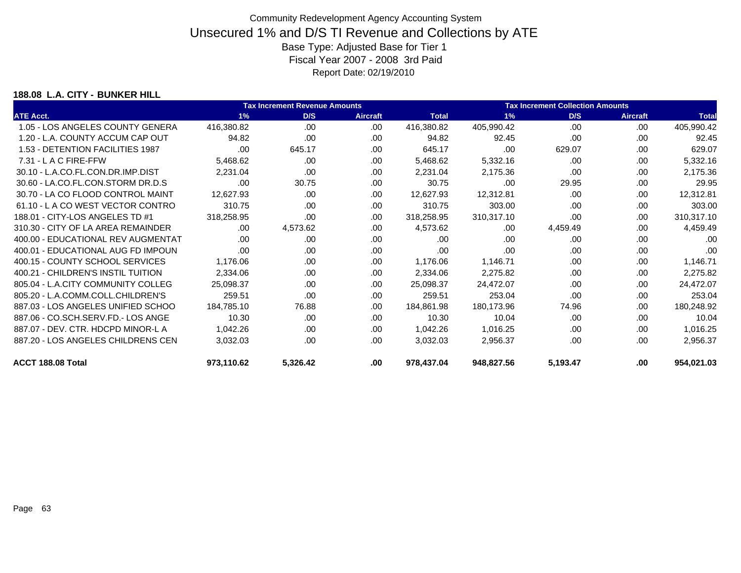### **188.08 L.A. CITY - BUNKER HILL**

|                                    | <b>Tax Increment Revenue Amounts</b> |          |                 |              | <b>Tax Increment Collection Amounts</b> |          |                 |              |  |
|------------------------------------|--------------------------------------|----------|-----------------|--------------|-----------------------------------------|----------|-----------------|--------------|--|
| <b>ATE Acct.</b>                   | 1%                                   | D/S      | <b>Aircraft</b> | <b>Total</b> | 1%                                      | D/S      | <b>Aircraft</b> | <b>Total</b> |  |
| 1.05 - LOS ANGELES COUNTY GENERA   | 416,380.82                           | .00.     | .00.            | 416,380.82   | 405,990.42                              | .00      | .00             | 405,990.42   |  |
| 1.20 - L.A. COUNTY ACCUM CAP OUT   | 94.82                                | .00      | .00             | 94.82        | 92.45                                   | .00      | .00             | 92.45        |  |
| 1.53 - DETENTION FACILITIES 1987   | .00                                  | 645.17   | .00             | 645.17       | .00                                     | 629.07   | .00             | 629.07       |  |
| 7.31 - L A C FIRE-FFW              | 5,468.62                             | .00      | .00.            | 5,468.62     | 5,332.16                                | .00      | .00             | 5,332.16     |  |
| 30.10 - L.A.CO.FL.CON.DR.IMP.DIST  | 2,231.04                             | .00      | .00             | 2,231.04     | 2,175.36                                | .00      | .00             | 2,175.36     |  |
| 30.60 - LA.CO.FL.CON.STORM DR.D.S  | .00                                  | 30.75    | .00             | 30.75        | .00                                     | 29.95    | .00             | 29.95        |  |
| 30.70 - LA CO FLOOD CONTROL MAINT  | 12,627.93                            | .00.     | .00.            | 12,627.93    | 12,312.81                               | .00      | .00             | 12,312.81    |  |
| 61.10 - LA CO WEST VECTOR CONTRO   | 310.75                               | .00.     | .00.            | 310.75       | 303.00                                  | .00      | .00             | 303.00       |  |
| 188.01 - CITY-LOS ANGELES TD #1    | 318,258.95                           | .00      | .00.            | 318,258.95   | 310,317.10                              | .00      | .00.            | 310,317.10   |  |
| 310.30 - CITY OF LA AREA REMAINDER | .00.                                 | 4,573.62 | .00             | 4,573.62     | .00                                     | 4,459.49 | .00             | 4,459.49     |  |
| 400.00 - EDUCATIONAL REV AUGMENTAT | .00                                  | .00      | .00.            | .00          | .00                                     | .00      | .00             | .00          |  |
| 400.01 - EDUCATIONAL AUG FD IMPOUN | .00                                  | .00.     | .00             | .00          | .00                                     | .00      | .00             | .00          |  |
| 400.15 - COUNTY SCHOOL SERVICES    | 1,176.06                             | .00.     | .00             | 1,176.06     | 1,146.71                                | .00      | .00             | 1,146.71     |  |
| 400.21 - CHILDREN'S INSTIL TUITION | 2,334.06                             | .00.     | .00             | 2,334.06     | 2,275.82                                | .00      | .00             | 2,275.82     |  |
| 805.04 - L.A.CITY COMMUNITY COLLEG | 25,098.37                            | .00      | .00.            | 25,098.37    | 24,472.07                               | .00      | .00             | 24,472.07    |  |
| 805.20 - L.A.COMM.COLL.CHILDREN'S  | 259.51                               | .00      | .00             | 259.51       | 253.04                                  | .00      | .00             | 253.04       |  |
| 887.03 - LOS ANGELES UNIFIED SCHOO | 184,785.10                           | 76.88    | .00             | 184,861.98   | 180,173.96                              | 74.96    | .00             | 180,248.92   |  |
| 887.06 - CO.SCH.SERV.FD.- LOS ANGE | 10.30                                | .00      | .00             | 10.30        | 10.04                                   | .00      | .00             | 10.04        |  |
| 887.07 - DEV. CTR. HDCPD MINOR-L A | 1,042.26                             | .00.     | .00             | 1,042.26     | 1,016.25                                | .00      | .00             | 1,016.25     |  |
| 887.20 - LOS ANGELES CHILDRENS CEN | 3,032.03                             | .00.     | .00.            | 3,032.03     | 2,956.37                                | .00      | .00             | 2,956.37     |  |
| ACCT 188.08 Total                  | 973,110.62                           | 5,326.42 | .00             | 978,437.04   | 948,827.56                              | 5,193.47 | .00             | 954,021.03   |  |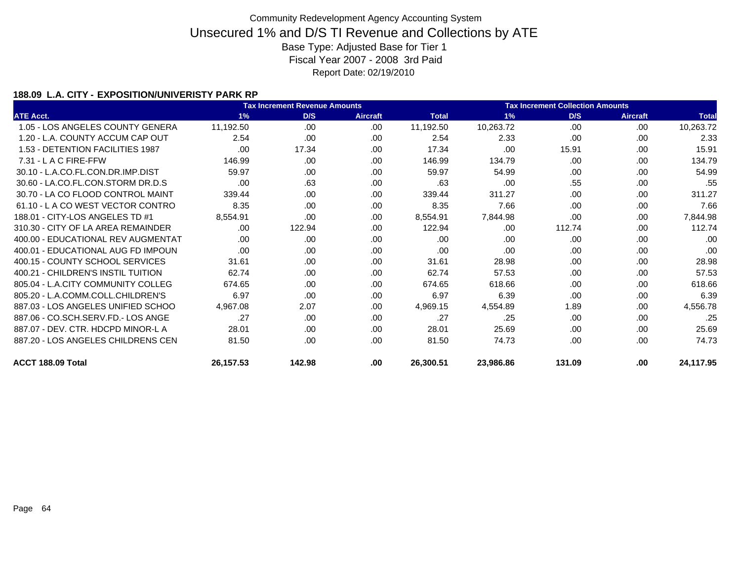### **188.09 L.A. CITY - EXPOSITION/UNIVERISTY PARK RP**

|                                    |           | <b>Tax Increment Revenue Amounts</b> |                 |              | <b>Tax Increment Collection Amounts</b> |        |                 |              |
|------------------------------------|-----------|--------------------------------------|-----------------|--------------|-----------------------------------------|--------|-----------------|--------------|
| <b>ATE Acct.</b>                   | 1%        | D/S                                  | <b>Aircraft</b> | <b>Total</b> | 1%                                      | D/S    | <b>Aircraft</b> | <b>Total</b> |
| 1.05 - LOS ANGELES COUNTY GENERA   | 11,192.50 | .00                                  | .00.            | 11,192.50    | 10,263.72                               | .00    | .00             | 10,263.72    |
| 1.20 - L.A. COUNTY ACCUM CAP OUT   | 2.54      | .00                                  | .00             | 2.54         | 2.33                                    | .00    | .00             | 2.33         |
| 1.53 - DETENTION FACILITIES 1987   | .00       | 17.34                                | .00             | 17.34        | .00                                     | 15.91  | .00             | 15.91        |
| $7.31 - L$ A C FIRE-FFW            | 146.99    | .00                                  | .00             | 146.99       | 134.79                                  | .00.   | .00             | 134.79       |
| 30.10 - L.A.CO.FL.CON.DR.IMP.DIST  | 59.97     | .00                                  | .00             | 59.97        | 54.99                                   | .00    | .00             | 54.99        |
| 30.60 - LA.CO.FL.CON.STORM DR.D.S  | .00       | .63                                  | .00.            | .63          | .00                                     | .55    | .00             | .55          |
| 30.70 - LA CO FLOOD CONTROL MAINT  | 339.44    | .00                                  | .00             | 339.44       | 311.27                                  | .00    | .00             | 311.27       |
| 61.10 - L A CO WEST VECTOR CONTRO  | 8.35      | .00                                  | .00.            | 8.35         | 7.66                                    | .00.   | .00             | 7.66         |
| 188.01 - CITY-LOS ANGELES TD #1    | 8,554.91  | .00                                  | .00.            | 8,554.91     | 7,844.98                                | .00    | .00             | 7,844.98     |
| 310.30 - CITY OF LA AREA REMAINDER | .00       | 122.94                               | .00.            | 122.94       | .00                                     | 112.74 | .00             | 112.74       |
| 400.00 - EDUCATIONAL REV AUGMENTAT | .00       | .00                                  | .00             | .00.         | .00                                     | .00.   | .00             | .00          |
| 400.01 - EDUCATIONAL AUG FD IMPOUN | .00       | .00.                                 | .00             | .00.         | .00.                                    | .00    | .00             | .00          |
| 400.15 - COUNTY SCHOOL SERVICES    | 31.61     | .00                                  | .00.            | 31.61        | 28.98                                   | .00.   | .00             | 28.98        |
| 400.21 - CHILDREN'S INSTIL TUITION | 62.74     | .00                                  | .00.            | 62.74        | 57.53                                   | .00.   | .00             | 57.53        |
| 805.04 - L.A.CITY COMMUNITY COLLEG | 674.65    | .00                                  | .00             | 674.65       | 618.66                                  | .00    | .00             | 618.66       |
| 805.20 - L.A.COMM.COLL.CHILDREN'S  | 6.97      | .00                                  | .00             | 6.97         | 6.39                                    | .00    | .00             | 6.39         |
| 887.03 - LOS ANGELES UNIFIED SCHOO | 4,967.08  | 2.07                                 | .00             | 4,969.15     | 4,554.89                                | 1.89   | .00             | 4,556.78     |
| 887.06 - CO.SCH.SERV.FD.- LOS ANGE | .27       | .00                                  | .00             | .27          | .25                                     | .00.   | .00             | .25          |
| 887.07 - DEV. CTR. HDCPD MINOR-L A | 28.01     | .00.                                 | .00             | 28.01        | 25.69                                   | .00.   | .00             | 25.69        |
| 887.20 - LOS ANGELES CHILDRENS CEN | 81.50     | .00.                                 | .00             | 81.50        | 74.73                                   | .00.   | .00             | 74.73        |
| ACCT 188.09 Total                  | 26,157.53 | 142.98                               | .00             | 26,300.51    | 23,986.86                               | 131.09 | .00             | 24,117.95    |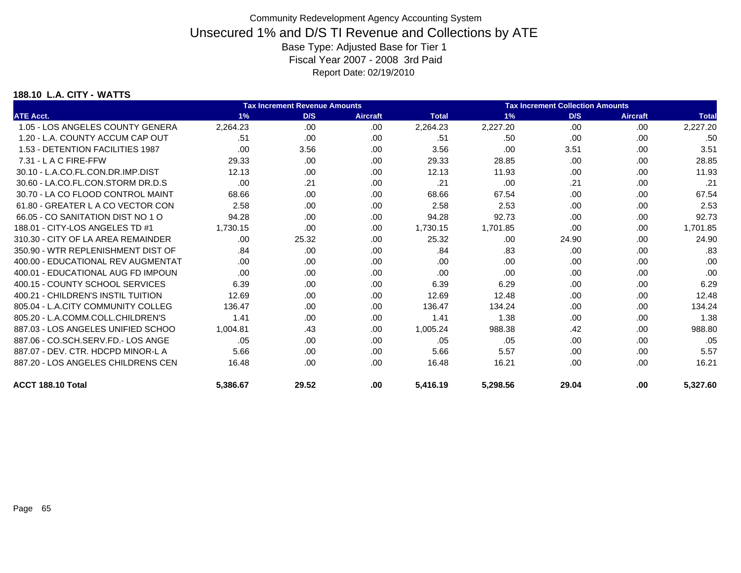#### **188.10 L.A. CITY - WATTS**

|                                    |          | <b>Tax Increment Revenue Amounts</b> |                 | <b>Tax Increment Collection Amounts</b> |          |       |                 |              |
|------------------------------------|----------|--------------------------------------|-----------------|-----------------------------------------|----------|-------|-----------------|--------------|
| <b>ATE Acct.</b>                   | 1%       | D/S                                  | <b>Aircraft</b> | <b>Total</b>                            | 1%       | D/S   | <b>Aircraft</b> | <b>Total</b> |
| 1.05 - LOS ANGELES COUNTY GENERA   | 2,264.23 | .00                                  | .00             | 2,264.23                                | 2,227.20 | .00   | .00             | 2,227.20     |
| 1.20 - L.A. COUNTY ACCUM CAP OUT   | .51      | .00                                  | .00             | .51                                     | .50      | .00   | .00             | .50          |
| 1.53 - DETENTION FACILITIES 1987   | .00      | 3.56                                 | .00             | 3.56                                    | .00      | 3.51  | .00             | 3.51         |
| 7.31 - L A C FIRE-FFW              | 29.33    | .00                                  | .00             | 29.33                                   | 28.85    | .00   | .00             | 28.85        |
| 30.10 - L.A.CO.FL.CON.DR.IMP.DIST  | 12.13    | .00                                  | .00             | 12.13                                   | 11.93    | .00   | .00             | 11.93        |
| 30.60 - LA.CO.FL.CON.STORM DR.D.S  | .00      | .21                                  | .00.            | .21                                     | .00      | .21   | .00             | .21          |
| 30.70 - LA CO FLOOD CONTROL MAINT  | 68.66    | .00.                                 | .00             | 68.66                                   | 67.54    | .00.  | .00.            | 67.54        |
| 61.80 - GREATER L A CO VECTOR CON  | 2.58     | .00.                                 | .00             | 2.58                                    | 2.53     | .00.  | .00.            | 2.53         |
| 66.05 - CO SANITATION DIST NO 1 O  | 94.28    | .00.                                 | .00             | 94.28                                   | 92.73    | .00   | .00             | 92.73        |
| 188.01 - CITY-LOS ANGELES TD #1    | 1.730.15 | .00                                  | .00             | 1,730.15                                | 1,701.85 | .00   | .00             | 1,701.85     |
| 310.30 - CITY OF LA AREA REMAINDER | .00.     | 25.32                                | .00             | 25.32                                   | .00      | 24.90 | .00.            | 24.90        |
| 350.90 - WTR REPLENISHMENT DIST OF | .84      | .00.                                 | .00             | .84                                     | .83      | .00.  | .00             | .83          |
| 400.00 - EDUCATIONAL REV AUGMENTAT | .00      | .00                                  | .00             | .00                                     | .00      | .00   | .00             | .00          |
| 400.01 - EDUCATIONAL AUG FD IMPOUN | .00      | .00                                  | .00             | .00                                     | .00      | .00   | .00             | .00          |
| 400.15 - COUNTY SCHOOL SERVICES    | 6.39     | .00.                                 | .00.            | 6.39                                    | 6.29     | .00.  | .00             | 6.29         |
| 400.21 - CHILDREN'S INSTIL TUITION | 12.69    | .00.                                 | .00.            | 12.69                                   | 12.48    | .00.  | .00.            | 12.48        |
| 805.04 - L.A.CITY COMMUNITY COLLEG | 136.47   | .00.                                 | .00             | 136.47                                  | 134.24   | .00.  | .00.            | 134.24       |
| 805.20 - L.A.COMM.COLL.CHILDREN'S  | 1.41     | .00.                                 | .00             | 1.41                                    | 1.38     | .00.  | .00             | 1.38         |
| 887.03 - LOS ANGELES UNIFIED SCHOO | 1.004.81 | .43                                  | .00             | 1.005.24                                | 988.38   | .42   | .00.            | 988.80       |
| 887.06 - CO.SCH.SERV.FD.- LOS ANGE | .05      | .00.                                 | .00.            | .05                                     | .05      | .00   | .00.            | .05          |
| 887.07 - DEV. CTR. HDCPD MINOR-L A | 5.66     | .00.                                 | .00             | 5.66                                    | 5.57     | .00   | .00             | 5.57         |
| 887.20 - LOS ANGELES CHILDRENS CEN | 16.48    | .00                                  | .00             | 16.48                                   | 16.21    | .00.  | .00             | 16.21        |
| ACCT 188.10 Total                  | 5,386.67 | 29.52                                | .00             | 5,416.19                                | 5,298.56 | 29.04 | .00             | 5,327.60     |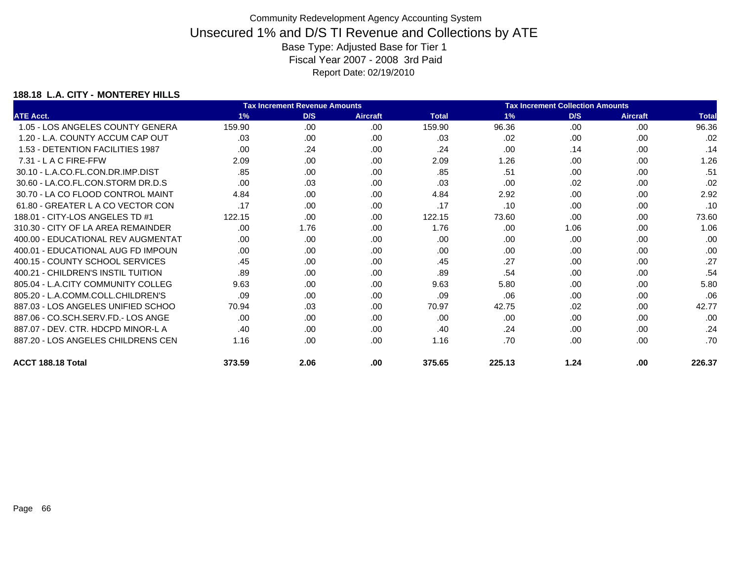### **188.18 L.A. CITY - MONTEREY HILLS**

|                                    |        | <b>Tax Increment Revenue Amounts</b> |                 | <b>Tax Increment Collection Amounts</b> |        |      |                 |              |
|------------------------------------|--------|--------------------------------------|-----------------|-----------------------------------------|--------|------|-----------------|--------------|
| <b>ATE Acct.</b>                   | 1%     | D/S                                  | <b>Aircraft</b> | <b>Total</b>                            | 1%     | D/S  | <b>Aircraft</b> | <b>Total</b> |
| 1.05 - LOS ANGELES COUNTY GENERA   | 159.90 | .00                                  | .00             | 159.90                                  | 96.36  | .00  | .00             | 96.36        |
| 1.20 - L.A. COUNTY ACCUM CAP OUT   | .03    | .00.                                 | .00             | .03                                     | .02    | .00  | .00             | .02          |
| 1.53 - DETENTION FACILITIES 1987   | .00.   | .24                                  | .00             | .24                                     | .00    | .14  | .00             | .14          |
| $7.31 - L$ A C FIRE-FFW            | 2.09   | .00                                  | .00             | 2.09                                    | 1.26   | .00  | .00             | 1.26         |
| 30.10 - L.A.CO.FL.CON.DR.IMP.DIST  | .85    | .00.                                 | .00             | .85                                     | .51    | .00  | .00             | .51          |
| 30.60 - LA.CO.FL.CON.STORM DR.D.S  | .00    | .03                                  | .00             | .03                                     | .00    | .02  | .00             | .02          |
| 30.70 - LA CO FLOOD CONTROL MAINT  | 4.84   | .00.                                 | .00             | 4.84                                    | 2.92   | .00  | .00             | 2.92         |
| 61.80 - GREATER L A CO VECTOR CON  | .17    | .00                                  | .00             | .17                                     | .10    | .00  | .00             | .10          |
| 188.01 - CITY-LOS ANGELES TD #1    | 122.15 | .00                                  | .00             | 122.15                                  | 73.60  | .00  | .00             | 73.60        |
| 310.30 - CITY OF LA AREA REMAINDER | .00    | 1.76                                 | .00             | 1.76                                    | .00    | 1.06 | .00             | 1.06         |
| 400.00 - EDUCATIONAL REV AUGMENTAT | .00    | .00                                  | .00             | .00                                     | .00    | .00  | .00             | .00          |
| 400.01 - EDUCATIONAL AUG FD IMPOUN | .00.   | .00.                                 | .00             | .00                                     | .00    | .00  | .00             | .00          |
| 400.15 - COUNTY SCHOOL SERVICES    | .45    | .00                                  | .00             | .45                                     | .27    | .00  | .00             | .27          |
| 400.21 - CHILDREN'S INSTIL TUITION | .89    | .00.                                 | .00.            | .89                                     | .54    | .00  | .00             | .54          |
| 805.04 - L.A.CITY COMMUNITY COLLEG | 9.63   | .00                                  | .00             | 9.63                                    | 5.80   | .00  | .00             | 5.80         |
| 805.20 - L.A.COMM.COLL.CHILDREN'S  | .09    | .00                                  | .00             | .09                                     | .06    | .00  | .00             | .06          |
| 887.03 - LOS ANGELES UNIFIED SCHOO | 70.94  | .03                                  | .00             | 70.97                                   | 42.75  | .02  | .00             | 42.77        |
| 887.06 - CO.SCH.SERV.FD.- LOS ANGE | .00    | .00.                                 | .00             | .00                                     | .00    | .00  | .00             | .00          |
| 887.07 - DEV. CTR. HDCPD MINOR-L A | .40    | .00.                                 | .00             | .40                                     | .24    | .00  | .00             | .24          |
| 887.20 - LOS ANGELES CHILDRENS CEN | 1.16   | .00.                                 | .00             | 1.16                                    | .70    | .00  | .00             | .70          |
| ACCT 188.18 Total                  | 373.59 | 2.06                                 | .00             | 375.65                                  | 225.13 | 1.24 | .00             | 226.37       |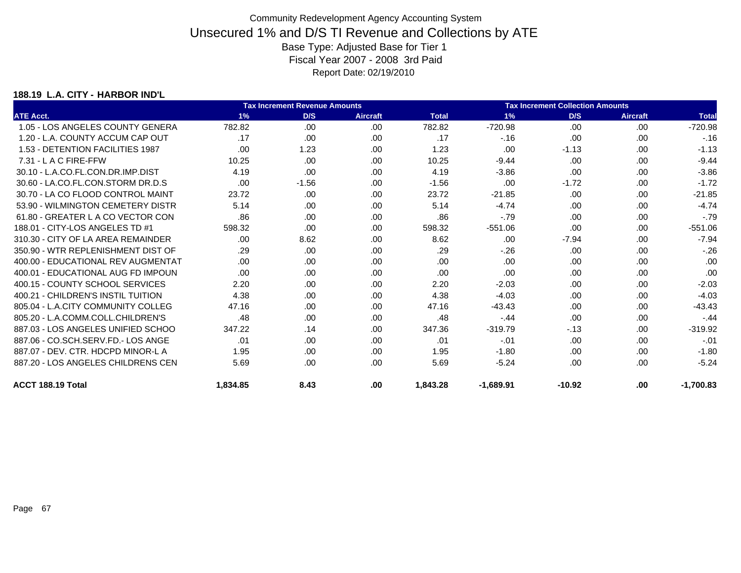### **188.19 L.A. CITY - HARBOR IND'L**

|                                    |          | <b>Tax Increment Revenue Amounts</b> |                 | <b>Tax Increment Collection Amounts</b> |             |          |                 |              |
|------------------------------------|----------|--------------------------------------|-----------------|-----------------------------------------|-------------|----------|-----------------|--------------|
| <b>ATE Acct.</b>                   | 1%       | D/S                                  | <b>Aircraft</b> | <b>Total</b>                            | 1%          | D/S      | <b>Aircraft</b> | <b>Total</b> |
| 1.05 - LOS ANGELES COUNTY GENERA   | 782.82   | .00                                  | .00             | 782.82                                  | $-720.98$   | .00      | .00             | $-720.98$    |
| 1.20 - L.A. COUNTY ACCUM CAP OUT   | .17      | .00                                  | .00             | .17                                     | $-.16$      | .00      | .00             | $-.16$       |
| 1.53 - DETENTION FACILITIES 1987   | .00      | 1.23                                 | .00             | 1.23                                    | .00         | $-1.13$  | .00             | $-1.13$      |
| 7.31 - L A C FIRE-FFW              | 10.25    | .00                                  | .00             | 10.25                                   | $-9.44$     | .00      | .00             | $-9.44$      |
| 30.10 - L.A.CO.FL.CON.DR.IMP.DIST  | 4.19     | .00                                  | .00             | 4.19                                    | $-3.86$     | .00      | .00             | $-3.86$      |
| 30.60 - LA.CO.FL.CON.STORM DR.D.S  | .00      | $-1.56$                              | .00             | $-1.56$                                 | .00         | $-1.72$  | .00             | $-1.72$      |
| 30.70 - LA CO FLOOD CONTROL MAINT  | 23.72    | .00                                  | .00             | 23.72                                   | $-21.85$    | .00      | .00             | $-21.85$     |
| 53.90 - WILMINGTON CEMETERY DISTR  | 5.14     | .00                                  | .00             | 5.14                                    | $-4.74$     | .00      | .00             | $-4.74$      |
| 61.80 - GREATER L A CO VECTOR CON  | .86      | .00                                  | .00             | .86                                     | $-.79$      | .00      | .00             | $-.79$       |
| 188.01 - CITY-LOS ANGELES TD #1    | 598.32   | .00                                  | .00             | 598.32                                  | $-551.06$   | .00      | .00             | $-551.06$    |
| 310.30 - CITY OF LA AREA REMAINDER | .00      | 8.62                                 | .00             | 8.62                                    | .00         | $-7.94$  | .00             | $-7.94$      |
| 350.90 - WTR REPLENISHMENT DIST OF | .29      | .00                                  | .00             | .29                                     | $-.26$      | .00.     | .00             | $-.26$       |
| 400.00 - EDUCATIONAL REV AUGMENTAT | .00      | .00                                  | .00             | .00                                     | .00         | .00      | .00             | .00          |
| 400.01 - EDUCATIONAL AUG FD IMPOUN | .00      | .00                                  | .00             | .00                                     | .00         | .00      | .00             | .00          |
| 400.15 - COUNTY SCHOOL SERVICES    | 2.20     | .00                                  | .00             | 2.20                                    | $-2.03$     | .00      | .00             | $-2.03$      |
| 400.21 - CHILDREN'S INSTIL TUITION | 4.38     | .00                                  | .00             | 4.38                                    | $-4.03$     | .00      | .00             | $-4.03$      |
| 805.04 - L.A.CITY COMMUNITY COLLEG | 47.16    | .00                                  | .00             | 47.16                                   | $-43.43$    | .00      | .00             | $-43.43$     |
| 805.20 - L.A.COMM.COLL.CHILDREN'S  | .48      | .00                                  | .00             | .48                                     | $-44$       | .00      | .00             | $-.44$       |
| 887.03 - LOS ANGELES UNIFIED SCHOO | 347.22   | .14                                  | .00             | 347.36                                  | $-319.79$   | $-13$    | .00             | $-319.92$    |
| 887.06 - CO.SCH.SERV.FD.- LOS ANGE | .01      | .00                                  | .00             | .01                                     | $-.01$      | .00      | .00             | $-.01$       |
| 887.07 - DEV. CTR. HDCPD MINOR-L A | 1.95     | .00                                  | .00             | 1.95                                    | $-1.80$     | .00      | .00             | $-1.80$      |
| 887.20 - LOS ANGELES CHILDRENS CEN | 5.69     | .00                                  | .00             | 5.69                                    | $-5.24$     | .00      | .00             | $-5.24$      |
| ACCT 188.19 Total                  | 1,834.85 | 8.43                                 | .00             | 1,843.28                                | $-1,689.91$ | $-10.92$ | .00             | $-1,700.83$  |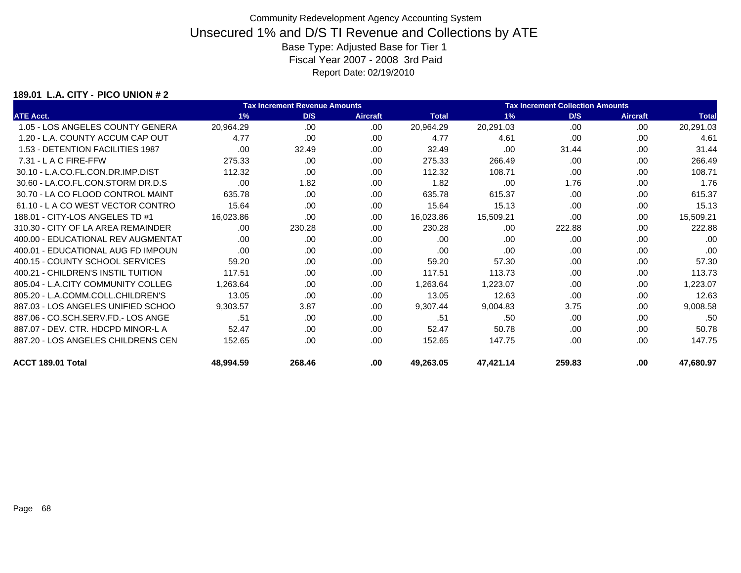### **189.01 L.A. CITY - PICO UNION # 2**

|                                    | <b>Tax Increment Revenue Amounts</b> |        |                 |              | <b>Tax Increment Collection Amounts</b> |        |                 |              |  |
|------------------------------------|--------------------------------------|--------|-----------------|--------------|-----------------------------------------|--------|-----------------|--------------|--|
| <b>ATE Acct.</b>                   | 1%                                   | D/S    | <b>Aircraft</b> | <b>Total</b> | 1%                                      | D/S    | <b>Aircraft</b> | <b>Total</b> |  |
| 1.05 - LOS ANGELES COUNTY GENERA   | 20,964.29                            | .00    | .00             | 20,964.29    | 20,291.03                               | .00    | .00             | 20,291.03    |  |
| 1.20 - L.A. COUNTY ACCUM CAP OUT   | 4.77                                 | .00    | .00             | 4.77         | 4.61                                    | .00    | .00             | 4.61         |  |
| 1.53 - DETENTION FACILITIES 1987   | .00                                  | 32.49  | .00             | 32.49        | .00                                     | 31.44  | .00             | 31.44        |  |
| 7.31 - L A C FIRE-FFW              | 275.33                               | .00    | .00             | 275.33       | 266.49                                  | .00    | .00             | 266.49       |  |
| 30.10 - L.A.CO.FL.CON.DR.IMP.DIST  | 112.32                               | .00.   | .00.            | 112.32       | 108.71                                  | .00    | .00             | 108.71       |  |
| 30.60 - LA.CO.FL.CON.STORM DR.D.S  | .00                                  | 1.82   | .00             | 1.82         | .00                                     | 1.76   | .00             | 1.76         |  |
| 30.70 - LA CO FLOOD CONTROL MAINT  | 635.78                               | .00.   | .00             | 635.78       | 615.37                                  | .00    | .00             | 615.37       |  |
| 61.10 - LA CO WEST VECTOR CONTRO   | 15.64                                | .00    | .00.            | 15.64        | 15.13                                   | .00    | .00             | 15.13        |  |
| 188.01 - CITY-LOS ANGELES TD #1    | 16,023.86                            | .00    | .00.            | 16,023.86    | 15,509.21                               | .00    | .00             | 15,509.21    |  |
| 310.30 - CITY OF LA AREA REMAINDER | .00.                                 | 230.28 | .00             | 230.28       | .00                                     | 222.88 | .00             | 222.88       |  |
| 400.00 - EDUCATIONAL REV AUGMENTAT | .00                                  | .00    | .00             | .00          | .00                                     | .00    | .00             | .00          |  |
| 400.01 - EDUCATIONAL AUG FD IMPOUN | .00.                                 | .00.   | .00.            | .00          | .00                                     | .00    | .00             | .00          |  |
| 400.15 - COUNTY SCHOOL SERVICES    | 59.20                                | .00.   | .00.            | 59.20        | 57.30                                   | .00    | .00             | 57.30        |  |
| 400.21 - CHILDREN'S INSTIL TUITION | 117.51                               | .00.   | .00             | 117.51       | 113.73                                  | .00    | .00             | 113.73       |  |
| 805.04 - L.A.CITY COMMUNITY COLLEG | 1,263.64                             | .00    | .00             | 1,263.64     | 1,223.07                                | .00    | .00             | 1,223.07     |  |
| 805.20 - L.A.COMM.COLL.CHILDREN'S  | 13.05                                | .00.   | .00             | 13.05        | 12.63                                   | .00    | .00             | 12.63        |  |
| 887.03 - LOS ANGELES UNIFIED SCHOO | 9,303.57                             | 3.87   | .00             | 9,307.44     | 9,004.83                                | 3.75   | .00             | 9,008.58     |  |
| 887.06 - CO.SCH.SERV.FD.- LOS ANGE | .51                                  | .00.   | .00             | .51          | .50                                     | .00    | .00             | .50          |  |
| 887.07 - DEV. CTR. HDCPD MINOR-L A | 52.47                                | .00.   | .00             | 52.47        | 50.78                                   | .00    | .00             | 50.78        |  |
| 887.20 - LOS ANGELES CHILDRENS CEN | 152.65                               | .00    | .00             | 152.65       | 147.75                                  | .00    | .00             | 147.75       |  |
| ACCT 189.01 Total                  | 48,994.59                            | 268.46 | .00             | 49,263.05    | 47,421.14                               | 259.83 | .00             | 47,680.97    |  |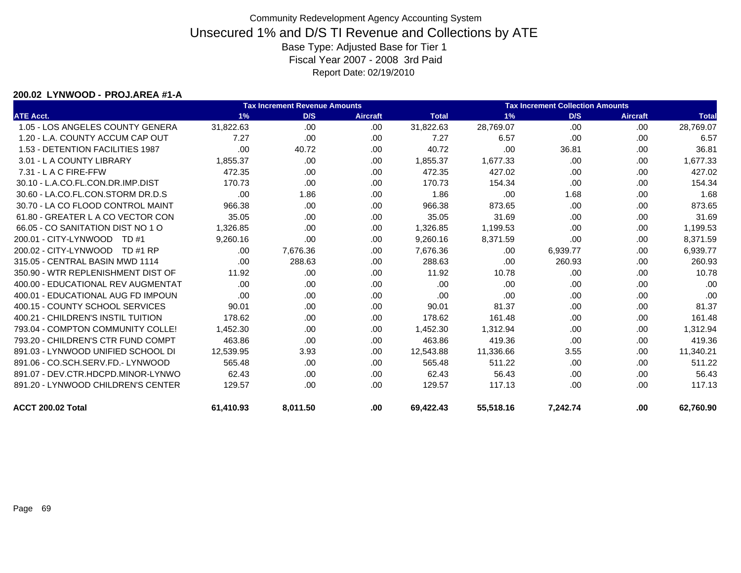#### **200.02 LYNWOOD - PROJ.AREA #1-A**

|                                    |           | <b>Tax Increment Revenue Amounts</b><br><b>Tax Increment Collection Amounts</b> |                 |              |           |          |                 |              |
|------------------------------------|-----------|---------------------------------------------------------------------------------|-----------------|--------------|-----------|----------|-----------------|--------------|
| <b>ATE Acct.</b>                   | 1%        | D/S                                                                             | <b>Aircraft</b> | <b>Total</b> | 1%        | D/S      | <b>Aircraft</b> | <b>Total</b> |
| 1.05 - LOS ANGELES COUNTY GENERA   | 31,822.63 | .00                                                                             | .00             | 31,822.63    | 28,769.07 | .00      | .00.            | 28,769.07    |
| 1.20 - L.A. COUNTY ACCUM CAP OUT   | 7.27      | .00                                                                             | .00             | 7.27         | 6.57      | .00      | .00             | 6.57         |
| 1.53 - DETENTION FACILITIES 1987   | .00       | 40.72                                                                           | .00             | 40.72        | .00       | 36.81    | .00.            | 36.81        |
| 3.01 - L A COUNTY LIBRARY          | 1,855.37  | .00.                                                                            | .00             | 1,855.37     | 1,677.33  | .00      | .00             | 1,677.33     |
| 7.31 - L A C FIRE-FFW              | 472.35    | .00                                                                             | .00             | 472.35       | 427.02    | .00      | .00             | 427.02       |
| 30.10 - L.A.CO.FL.CON.DR.IMP.DIST  | 170.73    | .00                                                                             | .00             | 170.73       | 154.34    | .00      | .00.            | 154.34       |
| 30.60 - LA.CO.FL.CON.STORM DR.D.S  | .00       | 1.86                                                                            | .00             | 1.86         | .00       | 1.68     | .00.            | 1.68         |
| 30.70 - LA CO FLOOD CONTROL MAINT  | 966.38    | .00.                                                                            | .00.            | 966.38       | 873.65    | .00      | .00             | 873.65       |
| 61.80 - GREATER L A CO VECTOR CON  | 35.05     | .00.                                                                            | .00             | 35.05        | 31.69     | .00      | .00             | 31.69        |
| 66.05 - CO SANITATION DIST NO 1 O  | 1,326.85  | .00                                                                             | .00             | 1,326.85     | 1,199.53  | .00      | .00             | 1,199.53     |
| 200.01 - CITY-LYNWOOD TD #1        | 9,260.16  | .00.                                                                            | .00             | 9,260.16     | 8,371.59  | .00      | .00             | 8,371.59     |
| 200.02 - CITY-LYNWOOD TD #1 RP     | .00       | 7,676.36                                                                        | .00             | 7,676.36     | .00       | 6,939.77 | .00             | 6,939.77     |
| 315.05 - CENTRAL BASIN MWD 1114    | .00       | 288.63                                                                          | .00.            | 288.63       | .00       | 260.93   | .00.            | 260.93       |
| 350.90 - WTR REPLENISHMENT DIST OF | 11.92     | .00.                                                                            | .00             | 11.92        | 10.78     | .00      | .00             | 10.78        |
| 400.00 - EDUCATIONAL REV AUGMENTAT | .00.      | .00                                                                             | .00             | .00          | .00       | .00      | .00             | .00          |
| 400.01 - EDUCATIONAL AUG FD IMPOUN | .00       | .00.                                                                            | .00             | .00          | .00       | .00      | .00.            | .00          |
| 400.15 - COUNTY SCHOOL SERVICES    | 90.01     | .00.                                                                            | .00             | 90.01        | 81.37     | .00      | .00             | 81.37        |
| 400.21 - CHILDREN'S INSTIL TUITION | 178.62    | .00.                                                                            | .00             | 178.62       | 161.48    | .00      | .00             | 161.48       |
| 793.04 - COMPTON COMMUNITY COLLE!  | 1,452.30  | .00.                                                                            | .00             | 1,452.30     | 1,312.94  | .00      | .00.            | 1,312.94     |
| 793.20 - CHILDREN'S CTR FUND COMPT | 463.86    | .00.                                                                            | .00.            | 463.86       | 419.36    | .00      | .00             | 419.36       |
| 891.03 - LYNWOOD UNIFIED SCHOOL DI | 12,539.95 | 3.93                                                                            | .00             | 12,543.88    | 11,336.66 | 3.55     | .00             | 11,340.21    |
| 891.06 - CO.SCH.SERV.FD.- LYNWOOD  | 565.48    | .00.                                                                            | .00             | 565.48       | 511.22    | .00      | .00.            | 511.22       |
| 891.07 - DEV.CTR.HDCPD.MINOR-LYNWO | 62.43     | .00.                                                                            | .00             | 62.43        | 56.43     | .00      | .00.            | 56.43        |
| 891.20 - LYNWOOD CHILDREN'S CENTER | 129.57    | .00.                                                                            | .00.            | 129.57       | 117.13    | .00      | .00.            | 117.13       |
| ACCT 200.02 Total                  | 61,410.93 | 8,011.50                                                                        | .00             | 69,422.43    | 55,518.16 | 7,242.74 | .00             | 62,760.90    |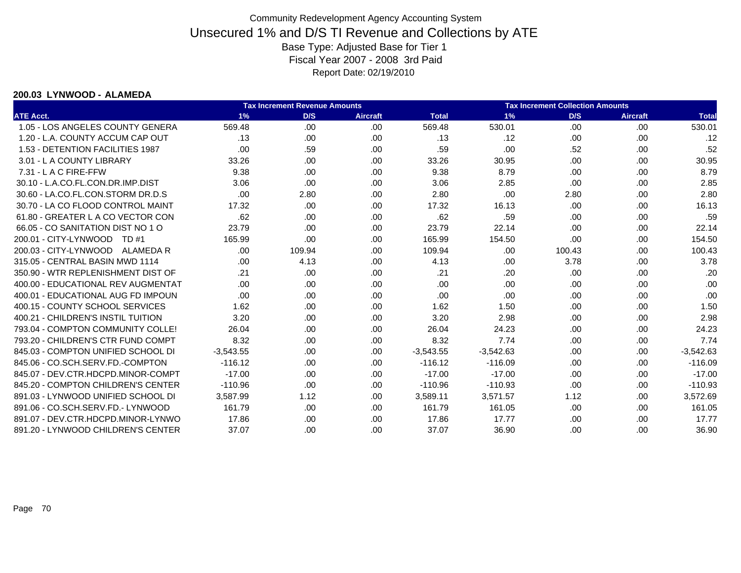#### **200.03 LYNWOOD - ALAMEDA**

|                                    |             | <b>Tax Increment Revenue Amounts</b> |                 |              |             | <b>Tax Increment Collection Amounts</b> |                 |              |
|------------------------------------|-------------|--------------------------------------|-----------------|--------------|-------------|-----------------------------------------|-----------------|--------------|
| <b>ATE Acct.</b>                   | 1%          | D/S                                  | <b>Aircraft</b> | <b>Total</b> | 1%          | D/S                                     | <b>Aircraft</b> | <b>Total</b> |
| 1.05 - LOS ANGELES COUNTY GENERA   | 569.48      | .00                                  | .00             | 569.48       | 530.01      | .00                                     | .00             | 530.01       |
| 1.20 - L.A. COUNTY ACCUM CAP OUT   | .13         | .00                                  | .00             | .13          | .12         | .00                                     | .00             | .12          |
| 1.53 - DETENTION FACILITIES 1987   | .00         | .59                                  | .00             | .59          | .00         | .52                                     | .00             | .52          |
| 3.01 - L A COUNTY LIBRARY          | 33.26       | .00.                                 | .00             | 33.26        | 30.95       | .00                                     | .00             | 30.95        |
| $7.31 - L$ A C FIRE-FFW            | 9.38        | .00.                                 | .00             | 9.38         | 8.79        | .00                                     | .00             | 8.79         |
| 30.10 - L.A.CO.FL.CON.DR.IMP.DIST  | 3.06        | .00                                  | .00             | 3.06         | 2.85        | .00                                     | .00             | 2.85         |
| 30.60 - LA.CO.FL.CON.STORM DR.D.S  | .00         | 2.80                                 | .00             | 2.80         | .00         | 2.80                                    | .00             | 2.80         |
| 30.70 - LA CO FLOOD CONTROL MAINT  | 17.32       | .00.                                 | .00             | 17.32        | 16.13       | .00                                     | .00.            | 16.13        |
| 61.80 - GREATER L A CO VECTOR CON  | .62         | .00                                  | .00             | .62          | .59         | .00                                     | .00             | .59          |
| 66.05 - CO SANITATION DIST NO 1 O  | 23.79       | .00.                                 | .00             | 23.79        | 22.14       | .00                                     | .00             | 22.14        |
| 200.01 - CITY-LYNWOOD TD #1        | 165.99      | .00                                  | .00             | 165.99       | 154.50      | .00                                     | .00             | 154.50       |
| 200.03 - CITY-LYNWOOD<br>ALAMEDA R | .00         | 109.94                               | .00             | 109.94       | .00         | 100.43                                  | .00             | 100.43       |
| 315.05 - CENTRAL BASIN MWD 1114    | .00         | 4.13                                 | .00             | 4.13         | .00         | 3.78                                    | .00             | 3.78         |
| 350.90 - WTR REPLENISHMENT DIST OF | .21         | .00                                  | .00             | .21          | .20         | .00                                     | .00             | .20          |
| 400.00 - EDUCATIONAL REV AUGMENTAT | .00         | .00                                  | .00             | .00          | .00         | .00                                     | .00             | .00          |
| 400.01 - EDUCATIONAL AUG FD IMPOUN | .00         | .00.                                 | .00             | .00          | .00         | .00                                     | .00             | .00          |
| 400.15 - COUNTY SCHOOL SERVICES    | 1.62        | .00                                  | .00             | 1.62         | 1.50        | .00                                     | .00             | 1.50         |
| 400.21 - CHILDREN'S INSTIL TUITION | 3.20        | .00.                                 | .00             | 3.20         | 2.98        | .00                                     | .00             | 2.98         |
| 793.04 - COMPTON COMMUNITY COLLE!  | 26.04       | .00                                  | .00             | 26.04        | 24.23       | .00                                     | .00             | 24.23        |
| 793.20 - CHILDREN'S CTR FUND COMPT | 8.32        | .00.                                 | .00             | 8.32         | 7.74        | .00                                     | .00             | 7.74         |
| 845.03 - COMPTON UNIFIED SCHOOL DI | $-3,543.55$ | .00                                  | .00             | $-3,543.55$  | $-3,542.63$ | .00                                     | .00             | $-3,542.63$  |
| 845.06 - CO.SCH.SERV.FD.-COMPTON   | $-116.12$   | .00.                                 | .00             | $-116.12$    | $-116.09$   | .00                                     | .00             | $-116.09$    |
| 845.07 - DEV.CTR.HDCPD.MINOR-COMPT | $-17.00$    | .00                                  | .00             | $-17.00$     | $-17.00$    | .00                                     | .00             | $-17.00$     |
| 845.20 - COMPTON CHILDREN'S CENTER | $-110.96$   | .00                                  | .00             | $-110.96$    | $-110.93$   | .00                                     | .00             | $-110.93$    |
| 891.03 - LYNWOOD UNIFIED SCHOOL DI | 3,587.99    | 1.12                                 | .00             | 3,589.11     | 3,571.57    | 1.12                                    | .00             | 3,572.69     |
| 891.06 - CO.SCH.SERV.FD.- LYNWOOD  | 161.79      | .00                                  | .00             | 161.79       | 161.05      | .00                                     | .00             | 161.05       |
| 891.07 - DEV.CTR.HDCPD.MINOR-LYNWO | 17.86       | .00                                  | .00             | 17.86        | 17.77       | .00                                     | .00             | 17.77        |
| 891.20 - LYNWOOD CHILDREN'S CENTER | 37.07       | .00                                  | .00             | 37.07        | 36.90       | .00                                     | .00             | 36.90        |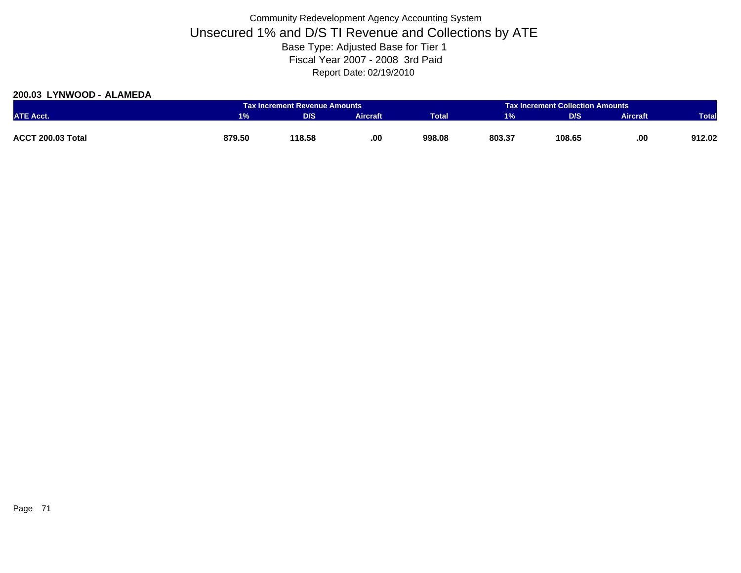### **200.03 LYNWOOD - ALAMEDA**

|                          |        | <b>Tax Increment Collection Amounts</b><br><b>Tax Increment Revenue Amounts</b> |                 |              |        |        |                 |              |
|--------------------------|--------|---------------------------------------------------------------------------------|-----------------|--------------|--------|--------|-----------------|--------------|
| <b>ATE Acct.</b>         | 1%     | <b>D/S</b>                                                                      | <b>Aircraft</b> | <b>Total</b> | 1%     | D/S    | <b>Aircraft</b> | <b>Total</b> |
|                          |        |                                                                                 |                 |              |        |        |                 |              |
| <b>ACCT 200.03 Total</b> | 879.50 | 118.58                                                                          | .00.            | 998.08       | 803.37 | 108.65 | .00             | 912.02       |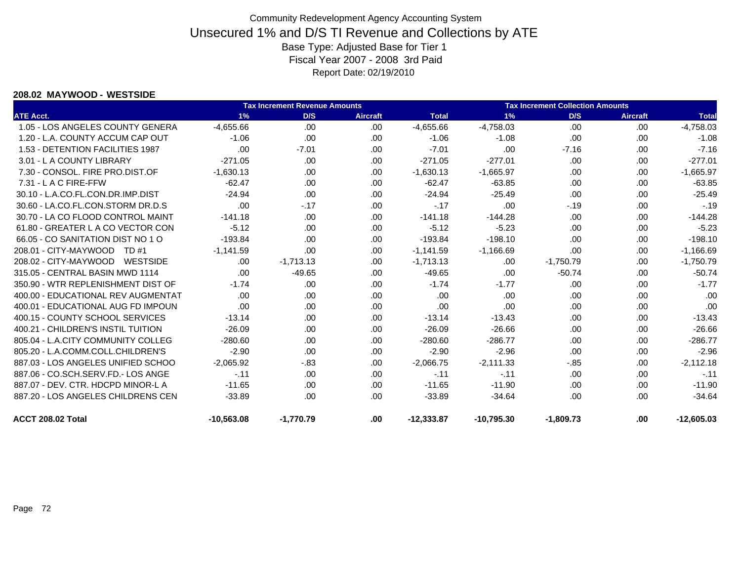#### **208.02 MAYWOOD - WESTSIDE**

|                                    |              | <b>Tax Increment Revenue Amounts</b> |                 |              |              | <b>Tax Increment Collection Amounts</b> |                 |              |  |
|------------------------------------|--------------|--------------------------------------|-----------------|--------------|--------------|-----------------------------------------|-----------------|--------------|--|
| <b>ATE Acct.</b>                   | 1%           | D/S                                  | <b>Aircraft</b> | <b>Total</b> | 1%           | D/S                                     | <b>Aircraft</b> | <b>Total</b> |  |
| 1.05 - LOS ANGELES COUNTY GENERA   | $-4,655.66$  | .00                                  | .00             | $-4,655.66$  | $-4,758.03$  | .00                                     | .00             | $-4,758.03$  |  |
| 1.20 - L.A. COUNTY ACCUM CAP OUT   | $-1.06$      | .00                                  | .00.            | $-1.06$      | $-1.08$      | .00                                     | .00             | $-1.08$      |  |
| 1.53 - DETENTION FACILITIES 1987   | .00          | $-7.01$                              | .00.            | $-7.01$      | .00          | $-7.16$                                 | .00.            | $-7.16$      |  |
| 3.01 - L A COUNTY LIBRARY          | $-271.05$    | .00                                  | .00             | $-271.05$    | $-277.01$    | .00                                     | .00             | $-277.01$    |  |
| 7.30 - CONSOL, FIRE PRO.DIST.OF    | $-1,630.13$  | .00                                  | .00.            | $-1,630.13$  | $-1,665.97$  | .00                                     | .00             | $-1,665.97$  |  |
| 7.31 - L A C FIRE-FFW              | $-62.47$     | .00                                  | .00             | $-62.47$     | $-63.85$     | .00                                     | .00             | $-63.85$     |  |
| 30.10 - L.A.CO.FL.CON.DR.IMP.DIST  | $-24.94$     | .00                                  | .00.            | $-24.94$     | $-25.49$     | .00                                     | .00             | $-25.49$     |  |
| 30.60 - LA.CO.FL.CON.STORM DR.D.S  | .00          | $-.17$                               | .00.            | $-.17$       | .00          | $-19$                                   | .00             | $-.19$       |  |
| 30.70 - LA CO FLOOD CONTROL MAINT  | $-141.18$    | .00                                  | .00             | $-141.18$    | $-144.28$    | .00                                     | .00             | $-144.28$    |  |
| 61.80 - GREATER L A CO VECTOR CON  | $-5.12$      | .00                                  | .00             | $-5.12$      | $-5.23$      | .00                                     | .00             | $-5.23$      |  |
| 66.05 - CO SANITATION DIST NO 1 O  | $-193.84$    | .00                                  | .00             | $-193.84$    | $-198.10$    | .00                                     | .00             | $-198.10$    |  |
| 208.01 - CITY-MAYWOOD<br>TD #1     | $-1,141.59$  | .00                                  | .00.            | $-1,141.59$  | $-1,166.69$  | .00                                     | .00             | $-1,166.69$  |  |
| 208.02 - CITY-MAYWOOD<br>WESTSIDE  | .00          | $-1,713.13$                          | .00             | $-1,713.13$  | .00          | $-1,750.79$                             | .00             | $-1,750.79$  |  |
| 315.05 - CENTRAL BASIN MWD 1114    | .00          | $-49.65$                             | .00.            | $-49.65$     | .00.         | $-50.74$                                | .00             | $-50.74$     |  |
| 350.90 - WTR REPLENISHMENT DIST OF | $-1.74$      | .00                                  | .00             | $-1.74$      | $-1.77$      | .00                                     | .00             | $-1.77$      |  |
| 400.00 - EDUCATIONAL REV AUGMENTAT | .00          | .00                                  | .00.            | .00          | .00          | .00                                     | .00             | .00          |  |
| 400.01 - EDUCATIONAL AUG FD IMPOUN | .00          | .00                                  | .00.            | .00          | .00          | .00                                     | .00             | .00          |  |
| 400.15 - COUNTY SCHOOL SERVICES    | $-13.14$     | .00                                  | .00.            | $-13.14$     | $-13.43$     | .00                                     | .00             | $-13.43$     |  |
| 400.21 - CHILDREN'S INSTIL TUITION | $-26.09$     | .00                                  | .00             | $-26.09$     | $-26.66$     | .00                                     | .00             | $-26.66$     |  |
| 805.04 - L.A.CITY COMMUNITY COLLEG | $-280.60$    | .00                                  | .00             | $-280.60$    | $-286.77$    | .00                                     | .00             | $-286.77$    |  |
| 805.20 - L.A.COMM.COLL.CHILDREN'S  | $-2.90$      | .00                                  | .00.            | $-2.90$      | $-2.96$      | .00                                     | .00             | $-2.96$      |  |
| 887.03 - LOS ANGELES UNIFIED SCHOO | $-2,065.92$  | $-0.83$                              | .00.            | $-2,066.75$  | $-2,111.33$  | $-0.85$                                 | .00.            | $-2,112.18$  |  |
| 887.06 - CO.SCH.SERV.FD.- LOS ANGE | $-.11$       | .00                                  | .00             | $-.11$       | $-11$        | .00                                     | .00             | $-.11$       |  |
| 887.07 - DEV. CTR. HDCPD MINOR-L A | $-11.65$     | .00                                  | .00.            | $-11.65$     | $-11.90$     | .00                                     | .00             | $-11.90$     |  |
| 887.20 - LOS ANGELES CHILDRENS CEN | $-33.89$     | .00                                  | .00             | $-33.89$     | $-34.64$     | .00                                     | .00.            | $-34.64$     |  |
| ACCT 208.02 Total                  | $-10.563.08$ | $-1,770.79$                          | .00             | $-12.333.87$ | $-10.795.30$ | $-1.809.73$                             | .00             | $-12,605.03$ |  |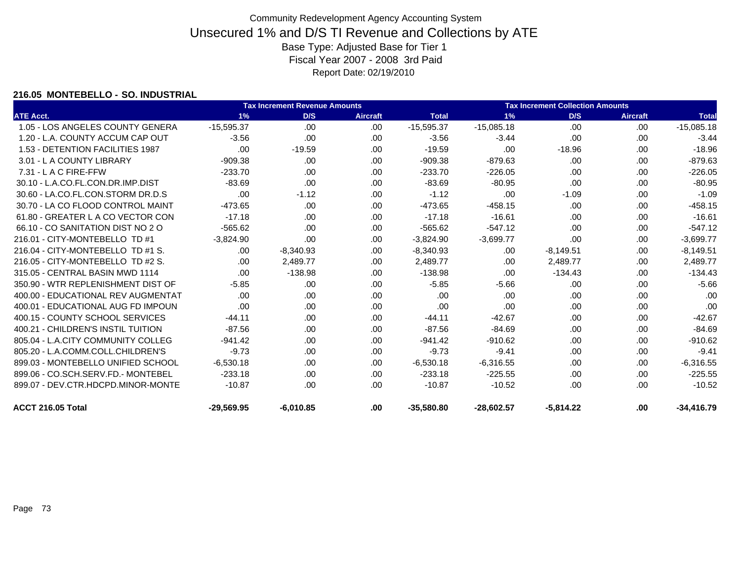### **216.05 MONTEBELLO - SO. INDUSTRIAL**

|                                    |              | <b>Tax Increment Revenue Amounts</b> |                 | <b>Tax Increment Collection Amounts</b> |              |             |                 |              |
|------------------------------------|--------------|--------------------------------------|-----------------|-----------------------------------------|--------------|-------------|-----------------|--------------|
| <b>ATE Acct.</b>                   | 1%           | D/S                                  | <b>Aircraft</b> | <b>Total</b>                            | 1%           | D/S         | <b>Aircraft</b> | <b>Total</b> |
| 1.05 - LOS ANGELES COUNTY GENERA   | $-15.595.37$ | .00                                  | .00.            | $-15,595.37$                            | $-15,085.18$ | .00         | .00.            | $-15,085.18$ |
| 1.20 - L.A. COUNTY ACCUM CAP OUT   | $-3.56$      | .00                                  | .00.            | $-3.56$                                 | $-3.44$      | .00         | .00             | $-3.44$      |
| 1.53 - DETENTION FACILITIES 1987   | .00          | $-19.59$                             | .00             | $-19.59$                                | .00          | $-18.96$    | .00             | $-18.96$     |
| 3.01 - L A COUNTY LIBRARY          | $-909.38$    | .00.                                 | .00             | $-909.38$                               | $-879.63$    | .00         | .00             | $-879.63$    |
| 7.31 - L A C FIRE-FFW              | $-233.70$    | .00                                  | .00.            | $-233.70$                               | $-226.05$    | .00         | .00             | $-226.05$    |
| 30.10 - L.A.CO.FL.CON.DR.IMP.DIST  | $-83.69$     | .00                                  | .00             | $-83.69$                                | $-80.95$     | .00         | .00             | $-80.95$     |
| 30.60 - LA.CO.FL.CON.STORM DR.D.S  | .00          | $-1.12$                              | .00             | $-1.12$                                 | .00          | $-1.09$     | .00.            | $-1.09$      |
| 30.70 - LA CO FLOOD CONTROL MAINT  | $-473.65$    | .00                                  | .00             | $-473.65$                               | $-458.15$    | .00         | .00             | $-458.15$    |
| 61.80 - GREATER L A CO VECTOR CON  | $-17.18$     | .00                                  | .00             | $-17.18$                                | $-16.61$     | .00         | .00             | $-16.61$     |
| 66.10 - CO SANITATION DIST NO 2 O  | $-565.62$    | .00.                                 | .00.            | $-565.62$                               | $-547.12$    | .00         | .00             | $-547.12$    |
| 216.01 - CITY-MONTEBELLO TD #1     | $-3,824.90$  | .00                                  | .00             | $-3,824.90$                             | $-3,699.77$  | .00         | .00             | $-3,699.77$  |
| 216.04 - CITY-MONTEBELLO TD #1 S.  | .00          | $-8,340.93$                          | .00             | $-8,340.93$                             | .00          | $-8,149.51$ | .00             | $-8,149.51$  |
| 216.05 - CITY-MONTEBELLO TD #2 S.  | .00.         | 2,489.77                             | .00             | 2,489.77                                | .00          | 2,489.77    | .00             | 2,489.77     |
| 315.05 - CENTRAL BASIN MWD 1114    | .00          | $-138.98$                            | .00             | $-138.98$                               | .00          | $-134.43$   | .00             | $-134.43$    |
| 350.90 - WTR REPLENISHMENT DIST OF | $-5.85$      | .00                                  | .00             | $-5.85$                                 | $-5.66$      | .00         | .00             | $-5.66$      |
| 400.00 - EDUCATIONAL REV AUGMENTAT | .00          | .00                                  | .00             | .00                                     | .00          | .00         | .00             | .00          |
| 400.01 - EDUCATIONAL AUG FD IMPOUN | .00          | .00.                                 | .00             | .00                                     | .00          | .00         | .00             | .00          |
| 400.15 - COUNTY SCHOOL SERVICES    | $-44.11$     | .00.                                 | .00             | $-44.11$                                | $-42.67$     | .00         | .00             | $-42.67$     |
| 400.21 - CHILDREN'S INSTIL TUITION | $-87.56$     | .00                                  | .00             | $-87.56$                                | $-84.69$     | .00         | .00             | $-84.69$     |
| 805.04 - L.A.CITY COMMUNITY COLLEG | $-941.42$    | .00                                  | .00             | $-941.42$                               | $-910.62$    | .00         | .00             | $-910.62$    |
| 805.20 - L.A.COMM.COLL.CHILDREN'S  | $-9.73$      | .00.                                 | .00             | $-9.73$                                 | $-9.41$      | .00         | .00             | $-9.41$      |
| 899.03 - MONTEBELLO UNIFIED SCHOOL | $-6,530.18$  | .00.                                 | .00             | $-6,530.18$                             | $-6,316.55$  | .00         | .00             | $-6,316.55$  |
| 899.06 - CO.SCH.SERV.FD.- MONTEBEL | $-233.18$    | .00.                                 | .00             | $-233.18$                               | $-225.55$    | .00         | .00             | $-225.55$    |
| 899.07 - DEV.CTR.HDCPD.MINOR-MONTE | $-10.87$     | .00.                                 | .00             | $-10.87$                                | $-10.52$     | .00         | .00             | $-10.52$     |
| ACCT 216.05 Total                  | $-29,569.95$ | $-6.010.85$                          | .00             | $-35,580.80$                            | $-28,602.57$ | $-5.814.22$ | .00             | $-34,416.79$ |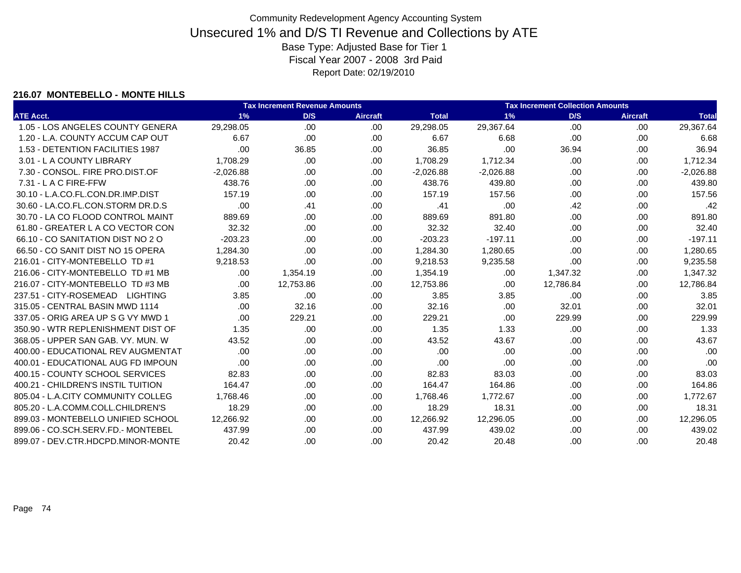#### **216.07 MONTEBELLO - MONTE HILLS**

|                                    |             | <b>Tax Increment Revenue Amounts</b> |          |              |             | <b>Tax Increment Collection Amounts</b> |                 |              |
|------------------------------------|-------------|--------------------------------------|----------|--------------|-------------|-----------------------------------------|-----------------|--------------|
| <b>ATE Acct.</b>                   | 1%          | D/S                                  | Aircraft | <b>Total</b> | 1%          | D/S                                     | <b>Aircraft</b> | <b>Total</b> |
| 1.05 - LOS ANGELES COUNTY GENERA   | 29,298.05   | .00.                                 | .00.     | 29,298.05    | 29,367.64   | .00                                     | .00             | 29,367.64    |
| 1.20 - L.A. COUNTY ACCUM CAP OUT   | 6.67        | .00.                                 | .00      | 6.67         | 6.68        | .00                                     | .00             | 6.68         |
| 1.53 - DETENTION FACILITIES 1987   | .00         | 36.85                                | .00      | 36.85        | .00         | 36.94                                   | .00             | 36.94        |
| 3.01 - L A COUNTY LIBRARY          | 1,708.29    | .00                                  | .00      | 1,708.29     | 1,712.34    | .00                                     | .00             | 1,712.34     |
| 7.30 - CONSOL, FIRE PRO.DIST.OF    | $-2,026.88$ | .00.                                 | .00.     | $-2,026.88$  | $-2,026.88$ | .00                                     | .00             | $-2,026.88$  |
| 7.31 - L A C FIRE-FFW              | 438.76      | .00                                  | .00.     | 438.76       | 439.80      | .00.                                    | .00             | 439.80       |
| 30.10 - L.A.CO.FL.CON.DR.IMP.DIST  | 157.19      | .00.                                 | .00      | 157.19       | 157.56      | .00.                                    | .00             | 157.56       |
| 30.60 - LA.CO.FL.CON.STORM DR.D.S  | .00         | .41                                  | .00      | .41          | .00         | .42                                     | .00             | .42          |
| 30.70 - LA CO FLOOD CONTROL MAINT  | 889.69      | .00                                  | .00.     | 889.69       | 891.80      | .00.                                    | .00             | 891.80       |
| 61.80 - GREATER L A CO VECTOR CON  | 32.32       | .00.                                 | .00      | 32.32        | 32.40       | .00.                                    | .00             | 32.40        |
| 66.10 - CO SANITATION DIST NO 2 O  | $-203.23$   | .00                                  | .00      | $-203.23$    | $-197.11$   | .00                                     | .00             | $-197.11$    |
| 66.50 - CO SANIT DIST NO 15 OPERA  | 1,284.30    | .00.                                 | .00      | 1,284.30     | 1,280.65    | .00.                                    | .00             | 1,280.65     |
| 216.01 - CITY-MONTEBELLO TD #1     | 9,218.53    | .00                                  | .00      | 9,218.53     | 9,235.58    | .00                                     | .00             | 9,235.58     |
| 216.06 - CITY-MONTEBELLO TD #1 MB  | .00.        | 1,354.19                             | .00      | 1,354.19     | .00         | 1,347.32                                | .00             | 1,347.32     |
| 216.07 - CITY-MONTEBELLO TD #3 MB  | .00         | 12,753.86                            | .00      | 12,753.86    | .00         | 12,786.84                               | .00             | 12,786.84    |
| 237.51 - CITY-ROSEMEAD LIGHTING    | 3.85        | .00                                  | .00      | 3.85         | 3.85        | .00                                     | .00             | 3.85         |
| 315.05 - CENTRAL BASIN MWD 1114    | .00.        | 32.16                                | .00      | 32.16        | .00         | 32.01                                   | .00             | 32.01        |
| 337.05 - ORIG AREA UP S G VY MWD 1 | .00         | 229.21                               | .00      | 229.21       | .00         | 229.99                                  | .00             | 229.99       |
| 350.90 - WTR REPLENISHMENT DIST OF | 1.35        | .00.                                 | .00.     | 1.35         | 1.33        | .00                                     | .00             | 1.33         |
| 368.05 - UPPER SAN GAB. VY. MUN. W | 43.52       | .00                                  | .00.     | 43.52        | 43.67       | .00                                     | .00             | 43.67        |
| 400.00 - EDUCATIONAL REV AUGMENTAT | .00         | .00.                                 | .00      | .00          | .00         | .00                                     | .00             | .00          |
| 400.01 - EDUCATIONAL AUG FD IMPOUN | .00         | .00.                                 | .00      | .00          | .00         | .00                                     | .00             | .00          |
| 400.15 - COUNTY SCHOOL SERVICES    | 82.83       | .00.                                 | .00      | 82.83        | 83.03       | .00.                                    | .00             | 83.03        |
| 400.21 - CHILDREN'S INSTIL TUITION | 164.47      | .00.                                 | .00      | 164.47       | 164.86      | .00.                                    | .00             | 164.86       |
| 805.04 - L.A.CITY COMMUNITY COLLEG | 1,768.46    | .00                                  | .00      | 1,768.46     | 1,772.67    | .00                                     | .00             | 1,772.67     |
| 805.20 - L.A.COMM.COLL.CHILDREN'S  | 18.29       | .00                                  | .00.     | 18.29        | 18.31       | .00                                     | .00             | 18.31        |
| 899.03 - MONTEBELLO UNIFIED SCHOOL | 12,266.92   | .00                                  | .00      | 12,266.92    | 12,296.05   | .00                                     | .00             | 12,296.05    |
| 899.06 - CO.SCH.SERV.FD.- MONTEBEL | 437.99      | .00                                  | .00      | 437.99       | 439.02      | .00                                     | .00             | 439.02       |
| 899.07 - DEV.CTR.HDCPD.MINOR-MONTE | 20.42       | .00                                  | .00      | 20.42        | 20.48       | .00.                                    | .00             | 20.48        |
|                                    |             |                                      |          |              |             |                                         |                 |              |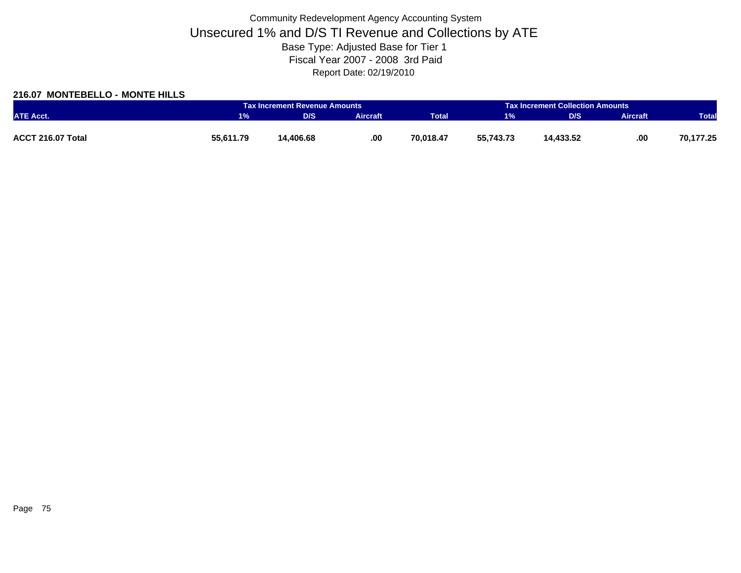### **216.07 MONTEBELLO - MONTE HILLS**

|                   |           | <b>Tax Increment Revenue Amounts</b> |                 |              |           | <b>Tax Increment Collection Amounts</b> |                 |              |
|-------------------|-----------|--------------------------------------|-----------------|--------------|-----------|-----------------------------------------|-----------------|--------------|
| <b>ATE Acct.</b>  | 1%        | D/S                                  | <b>Aircraft</b> | <b>Total</b> | 1%        | D/S                                     | <b>Aircraft</b> | <b>Total</b> |
|                   |           |                                      |                 |              |           |                                         |                 |              |
| ACCT 216.07 Total | 55,611.79 | 14,406.68                            | .00             | 70,018.47    | 55,743.73 | 14,433.52                               | .00             | 70,177.25    |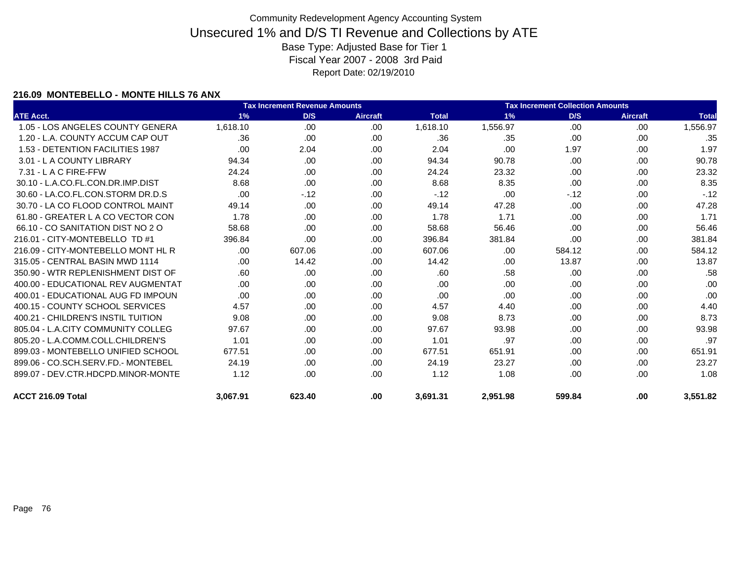#### **216.09 MONTEBELLO - MONTE HILLS 76 ANX**

|                                    |          | <b>Tax Increment Revenue Amounts</b> |                 |              | <b>Tax Increment Collection Amounts</b> |        |                 |              |
|------------------------------------|----------|--------------------------------------|-----------------|--------------|-----------------------------------------|--------|-----------------|--------------|
| <b>ATE Acct.</b>                   | 1%       | D/S                                  | <b>Aircraft</b> | <b>Total</b> | 1%                                      | D/S    | <b>Aircraft</b> | <b>Total</b> |
| 1.05 - LOS ANGELES COUNTY GENERA   | 1,618.10 | .00                                  | .00             | 1,618.10     | 1,556.97                                | .00    | .00             | 1,556.97     |
| 1.20 - L.A. COUNTY ACCUM CAP OUT   | .36      | .00                                  | .00             | .36          | .35                                     | .00    | .00.            | .35          |
| 1.53 - DETENTION FACILITIES 1987   | .00      | 2.04                                 | .00             | 2.04         | .00                                     | 1.97   | .00             | 1.97         |
| 3.01 - L A COUNTY LIBRARY          | 94.34    | .00.                                 | .00             | 94.34        | 90.78                                   | .00.   | .00.            | 90.78        |
| $7.31 - L$ A C FIRE-FFW            | 24.24    | .00.                                 | .00             | 24.24        | 23.32                                   | .00.   | .00.            | 23.32        |
| 30.10 - L.A.CO.FL.CON.DR.IMP.DIST  | 8.68     | .00.                                 | .00             | 8.68         | 8.35                                    | .00    | .00             | 8.35         |
| 30.60 - LA.CO.FL.CON.STORM DR.D.S  | .00      | $-12$                                | .00             | $-.12$       | .00                                     | $-12$  | .00.            | $-.12$       |
| 30.70 - LA CO FLOOD CONTROL MAINT  | 49.14    | .00.                                 | .00             | 49.14        | 47.28                                   | .00.   | .00.            | 47.28        |
| 61.80 - GREATER L A CO VECTOR CON  | 1.78     | .00.                                 | .00.            | 1.78         | 1.71                                    | .00.   | .00             | 1.71         |
| 66.10 - CO SANITATION DIST NO 2 O  | 58.68    | .00.                                 | .00             | 58.68        | 56.46                                   | .00.   | .00             | 56.46        |
| 216.01 - CITY-MONTEBELLO TD #1     | 396.84   | .00                                  | .00             | 396.84       | 381.84                                  | .00    | .00.            | 381.84       |
| 216.09 - CITY-MONTEBELLO MONT HL R | .00.     | 607.06                               | .00             | 607.06       | .00                                     | 584.12 | .00.            | 584.12       |
| 315.05 - CENTRAL BASIN MWD 1114    | .00.     | 14.42                                | .00.            | 14.42        | .00                                     | 13.87  | .00.            | 13.87        |
| 350.90 - WTR REPLENISHMENT DIST OF | .60      | .00.                                 | .00             | .60          | .58                                     | .00.   | .00             | .58          |
| 400.00 - EDUCATIONAL REV AUGMENTAT | .00.     | .00.                                 | .00.            | .00          | .00                                     | .00.   | .00.            | .00          |
| 400.01 - EDUCATIONAL AUG FD IMPOUN | .00      | .00.                                 | .00             | .00          | .00                                     | .00    | .00.            | .00          |
| 400.15 - COUNTY SCHOOL SERVICES    | 4.57     | .00.                                 | .00.            | 4.57         | 4.40                                    | .00.   | .00             | 4.40         |
| 400.21 - CHILDREN'S INSTIL TUITION | 9.08     | .00.                                 | .00.            | 9.08         | 8.73                                    | .00.   | .00.            | 8.73         |
| 805.04 - L.A.CITY COMMUNITY COLLEG | 97.67    | .00.                                 | .00             | 97.67        | 93.98                                   | .00    | .00             | 93.98        |
| 805.20 - L.A.COMM.COLL.CHILDREN'S  | 1.01     | .00.                                 | .00             | 1.01         | .97                                     | .00    | .00.            | .97          |
| 899.03 - MONTEBELLO UNIFIED SCHOOL | 677.51   | .00                                  | .00             | 677.51       | 651.91                                  | .00    | .00             | 651.91       |
| 899.06 - CO.SCH.SERV.FD.- MONTEBEL | 24.19    | .00                                  | .00             | 24.19        | 23.27                                   | .00.   | .00             | 23.27        |
| 899.07 - DEV.CTR.HDCPD.MINOR-MONTE | 1.12     | .00.                                 | .00             | 1.12         | 1.08                                    | .00.   | .00.            | 1.08         |
| ACCT 216.09 Total                  | 3,067.91 | 623.40                               | .00             | 3,691.31     | 2,951.98                                | 599.84 | .00             | 3,551.82     |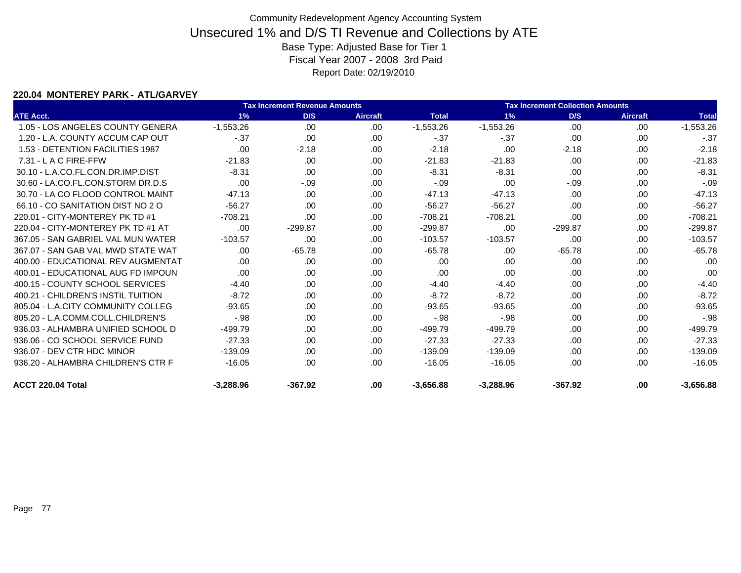### **220.04 MONTEREY PARK - ATL/GARVEY**

|                                    |             | <b>Tax Increment Revenue Amounts</b> |                 |              |             | <b>Tax Increment Collection Amounts</b> |                 |              |
|------------------------------------|-------------|--------------------------------------|-----------------|--------------|-------------|-----------------------------------------|-----------------|--------------|
| <b>ATE Acct.</b>                   | 1%          | D/S                                  | <b>Aircraft</b> | <b>Total</b> | 1%          | D/S                                     | <b>Aircraft</b> | <b>Total</b> |
| 1.05 - LOS ANGELES COUNTY GENERA   | $-1,553.26$ | .00                                  | .00             | $-1,553.26$  | $-1,553.26$ | .00                                     | .00             | $-1,553.26$  |
| 1.20 - L.A. COUNTY ACCUM CAP OUT   | $-.37$      | .00                                  | .00.            | $-.37$       | $-37$       | .00                                     | .00             | $-0.37$      |
| 1.53 - DETENTION FACILITIES 1987   | .00         | $-2.18$                              | .00             | $-2.18$      | .00         | $-2.18$                                 | .00.            | $-2.18$      |
| $7.31 - L$ A C FIRE-FFW            | $-21.83$    | .00                                  | .00             | $-21.83$     | $-21.83$    | .00                                     | .00.            | $-21.83$     |
| 30.10 - L.A.CO.FL.CON.DR.IMP.DIST  | $-8.31$     | .00                                  | .00             | $-8.31$      | $-8.31$     | .00                                     | .00             | $-8.31$      |
| 30.60 - LA.CO.FL.CON.STORM DR.D.S  | .00         | $-.09$                               | .00             | $-.09$       | .00         | $-.09$                                  | .00             | $-.09$       |
| 30.70 - LA CO FLOOD CONTROL MAINT  | $-47.13$    | .00                                  | .00.            | $-47.13$     | $-47.13$    | .00                                     | .00             | $-47.13$     |
| 66.10 - CO SANITATION DIST NO 2 O  | $-56.27$    | .00                                  | .00             | $-56.27$     | $-56.27$    | .00                                     | .00             | $-56.27$     |
| 220.01 - CITY-MONTEREY PK TD #1    | $-708.21$   | .00                                  | .00             | $-708.21$    | $-708.21$   | .00                                     | .00             | $-708.21$    |
| 220.04 - CITY-MONTEREY PK TD #1 AT | .00         | $-299.87$                            | .00.            | $-299.87$    | .00         | $-299.87$                               | .00             | $-299.87$    |
| 367.05 - SAN GABRIEL VAL MUN WATER | $-103.57$   | .00                                  | .00             | $-103.57$    | $-103.57$   | .00                                     | .00.            | $-103.57$    |
| 367.07 - SAN GAB VAL MWD STATE WAT | .00         | $-65.78$                             | .00             | $-65.78$     | .00         | $-65.78$                                | .00.            | $-65.78$     |
| 400.00 - EDUCATIONAL REV AUGMENTAT | .00         | .00                                  | .00             | .00          | .00         | .00                                     | .00             | .00          |
| 400.01 - EDUCATIONAL AUG FD IMPOUN | .00         | .00                                  | .00             | .00          | .00         | .00                                     | .00             | .00          |
| 400.15 - COUNTY SCHOOL SERVICES    | $-4.40$     | .00                                  | .00             | $-4.40$      | $-4.40$     | .00                                     | .00             | $-4.40$      |
| 400.21 - CHILDREN'S INSTIL TUITION | $-8.72$     | .00                                  | .00             | $-8.72$      | $-8.72$     | .00                                     | .00             | $-8.72$      |
| 805.04 - L.A.CITY COMMUNITY COLLEG | $-93.65$    | .00                                  | .00             | $-93.65$     | $-93.65$    | .00                                     | .00             | $-93.65$     |
| 805.20 - L.A.COMM.COLL.CHILDREN'S  | $-98$       | .00                                  | .00.            | $-98$        | $-.98$      | .00                                     | .00             | $-.98$       |
| 936.03 - ALHAMBRA UNIFIED SCHOOL D | $-499.79$   | .00                                  | .00             | $-499.79$    | $-499.79$   | .00                                     | .00.            | $-499.79$    |
| 936.06 - CO SCHOOL SERVICE FUND    | $-27.33$    | .00                                  | .00             | $-27.33$     | $-27.33$    | .00                                     | .00             | $-27.33$     |
| 936.07 - DEV CTR HDC MINOR         | $-139.09$   | .00                                  | .00             | $-139.09$    | $-139.09$   | .00                                     | .00             | $-139.09$    |
| 936.20 - ALHAMBRA CHILDREN'S CTR F | $-16.05$    | .00                                  | .00             | $-16.05$     | $-16.05$    | .00                                     | .00             | $-16.05$     |
| ACCT 220.04 Total                  | $-3.288.96$ | $-367.92$                            | .00             | $-3.656.88$  | $-3.288.96$ | $-367.92$                               | .00             | $-3.656.88$  |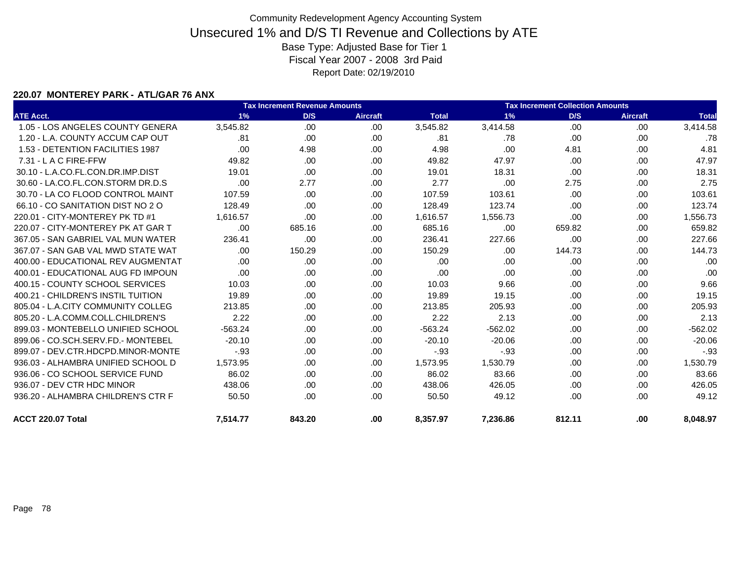### **220.07 MONTEREY PARK - ATL/GAR 76 ANX**

|                                    |           | <b>Tax Increment Revenue Amounts</b> |                 |              |           |        | <b>Tax Increment Collection Amounts</b> |              |  |
|------------------------------------|-----------|--------------------------------------|-----------------|--------------|-----------|--------|-----------------------------------------|--------------|--|
| <b>ATE Acct.</b>                   | 1%        | D/S                                  | <b>Aircraft</b> | <b>Total</b> | 1%        | D/S    | Aircraft                                | <b>Total</b> |  |
| 1.05 - LOS ANGELES COUNTY GENERA   | 3,545.82  | .00                                  | .00             | 3,545.82     | 3,414.58  | .00    | .00.                                    | 3,414.58     |  |
| 1.20 - L.A. COUNTY ACCUM CAP OUT   | .81       | .00                                  | .00             | .81          | .78       | .00    | .00.                                    | .78          |  |
| 1.53 - DETENTION FACILITIES 1987   | .00       | 4.98                                 | .00             | 4.98         | .00       | 4.81   | .00.                                    | 4.81         |  |
| 7.31 - L A C FIRE-FFW              | 49.82     | .00                                  | .00             | 49.82        | 47.97     | .00    | .00                                     | 47.97        |  |
| 30.10 - L.A.CO.FL.CON.DR.IMP.DIST  | 19.01     | .00                                  | .00             | 19.01        | 18.31     | .00    | .00                                     | 18.31        |  |
| 30.60 - LA.CO.FL.CON.STORM DR.D.S  | .00       | 2.77                                 | .00             | 2.77         | .00       | 2.75   | .00.                                    | 2.75         |  |
| 30.70 - LA CO FLOOD CONTROL MAINT  | 107.59    | .00                                  | .00             | 107.59       | 103.61    | .00    | .00.                                    | 103.61       |  |
| 66.10 - CO SANITATION DIST NO 2 O  | 128.49    | .00                                  | .00             | 128.49       | 123.74    | .00.   | .00.                                    | 123.74       |  |
| 220.01 - CITY-MONTEREY PK TD #1    | 1.616.57  | .00                                  | .00             | 1,616.57     | 1,556.73  | .00    | .00.                                    | 1,556.73     |  |
| 220.07 - CITY-MONTEREY PK AT GAR T | .00       | 685.16                               | .00.            | 685.16       | .00       | 659.82 | .00.                                    | 659.82       |  |
| 367.05 - SAN GABRIEL VAL MUN WATER | 236.41    | .00                                  | .00             | 236.41       | 227.66    | .00    | .00.                                    | 227.66       |  |
| 367.07 - SAN GAB VAL MWD STATE WAT | .00.      | 150.29                               | .00             | 150.29       | .00       | 144.73 | .00.                                    | 144.73       |  |
| 400.00 - EDUCATIONAL REV AUGMENTAT | .00       | .00                                  | .00             | .00          | .00       | .00.   | .00.                                    | .00          |  |
| 400.01 - EDUCATIONAL AUG FD IMPOUN | .00.      | .00                                  | .00             | .00          | .00       | .00    | .00.                                    | .00          |  |
| 400.15 - COUNTY SCHOOL SERVICES    | 10.03     | .00.                                 | .00.            | 10.03        | 9.66      | .00.   | .00                                     | 9.66         |  |
| 400.21 - CHILDREN'S INSTIL TUITION | 19.89     | .00.                                 | .00             | 19.89        | 19.15     | .00.   | .00.                                    | 19.15        |  |
| 805.04 - L.A.CITY COMMUNITY COLLEG | 213.85    | .00.                                 | .00             | 213.85       | 205.93    | .00.   | .00.                                    | 205.93       |  |
| 805.20 - L.A.COMM.COLL.CHILDREN'S  | 2.22      | .00.                                 | .00             | 2.22         | 2.13      | .00    | .00                                     | 2.13         |  |
| 899.03 - MONTEBELLO UNIFIED SCHOOL | $-563.24$ | .00.                                 | .00             | $-563.24$    | $-562.02$ | .00.   | .00                                     | $-562.02$    |  |
| 899.06 - CO.SCH.SERV.FD.- MONTEBEL | $-20.10$  | .00.                                 | .00             | $-20.10$     | $-20.06$  | .00    | .00.                                    | $-20.06$     |  |
| 899.07 - DEV.CTR.HDCPD.MINOR-MONTE | $-.93$    | .00.                                 | .00             | $-0.93$      | $-.93$    | .00.   | .00                                     | $-.93$       |  |
| 936.03 - ALHAMBRA UNIFIED SCHOOL D | 1,573.95  | .00.                                 | .00             | 1,573.95     | 1,530.79  | .00    | .00.                                    | 1,530.79     |  |
| 936.06 - CO SCHOOL SERVICE FUND    | 86.02     | .00.                                 | .00             | 86.02        | 83.66     | .00.   | .00.                                    | 83.66        |  |
| 936.07 - DEV CTR HDC MINOR         | 438.06    | .00.                                 | .00.            | 438.06       | 426.05    | .00    | .00.                                    | 426.05       |  |
| 936.20 - ALHAMBRA CHILDREN'S CTR F | 50.50     | .00.                                 | .00.            | 50.50        | 49.12     | .00.   | .00.                                    | 49.12        |  |
| ACCT 220.07 Total                  | 7.514.77  | 843.20                               | .00             | 8,357.97     | 7,236.86  | 812.11 | .00                                     | 8.048.97     |  |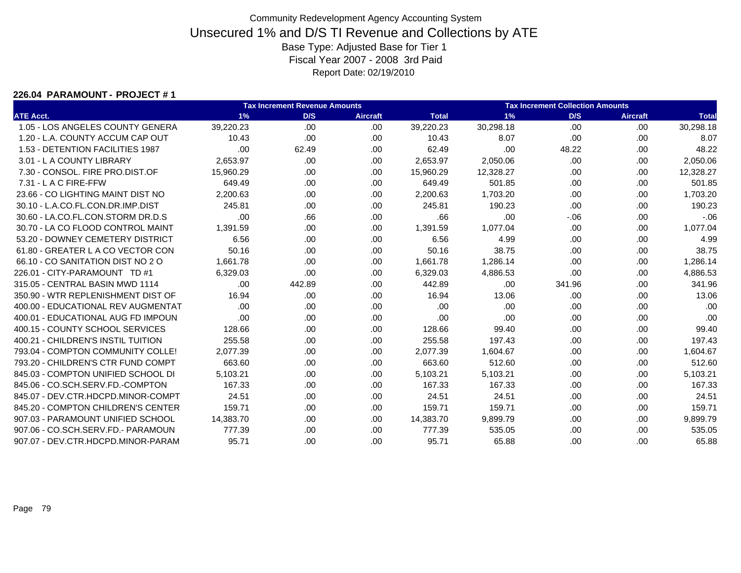#### **226.04 PARAMOUNT - PROJECT # 1**

|                                    |           | <b>Tax Increment Revenue Amounts</b> |                 |              |           | <b>Tax Increment Collection Amounts</b> |                 |              |
|------------------------------------|-----------|--------------------------------------|-----------------|--------------|-----------|-----------------------------------------|-----------------|--------------|
| <b>ATE Acct.</b>                   | 1%        | D/S                                  | <b>Aircraft</b> | <b>Total</b> | 1%        | D/S                                     | <b>Aircraft</b> | <b>Total</b> |
| 1.05 - LOS ANGELES COUNTY GENERA   | 39,220.23 | .00.                                 | .00             | 39,220.23    | 30,298.18 | .00                                     | .00             | 30,298.18    |
| 1.20 - L.A. COUNTY ACCUM CAP OUT   | 10.43     | .00.                                 | .00             | 10.43        | 8.07      | .00                                     | .00             | 8.07         |
| 1.53 - DETENTION FACILITIES 1987   | .00       | 62.49                                | .00.            | 62.49        | .00       | 48.22                                   | .00             | 48.22        |
| 3.01 - L A COUNTY LIBRARY          | 2,653.97  | .00                                  | .00.            | 2,653.97     | 2,050.06  | .00.                                    | .00             | 2,050.06     |
| 7.30 - CONSOL, FIRE PRO.DIST.OF    | 15,960.29 | .00.                                 | .00.            | 15,960.29    | 12,328.27 | .00                                     | .00             | 12,328.27    |
| 7.31 - L A C FIRE-FFW              | 649.49    | .00.                                 | .00.            | 649.49       | 501.85    | .00                                     | .00             | 501.85       |
| 23.66 - CO LIGHTING MAINT DIST NO  | 2,200.63  | .00                                  | .00             | 2,200.63     | 1,703.20  | .00                                     | .00             | 1,703.20     |
| 30.10 - L.A.CO.FL.CON.DR.IMP.DIST  | 245.81    | .00                                  | .00             | 245.81       | 190.23    | .00                                     | .00             | 190.23       |
| 30.60 - LA.CO.FL.CON.STORM DR.D.S  | .00       | .66                                  | .00             | .66          | .00       | $-06$                                   | .00             | $-06$        |
| 30.70 - LA CO FLOOD CONTROL MAINT  | 1.391.59  | .00.                                 | .00.            | 1,391.59     | 1,077.04  | .00                                     | .00             | 1,077.04     |
| 53.20 - DOWNEY CEMETERY DISTRICT   | 6.56      | .00.                                 | .00             | 6.56         | 4.99      | .00.                                    | .00             | 4.99         |
| 61.80 - GREATER L A CO VECTOR CON  | 50.16     | .00.                                 | .00             | 50.16        | 38.75     | .00                                     | .00             | 38.75        |
| 66.10 - CO SANITATION DIST NO 2 O  | 1,661.78  | .00                                  | .00.            | 1,661.78     | 1,286.14  | .00                                     | .00             | 1,286.14     |
| 226.01 - CITY-PARAMOUNT TD #1      | 6,329.03  | .00.                                 | .00.            | 6,329.03     | 4,886.53  | .00                                     | .00             | 4,886.53     |
| 315.05 - CENTRAL BASIN MWD 1114    | .00.      | 442.89                               | .00             | 442.89       | .00       | 341.96                                  | .00             | 341.96       |
| 350.90 - WTR REPLENISHMENT DIST OF | 16.94     | .00                                  | .00             | 16.94        | 13.06     | .00                                     | .00             | 13.06        |
| 400.00 - EDUCATIONAL REV AUGMENTAT | .00       | .00                                  | .00.            | .00          | .00       | .00                                     | .00             | .00          |
| 400.01 - EDUCATIONAL AUG FD IMPOUN | .00       | .00.                                 | .00             | .00          | .00       | .00                                     | .00             | .00          |
| 400.15 - COUNTY SCHOOL SERVICES    | 128.66    | .00                                  | .00             | 128.66       | 99.40     | .00                                     | .00             | 99.40        |
| 400.21 - CHILDREN'S INSTIL TUITION | 255.58    | .00.                                 | .00.            | 255.58       | 197.43    | .00                                     | .00             | 197.43       |
| 793.04 - COMPTON COMMUNITY COLLE!  | 2,077.39  | .00                                  | .00             | 2,077.39     | 1,604.67  | .00.                                    | .00             | 1,604.67     |
| 793.20 - CHILDREN'S CTR FUND COMPT | 663.60    | .00                                  | .00             | 663.60       | 512.60    | .00                                     | .00             | 512.60       |
| 845.03 - COMPTON UNIFIED SCHOOL DI | 5,103.21  | .00.                                 | .00.            | 5,103.21     | 5,103.21  | .00                                     | .00             | 5,103.21     |
| 845.06 - CO.SCH.SERV.FD.-COMPTON   | 167.33    | .00.                                 | .00.            | 167.33       | 167.33    | .00.                                    | .00             | 167.33       |
| 845.07 - DEV.CTR.HDCPD.MINOR-COMPT | 24.51     | .00.                                 | .00.            | 24.51        | 24.51     | .00.                                    | .00             | 24.51        |
| 845.20 - COMPTON CHILDREN'S CENTER | 159.71    | .00                                  | .00             | 159.71       | 159.71    | .00                                     | .00             | 159.71       |
| 907.03 - PARAMOUNT UNIFIED SCHOOL  | 14,383.70 | .00                                  | .00.            | 14,383.70    | 9,899.79  | .00                                     | .00             | 9,899.79     |
| 907.06 - CO.SCH.SERV.FD.- PARAMOUN | 777.39    | .00.                                 | .00             | 777.39       | 535.05    | .00                                     | .00             | 535.05       |
| 907.07 - DEV.CTR.HDCPD.MINOR-PARAM | 95.71     | .00.                                 | .00             | 95.71        | 65.88     | .00                                     | .00             | 65.88        |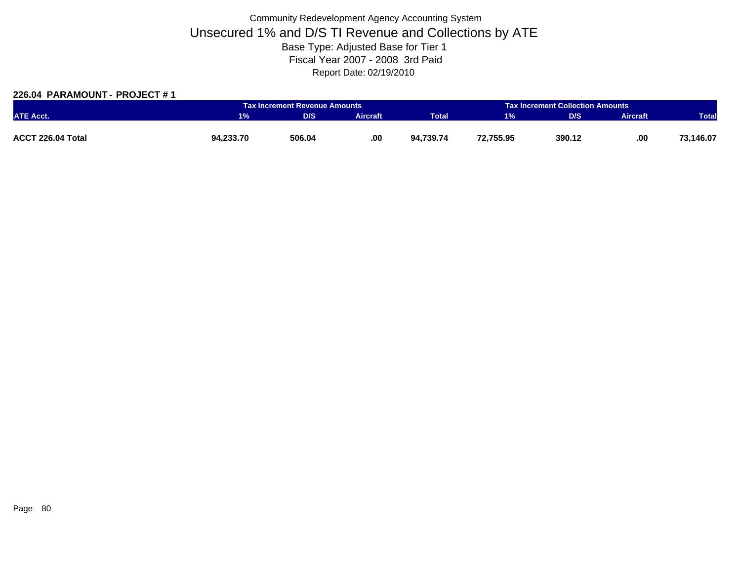### **226.04 PARAMOUNT - PROJECT # 1**

|                   |           | Tax Increment Revenue Amounts |                 |              |           | <b>Tax Increment Collection Amounts</b> |                 |              |
|-------------------|-----------|-------------------------------|-----------------|--------------|-----------|-----------------------------------------|-----------------|--------------|
| <b>ATE Acct.</b>  | $1\%$     | D/S                           | <b>Aircraft</b> | <b>Total</b> | 1%        | <b>D/S</b>                              | <b>Aircraft</b> | <b>Total</b> |
|                   |           |                               |                 |              |           |                                         |                 |              |
| ACCT 226.04 Total | 94,233.70 | 506.04                        | .00             | 94.739.74    | 72,755.95 | 390.12                                  | .00             | 73,146.07    |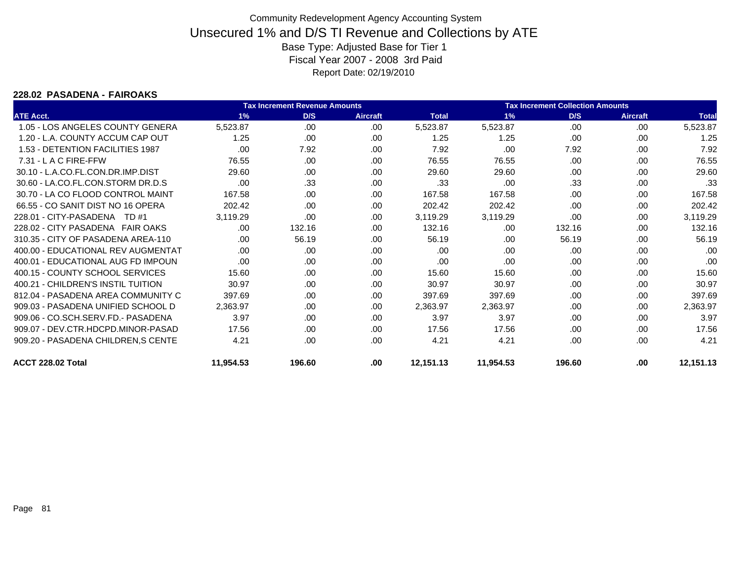#### **228.02 PASADENA - FAIROAKS**

|                                     |           | <b>Tax Increment Revenue Amounts</b> |                 |              | <b>Tax Increment Collection Amounts</b> |        |                 |              |
|-------------------------------------|-----------|--------------------------------------|-----------------|--------------|-----------------------------------------|--------|-----------------|--------------|
| <b>ATE Acct.</b>                    | 1%        | D/S                                  | <b>Aircraft</b> | <b>Total</b> | 1%                                      | D/S    | <b>Aircraft</b> | <b>Total</b> |
| 1.05 - LOS ANGELES COUNTY GENERA    | 5,523.87  | .00.                                 | .00             | 5,523.87     | 5,523.87                                | .00    | .00             | 5,523.87     |
| 1.20 - L.A. COUNTY ACCUM CAP OUT    | 1.25      | .00                                  | .00             | 1.25         | 1.25                                    | .00    | .00             | 1.25         |
| 1.53 - DETENTION FACILITIES 1987    | .00       | 7.92                                 | .00             | 7.92         | .00                                     | 7.92   | .00             | 7.92         |
| 7.31 - L A C FIRE-FFW               | 76.55     | .00.                                 | .00             | 76.55        | 76.55                                   | .00    | .00             | 76.55        |
| 30.10 - L.A.CO.FL.CON.DR.IMP.DIST   | 29.60     | .00.                                 | .00.            | 29.60        | 29.60                                   | .00    | .00             | 29.60        |
| 30.60 - LA.CO.FL.CON.STORM DR.D.S   | .00       | .33                                  | .00             | .33          | .00                                     | .33    | .00             | .33          |
| 30.70 - LA CO FLOOD CONTROL MAINT   | 167.58    | .00                                  | .00             | 167.58       | 167.58                                  | .00    | .00             | 167.58       |
| 66.55 - CO SANIT DIST NO 16 OPERA   | 202.42    | .00                                  | .00             | 202.42       | 202.42                                  | .00    | .00             | 202.42       |
| 228.01 - CITY-PASADENA<br>TD #1     | 3,119.29  | .00                                  | .00             | 3,119.29     | 3,119.29                                | .00    | .00             | 3,119.29     |
| 228.02 - CITY PASADENA FAIR OAKS    | .00.      | 132.16                               | .00             | 132.16       | .00                                     | 132.16 | .00             | 132.16       |
| 310.35 - CITY OF PASADENA AREA-110  | .00.      | 56.19                                | .00             | 56.19        | .00                                     | 56.19  | .00             | 56.19        |
| 400.00 - EDUCATIONAL REV AUGMENTAT  | .00.      | .00.                                 | .00             | .00          | .00                                     | .00    | .00             | .00          |
| 400.01 - EDUCATIONAL AUG FD IMPOUN  | .00.      | .00.                                 | .00             | .00          | .00                                     | .00    | .00             | .00          |
| 400.15 - COUNTY SCHOOL SERVICES     | 15.60     | .00.                                 | .00             | 15.60        | 15.60                                   | .00    | .00             | 15.60        |
| 400.21 - CHILDREN'S INSTIL TUITION  | 30.97     | .00                                  | .00             | 30.97        | 30.97                                   | .00    | .00             | 30.97        |
| 812.04 - PASADENA AREA COMMUNITY C  | 397.69    | .00.                                 | .00             | 397.69       | 397.69                                  | .00    | .00             | 397.69       |
| 909.03 - PASADENA UNIFIED SCHOOL D  | 2,363.97  | .00                                  | .00             | 2,363.97     | 2,363.97                                | .00    | .00             | 2,363.97     |
| 909.06 - CO.SCH.SERV.FD.- PASADENA  | 3.97      | .00                                  | .00             | 3.97         | 3.97                                    | .00    | .00             | 3.97         |
| 909.07 - DEV.CTR.HDCPD.MINOR-PASAD  | 17.56     | .00.                                 | .00             | 17.56        | 17.56                                   | .00    | .00             | 17.56        |
| 909.20 - PASADENA CHILDREN, S CENTE | 4.21      | .00.                                 | .00             | 4.21         | 4.21                                    | .00    | .00             | 4.21         |
| ACCT 228.02 Total                   | 11,954.53 | 196.60                               | .00             | 12,151.13    | 11,954.53                               | 196.60 | .00             | 12,151.13    |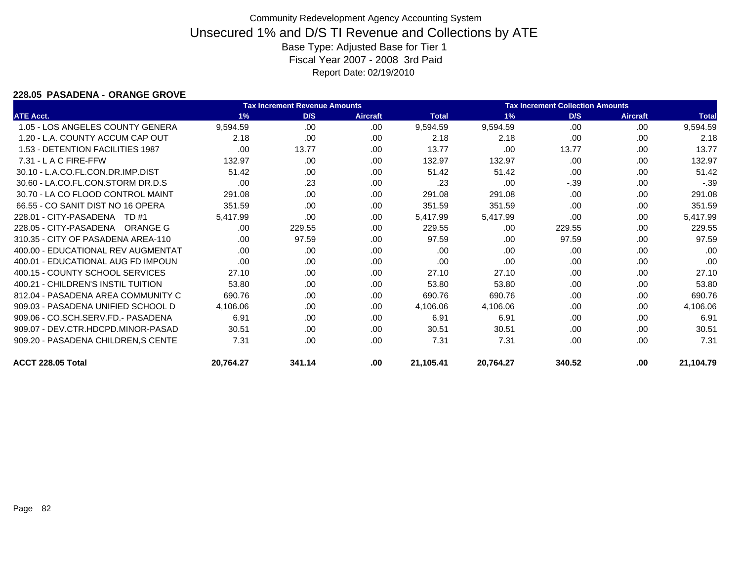#### **228.05 PASADENA - ORANGE GROVE**

|                                     |           | <b>Tax Increment Revenue Amounts</b> | <b>Tax Increment Collection Amounts</b> |              |           |        |                 |              |
|-------------------------------------|-----------|--------------------------------------|-----------------------------------------|--------------|-----------|--------|-----------------|--------------|
| <b>ATE Acct.</b>                    | 1%        | D/S                                  | <b>Aircraft</b>                         | <b>Total</b> | 1%        | D/S    | <b>Aircraft</b> | <b>Total</b> |
| 1.05 - LOS ANGELES COUNTY GENERA    | 9,594.59  | .00.                                 | .00                                     | 9,594.59     | 9,594.59  | .00    | .00             | 9,594.59     |
| 1.20 - L.A. COUNTY ACCUM CAP OUT    | 2.18      | .00                                  | .00.                                    | 2.18         | 2.18      | .00    | .00             | 2.18         |
| 1.53 - DETENTION FACILITIES 1987    | .00.      | 13.77                                | .00                                     | 13.77        | .00       | 13.77  | .00             | 13.77        |
| 7.31 - L A C FIRE-FFW               | 132.97    | .00.                                 | .00                                     | 132.97       | 132.97    | .00.   | .00             | 132.97       |
| 30.10 - L.A.CO.FL.CON.DR.IMP.DIST   | 51.42     | .00.                                 | .00                                     | 51.42        | 51.42     | .00.   | .00             | 51.42        |
| 30.60 - LA.CO.FL.CON.STORM DR.D.S   | .00       | .23                                  | .00                                     | .23          | .00       | $-39$  | .00             | $-0.39$      |
| 30.70 - LA CO FLOOD CONTROL MAINT   | 291.08    | .00.                                 | .00                                     | 291.08       | 291.08    | .00    | .00             | 291.08       |
| 66.55 - CO SANIT DIST NO 16 OPERA   | 351.59    | .00.                                 | .00                                     | 351.59       | 351.59    | .00    | .00             | 351.59       |
| 228.01 - CITY-PASADENA<br>TD #1     | 5,417.99  | .00.                                 | .00                                     | 5,417.99     | 5,417.99  | .00    | .00             | 5,417.99     |
| 228.05 - CITY-PASADENA<br>ORANGE G  | .00.      | 229.55                               | .00                                     | 229.55       | .00       | 229.55 | .00             | 229.55       |
| 310.35 - CITY OF PASADENA AREA-110  | .00.      | 97.59                                | .00                                     | 97.59        | .00       | 97.59  | .00             | 97.59        |
| 400.00 - EDUCATIONAL REV AUGMENTAT  | .00       | .00.                                 | .00                                     | .00          | .00.      | .00.   | .00             | .00          |
| 400.01 - EDUCATIONAL AUG FD IMPOUN  | .00       | .00.                                 | .00                                     | .00          | .00.      | .00.   | .00             | .00          |
| 400.15 - COUNTY SCHOOL SERVICES     | 27.10     | .00.                                 | .00                                     | 27.10        | 27.10     | .00    | .00             | 27.10        |
| 400.21 - CHILDREN'S INSTIL TUITION  | 53.80     | .00.                                 | .00                                     | 53.80        | 53.80     | .00    | .00             | 53.80        |
| 812.04 - PASADENA AREA COMMUNITY C  | 690.76    | .00.                                 | .00                                     | 690.76       | 690.76    | .00.   | .00             | 690.76       |
| 909.03 - PASADENA UNIFIED SCHOOL D  | 4,106.06  | .00                                  | .00                                     | 4,106.06     | 4,106.06  | .00    | .00             | 4,106.06     |
| 909.06 - CO.SCH.SERV.FD.- PASADENA  | 6.91      | .00                                  | .00                                     | 6.91         | 6.91      | .00    | .00             | 6.91         |
| 909.07 - DEV.CTR.HDCPD.MINOR-PASAD  | 30.51     | .00                                  | .00                                     | 30.51        | 30.51     | .00.   | .00             | 30.51        |
| 909.20 - PASADENA CHILDREN, S CENTE | 7.31      | .00.                                 | .00                                     | 7.31         | 7.31      | .00    | .00             | 7.31         |
| ACCT 228.05 Total                   | 20,764.27 | 341.14                               | .00                                     | 21,105.41    | 20,764.27 | 340.52 | .00             | 21,104.79    |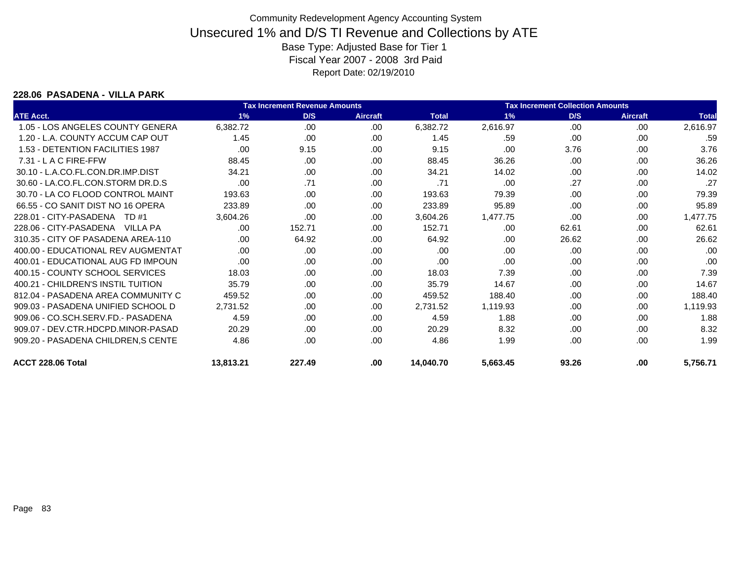#### **228.06 PASADENA - VILLA PARK**

|                                    |           | <b>Tax Increment Revenue Amounts</b> |                 |              | <b>Tax Increment Collection Amounts</b> |       |                 |              |
|------------------------------------|-----------|--------------------------------------|-----------------|--------------|-----------------------------------------|-------|-----------------|--------------|
| <b>ATE Acct.</b>                   | 1%        | D/S                                  | <b>Aircraft</b> | <b>Total</b> | 1%                                      | D/S   | <b>Aircraft</b> | <b>Total</b> |
| 1.05 - LOS ANGELES COUNTY GENERA   | 6,382.72  | .00                                  | .00             | 6,382.72     | 2,616.97                                | .00   | .00             | 2,616.97     |
| 1.20 - L.A. COUNTY ACCUM CAP OUT   | 1.45      | .00                                  | .00             | 1.45         | .59                                     | .00   | .00             | .59          |
| 1.53 - DETENTION FACILITIES 1987   | .00       | 9.15                                 | .00.            | 9.15         | .00                                     | 3.76  | .00             | 3.76         |
| $7.31 - L$ A C FIRE-FFW            | 88.45     | .00                                  | .00             | 88.45        | 36.26                                   | .00   | .00             | 36.26        |
| 30.10 - L.A.CO.FL.CON.DR.IMP.DIST  | 34.21     | .00                                  | .00             | 34.21        | 14.02                                   | .00.  | .00             | 14.02        |
| 30.60 - LA.CO.FL.CON.STORM DR.D.S  | .00       | .71                                  | .00             | .71          | .00                                     | .27   | .00             | .27          |
| 30.70 - LA CO FLOOD CONTROL MAINT  | 193.63    | .00                                  | .00.            | 193.63       | 79.39                                   | .00.  | .00             | 79.39        |
| 66.55 - CO SANIT DIST NO 16 OPERA  | 233.89    | .00                                  | .00             | 233.89       | 95.89                                   | .00   | .00             | 95.89        |
| 228.01 - CITY-PASADENA TD #1       | 3,604.26  | .00                                  | .00             | 3,604.26     | 1,477.75                                | .00   | .00             | 1,477.75     |
| 228.06 - CITY-PASADENA VILLA PA    | .00       | 152.71                               | .00             | 152.71       | .00                                     | 62.61 | .00             | 62.61        |
| 310.35 - CITY OF PASADENA AREA-110 | .00       | 64.92                                | .00.            | 64.92        | .00                                     | 26.62 | .00             | 26.62        |
| 400.00 - EDUCATIONAL REV AUGMENTAT | .00       | .00                                  | .00             | .00          | .00                                     | .00   | .00             | .00          |
| 400.01 - EDUCATIONAL AUG FD IMPOUN | .00       | .00                                  | .00             | .00          | .00                                     | .00   | .00             | .00          |
| 400.15 - COUNTY SCHOOL SERVICES    | 18.03     | .00                                  | .00             | 18.03        | 7.39                                    | .00.  | .00             | 7.39         |
| 400.21 - CHILDREN'S INSTIL TUITION | 35.79     | .00                                  | .00             | 35.79        | 14.67                                   | .00   | .00             | 14.67        |
| 812.04 - PASADENA AREA COMMUNITY C | 459.52    | .00                                  | .00             | 459.52       | 188.40                                  | .00   | .00             | 188.40       |
| 909.03 - PASADENA UNIFIED SCHOOL D | 2,731.52  | .00                                  | .00             | 2,731.52     | 1,119.93                                | .00.  | .00             | 1,119.93     |
| 909.06 - CO.SCH.SERV.FD.- PASADENA | 4.59      | .00                                  | .00             | 4.59         | 1.88                                    | .00.  | .00             | 1.88         |
| 909.07 - DEV.CTR.HDCPD.MINOR-PASAD | 20.29     | .00                                  | .00             | 20.29        | 8.32                                    | .00.  | .00             | 8.32         |
| 909.20 - PASADENA CHILDREN, SCENTE | 4.86      | .00                                  | .00             | 4.86         | 1.99                                    | .00   | .00             | 1.99         |
| ACCT 228.06 Total                  | 13,813.21 | 227.49                               | .00             | 14,040.70    | 5,663.45                                | 93.26 | .00             | 5,756.71     |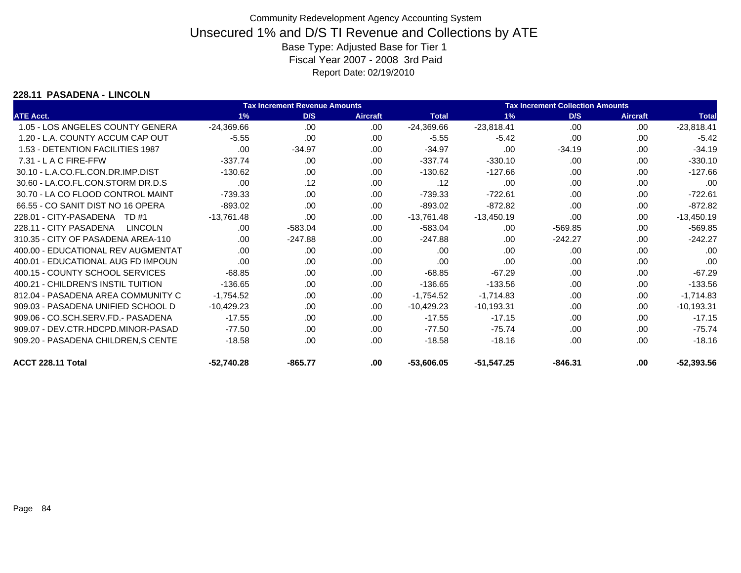### **228.11 PASADENA - LINCOLN**

|                                    |              | <b>Tax Increment Revenue Amounts</b> | <b>Tax Increment Collection Amounts</b> |              |              |           |                 |              |  |
|------------------------------------|--------------|--------------------------------------|-----------------------------------------|--------------|--------------|-----------|-----------------|--------------|--|
| <b>ATE Acct.</b>                   | 1%           | D/S                                  | <b>Aircraft</b>                         | <b>Total</b> | 1%           | D/S       | <b>Aircraft</b> | <b>Total</b> |  |
| 1.05 - LOS ANGELES COUNTY GENERA   | $-24,369.66$ | .00.                                 | .00.                                    | $-24,369.66$ | $-23,818.41$ | .00       | .00             | $-23,818.41$ |  |
| 1.20 - L.A. COUNTY ACCUM CAP OUT   | $-5.55$      | .00                                  | .00                                     | $-5.55$      | $-5.42$      | .00       | .00             | $-5.42$      |  |
| 1.53 - DETENTION FACILITIES 1987   | .00          | $-34.97$                             | .00                                     | $-34.97$     | .00          | $-34.19$  | .00             | $-34.19$     |  |
| 7.31 - L A C FIRE-FFW              | $-337.74$    | .00.                                 | .00                                     | $-337.74$    | $-330.10$    | .00       | .00             | $-330.10$    |  |
| 30.10 - L.A.CO.FL.CON.DR.IMP.DIST  | $-130.62$    | .00.                                 | .00.                                    | $-130.62$    | $-127.66$    | .00       | .00             | $-127.66$    |  |
| 30.60 - LA.CO.FL.CON.STORM DR.D.S  | .00          | .12                                  | .00                                     | .12          | .00          | .00       | .00             | .00          |  |
| 30.70 - LA CO FLOOD CONTROL MAINT  | $-739.33$    | .00.                                 | .00                                     | $-739.33$    | $-722.61$    | .00       | .00             | $-722.61$    |  |
| 66.55 - CO SANIT DIST NO 16 OPERA  | $-893.02$    | .00                                  | .00.                                    | $-893.02$    | $-872.82$    | .00       | .00             | $-872.82$    |  |
| 228.01 - CITY-PASADENA<br>TD #1    | $-13,761.48$ | .00                                  | .00.                                    | $-13,761.48$ | $-13,450.19$ | .00       | .00             | $-13,450.19$ |  |
| 228.11 - CITY PASADENA<br>LINCOLN  | .00.         | $-583.04$                            | .00                                     | $-583.04$    | .00          | $-569.85$ | .00             | $-569.85$    |  |
| 310.35 - CITY OF PASADENA AREA-110 | .00.         | $-247.88$                            | .00                                     | $-247.88$    | .00          | $-242.27$ | .00             | $-242.27$    |  |
| 400.00 - EDUCATIONAL REV AUGMENTAT | .00          | .00.                                 | .00.                                    | .00          | .00          | .00       | .00             | .00          |  |
| 400.01 - EDUCATIONAL AUG FD IMPOUN | .00          | .00.                                 | .00.                                    | .00          | .00          | .00       | .00             | .00          |  |
| 400.15 - COUNTY SCHOOL SERVICES    | $-68.85$     | .00.                                 | .00                                     | $-68.85$     | $-67.29$     | .00       | .00             | $-67.29$     |  |
| 400.21 - CHILDREN'S INSTIL TUITION | $-136.65$    | .00.                                 | .00                                     | $-136.65$    | $-133.56$    | .00       | .00             | $-133.56$    |  |
| 812.04 - PASADENA AREA COMMUNITY C | $-1,754.52$  | .00.                                 | .00.                                    | $-1,754.52$  | $-1,714.83$  | .00       | .00             | $-1,714.83$  |  |
| 909.03 - PASADENA UNIFIED SCHOOL D | $-10,429.23$ | .00.                                 | .00.                                    | $-10,429.23$ | $-10,193.31$ | .00       | .00             | $-10,193.31$ |  |
| 909.06 - CO.SCH.SERV.FD.- PASADENA | $-17.55$     | .00.                                 | .00                                     | $-17.55$     | $-17.15$     | .00       | .00             | $-17.15$     |  |
| 909.07 - DEV.CTR.HDCPD.MINOR-PASAD | $-77.50$     | .00.                                 | .00                                     | -77.50       | $-75.74$     | .00       | .00             | $-75.74$     |  |
| 909.20 - PASADENA CHILDREN, SCENTE | $-18.58$     | .00.                                 | .00.                                    | $-18.58$     | $-18.16$     | .00       | .00             | $-18.16$     |  |
| ACCT 228.11 Total                  | $-52,740.28$ | $-865.77$                            | .00.                                    | $-53,606.05$ | $-51,547.25$ | $-846.31$ | .00             | $-52,393.56$ |  |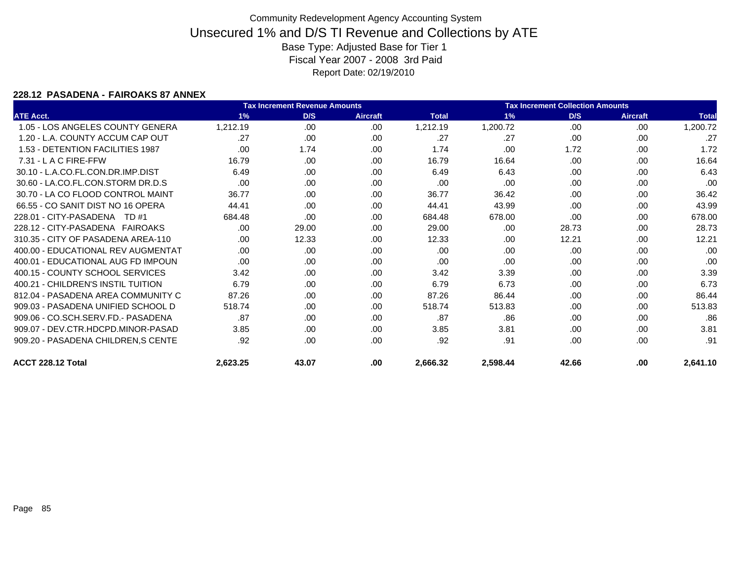### **228.12 PASADENA - FAIROAKS 87 ANNEX**

|                                     |          | <b>Tax Increment Revenue Amounts</b> |                 | <b>Tax Increment Collection Amounts</b> |          |       |                 |              |
|-------------------------------------|----------|--------------------------------------|-----------------|-----------------------------------------|----------|-------|-----------------|--------------|
| <b>ATE Acct.</b>                    | 1%       | D/S                                  | <b>Aircraft</b> | <b>Total</b>                            | 1%       | D/S   | <b>Aircraft</b> | <b>Total</b> |
| 1.05 - LOS ANGELES COUNTY GENERA    | 1,212.19 | .00                                  | .00             | 1,212.19                                | 1,200.72 | .00   | .00             | 1,200.72     |
| 1.20 - L.A. COUNTY ACCUM CAP OUT    | .27      | .00                                  | .00             | .27                                     | .27      | .00   | .00             | .27          |
| 1.53 - DETENTION FACILITIES 1987    | .00      | 1.74                                 | .00.            | 1.74                                    | .00      | 1.72  | .00             | 1.72         |
| 7.31 - L A C FIRE-FFW               | 16.79    | .00                                  | .00             | 16.79                                   | 16.64    | .00   | .00             | 16.64        |
| 30.10 - L.A.CO.FL.CON.DR.IMP.DIST   | 6.49     | .00                                  | .00.            | 6.49                                    | 6.43     | .00.  | .00             | 6.43         |
| 30.60 - LA.CO.FL.CON.STORM DR.D.S   | .00      | .00                                  | .00             | .00                                     | .00      | .00   | .00             | .00          |
| 30.70 - LA CO FLOOD CONTROL MAINT   | 36.77    | .00                                  | .00             | 36.77                                   | 36.42    | .00   | .00             | 36.42        |
| 66.55 - CO SANIT DIST NO 16 OPERA   | 44.41    | .00                                  | .00             | 44.41                                   | 43.99    | .00   | .00             | 43.99        |
| 228.01 - CITY-PASADENA TD #1        | 684.48   | .00                                  | .00             | 684.48                                  | 678.00   | .00   | .00             | 678.00       |
| 228.12 - CITY-PASADENA FAIROAKS     | .00      | 29.00                                | .00.            | 29.00                                   | .00      | 28.73 | .00             | 28.73        |
| 310.35 - CITY OF PASADENA AREA-110  | .00      | 12.33                                | .00             | 12.33                                   | .00      | 12.21 | .00             | 12.21        |
| 400.00 - EDUCATIONAL REV AUGMENTAT  | .00      | .00                                  | .00             | .00                                     | .00      | .00   | .00             | .00          |
| 400.01 - EDUCATIONAL AUG ED IMPOUN  | .00      | .00                                  | .00             | .00                                     | .00      | .00.  | .00             | .00          |
| 400.15 - COUNTY SCHOOL SERVICES     | 3.42     | .00                                  | .00             | 3.42                                    | 3.39     | .00.  | .00             | 3.39         |
| 400.21 - CHILDREN'S INSTIL TUITION  | 6.79     | .00                                  | .00             | 6.79                                    | 6.73     | .00   | .00             | 6.73         |
| 812.04 - PASADENA AREA COMMUNITY C  | 87.26    | .00                                  | .00             | 87.26                                   | 86.44    | .00   | .00             | 86.44        |
| 909.03 - PASADENA UNIFIED SCHOOL D  | 518.74   | .00                                  | .00             | 518.74                                  | 513.83   | .00   | .00             | 513.83       |
| 909.06 - CO.SCH.SERV.FD.- PASADENA  | .87      | .00                                  | .00             | .87                                     | .86      | .00.  | .00             | .86          |
| 909.07 - DEV.CTR.HDCPD.MINOR-PASAD  | 3.85     | .00                                  | .00.            | 3.85                                    | 3.81     | .00   | .00             | 3.81         |
| 909.20 - PASADENA CHILDREN, S CENTE | .92      | .00                                  | .00             | .92                                     | .91      | .00   | .00             | .91          |
| ACCT 228.12 Total                   | 2,623.25 | 43.07                                | .00             | 2,666.32                                | 2,598.44 | 42.66 | .00             | 2,641.10     |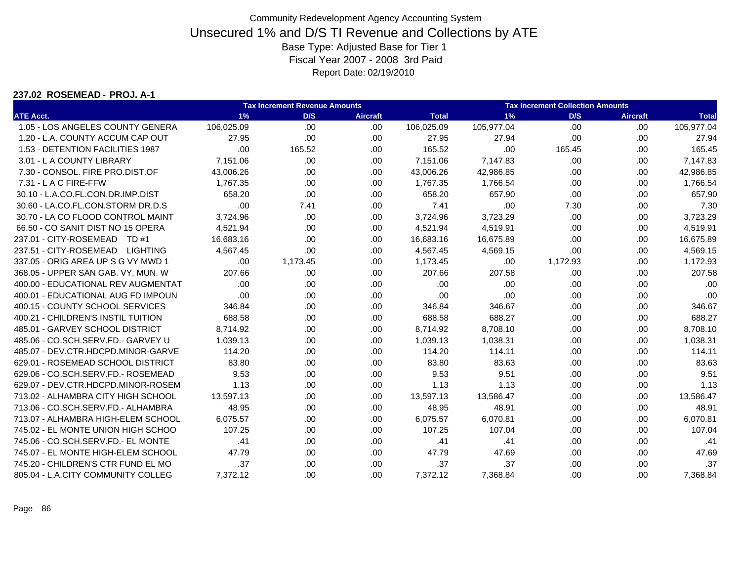#### **237.02 ROSEMEAD - PROJ. A-1**

|                                    |            | <b>Tax Increment Revenue Amounts</b> |                 | <b>Tax Increment Collection Amounts</b> |            |          |                 |              |
|------------------------------------|------------|--------------------------------------|-----------------|-----------------------------------------|------------|----------|-----------------|--------------|
| <b>ATE Acct.</b>                   | 1%         | D/S                                  | <b>Aircraft</b> | <b>Total</b>                            | 1%         | D/S      | <b>Aircraft</b> | <b>Total</b> |
| 1.05 - LOS ANGELES COUNTY GENERA   | 106,025.09 | .00                                  | .00             | 106,025.09                              | 105,977.04 | .00      | .00.            | 105,977.04   |
| 1.20 - L.A. COUNTY ACCUM CAP OUT   | 27.95      | .00                                  | .00.            | 27.95                                   | 27.94      | .00      | .00             | 27.94        |
| 1.53 - DETENTION FACILITIES 1987   | .00        | 165.52                               | .00             | 165.52                                  | .00        | 165.45   | .00             | 165.45       |
| 3.01 - L A COUNTY LIBRARY          | 7,151.06   | .00.                                 | .00.            | 7,151.06                                | 7,147.83   | .00      | .00             | 7,147.83     |
| 7.30 - CONSOL, FIRE PRO.DIST.OF    | 43.006.26  | .00.                                 | .00.            | 43.006.26                               | 42,986.85  | .00.     | .00             | 42,986.85    |
| 7.31 - L A C FIRE-FFW              | 1,767.35   | .00                                  | .00             | 1,767.35                                | 1,766.54   | .00      | .00             | 1,766.54     |
| 30.10 - L.A.CO.FL.CON.DR.IMP.DIST  | 658.20     | .00                                  | .00.            | 658.20                                  | 657.90     | .00.     | .00             | 657.90       |
| 30.60 - LA.CO.FL.CON.STORM DR.D.S  | .00        | 7.41                                 | .00             | 7.41                                    | .00        | 7.30     | .00             | 7.30         |
| 30.70 - LA CO FLOOD CONTROL MAINT  | 3,724.96   | .00.                                 | .00             | 3,724.96                                | 3,723.29   | .00      | .00             | 3,723.29     |
| 66.50 - CO SANIT DIST NO 15 OPERA  | 4,521.94   | .00                                  | .00.            | 4,521.94                                | 4,519.91   | .00      | .00             | 4,519.91     |
| 237.01 - CITY-ROSEMEAD TD #1       | 16,683.16  | .00.                                 | .00             | 16,683.16                               | 16,675.89  | .00      | .00             | 16,675.89    |
| 237.51 - CITY-ROSEMEAD LIGHTING    | 4,567.45   | .00.                                 | .00             | 4,567.45                                | 4,569.15   | .00      | .00             | 4,569.15     |
| 337.05 - ORIG AREA UP S G VY MWD 1 | .00        | 1,173.45                             | .00.            | 1,173.45                                | .00        | 1,172.93 | .00             | 1,172.93     |
| 368.05 - UPPER SAN GAB, VY, MUN, W | 207.66     | .00                                  | .00             | 207.66                                  | 207.58     | .00      | .00             | 207.58       |
| 400.00 - EDUCATIONAL REV AUGMENTAT | .00        | .00                                  | .00             | .00                                     | .00        | .00      | .00             | .00          |
| 400.01 - EDUCATIONAL AUG FD IMPOUN | .00        | .00                                  | .00             | .00                                     | .00        | .00      | .00             | .00          |
| 400.15 - COUNTY SCHOOL SERVICES    | 346.84     | .00.                                 | .00             | 346.84                                  | 346.67     | .00      | .00             | 346.67       |
| 400.21 - CHILDREN'S INSTIL TUITION | 688.58     | .00                                  | .00.            | 688.58                                  | 688.27     | .00      | .00             | 688.27       |
| 485.01 - GARVEY SCHOOL DISTRICT    | 8,714.92   | .00.                                 | .00             | 8,714.92                                | 8,708.10   | .00      | .00             | 8,708.10     |
| 485.06 - CO.SCH.SERV.FD.- GARVEY U | 1,039.13   | .00.                                 | .00.            | 1,039.13                                | 1,038.31   | .00      | .00             | 1,038.31     |
| 485.07 - DEV.CTR.HDCPD.MINOR-GARVE | 114.20     | .00.                                 | .00.            | 114.20                                  | 114.11     | .00      | .00             | 114.11       |
| 629.01 - ROSEMEAD SCHOOL DISTRICT  | 83.80      | .00                                  | .00.            | 83.80                                   | 83.63      | .00      | .00             | 83.63        |
| 629.06 - CO.SCH.SERV.FD.- ROSEMEAD | 9.53       | .00                                  | .00             | 9.53                                    | 9.51       | .00      | .00             | 9.51         |
| 629.07 - DEV.CTR.HDCPD.MINOR-ROSEM | 1.13       | .00                                  | .00             | 1.13                                    | 1.13       | .00      | .00             | 1.13         |
| 713.02 - ALHAMBRA CITY HIGH SCHOOL | 13,597.13  | .00.                                 | .00             | 13,597.13                               | 13,586.47  | .00      | .00             | 13,586.47    |
| 713.06 - CO.SCH.SERV.FD.- ALHAMBRA | 48.95      | .00                                  | .00.            | 48.95                                   | 48.91      | .00      | .00             | 48.91        |
| 713.07 - ALHAMBRA HIGH-ELEM SCHOOL | 6,075.57   | .00                                  | .00.            | 6,075.57                                | 6,070.81   | .00      | .00             | 6,070.81     |
| 745.02 - EL MONTE UNION HIGH SCHOO | 107.25     | .00.                                 | .00             | 107.25                                  | 107.04     | .00.     | .00.            | 107.04       |
| 745.06 - CO.SCH.SERV.FD.- EL MONTE | .41        | .00.                                 | .00             | .41                                     | .41        | .00      | .00             | .41          |
| 745.07 - EL MONTE HIGH-ELEM SCHOOL | 47.79      | .00.                                 | .00.            | 47.79                                   | 47.69      | .00      | .00             | 47.69        |
| 745.20 - CHILDREN'S CTR FUND EL MO | .37        | .00                                  | .00.            | .37                                     | .37        | .00      | .00             | .37          |
| 805.04 - L.A.CITY COMMUNITY COLLEG | 7,372.12   | .00                                  | .00             | 7,372.12                                | 7,368.84   | .00      | .00             | 7,368.84     |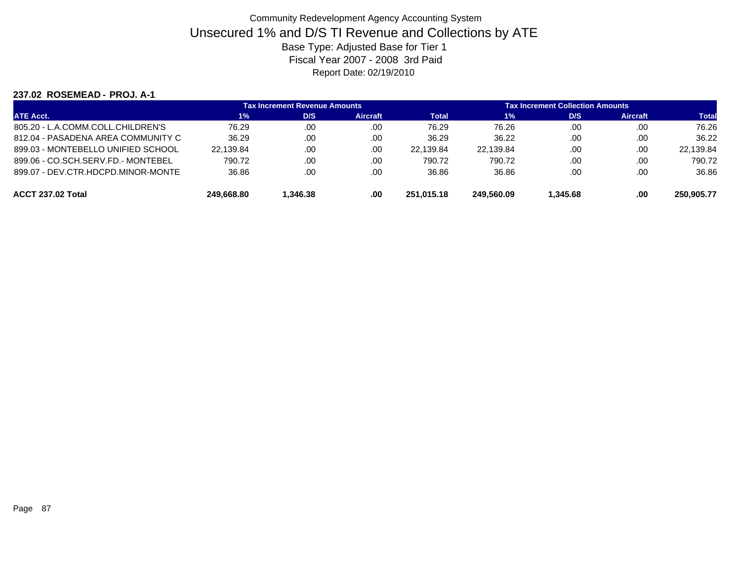#### **237.02 ROSEMEAD - PROJ. A-1**

|                                    |            | <b>Tax Increment Revenue Amounts</b> |          | <b>Tax Increment Collection Amounts</b> |            |          |          |              |  |
|------------------------------------|------------|--------------------------------------|----------|-----------------------------------------|------------|----------|----------|--------------|--|
| <b>ATE Acct.</b>                   | 1%         | D/S                                  | Aircraft | Total                                   | 1%         | D/S      | Aircraft | <b>Total</b> |  |
| 805.20 - L.A.COMM.COLL.CHILDREN'S  | 76.29      | .00                                  | .00      | 76.29                                   | 76.26      | .00      | .00      | 76.26        |  |
| 812.04 - PASADENA AREA COMMUNITY C | 36.29      | .00                                  | .00      | 36.29                                   | 36.22      | .00      | .00      | 36.22        |  |
| 899.03 - MONTEBELLO UNIFIED SCHOOL | 22.139.84  | .00                                  | .00      | 22.139.84                               | 22.139.84  | .00      | .00      | 22,139.84    |  |
| 899.06 - CO.SCH.SERV.FD.- MONTEBEL | 790.72     | .00                                  | .00      | 790.72                                  | 790.72     | .00      | .00      | 790.72       |  |
| 899.07 - DEV.CTR.HDCPD.MINOR-MONTE | 36.86      | .00                                  | .00      | 36.86                                   | 36.86      | .00      | .00      | 36.86        |  |
| ACCT 237.02 Total                  | 249.668.80 | 1.346.38                             | .00      | 251.015.18                              | 249.560.09 | 1.345.68 | .00      | 250.905.77   |  |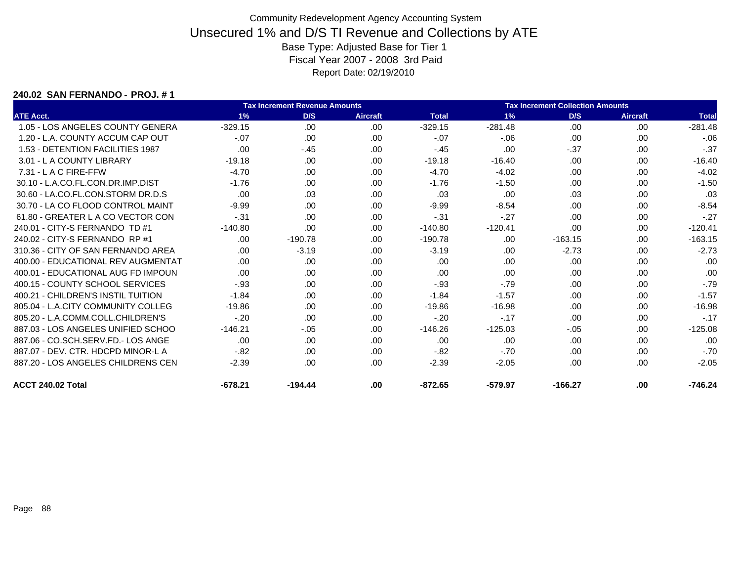#### **240.02 SAN FERNANDO - PROJ. # 1**

|                                    |           | <b>Tax Increment Revenue Amounts</b> | <b>Tax Increment Collection Amounts</b> |              |           |           |                 |              |
|------------------------------------|-----------|--------------------------------------|-----------------------------------------|--------------|-----------|-----------|-----------------|--------------|
| <b>ATE Acct.</b>                   | 1%        | D/S                                  | <b>Aircraft</b>                         | <b>Total</b> | 1%        | D/S       | <b>Aircraft</b> | <b>Total</b> |
| 1.05 - LOS ANGELES COUNTY GENERA   | $-329.15$ | .00                                  | .00                                     | $-329.15$    | $-281.48$ | .00       | .00             | $-281.48$    |
| 1.20 - L.A. COUNTY ACCUM CAP OUT   | $-.07$    | .00                                  | .00                                     | $-.07$       | $-06$     | .00       | .00             | $-06$        |
| 1.53 - DETENTION FACILITIES 1987   | .00       | $-.45$                               | .00.                                    | $-.45$       | .00       | $-37$     | .00             | $-.37$       |
| 3.01 - L A COUNTY LIBRARY          | $-19.18$  | .00.                                 | .00                                     | $-19.18$     | $-16.40$  | .00       | .00             | $-16.40$     |
| 7.31 - L A C FIRE-FFW              | $-4.70$   | .00.                                 | .00                                     | $-4.70$      | $-4.02$   | .00       | .00             | $-4.02$      |
| 30.10 - L.A.CO.FL.CON.DR.IMP.DIST  | $-1.76$   | .00                                  | .00                                     | $-1.76$      | $-1.50$   | .00       | .00             | $-1.50$      |
| 30.60 - LA.CO.FL.CON.STORM DR.D.S  | .00       | .03                                  | .00                                     | .03          | .00       | .03       | .00             | .03          |
| 30.70 - LA CO FLOOD CONTROL MAINT  | $-9.99$   | .00.                                 | .00                                     | $-9.99$      | $-8.54$   | .00       | .00             | $-8.54$      |
| 61.80 - GREATER L A CO VECTOR CON  | $-.31$    | .00.                                 | .00                                     | $-.31$       | $-.27$    | .00       | .00             | $-27$        |
| 240.01 - CITY-S FERNANDO TD #1     | $-140.80$ | .00                                  | .00                                     | $-140.80$    | $-120.41$ | .00       | .00             | $-120.41$    |
| 240.02 - CITY-S FERNANDO RP #1     | .00.      | $-190.78$                            | .00                                     | $-190.78$    | .00       | $-163.15$ | .00             | $-163.15$    |
| 310.36 - CITY OF SAN FERNANDO AREA | .00.      | $-3.19$                              | .00                                     | $-3.19$      | .00       | $-2.73$   | .00             | $-2.73$      |
| 400.00 - EDUCATIONAL REV AUGMENTAT | .00.      | .00.                                 | .00                                     | .00          | .00       | .00       | .00             | .00          |
| 400.01 - EDUCATIONAL AUG FD IMPOUN | .00       | .00.                                 | .00                                     | .00          | .00       | .00       | .00             | .00          |
| 400.15 - COUNTY SCHOOL SERVICES    | $-.93$    | .00.                                 | .00                                     | $-.93$       | $-.79$    | .00       | .00             | $-.79$       |
| 400.21 - CHILDREN'S INSTIL TUITION | $-1.84$   | .00.                                 | .00                                     | $-1.84$      | $-1.57$   | .00       | .00             | $-1.57$      |
| 805.04 - L.A.CITY COMMUNITY COLLEG | $-19.86$  | .00.                                 | .00                                     | $-19.86$     | $-16.98$  | .00       | .00             | $-16.98$     |
| 805.20 - L.A.COMM.COLL.CHILDREN'S  | $-.20$    | .00.                                 | .00                                     | $-.20$       | $-.17$    | .00       | .00             | $-.17$       |
| 887.03 - LOS ANGELES UNIFIED SCHOO | $-146.21$ | $-.05$                               | .00                                     | $-146.26$    | $-125.03$ | $-.05$    | .00             | $-125.08$    |
| 887.06 - CO.SCH.SERV.FD.- LOS ANGE | .00.      | .00.                                 | .00                                     | .00          | .00       | .00       | .00             | .00          |
| 887.07 - DEV. CTR. HDCPD MINOR-L A | $-.82$    | .00.                                 | .00                                     | $-82$        | $-.70$    | .00       | .00             | $-70$        |
| 887.20 - LOS ANGELES CHILDRENS CEN | $-2.39$   | .00.                                 | .00                                     | $-2.39$      | $-2.05$   | .00       | .00             | $-2.05$      |
| ACCT 240.02 Total                  | $-678.21$ | $-194.44$                            | .00                                     | $-872.65$    | $-579.97$ | $-166.27$ | .00             | $-746.24$    |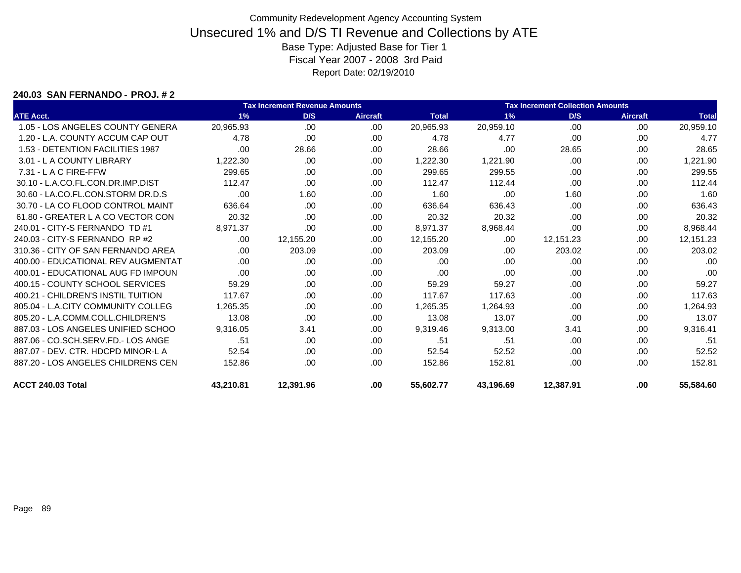#### **240.03 SAN FERNANDO - PROJ. # 2**

|                                    |           | <b>Tax Increment Revenue Amounts</b> |                 | <b>Tax Increment Collection Amounts</b> |           |           |                 |              |
|------------------------------------|-----------|--------------------------------------|-----------------|-----------------------------------------|-----------|-----------|-----------------|--------------|
| <b>ATE Acct.</b>                   | 1%        | D/S                                  | <b>Aircraft</b> | <b>Total</b>                            | 1%        | D/S       | <b>Aircraft</b> | <b>Total</b> |
| 1.05 - LOS ANGELES COUNTY GENERA   | 20,965.93 | .00                                  | .00             | 20,965.93                               | 20,959.10 | .00       | .00             | 20,959.10    |
| 1.20 - L.A. COUNTY ACCUM CAP OUT   | 4.78      | .00.                                 | .00             | 4.78                                    | 4.77      | .00       | .00             | 4.77         |
| 1.53 - DETENTION FACILITIES 1987   | .00       | 28.66                                | .00             | 28.66                                   | .00       | 28.65     | .00             | 28.65        |
| 3.01 - L A COUNTY LIBRARY          | 1,222.30  | .00.                                 | .00             | 1,222.30                                | 1,221.90  | .00       | .00             | 1,221.90     |
| $7.31 - L$ A C FIRE-FFW            | 299.65    | .00                                  | .00             | 299.65                                  | 299.55    | .00       | .00             | 299.55       |
| 30.10 - L.A.CO.FL.CON.DR.IMP.DIST  | 112.47    | .00                                  | .00.            | 112.47                                  | 112.44    | .00       | .00             | 112.44       |
| 30.60 - LA.CO.FL.CON.STORM DR.D.S  | .00       | 1.60                                 | .00             | 1.60                                    | .00       | 1.60      | .00             | 1.60         |
| 30.70 - LA CO FLOOD CONTROL MAINT  | 636.64    | .00.                                 | .00             | 636.64                                  | 636.43    | .00       | .00             | 636.43       |
| 61.80 - GREATER L A CO VECTOR CON  | 20.32     | .00.                                 | .00             | 20.32                                   | 20.32     | .00       | .00             | 20.32        |
| 240.01 - CITY-S FERNANDO TD #1     | 8,971.37  | .00                                  | .00             | 8,971.37                                | 8,968.44  | .00       | .00             | 8,968.44     |
| 240.03 - CITY-S FERNANDO RP #2     | .00.      | 12,155.20                            | .00             | 12,155.20                               | .00       | 12.151.23 | .00             | 12,151.23    |
| 310.36 - CITY OF SAN FERNANDO AREA | .00.      | 203.09                               | .00.            | 203.09                                  | .00       | 203.02    | .00             | 203.02       |
| 400.00 - EDUCATIONAL REV AUGMENTAT | .00.      | .00.                                 | .00             | .00                                     | .00       | .00       | .00             | .00          |
| 400.01 - EDUCATIONAL AUG FD IMPOUN | .00       | .00.                                 | .00             | .00                                     | .00       | .00       | .00             | .00          |
| 400.15 - COUNTY SCHOOL SERVICES    | 59.29     | .00.                                 | .00             | 59.29                                   | 59.27     | .00       | .00             | 59.27        |
| 400.21 - CHILDREN'S INSTIL TUITION | 117.67    | .00.                                 | .00             | 117.67                                  | 117.63    | .00       | .00             | 117.63       |
| 805.04 - L.A.CITY COMMUNITY COLLEG | 1.265.35  | .00.                                 | .00             | 1.265.35                                | 1.264.93  | .00       | .00             | 1,264.93     |
| 805.20 - L.A.COMM.COLL.CHILDREN'S  | 13.08     | .00.                                 | .00             | 13.08                                   | 13.07     | .00       | .00             | 13.07        |
| 887.03 - LOS ANGELES UNIFIED SCHOO | 9,316.05  | 3.41                                 | .00             | 9,319.46                                | 9,313.00  | 3.41      | .00             | 9,316.41     |
| 887.06 - CO.SCH.SERV.FD.- LOS ANGE | .51       | .00                                  | .00             | .51                                     | .51       | .00       | .00             | .51          |
| 887.07 - DEV. CTR. HDCPD MINOR-L A | 52.54     | .00.                                 | .00             | 52.54                                   | 52.52     | .00       | .00.            | 52.52        |
| 887.20 - LOS ANGELES CHILDRENS CEN | 152.86    | .00.                                 | .00             | 152.86                                  | 152.81    | .00       | .00             | 152.81       |
| ACCT 240.03 Total                  | 43,210.81 | 12,391.96                            | .00             | 55,602.77                               | 43,196.69 | 12,387.91 | .00             | 55,584.60    |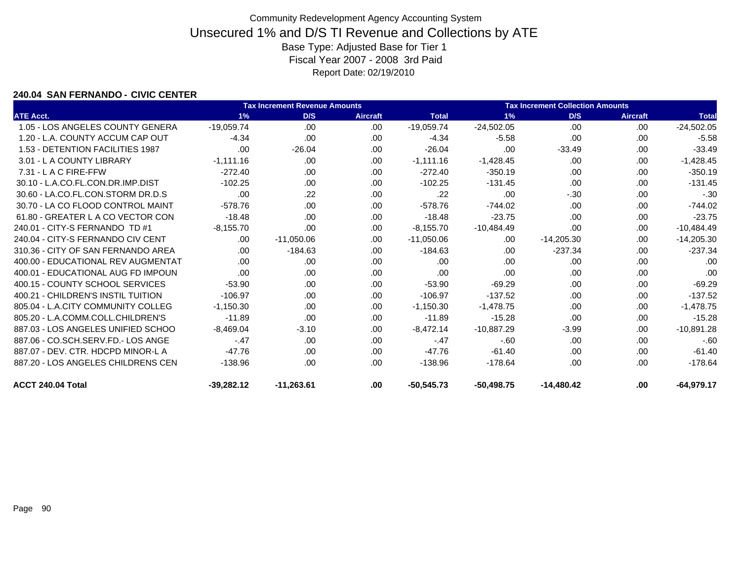#### **240.04 SAN FERNANDO - CIVIC CENTER**

|                                    |              | <b>Tax Increment Revenue Amounts</b> |                 | <b>Tax Increment Collection Amounts</b> |              |              |                 |              |  |
|------------------------------------|--------------|--------------------------------------|-----------------|-----------------------------------------|--------------|--------------|-----------------|--------------|--|
| <b>ATE Acct.</b>                   | 1%           | D/S                                  | <b>Aircraft</b> | <b>Total</b>                            | 1%           | D/S          | <b>Aircraft</b> | <b>Total</b> |  |
| 1.05 - LOS ANGELES COUNTY GENERA   | $-19,059.74$ | .00                                  | .00             | $-19,059.74$                            | $-24,502.05$ | .00          | .00             | $-24,502.05$ |  |
| 1.20 - L.A. COUNTY ACCUM CAP OUT   | $-4.34$      | .00.                                 | .00             | $-4.34$                                 | $-5.58$      | .00          | .00             | $-5.58$      |  |
| 1.53 - DETENTION FACILITIES 1987   | .00          | $-26.04$                             | .00.            | $-26.04$                                | .00          | $-33.49$     | .00             | $-33.49$     |  |
| 3.01 - L A COUNTY LIBRARY          | $-1,111.16$  | .00.                                 | .00             | $-1,111.16$                             | $-1,428.45$  | .00          | .00             | $-1,428.45$  |  |
| 7.31 - L A C FIRE-FFW              | $-272.40$    | .00                                  | .00             | $-272.40$                               | $-350.19$    | .00          | .00             | $-350.19$    |  |
| 30.10 - L.A.CO.FL.CON.DR.IMP.DIST  | $-102.25$    | .00                                  | .00             | $-102.25$                               | $-131.45$    | .00          | .00             | $-131.45$    |  |
| 30.60 - LA.CO.FL.CON.STORM DR.D.S  | .00.         | .22                                  | .00             | .22                                     | .00          | $-.30$       | .00             | $-.30$       |  |
| 30.70 - LA CO FLOOD CONTROL MAINT  | $-578.76$    | .00.                                 | .00             | $-578.76$                               | $-744.02$    | .00          | .00.            | $-744.02$    |  |
| 61.80 - GREATER L A CO VECTOR CON  | $-18.48$     | .00.                                 | .00             | $-18.48$                                | $-23.75$     | .00          | .00             | $-23.75$     |  |
| 240.01 - CITY-S FERNANDO TD #1     | $-8,155.70$  | .00                                  | .00             | $-8,155.70$                             | $-10,484.49$ | .00          | .00.            | $-10,484.49$ |  |
| 240.04 - CITY-S FERNANDO CIV CENT  | .00.         | $-11,050.06$                         | .00             | $-11,050.06$                            | .00.         | $-14,205.30$ | .00             | $-14,205.30$ |  |
| 310.36 - CITY OF SAN FERNANDO AREA | .00.         | $-184.63$                            | .00.            | $-184.63$                               | .00.         | $-237.34$    | .00             | $-237.34$    |  |
| 400.00 - EDUCATIONAL REV AUGMENTAT | .00.         | .00.                                 | .00             | .00                                     | .00          | .00          | .00             | .00          |  |
| 400.01 - EDUCATIONAL AUG FD IMPOUN | .00          | .00.                                 | .00             | .00                                     | .00          | .00          | .00             | .00          |  |
| 400.15 - COUNTY SCHOOL SERVICES    | $-53.90$     | .00                                  | .00             | $-53.90$                                | $-69.29$     | .00          | .00             | $-69.29$     |  |
| 400.21 - CHILDREN'S INSTIL TUITION | $-106.97$    | .00.                                 | .00.            | $-106.97$                               | $-137.52$    | .00          | .00             | $-137.52$    |  |
| 805.04 - L.A.CITY COMMUNITY COLLEG | $-1.150.30$  | .00.                                 | .00.            | $-1,150.30$                             | $-1.478.75$  | .00          | .00             | $-1,478.75$  |  |
| 805.20 - L.A.COMM.COLL.CHILDREN'S  | $-11.89$     | .00.                                 | .00             | $-11.89$                                | $-15.28$     | .00          | .00             | $-15.28$     |  |
| 887.03 - LOS ANGELES UNIFIED SCHOO | $-8,469.04$  | $-3.10$                              | .00             | $-8,472.14$                             | $-10,887.29$ | $-3.99$      | .00             | $-10,891.28$ |  |
| 887.06 - CO.SCH.SERV.FD.- LOS ANGE | $-.47$       | .00                                  | .00             | $-.47$                                  | $-60$        | .00          | .00             | $-60$        |  |
| 887.07 - DEV. CTR. HDCPD MINOR-L A | $-47.76$     | .00.                                 | .00             | $-47.76$                                | $-61.40$     | .00          | .00.            | $-61.40$     |  |
| 887.20 - LOS ANGELES CHILDRENS CEN | $-138.96$    | .00.                                 | .00             | $-138.96$                               | $-178.64$    | .00          | .00             | $-178.64$    |  |
| ACCT 240.04 Total                  | $-39,282.12$ | $-11,263.61$                         | .00.            | $-50,545.73$                            | $-50,498.75$ | $-14,480.42$ | .00             | $-64,979.17$ |  |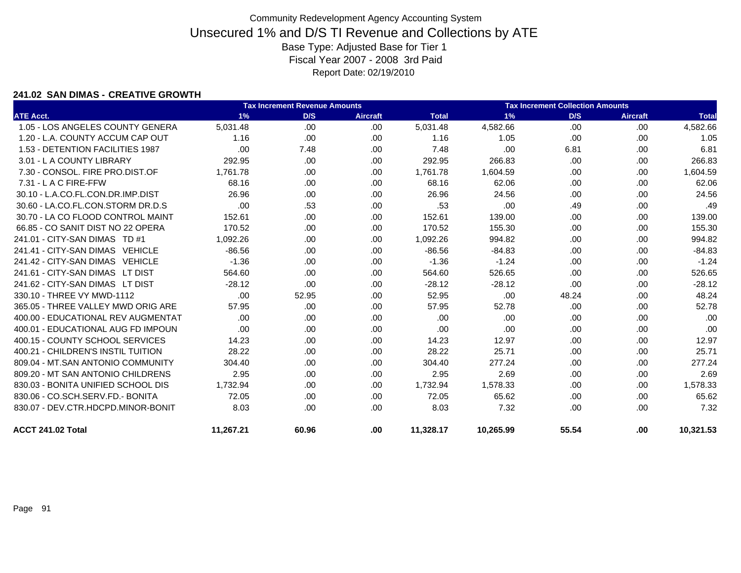### **241.02 SAN DIMAS - CREATIVE GROWTH**

|                                    |           | <b>Tax Increment Revenue Amounts</b> |                 | <b>Tax Increment Collection Amounts</b> |           |       |                 |              |
|------------------------------------|-----------|--------------------------------------|-----------------|-----------------------------------------|-----------|-------|-----------------|--------------|
| <b>ATE Acct.</b>                   | 1%        | D/S                                  | <b>Aircraft</b> | <b>Total</b>                            | 1%        | D/S   | <b>Aircraft</b> | <b>Total</b> |
| 1.05 - LOS ANGELES COUNTY GENERA   | 5,031.48  | .00                                  | .00             | 5,031.48                                | 4,582.66  | .00   | .00             | 4,582.66     |
| 1.20 - L.A. COUNTY ACCUM CAP OUT   | 1.16      | .00.                                 | .00             | 1.16                                    | 1.05      | .00   | .00             | 1.05         |
| 1.53 - DETENTION FACILITIES 1987   | .00       | 7.48                                 | .00             | 7.48                                    | .00       | 6.81  | .00             | 6.81         |
| 3.01 - L A COUNTY LIBRARY          | 292.95    | .00.                                 | .00             | 292.95                                  | 266.83    | .00.  | .00             | 266.83       |
| 7.30 - CONSOL, FIRE PRO.DIST.OF    | 1.761.78  | .00.                                 | .00.            | 1,761.78                                | 1,604.59  | .00.  | .00             | 1,604.59     |
| $7.31 - L$ A C FIRE-FFW            | 68.16     | .00.                                 | .00.            | 68.16                                   | 62.06     | .00.  | .00             | 62.06        |
| 30.10 - L.A.CO.FL.CON.DR.IMP.DIST  | 26.96     | .00                                  | .00.            | 26.96                                   | 24.56     | .00   | .00             | 24.56        |
| 30.60 - LA.CO.FL.CON.STORM DR.D.S  | .00       | .53                                  | .00.            | .53                                     | .00       | .49   | .00             | .49          |
| 30.70 - LA CO FLOOD CONTROL MAINT  | 152.61    | .00.                                 | .00.            | 152.61                                  | 139.00    | .00   | .00             | 139.00       |
| 66.85 - CO SANIT DIST NO 22 OPERA  | 170.52    | .00.                                 | .00             | 170.52                                  | 155.30    | .00   | .00             | 155.30       |
| 241.01 - CITY-SAN DIMAS TD #1      | 1,092.26  | .00                                  | .00.            | 1,092.26                                | 994.82    | .00   | .00             | 994.82       |
| 241.41 - CITY-SAN DIMAS VEHICLE    | $-86.56$  | .00.                                 | .00             | $-86.56$                                | $-84.83$  | .00   | .00             | $-84.83$     |
| 241.42 - CITY-SAN DIMAS VEHICLE    | $-1.36$   | .00                                  | .00.            | $-1.36$                                 | $-1.24$   | .00   | .00             | $-1.24$      |
| 241.61 - CITY-SAN DIMAS LT DIST    | 564.60    | .00.                                 | .00             | 564.60                                  | 526.65    | .00.  | .00             | 526.65       |
| 241.62 - CITY-SAN DIMAS LT DIST    | $-28.12$  | .00.                                 | .00             | $-28.12$                                | $-28.12$  | .00.  | .00             | $-28.12$     |
| 330.10 - THREE VY MWD-1112         | .00       | 52.95                                | .00             | 52.95                                   | .00       | 48.24 | .00             | 48.24        |
| 365.05 - THREE VALLEY MWD ORIG ARE | 57.95     | .00.                                 | .00.            | 57.95                                   | 52.78     | .00.  | .00             | 52.78        |
| 400.00 - EDUCATIONAL REV AUGMENTAT | .00       | .00.                                 | .00             | .00                                     | .00       | .00.  | .00             | .00          |
| 400.01 - EDUCATIONAL AUG FD IMPOUN | .00.      | .00.                                 | .00.            | .00                                     | .00       | .00   | .00             | .00          |
| 400.15 - COUNTY SCHOOL SERVICES    | 14.23     | .00.                                 | .00.            | 14.23                                   | 12.97     | .00   | .00             | 12.97        |
| 400.21 - CHILDREN'S INSTIL TUITION | 28.22     | .00.                                 | .00.            | 28.22                                   | 25.71     | .00   | .00             | 25.71        |
| 809.04 - MT.SAN ANTONIO COMMUNITY  | 304.40    | .00.                                 | .00             | 304.40                                  | 277.24    | .00   | .00             | 277.24       |
| 809.20 - MT SAN ANTONIO CHILDRENS  | 2.95      | .00.                                 | .00             | 2.95                                    | 2.69      | .00   | .00             | 2.69         |
| 830.03 - BONITA UNIFIED SCHOOL DIS | 1,732.94  | .00                                  | .00.            | 1,732.94                                | 1,578.33  | .00   | .00             | 1,578.33     |
| 830.06 - CO.SCH.SERV.FD.- BONITA   | 72.05     | .00.                                 | .00.            | 72.05                                   | 65.62     | .00   | .00             | 65.62        |
| 830.07 - DEV.CTR.HDCPD.MINOR-BONIT | 8.03      | .00.                                 | .00             | 8.03                                    | 7.32      | .00.  | .00             | 7.32         |
| ACCT 241.02 Total                  | 11.267.21 | 60.96                                | .00             | 11.328.17                               | 10,265.99 | 55.54 | .00             | 10,321.53    |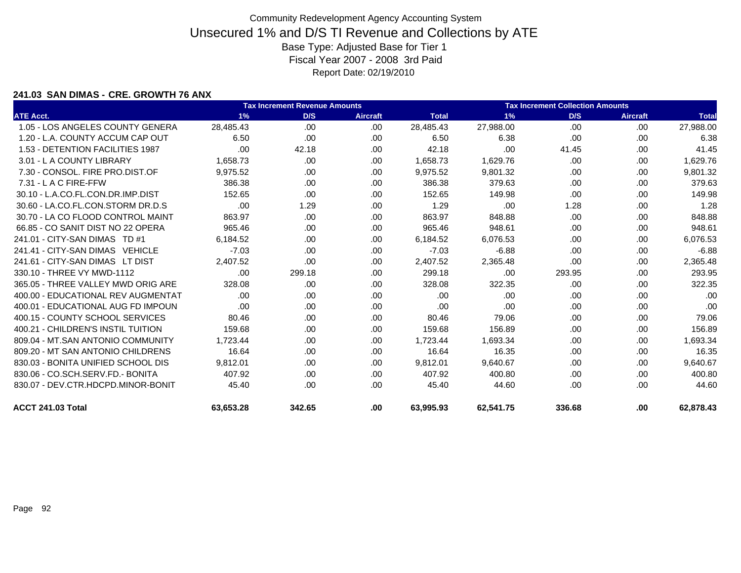### **241.03 SAN DIMAS - CRE. GROWTH 76 ANX**

|                                    | <b>Tax Increment Revenue Amounts</b> |        |                 |              |           | <b>Tax Increment Collection Amounts</b> |                 |              |  |  |  |
|------------------------------------|--------------------------------------|--------|-----------------|--------------|-----------|-----------------------------------------|-----------------|--------------|--|--|--|
| <b>ATE Acct.</b>                   | 1%                                   | D/S    | <b>Aircraft</b> | <b>Total</b> | 1%        | D/S                                     | <b>Aircraft</b> | <b>Total</b> |  |  |  |
| 1.05 - LOS ANGELES COUNTY GENERA   | 28.485.43                            | .00.   | .00             | 28,485.43    | 27,988.00 | .00                                     | .00.            | 27,988.00    |  |  |  |
| 1.20 - L.A. COUNTY ACCUM CAP OUT   | 6.50                                 | .00    | .00.            | 6.50         | 6.38      | .00                                     | .00             | 6.38         |  |  |  |
| 1.53 - DETENTION FACILITIES 1987   | .00                                  | 42.18  | .00             | 42.18        | .00       | 41.45                                   | .00.            | 41.45        |  |  |  |
| 3.01 - L A COUNTY LIBRARY          | 1.658.73                             | .00    | .00             | 1,658.73     | 1,629.76  | .00.                                    | .00             | 1,629.76     |  |  |  |
| 7.30 - CONSOL, FIRE PRO.DIST.OF    | 9,975.52                             | .00    | .00             | 9,975.52     | 9,801.32  | .00.                                    | .00             | 9,801.32     |  |  |  |
| $7.31 - L$ A C FIRE-FFW            | 386.38                               | .00.   | .00             | 386.38       | 379.63    | .00.                                    | .00.            | 379.63       |  |  |  |
| 30.10 - L.A.CO.FL.CON.DR.IMP.DIST  | 152.65                               | .00    | .00             | 152.65       | 149.98    | .00                                     | .00             | 149.98       |  |  |  |
| 30.60 - LA.CO.FL.CON.STORM DR.D.S  | .00                                  | 1.29   | .00             | 1.29         | .00       | 1.28                                    | .00             | 1.28         |  |  |  |
| 30.70 - LA CO FLOOD CONTROL MAINT  | 863.97                               | .00.   | .00             | 863.97       | 848.88    | .00                                     | .00.            | 848.88       |  |  |  |
| 66.85 - CO SANIT DIST NO 22 OPERA  | 965.46                               | .00.   | .00.            | 965.46       | 948.61    | .00.                                    | .00             | 948.61       |  |  |  |
| 241.01 - CITY-SAN DIMAS TD #1      | 6,184.52                             | .00    | .00             | 6,184.52     | 6,076.53  | .00                                     | .00             | 6,076.53     |  |  |  |
| 241.41 - CITY-SAN DIMAS VEHICLE    | $-7.03$                              | .00.   | .00             | $-7.03$      | $-6.88$   | .00.                                    | .00             | $-6.88$      |  |  |  |
| 241.61 - CITY-SAN DIMAS LT DIST    | 2,407.52                             | .00    | .00             | 2,407.52     | 2,365.48  | .00                                     | .00             | 2,365.48     |  |  |  |
| 330.10 - THREE VY MWD-1112         | .00                                  | 299.18 | .00             | 299.18       | .00       | 293.95                                  | .00.            | 293.95       |  |  |  |
| 365.05 - THREE VALLEY MWD ORIG ARE | 328.08                               | .00.   | .00             | 328.08       | 322.35    | .00                                     | .00             | 322.35       |  |  |  |
| 400.00 - EDUCATIONAL REV AUGMENTAT | .00                                  | .00    | .00             | .00          | .00       | .00                                     | .00             | .00          |  |  |  |
| 400.01 - EDUCATIONAL AUG FD IMPOUN | .00                                  | .00    | .00             | .00          | .00       | .00                                     | .00.            | .00          |  |  |  |
| 400.15 - COUNTY SCHOOL SERVICES    | 80.46                                | .00.   | .00             | 80.46        | 79.06     | .00.                                    | .00             | 79.06        |  |  |  |
| 400.21 - CHILDREN'S INSTIL TUITION | 159.68                               | .00    | .00             | 159.68       | 156.89    | .00                                     | .00             | 156.89       |  |  |  |
| 809.04 - MT.SAN ANTONIO COMMUNITY  | 1,723.44                             | .00    | .00             | 1,723.44     | 1,693.34  | .00                                     | .00             | 1,693.34     |  |  |  |
| 809.20 - MT SAN ANTONIO CHILDRENS  | 16.64                                | .00.   | .00             | 16.64        | 16.35     | .00.                                    | .00             | 16.35        |  |  |  |
| 830.03 - BONITA UNIFIED SCHOOL DIS | 9.812.01                             | .00    | .00             | 9,812.01     | 9,640.67  | .00.                                    | .00             | 9,640.67     |  |  |  |
| 830.06 - CO.SCH.SERV.FD.- BONITA   | 407.92                               | .00.   | .00             | 407.92       | 400.80    | .00.                                    | .00             | 400.80       |  |  |  |
| 830.07 - DEV.CTR.HDCPD.MINOR-BONIT | 45.40                                | .00.   | .00             | 45.40        | 44.60     | .00                                     | .00             | 44.60        |  |  |  |
| ACCT 241.03 Total                  | 63,653.28                            | 342.65 | .00             | 63,995.93    | 62,541.75 | 336.68                                  | .00             | 62,878.43    |  |  |  |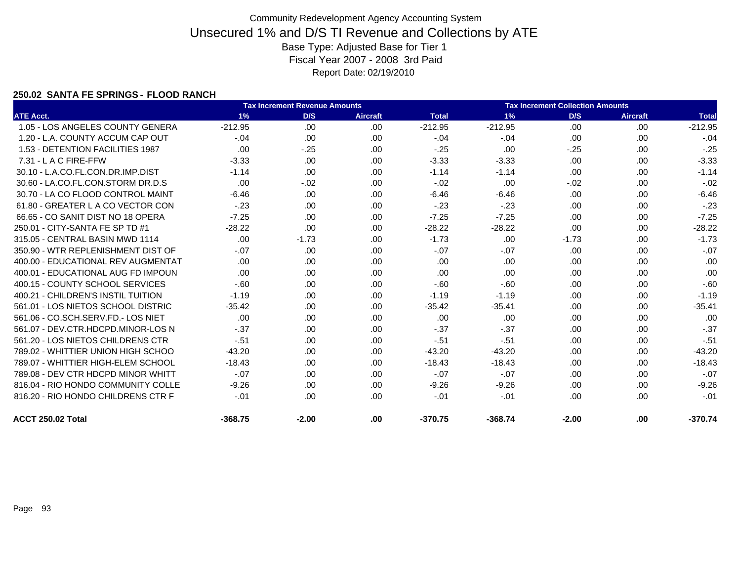### **250.02 SANTA FE SPRINGS - FLOOD RANCH**

|                                    |           | <b>Tax Increment Revenue Amounts</b> |                 |              | <b>Tax Increment Collection Amounts</b> |         |                 |              |
|------------------------------------|-----------|--------------------------------------|-----------------|--------------|-----------------------------------------|---------|-----------------|--------------|
| <b>ATE Acct.</b>                   | 1%        | D/S                                  | <b>Aircraft</b> | <b>Total</b> | 1%                                      | D/S     | <b>Aircraft</b> | <b>Total</b> |
| 1.05 - LOS ANGELES COUNTY GENERA   | $-212.95$ | .00                                  | .00             | $-212.95$    | $-212.95$                               | .00     | .00             | $-212.95$    |
| 1.20 - L.A. COUNTY ACCUM CAP OUT   | $-.04$    | .00                                  | .00             | $-.04$       | $-.04$                                  | .00     | .00             | $-.04$       |
| 1.53 - DETENTION FACILITIES 1987   | .00       | $-.25$                               | .00             | $-.25$       | .00                                     | $-.25$  | .00.            | $-.25$       |
| 7.31 - L A C FIRE-FFW              | $-3.33$   | .00.                                 | .00             | $-3.33$      | $-3.33$                                 | .00     | .00             | $-3.33$      |
| 30.10 - L.A.CO.FL.CON.DR.IMP.DIST  | $-1.14$   | .00.                                 | .00             | $-1.14$      | $-1.14$                                 | .00     | .00             | $-1.14$      |
| 30.60 - LA.CO.FL.CON.STORM DR.D.S  | .00       | $-.02$                               | .00             | $-.02$       | .00                                     | $-.02$  | .00             | $-.02$       |
| 30.70 - LA CO FLOOD CONTROL MAINT  | $-6.46$   | .00.                                 | .00             | $-6.46$      | $-6.46$                                 | .00     | .00             | $-6.46$      |
| 61.80 - GREATER L A CO VECTOR CON  | $-.23$    | .00.                                 | .00             | $-.23$       | $-23$                                   | .00     | .00             | $-.23$       |
| 66.65 - CO SANIT DIST NO 18 OPERA  | $-7.25$   | .00.                                 | .00             | $-7.25$      | $-7.25$                                 | .00     | .00             | $-7.25$      |
| 250.01 - CITY-SANTA FE SP TD #1    | $-28.22$  | .00                                  | .00             | $-28.22$     | $-28.22$                                | .00     | .00             | $-28.22$     |
| 315.05 - CENTRAL BASIN MWD 1114    | .00       | $-1.73$                              | .00             | $-1.73$      | .00                                     | $-1.73$ | .00             | $-1.73$      |
| 350.90 - WTR REPLENISHMENT DIST OF | $-.07$    | .00.                                 | .00             | $-.07$       | $-.07$                                  | .00     | .00             | $-.07$       |
| 400.00 - EDUCATIONAL REV AUGMENTAT | .00       | .00                                  | .00             | .00          | .00                                     | .00     | .00             | .00          |
| 400.01 - EDUCATIONAL AUG FD IMPOUN | .00.      | .00.                                 | .00             | .00          | .00                                     | .00     | .00             | .00          |
| 400.15 - COUNTY SCHOOL SERVICES    | $-60$     | .00.                                 | .00             | $-60$        | $-60$                                   | .00     | .00             | $-60$        |
| 400.21 - CHILDREN'S INSTIL TUITION | $-1.19$   | .00.                                 | .00             | $-1.19$      | $-1.19$                                 | .00     | .00             | $-1.19$      |
| 561.01 - LOS NIETOS SCHOOL DISTRIC | $-35.42$  | .00.                                 | .00             | $-35.42$     | $-35.41$                                | .00     | .00             | $-35.41$     |
| 561.06 - CO.SCH.SERV.FD.- LOS NIET | .00       | .00                                  | .00             | .00          | .00                                     | .00     | .00             | .00          |
| 561.07 - DEV.CTR.HDCPD.MINOR-LOS N | $-.37$    | .00.                                 | .00             | $-.37$       | $-.37$                                  | .00     | .00             | $-.37$       |
| 561.20 - LOS NIETOS CHILDRENS CTR  | $-.51$    | .00.                                 | .00             | $-51$        | $-.51$                                  | .00     | .00.            | $-.51$       |
| 789.02 - WHITTIER UNION HIGH SCHOO | $-43.20$  | .00.                                 | .00             | $-43.20$     | $-43.20$                                | .00     | .00             | $-43.20$     |
| 789.07 - WHITTIER HIGH-ELEM SCHOOL | $-18.43$  | .00.                                 | .00             | $-18.43$     | $-18.43$                                | .00     | .00             | $-18.43$     |
| 789.08 - DEV CTR HDCPD MINOR WHITT | $-.07$    | .00.                                 | .00             | $-.07$       | $-.07$                                  | .00     | .00             | $-.07$       |
| 816.04 - RIO HONDO COMMUNITY COLLE | $-9.26$   | .00.                                 | .00.            | $-9.26$      | $-9.26$                                 | .00     | .00             | $-9.26$      |
| 816.20 - RIO HONDO CHILDRENS CTR F | $-.01$    | .00                                  | .00             | $-.01$       | $-.01$                                  | .00     | .00.            | $-.01$       |
| ACCT 250.02 Total                  | $-368.75$ | $-2.00$                              | .00             | $-370.75$    | $-368.74$                               | $-2.00$ | .00             | $-370.74$    |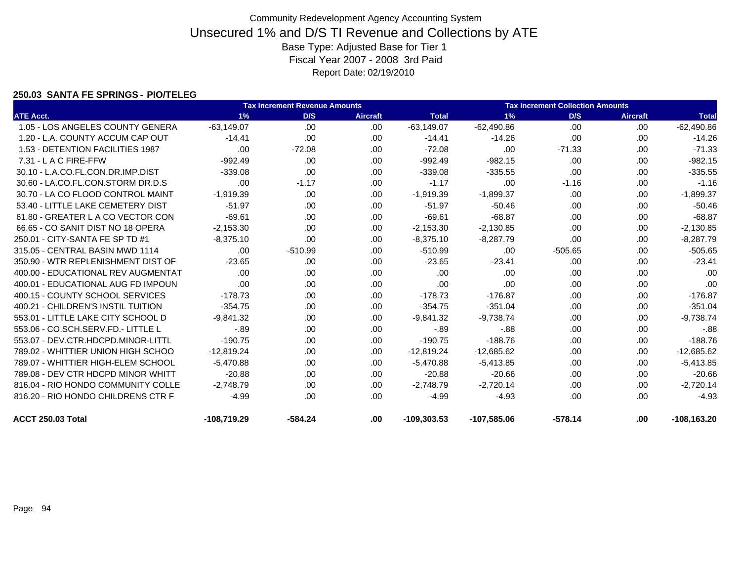### **250.03 SANTA FE SPRINGS - PIO/TELEG**

|                                    |               | <b>Tax Increment Revenue Amounts</b> |                 |               |               | <b>Tax Increment Collection Amounts</b> |                 |                |
|------------------------------------|---------------|--------------------------------------|-----------------|---------------|---------------|-----------------------------------------|-----------------|----------------|
| <b>ATE Acct.</b>                   | 1%            | D/S                                  | <b>Aircraft</b> | <b>Total</b>  | 1%            | D/S                                     | <b>Aircraft</b> | <b>Total</b>   |
| 1.05 - LOS ANGELES COUNTY GENERA   | $-63,149.07$  | .00                                  | .00             | $-63,149.07$  | $-62,490.86$  | .00                                     | .00.            | $-62,490.86$   |
| 1.20 - L.A. COUNTY ACCUM CAP OUT   | $-14.41$      | .00.                                 | .00             | $-14.41$      | $-14.26$      | .00                                     | .00             | $-14.26$       |
| 1.53 - DETENTION FACILITIES 1987   | .00           | $-72.08$                             | .00.            | $-72.08$      | .00           | $-71.33$                                | .00.            | $-71.33$       |
| 7.31 - L A C FIRE-FFW              | $-992.49$     | .00                                  | .00             | $-992.49$     | $-982.15$     | .00                                     | .00             | $-982.15$      |
| 30.10 - L.A.CO.FL.CON.DR.IMP.DIST  | $-339.08$     | .00                                  | .00             | $-339.08$     | $-335.55$     | .00                                     | .00             | $-335.55$      |
| 30.60 - LA.CO.FL.CON.STORM DR.D.S  | .00           | $-1.17$                              | .00             | $-1.17$       | .00           | $-1.16$                                 | .00             | $-1.16$        |
| 30.70 - LA CO FLOOD CONTROL MAINT  | $-1,919.39$   | .00                                  | .00             | $-1,919.39$   | $-1,899.37$   | .00                                     | .00             | $-1,899.37$    |
| 53.40 - LITTLE LAKE CEMETERY DIST  | $-51.97$      | .00                                  | .00             | $-51.97$      | $-50.46$      | .00                                     | .00             | $-50.46$       |
| 61.80 - GREATER L A CO VECTOR CON  | $-69.61$      | .00.                                 | .00.            | $-69.61$      | $-68.87$      | .00                                     | .00             | $-68.87$       |
| 66.65 - CO SANIT DIST NO 18 OPERA  | $-2,153.30$   | .00.                                 | .00             | $-2,153.30$   | $-2,130.85$   | .00                                     | .00             | $-2,130.85$    |
| 250.01 - CITY-SANTA FE SP TD #1    | $-8,375.10$   | .00                                  | .00             | $-8,375.10$   | $-8,287.79$   | .00                                     | .00             | $-8,287.79$    |
| 315.05 - CENTRAL BASIN MWD 1114    | .00           | $-510.99$                            | .00             | $-510.99$     | .00           | $-505.65$                               | .00             | $-505.65$      |
| 350.90 - WTR REPLENISHMENT DIST OF | $-23.65$      | .00.                                 | .00             | $-23.65$      | $-23.41$      | .00                                     | .00.            | $-23.41$       |
| 400.00 - EDUCATIONAL REV AUGMENTAT | .00           | .00                                  | .00             | .00           | .00           | .00                                     | .00             | .00            |
| 400.01 - EDUCATIONAL AUG FD IMPOUN | .00           | .00.                                 | .00             | .00           | .00           | .00                                     | .00.            | .00            |
| 400.15 - COUNTY SCHOOL SERVICES    | $-178.73$     | .00.                                 | .00             | $-178.73$     | $-176.87$     | .00                                     | .00             | $-176.87$      |
| 400.21 - CHILDREN'S INSTIL TUITION | $-354.75$     | .00.                                 | .00.            | $-354.75$     | $-351.04$     | .00                                     | .00.            | $-351.04$      |
| 553.01 - LITTLE LAKE CITY SCHOOL D | $-9.841.32$   | .00.                                 | .00             | $-9,841.32$   | $-9,738.74$   | .00                                     | .00             | $-9,738.74$    |
| 553.06 - CO.SCH.SERV.FD.- LITTLE L | $-0.89$       | .00                                  | .00             | $-89$         | $-88$         | .00                                     | .00             | $-.88$         |
| 553.07 - DEV.CTR.HDCPD.MINOR-LITTL | $-190.75$     | .00.                                 | .00.            | $-190.75$     | $-188.76$     | .00                                     | .00.            | $-188.76$      |
| 789.02 - WHITTIER UNION HIGH SCHOO | $-12,819.24$  | .00                                  | .00             | $-12,819.24$  | $-12,685.62$  | .00                                     | .00             | $-12,685.62$   |
| 789.07 - WHITTIER HIGH-ELEM SCHOOL | $-5,470.88$   | .00.                                 | .00.            | $-5,470.88$   | $-5,413.85$   | .00                                     | .00             | $-5,413.85$    |
| 789.08 - DEV CTR HDCPD MINOR WHITT | $-20.88$      | .00                                  | .00             | $-20.88$      | $-20.66$      | .00                                     | .00             | $-20.66$       |
| 816.04 - RIO HONDO COMMUNITY COLLE | $-2,748.79$   | .00.                                 | .00.            | $-2,748.79$   | $-2,720.14$   | .00                                     | .00.            | $-2,720.14$    |
| 816.20 - RIO HONDO CHILDRENS CTR F | $-4.99$       | .00.                                 | .00.            | $-4.99$       | $-4.93$       | .00                                     | .00.            | $-4.93$        |
| ACCT 250.03 Total                  | $-108,719.29$ | $-584.24$                            | .00             | $-109,303.53$ | $-107,585.06$ | $-578.14$                               | .00             | $-108, 163.20$ |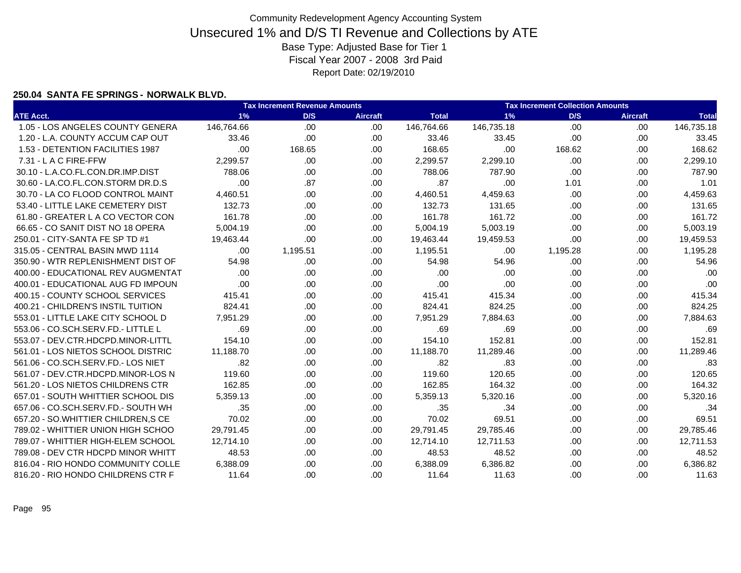#### **250.04 SANTA FE SPRINGS - NORWALK BLVD.**

|                                    |            | <b>Tax Increment Revenue Amounts</b> |                 |              |            | <b>Tax Increment Collection Amounts</b> |                 |              |
|------------------------------------|------------|--------------------------------------|-----------------|--------------|------------|-----------------------------------------|-----------------|--------------|
| <b>ATE Acct.</b>                   | 1%         | D/S                                  | <b>Aircraft</b> | <b>Total</b> | 1%         | D/S                                     | <b>Aircraft</b> | <b>Total</b> |
| 1.05 - LOS ANGELES COUNTY GENERA   | 146,764.66 | .00                                  | .00.            | 146,764.66   | 146,735.18 | .00                                     | .00             | 146,735.18   |
| 1.20 - L.A. COUNTY ACCUM CAP OUT   | 33.46      | .00                                  | .00             | 33.46        | 33.45      | .00                                     | .00             | 33.45        |
| 1.53 - DETENTION FACILITIES 1987   | .00        | 168.65                               | .00             | 168.65       | .00        | 168.62                                  | .00             | 168.62       |
| 7.31 - L A C FIRE-FFW              | 2,299.57   | .00                                  | .00             | 2,299.57     | 2,299.10   | .00                                     | .00             | 2,299.10     |
| 30.10 - L.A.CO.FL.CON.DR.IMP.DIST  | 788.06     | .00                                  | .00             | 788.06       | 787.90     | .00                                     | .00             | 787.90       |
| 30.60 - LA.CO.FL.CON.STORM DR.D.S  | .00        | .87                                  | .00.            | .87          | .00        | 1.01                                    | .00             | 1.01         |
| 30.70 - LA CO FLOOD CONTROL MAINT  | 4,460.51   | .00.                                 | .00             | 4,460.51     | 4,459.63   | .00                                     | .00             | 4,459.63     |
| 53.40 - LITTLE LAKE CEMETERY DIST  | 132.73     | .00                                  | .00.            | 132.73       | 131.65     | .00                                     | .00             | 131.65       |
| 61.80 - GREATER L A CO VECTOR CON  | 161.78     | .00                                  | .00             | 161.78       | 161.72     | .00                                     | .00.            | 161.72       |
| 66.65 - CO SANIT DIST NO 18 OPERA  | 5,004.19   | .00                                  | .00             | 5,004.19     | 5,003.19   | .00                                     | .00             | 5,003.19     |
| 250.01 - CITY-SANTA FE SP TD #1    | 19,463.44  | .00                                  | .00             | 19,463.44    | 19,459.53  | .00                                     | .00             | 19,459.53    |
| 315.05 - CENTRAL BASIN MWD 1114    | .00        | 1,195.51                             | .00             | 1,195.51     | .00        | 1,195.28                                | .00             | 1,195.28     |
| 350.90 - WTR REPLENISHMENT DIST OF | 54.98      | .00                                  | .00.            | 54.98        | 54.96      | .00                                     | .00             | 54.96        |
| 400.00 - EDUCATIONAL REV AUGMENTAT | .00        | .00                                  | .00.            | .00          | .00        | .00                                     | .00             | .00          |
| 400.01 - EDUCATIONAL AUG FD IMPOUN | .00        | .00                                  | .00             | .00          | .00        | .00                                     | .00             | .00          |
| 400.15 - COUNTY SCHOOL SERVICES    | 415.41     | .00                                  | .00             | 415.41       | 415.34     | .00                                     | .00             | 415.34       |
| 400.21 - CHILDREN'S INSTIL TUITION | 824.41     | .00.                                 | .00             | 824.41       | 824.25     | .00                                     | .00             | 824.25       |
| 553.01 - LITTLE LAKE CITY SCHOOL D | 7,951.29   | .00                                  | .00             | 7,951.29     | 7,884.63   | .00                                     | .00             | 7,884.63     |
| 553.06 - CO.SCH.SERV.FD.- LITTLE L | .69        | .00                                  | .00.            | .69          | .69        | .00                                     | .00             | .69          |
| 553.07 - DEV.CTR.HDCPD.MINOR-LITTL | 154.10     | .00                                  | .00             | 154.10       | 152.81     | .00                                     | .00             | 152.81       |
| 561.01 - LOS NIETOS SCHOOL DISTRIC | 11,188.70  | .00                                  | .00.            | 11,188.70    | 11,289.46  | .00                                     | .00             | 11,289.46    |
| 561.06 - CO.SCH.SERV.FD.- LOS NIET | .82        | .00                                  | .00             | .82          | .83        | .00                                     | .00             | .83          |
| 561.07 - DEV.CTR.HDCPD.MINOR-LOS N | 119.60     | .00                                  | .00             | 119.60       | 120.65     | .00                                     | .00             | 120.65       |
| 561.20 - LOS NIETOS CHILDRENS CTR  | 162.85     | .00                                  | .00             | 162.85       | 164.32     | .00                                     | .00             | 164.32       |
| 657.01 - SOUTH WHITTIER SCHOOL DIS | 5.359.13   | .00                                  | .00             | 5,359.13     | 5,320.16   | .00                                     | .00             | 5,320.16     |
| 657.06 - CO.SCH.SERV.FD.- SOUTH WH | .35        | .00                                  | .00.            | .35          | .34        | .00                                     | .00             | .34          |
| 657.20 - SO.WHITTIER CHILDREN, SCE | 70.02      | .00                                  | .00.            | 70.02        | 69.51      | .00                                     | .00             | 69.51        |
| 789.02 - WHITTIER UNION HIGH SCHOO | 29,791.45  | .00                                  | .00             | 29,791.45    | 29,785.46  | .00                                     | .00             | 29,785.46    |
| 789.07 - WHITTIER HIGH-ELEM SCHOOL | 12,714.10  | .00.                                 | .00             | 12,714.10    | 12,711.53  | .00                                     | .00             | 12,711.53    |
| 789.08 - DEV CTR HDCPD MINOR WHITT | 48.53      | .00                                  | .00             | 48.53        | 48.52      | .00                                     | .00             | 48.52        |
| 816.04 - RIO HONDO COMMUNITY COLLE | 6,388.09   | .00                                  | .00.            | 6,388.09     | 6,386.82   | .00                                     | .00             | 6,386.82     |
| 816.20 - RIO HONDO CHILDRENS CTR F | 11.64      | .00                                  | .00.            | 11.64        | 11.63      | .00.                                    | .00             | 11.63        |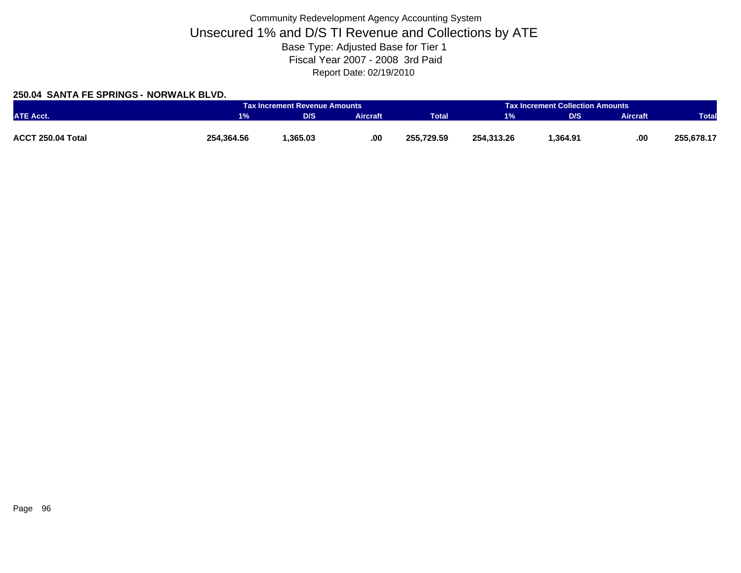### **250.04 SANTA FE SPRINGS - NORWALK BLVD.**

|                   |            | <b>Tax Increment Revenue Amounts</b> |          |              |            | <b>Tax Increment Collection Amounts</b> |                 |              |
|-------------------|------------|--------------------------------------|----------|--------------|------------|-----------------------------------------|-----------------|--------------|
| <b>ATE Acct.</b>  | $1\%$      | <b>D/S</b>                           | Aircraft | <b>Total</b> | 1%         | D/S                                     | <b>Aircraft</b> | <b>Total</b> |
|                   |            |                                      |          |              |            |                                         |                 |              |
| ACCT 250.04 Total | 254,364.56 | .365.03                              | .00      | 255.729.59   | 254.313.26 | 364.91. ا                               | .00             | 255,678.17   |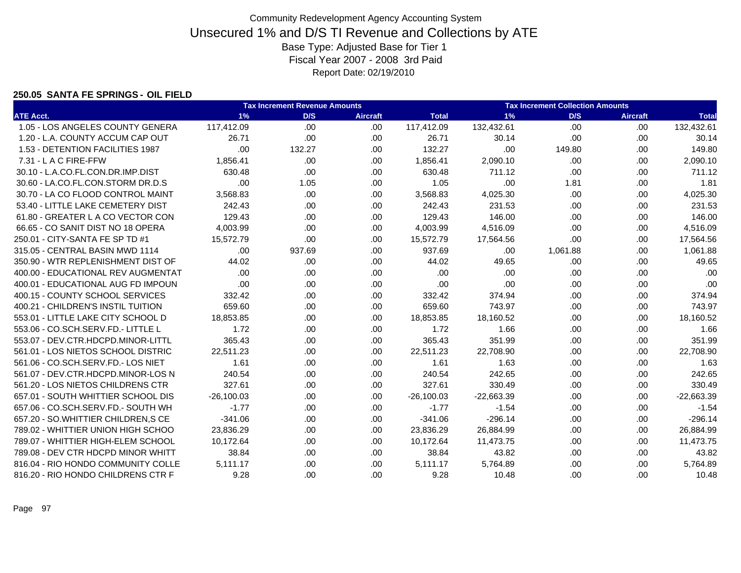#### **250.05 SANTA FE SPRINGS - OIL FIELD**

|                                    |              | <b>Tax Increment Revenue Amounts</b> |                 |              |              | <b>Tax Increment Collection Amounts</b> |                 |              |
|------------------------------------|--------------|--------------------------------------|-----------------|--------------|--------------|-----------------------------------------|-----------------|--------------|
| <b>ATE Acct.</b>                   | 1%           | D/S                                  | <b>Aircraft</b> | <b>Total</b> | 1%           | D/S                                     | <b>Aircraft</b> | <b>Total</b> |
| 1.05 - LOS ANGELES COUNTY GENERA   | 117,412.09   | .00                                  | .00.            | 117,412.09   | 132,432.61   | .00                                     | .00.            | 132,432.61   |
| 1.20 - L.A. COUNTY ACCUM CAP OUT   | 26.71        | .00                                  | .00             | 26.71        | 30.14        | .00                                     | .00             | 30.14        |
| 1.53 - DETENTION FACILITIES 1987   | .00          | 132.27                               | .00             | 132.27       | .00          | 149.80                                  | .00             | 149.80       |
| 7.31 - L A C FIRE-FFW              | 1,856.41     | .00                                  | .00             | 1,856.41     | 2,090.10     | .00                                     | .00             | 2,090.10     |
| 30.10 - L.A.CO.FL.CON.DR.IMP.DIST  | 630.48       | .00                                  | .00             | 630.48       | 711.12       | .00                                     | .00.            | 711.12       |
| 30.60 - LA.CO.FL.CON.STORM DR.D.S  | .00          | 1.05                                 | .00.            | 1.05         | .00          | 1.81                                    | .00             | 1.81         |
| 30.70 - LA CO FLOOD CONTROL MAINT  | 3,568.83     | .00                                  | .00             | 3,568.83     | 4,025.30     | .00                                     | .00             | 4,025.30     |
| 53.40 - LITTLE LAKE CEMETERY DIST  | 242.43       | .00                                  | .00             | 242.43       | 231.53       | .00                                     | .00             | 231.53       |
| 61.80 - GREATER L A CO VECTOR CON  | 129.43       | .00                                  | .00             | 129.43       | 146.00       | .00                                     | .00.            | 146.00       |
| 66.65 - CO SANIT DIST NO 18 OPERA  | 4,003.99     | .00                                  | .00             | 4,003.99     | 4,516.09     | .00                                     | .00             | 4,516.09     |
| 250.01 - CITY-SANTA FE SP TD #1    | 15.572.79    | .00                                  | .00.            | 15,572.79    | 17,564.56    | .00                                     | .00             | 17,564.56    |
| 315.05 - CENTRAL BASIN MWD 1114    | .00          | 937.69                               | .00.            | 937.69       | .00          | 1,061.88                                | .00             | 1,061.88     |
| 350.90 - WTR REPLENISHMENT DIST OF | 44.02        | .00                                  | .00.            | 44.02        | 49.65        | .00                                     | .00             | 49.65        |
| 400.00 - EDUCATIONAL REV AUGMENTAT | .00          | .00                                  | .00             | .00          | .00          | .00                                     | .00             | .00          |
| 400.01 - EDUCATIONAL AUG FD IMPOUN | .00          | .00.                                 | .00             | .00          | .00          | .00                                     | .00             | .00          |
| 400.15 - COUNTY SCHOOL SERVICES    | 332.42       | .00                                  | .00             | 332.42       | 374.94       | .00                                     | .00             | 374.94       |
| 400.21 - CHILDREN'S INSTIL TUITION | 659.60       | .00                                  | .00.            | 659.60       | 743.97       | .00                                     | .00             | 743.97       |
| 553.01 - LITTLE LAKE CITY SCHOOL D | 18.853.85    | .00                                  | .00             | 18,853.85    | 18,160.52    | .00                                     | .00.            | 18,160.52    |
| 553.06 - CO.SCH.SERV.FD.- LITTLE L | 1.72         | .00                                  | .00             | 1.72         | 1.66         | .00                                     | .00.            | 1.66         |
| 553.07 - DEV.CTR.HDCPD.MINOR-LITTL | 365.43       | .00                                  | .00.            | 365.43       | 351.99       | .00                                     | .00             | 351.99       |
| 561.01 - LOS NIETOS SCHOOL DISTRIC | 22,511.23    | .00                                  | .00             | 22,511.23    | 22,708.90    | .00                                     | .00             | 22,708.90    |
| 561.06 - CO.SCH.SERV.FD.- LOS NIET | 1.61         | .00                                  | .00.            | 1.61         | 1.63         | .00                                     | .00             | 1.63         |
| 561.07 - DEV.CTR.HDCPD.MINOR-LOS N | 240.54       | .00                                  | .00             | 240.54       | 242.65       | .00                                     | .00.            | 242.65       |
| 561.20 - LOS NIETOS CHILDRENS CTR  | 327.61       | .00                                  | .00             | 327.61       | 330.49       | .00                                     | .00.            | 330.49       |
| 657.01 - SOUTH WHITTIER SCHOOL DIS | $-26.100.03$ | .00                                  | .00             | $-26,100.03$ | $-22,663.39$ | .00                                     | .00.            | $-22,663.39$ |
| 657.06 - CO.SCH.SERV.FD.- SOUTH WH | $-1.77$      | .00                                  | .00             | $-1.77$      | $-1.54$      | .00                                     | .00.            | $-1.54$      |
| 657.20 - SO.WHITTIER CHILDREN, SCE | $-341.06$    | .00                                  | .00.            | $-341.06$    | $-296.14$    | .00                                     | .00             | $-296.14$    |
| 789.02 - WHITTIER UNION HIGH SCHOO | 23,836.29    | .00                                  | .00             | 23,836.29    | 26,884.99    | .00                                     | .00             | 26,884.99    |
| 789.07 - WHITTIER HIGH-ELEM SCHOOL | 10,172.64    | .00.                                 | .00             | 10,172.64    | 11,473.75    | .00                                     | .00             | 11,473.75    |
| 789.08 - DEV CTR HDCPD MINOR WHITT | 38.84        | .00                                  | .00             | 38.84        | 43.82        | .00                                     | .00             | 43.82        |
| 816.04 - RIO HONDO COMMUNITY COLLE | 5,111.17     | .00                                  | .00             | 5,111.17     | 5,764.89     | .00                                     | .00             | 5,764.89     |
| 816.20 - RIO HONDO CHILDRENS CTR F | 9.28         | .00                                  | .00             | 9.28         | 10.48        | .00                                     | .00             | 10.48        |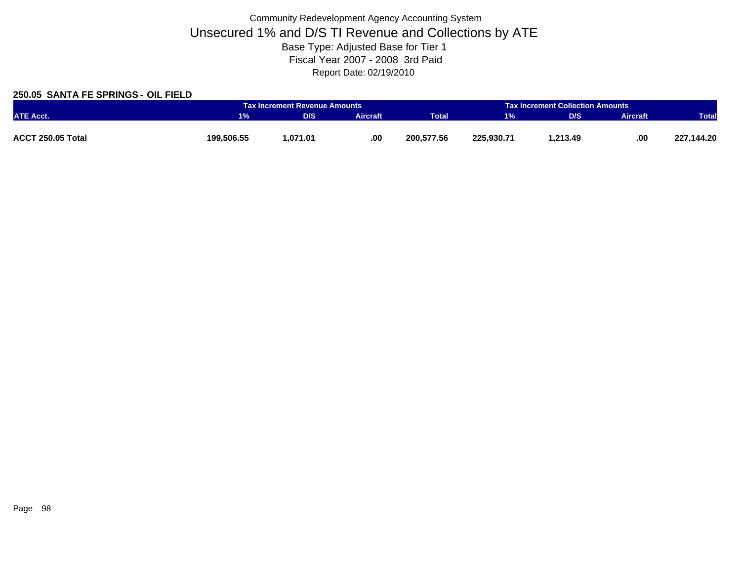### **250.05 SANTA FE SPRINGS - OIL FIELD**

|                   |            | Tax Increment Revenue Amounts |                 |              |            | <b>Tax Increment Collection Amounts</b> |                 |              |  |
|-------------------|------------|-------------------------------|-----------------|--------------|------------|-----------------------------------------|-----------------|--------------|--|
| <b>ATE Acct.</b>  |            | D/S                           | <b>Aircraft</b> | <b>Total</b> | $1\%$      | D/S                                     | <b>Aircraft</b> | <b>Total</b> |  |
|                   |            |                               |                 |              |            |                                         |                 |              |  |
| ACCT 250.05 Total | 199,506.55 | 1,071.01                      | .00.            | 200,577.56   | 225.930.71 | 213.49.                                 | .00             | 227,144.20   |  |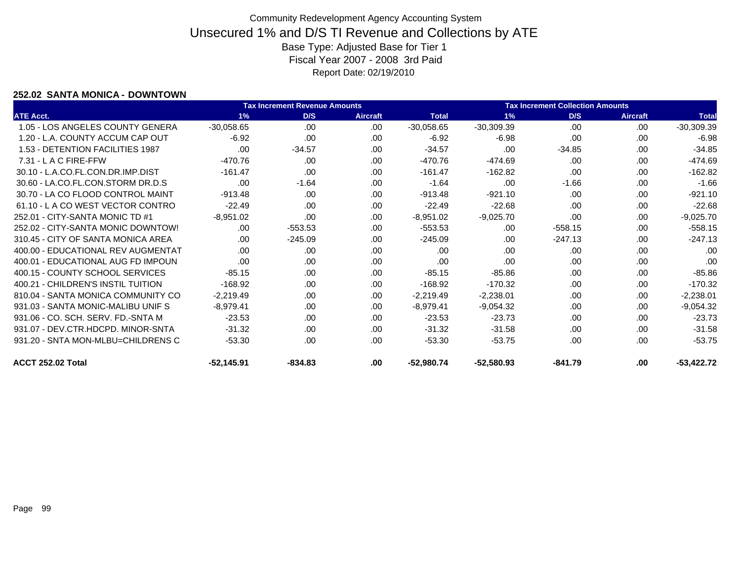### **252.02 SANTA MONICA - DOWNTOWN**

|                                    |              | <b>Tax Increment Revenue Amounts</b> |                 |              |              | <b>Tax Increment Collection Amounts</b> |                 |              |
|------------------------------------|--------------|--------------------------------------|-----------------|--------------|--------------|-----------------------------------------|-----------------|--------------|
| <b>ATE Acct.</b>                   | 1%           | D/S                                  | <b>Aircraft</b> | <b>Total</b> | 1%           | D/S                                     | <b>Aircraft</b> | <b>Total</b> |
| 1.05 - LOS ANGELES COUNTY GENERA   | $-30,058.65$ | .00                                  | .00             | $-30,058.65$ | $-30,309.39$ | .00                                     | .00             | $-30,309.39$ |
| 1.20 - L.A. COUNTY ACCUM CAP OUT   | $-6.92$      | .00                                  | .00             | $-6.92$      | $-6.98$      | .00                                     | .00             | $-6.98$      |
| 1.53 - DETENTION FACILITIES 1987   | .00          | $-34.57$                             | .00.            | $-34.57$     | .00          | $-34.85$                                | .00             | $-34.85$     |
| $7.31 - L$ A C FIRE-FFW            | $-470.76$    | .00                                  | .00             | $-470.76$    | $-474.69$    | .00.                                    | .00             | $-474.69$    |
| 30.10 - L.A.CO.FL.CON.DR.IMP.DIST  | $-161.47$    | .00                                  | .00             | $-161.47$    | $-162.82$    | .00.                                    | .00             | $-162.82$    |
| 30.60 - LA.CO.FL.CON.STORM DR.D.S  | .00          | $-1.64$                              | .00             | $-1.64$      | .00          | $-1.66$                                 | .00.            | $-1.66$      |
| 30.70 - LA CO FLOOD CONTROL MAINT  | $-913.48$    | .00                                  | .00             | $-913.48$    | $-921.10$    | .00.                                    | .00.            | $-921.10$    |
| 61.10 - L A CO WEST VECTOR CONTRO  | $-22.49$     | .00                                  | .00             | $-22.49$     | $-22.68$     | .00                                     | .00             | $-22.68$     |
| 252.01 - CITY-SANTA MONIC TD #1    | $-8,951.02$  | .00                                  | .00             | $-8,951.02$  | $-9,025.70$  | .00                                     | .00.            | $-9,025.70$  |
| 252.02 - CITY-SANTA MONIC DOWNTOW! | .00          | $-553.53$                            | .00.            | $-553.53$    | .00          | $-558.15$                               | .00             | $-558.15$    |
| 310.45 - CITY OF SANTA MONICA AREA | .00          | $-245.09$                            | .00.            | $-245.09$    | .00          | $-247.13$                               | .00.            | $-247.13$    |
| 400.00 - EDUCATIONAL REV AUGMENTAT | .00          | .00                                  | .00             | .00          | .00.         | .00                                     | .00             | .00          |
| 400.01 - EDUCATIONAL AUG FD IMPOUN | .00          | .00                                  | .00             | .00          | .00          | .00                                     | .00             | .00          |
| 400.15 - COUNTY SCHOOL SERVICES    | $-85.15$     | .00                                  | .00             | $-85.15$     | $-85.86$     | .00.                                    | .00             | $-85.86$     |
| 400.21 - CHILDREN'S INSTIL TUITION | $-168.92$    | .00                                  | .00             | $-168.92$    | $-170.32$    | .00.                                    | .00             | $-170.32$    |
| 810.04 - SANTA MONICA COMMUNITY CO | $-2,219.49$  | .00                                  | .00             | $-2,219.49$  | $-2,238.01$  | .00.                                    | .00             | $-2,238.01$  |
| 931.03 - SANTA MONIC-MALIBU UNIF S | $-8,979.41$  | .00                                  | .00             | $-8,979.41$  | $-9,054.32$  | .00.                                    | .00             | $-9,054.32$  |
| 931.06 - CO. SCH. SERV. FD.-SNTA M | $-23.53$     | .00                                  | .00             | $-23.53$     | $-23.73$     | .00.                                    | .00             | $-23.73$     |
| 931.07 - DEV.CTR.HDCPD. MINOR-SNTA | $-31.32$     | .00                                  | .00.            | $-31.32$     | $-31.58$     | .00.                                    | .00             | $-31.58$     |
| 931.20 - SNTA MON-MLBU=CHILDRENS C | $-53.30$     | .00                                  | .00             | $-53.30$     | $-53.75$     | .00.                                    | .00.            | $-53.75$     |
| ACCT 252.02 Total                  | $-52,145.91$ | $-834.83$                            | .00             | $-52,980.74$ | $-52,580.93$ | $-841.79$                               | .00             | $-53,422.72$ |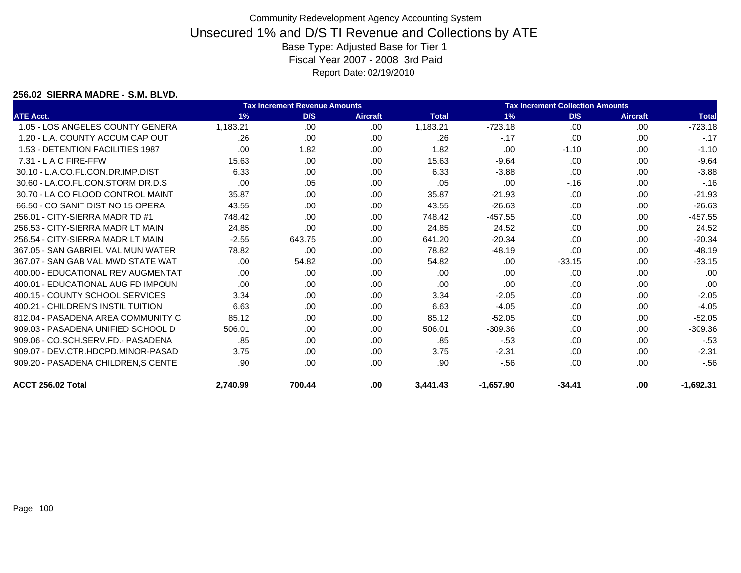#### **256.02 SIERRA MADRE - S.M. BLVD.**

|                                     |          | <b>Tax Increment Revenue Amounts</b> |                 |              |             | <b>Tax Increment Collection Amounts</b> |                 |              |
|-------------------------------------|----------|--------------------------------------|-----------------|--------------|-------------|-----------------------------------------|-----------------|--------------|
| <b>ATE Acct.</b>                    | 1%       | D/S                                  | <b>Aircraft</b> | <b>Total</b> | 1%          | D/S                                     | <b>Aircraft</b> | <b>Total</b> |
| 1.05 - LOS ANGELES COUNTY GENERA    | 1.183.21 | .00                                  | .00             | 1,183.21     | $-723.18$   | .00                                     | .00.            | $-723.18$    |
| 1.20 - L.A. COUNTY ACCUM CAP OUT    | .26      | .00                                  | .00             | .26          | $-.17$      | .00                                     | .00.            | $-.17$       |
| 1.53 - DETENTION FACILITIES 1987    | .00      | 1.82                                 | .00.            | 1.82         | .00         | $-1.10$                                 | .00.            | $-1.10$      |
| $7.31 - L$ A C FIRE-FFW             | 15.63    | .00                                  | .00             | 15.63        | $-9.64$     | .00                                     | .00.            | $-9.64$      |
| 30.10 - L.A.CO.FL.CON.DR.IMP.DIST   | 6.33     | .00                                  | .00             | 6.33         | $-3.88$     | .00                                     | .00.            | $-3.88$      |
| 30.60 - LA.CO.FL.CON.STORM DR.D.S   | .00      | .05                                  | .00             | .05          | .00         | $-16$                                   | .00.            | $-.16$       |
| 30.70 - LA CO FLOOD CONTROL MAINT   | 35.87    | .00                                  | .00.            | 35.87        | $-21.93$    | .00                                     | .00             | $-21.93$     |
| 66.50 - CO SANIT DIST NO 15 OPERA   | 43.55    | .00                                  | .00             | 43.55        | $-26.63$    | .00                                     | .00             | $-26.63$     |
| 256.01 - CITY-SIERRA MADR TD #1     | 748.42   | .00                                  | .00             | 748.42       | $-457.55$   | .00                                     | .00             | $-457.55$    |
| 256.53 - CITY-SIERRA MADR LT MAIN   | 24.85    | .00                                  | .00             | 24.85        | 24.52       | .00                                     | .00             | 24.52        |
| 256.54 - CITY-SIERRA MADR LT MAIN   | $-2.55$  | 643.75                               | .00.            | 641.20       | $-20.34$    | .00.                                    | .00.            | $-20.34$     |
| 367.05 - SAN GABRIEL VAL MUN WATER  | 78.82    | .00                                  | .00             | 78.82        | $-48.19$    | .00                                     | .00.            | $-48.19$     |
| 367.07 - SAN GAB VAL MWD STATE WAT  | .00      | 54.82                                | .00             | 54.82        | .00.        | $-33.15$                                | .00.            | $-33.15$     |
| 400.00 - EDUCATIONAL REV AUGMENTAT  | .00      | .00                                  | .00             | .00          | .00         | .00                                     | .00             | .00          |
| 400.01 - EDUCATIONAL AUG FD IMPOUN  | .00      | .00                                  | .00             | .00          | .00         | .00                                     | .00.            | .00          |
| 400.15 - COUNTY SCHOOL SERVICES     | 3.34     | .00                                  | .00             | 3.34         | $-2.05$     | .00                                     | .00             | $-2.05$      |
| 400.21 - CHILDREN'S INSTIL TUITION  | 6.63     | .00                                  | .00             | 6.63         | $-4.05$     | .00                                     | .00             | $-4.05$      |
| 812.04 - PASADENA AREA COMMUNITY C  | 85.12    | .00                                  | .00             | 85.12        | $-52.05$    | .00                                     | .00.            | $-52.05$     |
| 909.03 - PASADENA UNIFIED SCHOOL D  | 506.01   | .00                                  | .00             | 506.01       | $-309.36$   | .00                                     | .00             | $-309.36$    |
| 909.06 - CO.SCH.SERV.FD.- PASADENA  | .85      | .00                                  | .00             | .85          | $-53$       | .00                                     | .00.            | $-53$        |
| 909.07 - DEV.CTR.HDCPD.MINOR-PASAD  | 3.75     | .00                                  | .00.            | 3.75         | $-2.31$     | .00                                     | .00.            | $-2.31$      |
| 909.20 - PASADENA CHILDREN, S CENTE | .90      | .00                                  | .00             | .90          | $-56$       | .00                                     | .00             | $-56$        |
| <b>ACCT 256.02 Total</b>            | 2,740.99 | 700.44                               | .00             | 3,441.43     | $-1,657.90$ | $-34.41$                                | .00.            | $-1,692.31$  |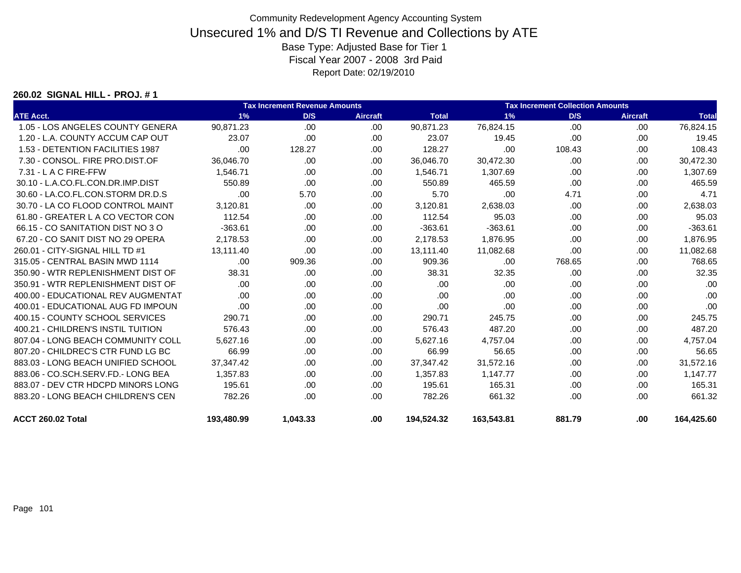#### **260.02 SIGNAL HILL - PROJ. # 1**

|                                    |            | <b>Tax Increment Revenue Amounts</b> |                 |              |            |        | <b>Tax Increment Collection Amounts</b> |              |
|------------------------------------|------------|--------------------------------------|-----------------|--------------|------------|--------|-----------------------------------------|--------------|
| <b>ATE Acct.</b>                   | 1%         | D/S                                  | <b>Aircraft</b> | <b>Total</b> | 1%         | D/S    | <b>Aircraft</b>                         | <b>Total</b> |
| 1.05 - LOS ANGELES COUNTY GENERA   | 90.871.23  | .00                                  | .00             | 90.871.23    | 76,824.15  | .00    | .00                                     | 76,824.15    |
| 1.20 - L.A. COUNTY ACCUM CAP OUT   | 23.07      | .00                                  | .00.            | 23.07        | 19.45      | .00    | .00                                     | 19.45        |
| 1.53 - DETENTION FACILITIES 1987   | .00        | 128.27                               | .00             | 128.27       | .00        | 108.43 | .00.                                    | 108.43       |
| 7.30 - CONSOL, FIRE PRO.DIST.OF    | 36,046.70  | .00.                                 | .00             | 36,046.70    | 30,472.30  | .00    | .00                                     | 30,472.30    |
| $7.31 - L$ A C FIRE-FFW            | 1.546.71   | .00                                  | .00.            | 1.546.71     | 1,307.69   | .00    | .00                                     | 1,307.69     |
| 30.10 - L.A.CO.FL.CON.DR.IMP.DIST  | 550.89     | .00                                  | .00.            | 550.89       | 465.59     | .00    | .00                                     | 465.59       |
| 30.60 - LA.CO.FL.CON.STORM DR.D.S  | .00        | 5.70                                 | .00             | 5.70         | .00        | 4.71   | .00.                                    | 4.71         |
| 30.70 - LA CO FLOOD CONTROL MAINT  | 3,120.81   | .00                                  | .00.            | 3,120.81     | 2,638.03   | .00    | .00                                     | 2,638.03     |
| 61.80 - GREATER L A CO VECTOR CON  | 112.54     | .00                                  | .00             | 112.54       | 95.03      | .00    | .00                                     | 95.03        |
| 66.15 - CO SANITATION DIST NO 3 O  | $-363.61$  | .00                                  | .00             | $-363.61$    | $-363.61$  | .00    | .00.                                    | $-363.61$    |
| 67.20 - CO SANIT DIST NO 29 OPERA  | 2,178.53   | .00                                  | .00.            | 2,178.53     | 1,876.95   | .00    | .00                                     | 1,876.95     |
| 260.01 - CITY-SIGNAL HILL TD #1    | 13.111.40  | .00                                  | .00.            | 13,111.40    | 11,082.68  | .00    | .00.                                    | 11,082.68    |
| 315.05 - CENTRAL BASIN MWD 1114    | .00        | 909.36                               | .00             | 909.36       | .00        | 768.65 | .00                                     | 768.65       |
| 350.90 - WTR REPLENISHMENT DIST OF | 38.31      | .00.                                 | .00.            | 38.31        | 32.35      | .00    | .00                                     | 32.35        |
| 350.91 - WTR REPLENISHMENT DIST OF | .00        | .00                                  | .00             | .00          | .00        | .00    | .00                                     | .00          |
| 400.00 - EDUCATIONAL REV AUGMENTAT | .00        | .00                                  | .00             | .00          | .00        | .00    | .00                                     | .00          |
| 400.01 - EDUCATIONAL AUG FD IMPOUN | .00        | .00                                  | .00             | .00          | .00        | .00    | .00                                     | .00          |
| 400.15 - COUNTY SCHOOL SERVICES    | 290.71     | .00                                  | .00.            | 290.71       | 245.75     | .00    | .00                                     | 245.75       |
| 400.21 - CHILDREN'S INSTIL TUITION | 576.43     | .00                                  | .00             | 576.43       | 487.20     | .00    | .00                                     | 487.20       |
| 807.04 - LONG BEACH COMMUNITY COLL | 5.627.16   | .00                                  | .00             | 5,627.16     | 4.757.04   | .00    | .00                                     | 4,757.04     |
| 807.20 - CHILDREC'S CTR FUND LG BC | 66.99      | .00                                  | .00.            | 66.99        | 56.65      | .00    | .00                                     | 56.65        |
| 883.03 - LONG BEACH UNIFIED SCHOOL | 37,347.42  | .00                                  | .00.            | 37,347.42    | 31,572.16  | .00    | .00.                                    | 31,572.16    |
| 883.06 - CO.SCH.SERV.FD.- LONG BEA | 1,357.83   | .00                                  | .00.            | 1,357.83     | 1,147.77   | .00    | .00                                     | 1,147.77     |
| 883.07 - DEV CTR HDCPD MINORS LONG | 195.61     | .00                                  | .00.            | 195.61       | 165.31     | .00    | .00                                     | 165.31       |
| 883.20 - LONG BEACH CHILDREN'S CEN | 782.26     | .00                                  | .00.            | 782.26       | 661.32     | .00    | .00                                     | 661.32       |
| ACCT 260.02 Total                  | 193,480.99 | 1,043.33                             | .00             | 194,524.32   | 163,543.81 | 881.79 | .00                                     | 164,425.60   |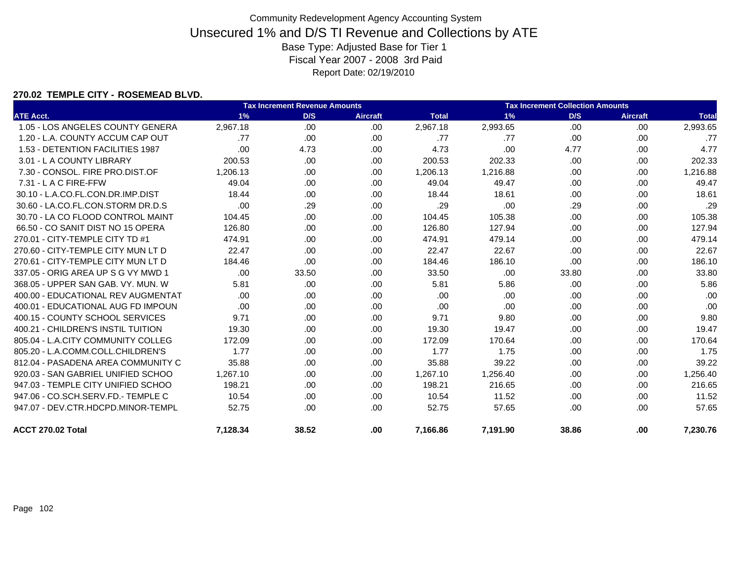### **270.02 TEMPLE CITY - ROSEMEAD BLVD.**

|                                    |          | <b>Tax Increment Revenue Amounts</b> |                 |              |          | <b>Tax Increment Collection Amounts</b> |                 |              |
|------------------------------------|----------|--------------------------------------|-----------------|--------------|----------|-----------------------------------------|-----------------|--------------|
| <b>ATE Acct.</b>                   | 1%       | D/S                                  | <b>Aircraft</b> | <b>Total</b> | 1%       | D/S                                     | <b>Aircraft</b> | <b>Total</b> |
| 1.05 - LOS ANGELES COUNTY GENERA   | 2,967.18 | .00                                  | .00             | 2,967.18     | 2,993.65 | .00                                     | .00             | 2,993.65     |
| 1.20 - L.A. COUNTY ACCUM CAP OUT   | .77      | .00                                  | .00.            | .77          | .77      | .00                                     | .00             | .77          |
| 1.53 - DETENTION FACILITIES 1987   | .00      | 4.73                                 | .00.            | 4.73         | .00      | 4.77                                    | .00             | 4.77         |
| 3.01 - L A COUNTY LIBRARY          | 200.53   | .00                                  | .00.            | 200.53       | 202.33   | .00                                     | .00             | 202.33       |
| 7.30 - CONSOL, FIRE PRO.DIST.OF    | 1,206.13 | .00                                  | .00.            | 1,206.13     | 1,216.88 | .00                                     | .00             | 1,216.88     |
| $7.31 - L$ A C FIRE-FFW            | 49.04    | .00.                                 | .00.            | 49.04        | 49.47    | .00                                     | .00             | 49.47        |
| 30.10 - L.A.CO.FL.CON.DR.IMP.DIST  | 18.44    | .00                                  | .00.            | 18.44        | 18.61    | .00                                     | .00             | 18.61        |
| 30.60 - LA.CO.FL.CON.STORM DR.D.S  | .00      | .29                                  | .00             | .29          | .00      | .29                                     | .00             | .29          |
| 30.70 - LA CO FLOOD CONTROL MAINT  | 104.45   | .00                                  | .00.            | 104.45       | 105.38   | .00                                     | .00             | 105.38       |
| 66.50 - CO SANIT DIST NO 15 OPERA  | 126.80   | .00                                  | .00.            | 126.80       | 127.94   | .00                                     | .00             | 127.94       |
| 270.01 - CITY-TEMPLE CITY TD #1    | 474.91   | .00                                  | .00             | 474.91       | 479.14   | .00                                     | .00             | 479.14       |
| 270.60 - CITY-TEMPLE CITY MUN LT D | 22.47    | .00                                  | .00.            | 22.47        | 22.67    | .00                                     | .00             | 22.67        |
| 270.61 - CITY-TEMPLE CITY MUN LT D | 184.46   | .00                                  | .00             | 184.46       | 186.10   | .00                                     | .00             | 186.10       |
| 337.05 - ORIG AREA UP S G VY MWD 1 | .00      | 33.50                                | .00             | 33.50        | .00      | 33.80                                   | .00.            | 33.80        |
| 368.05 - UPPER SAN GAB, VY, MUN, W | 5.81     | .00                                  | .00.            | 5.81         | 5.86     | .00                                     | .00             | 5.86         |
| 400.00 - EDUCATIONAL REV AUGMENTAT | .00      | .00                                  | .00.            | .00          | .00      | .00                                     | .00             | .00          |
| 400.01 - EDUCATIONAL AUG FD IMPOUN | .00      | .00                                  | .00.            | .00          | .00      | .00                                     | .00             | .00          |
| 400.15 - COUNTY SCHOOL SERVICES    | 9.71     | .00                                  | .00.            | 9.71         | 9.80     | .00                                     | .00.            | 9.80         |
| 400.21 - CHILDREN'S INSTIL TUITION | 19.30    | .00                                  | .00.            | 19.30        | 19.47    | .00                                     | .00             | 19.47        |
| 805.04 - L.A.CITY COMMUNITY COLLEG | 172.09   | .00                                  | .00             | 172.09       | 170.64   | .00                                     | .00.            | 170.64       |
| 805.20 - L.A.COMM.COLL.CHILDREN'S  | 1.77     | .00                                  | .00             | 1.77         | 1.75     | .00                                     | .00             | 1.75         |
| 812.04 - PASADENA AREA COMMUNITY C | 35.88    | .00                                  | .00             | 35.88        | 39.22    | .00                                     | .00             | 39.22        |
| 920.03 - SAN GABRIEL UNIFIED SCHOO | 1.267.10 | .00                                  | .00             | 1.267.10     | 1,256.40 | .00                                     | .00             | 1,256.40     |
| 947.03 - TEMPLE CITY UNIFIED SCHOO | 198.21   | .00                                  | .00             | 198.21       | 216.65   | .00                                     | .00             | 216.65       |
| 947.06 - CO.SCH.SERV.FD.- TEMPLE C | 10.54    | .00                                  | .00             | 10.54        | 11.52    | .00                                     | .00             | 11.52        |
| 947.07 - DEV.CTR.HDCPD.MINOR-TEMPL | 52.75    | .00                                  | .00             | 52.75        | 57.65    | .00                                     | .00.            | 57.65        |
| ACCT 270.02 Total                  | 7,128.34 | 38.52                                | .00.            | 7,166.86     | 7,191.90 | 38.86                                   | .00             | 7,230.76     |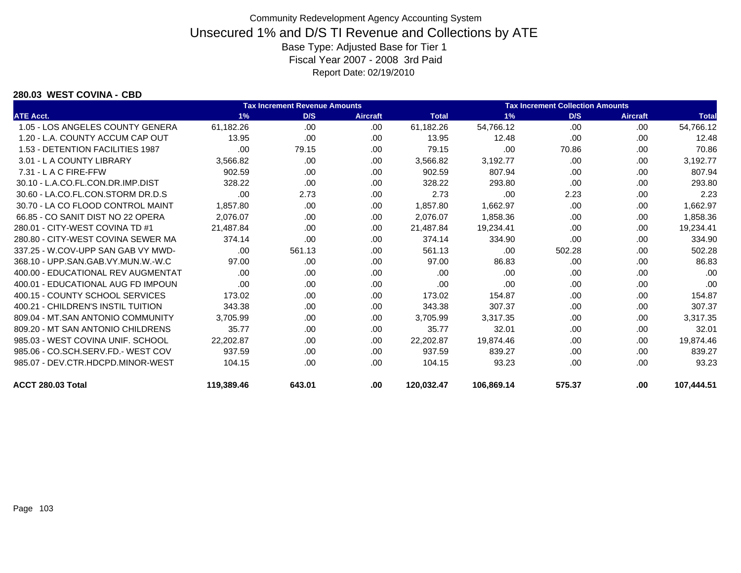#### **280.03 WEST COVINA - CBD**

|                                    | <b>Tax Increment Revenue Amounts</b> |        |                 |              | <b>Tax Increment Collection Amounts</b> |        |                 |              |
|------------------------------------|--------------------------------------|--------|-----------------|--------------|-----------------------------------------|--------|-----------------|--------------|
| <b>ATE Acct.</b>                   | 1%                                   | D/S    | <b>Aircraft</b> | <b>Total</b> | 1%                                      | D/S    | <b>Aircraft</b> | <b>Total</b> |
| 1.05 - LOS ANGELES COUNTY GENERA   | 61,182.26                            | .00    | .00             | 61,182.26    | 54,766.12                               | .00    | .00             | 54,766.12    |
| 1.20 - L.A. COUNTY ACCUM CAP OUT   | 13.95                                | .00.   | .00             | 13.95        | 12.48                                   | .00    | .00             | 12.48        |
| 1.53 - DETENTION FACILITIES 1987   | .00                                  | 79.15  | .00             | 79.15        | .00                                     | 70.86  | .00.            | 70.86        |
| 3.01 - L A COUNTY LIBRARY          | 3.566.82                             | .00.   | .00             | 3,566.82     | 3,192.77                                | .00    | .00             | 3.192.77     |
| $7.31 - L$ A C FIRE-FFW            | 902.59                               | .00.   | .00             | 902.59       | 807.94                                  | .00    | .00             | 807.94       |
| 30.10 - L.A.CO.FL.CON.DR.IMP.DIST  | 328.22                               | .00    | .00             | 328.22       | 293.80                                  | .00    | .00             | 293.80       |
| 30.60 - LA.CO.FL.CON.STORM DR.D.S  | .00                                  | 2.73   | .00             | 2.73         | .00                                     | 2.23   | .00             | 2.23         |
| 30.70 - LA CO FLOOD CONTROL MAINT  | 1,857.80                             | .00.   | .00.            | 1,857.80     | 1,662.97                                | .00    | .00             | 1,662.97     |
| 66.85 - CO SANIT DIST NO 22 OPERA  | 2,076.07                             | .00.   | .00             | 2,076.07     | 1,858.36                                | .00    | .00             | 1,858.36     |
| 280.01 - CITY-WEST COVINA TD #1    | 21.487.84                            | .00.   | .00             | 21,487.84    | 19,234.41                               | .00    | .00             | 19,234.41    |
| 280.80 - CITY-WEST COVINA SEWER MA | 374.14                               | .00.   | .00.            | 374.14       | 334.90                                  | .00    | .00             | 334.90       |
| 337.25 - W.COV-UPP SAN GAB VY MWD- | .00                                  | 561.13 | .00.            | 561.13       | .00                                     | 502.28 | .00.            | 502.28       |
| 368.10 - UPP.SAN.GAB.VY.MUN.W.-W.C | 97.00                                | .00.   | .00             | 97.00        | 86.83                                   | .00    | .00             | 86.83        |
| 400.00 - EDUCATIONAL REV AUGMENTAT | .00                                  | .00    | .00             | .00          | .00                                     | .00    | .00             | .00          |
| 400.01 - EDUCATIONAL AUG FD IMPOUN | .00                                  | .00.   | .00             | .00          | .00                                     | .00    | .00             | .00          |
| 400.15 - COUNTY SCHOOL SERVICES    | 173.02                               | .00.   | .00.            | 173.02       | 154.87                                  | .00    | .00             | 154.87       |
| 400.21 - CHILDREN'S INSTIL TUITION | 343.38                               | .00.   | .00             | 343.38       | 307.37                                  | .00    | .00             | 307.37       |
| 809.04 - MT.SAN ANTONIO COMMUNITY  | 3,705.99                             | .00    | .00             | 3,705.99     | 3,317.35                                | .00    | .00             | 3,317.35     |
| 809.20 - MT SAN ANTONIO CHILDRENS  | 35.77                                | .00.   | .00             | 35.77        | 32.01                                   | .00    | .00.            | 32.01        |
| 985.03 - WEST COVINA UNIF. SCHOOL  | 22,202.87                            | .00.   | .00             | 22,202.87    | 19,874.46                               | .00    | .00             | 19,874.46    |
| 985.06 - CO.SCH.SERV.FD.- WEST COV | 937.59                               | .00.   | .00             | 937.59       | 839.27                                  | .00    | .00             | 839.27       |
| 985.07 - DEV.CTR.HDCPD.MINOR-WEST  | 104.15                               | .00.   | .00             | 104.15       | 93.23                                   | .00    | .00             | 93.23        |
| ACCT 280.03 Total                  | 119,389.46                           | 643.01 | .00             | 120,032.47   | 106,869.14                              | 575.37 | .00             | 107,444.51   |